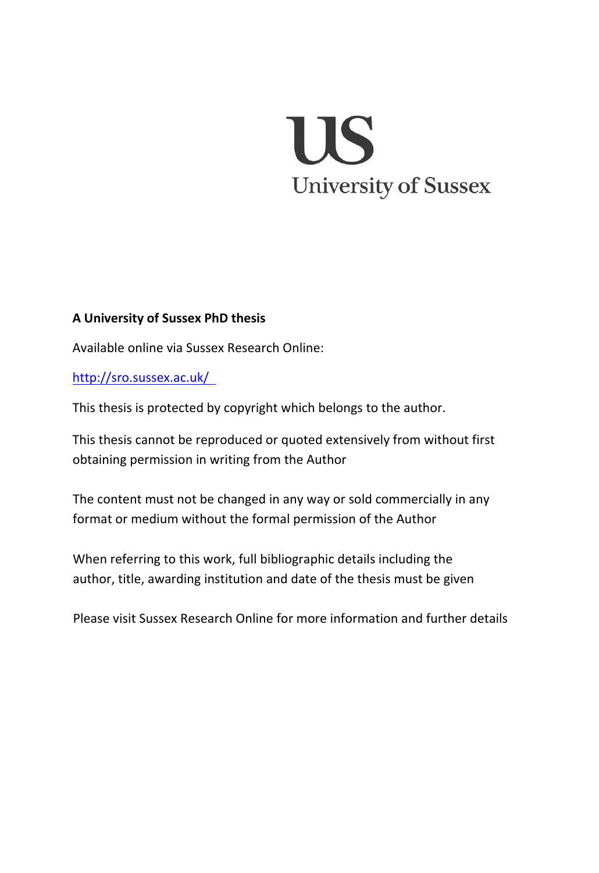# US **University of Sussex**

#### **A University of Sussex PhD thesis**

Available online via Sussex Research Online:

http://sro.sussex.ac.uk/

This thesis is protected by copyright which belongs to the author.

This thesis cannot be reproduced or quoted extensively from without first obtaining permission in writing from the Author

The content must not be changed in any way or sold commercially in any format or medium without the formal permission of the Author

When referring to this work, full bibliographic details including the author, title, awarding institution and date of the thesis must be given

Please visit Sussex Research Online for more information and further details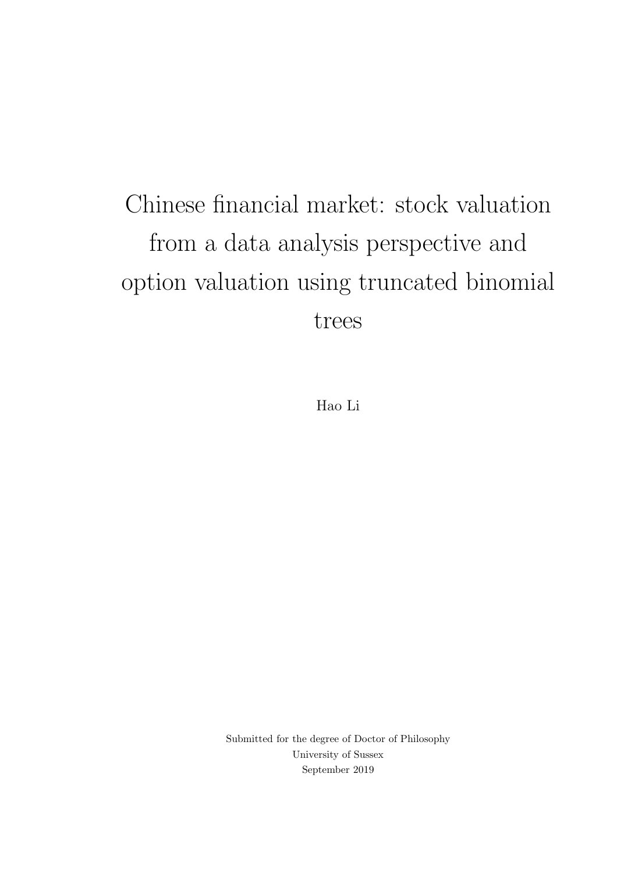# Chinese financial market: stock valuation from a data analysis perspective and option valuation using truncated binomial trees

Hao Li

Submitted for the degree of Doctor of Philosophy University of Sussex September 2019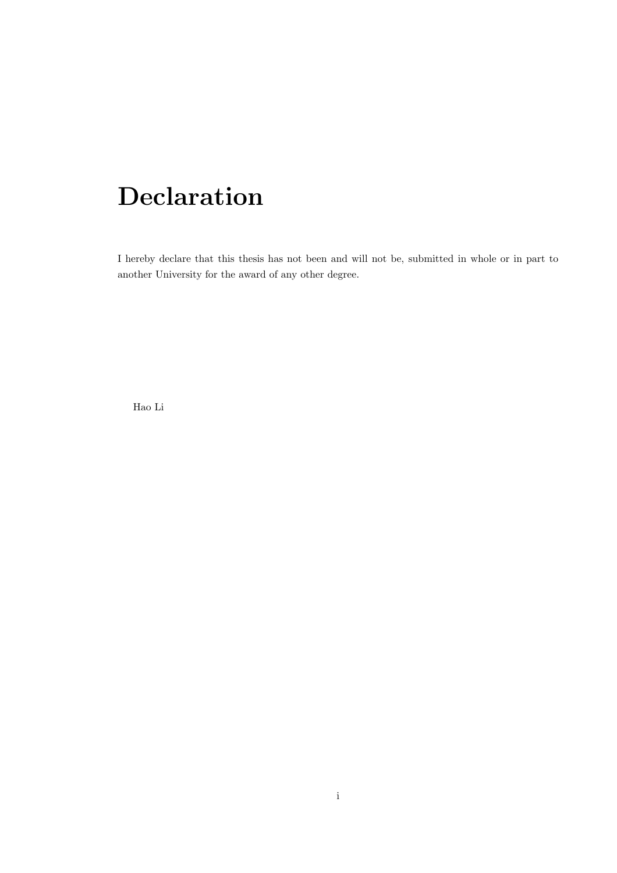### Declaration

I hereby declare that this thesis has not been and will not be, submitted in whole or in part to another University for the award of any other degree.

Hao Li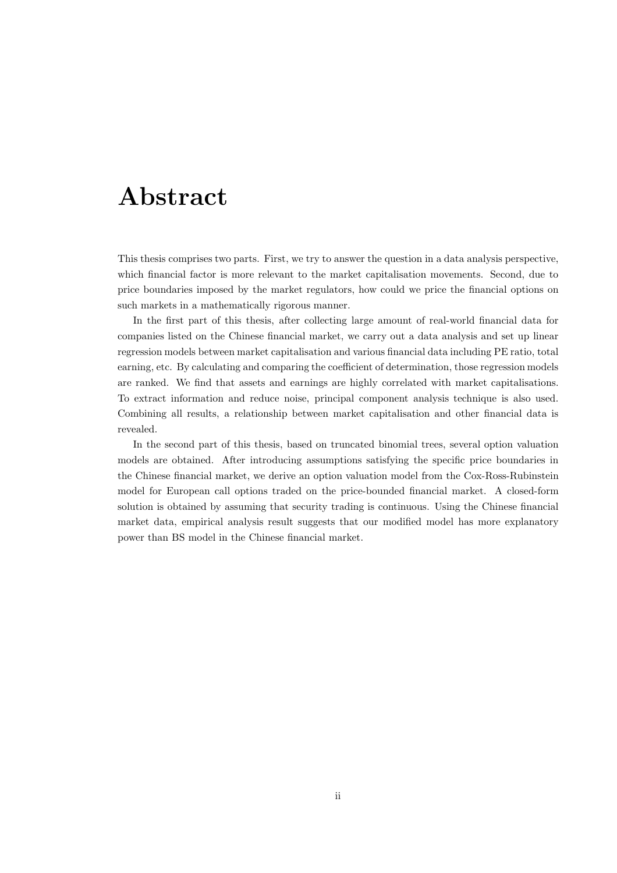### Abstract

This thesis comprises two parts. First, we try to answer the question in a data analysis perspective, which financial factor is more relevant to the market capitalisation movements. Second, due to price boundaries imposed by the market regulators, how could we price the financial options on such markets in a mathematically rigorous manner.

In the first part of this thesis, after collecting large amount of real-world financial data for companies listed on the Chinese financial market, we carry out a data analysis and set up linear regression models between market capitalisation and various financial data including PE ratio, total earning, etc. By calculating and comparing the coefficient of determination, those regression models are ranked. We find that assets and earnings are highly correlated with market capitalisations. To extract information and reduce noise, principal component analysis technique is also used. Combining all results, a relationship between market capitalisation and other financial data is revealed.

In the second part of this thesis, based on truncated binomial trees, several option valuation models are obtained. After introducing assumptions satisfying the specific price boundaries in the Chinese financial market, we derive an option valuation model from the Cox-Ross-Rubinstein model for European call options traded on the price-bounded financial market. A closed-form solution is obtained by assuming that security trading is continuous. Using the Chinese financial market data, empirical analysis result suggests that our modified model has more explanatory power than BS model in the Chinese financial market.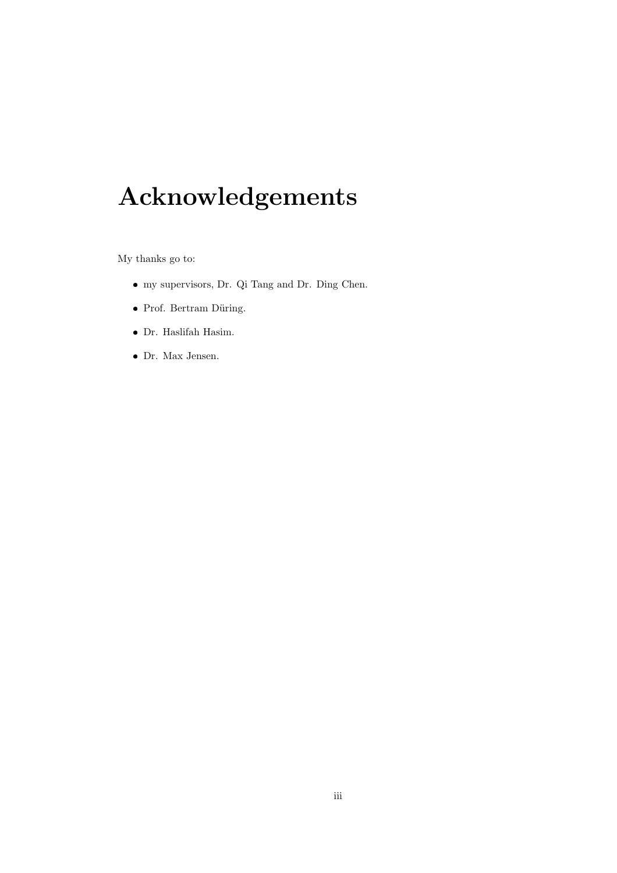## Acknowledgements

My thanks go to:

- my supervisors, Dr. Qi Tang and Dr. Ding Chen.
- $\bullet\,$  Prof. Bertram Düring.
- Dr. Haslifah Hasim.
- Dr. Max Jensen.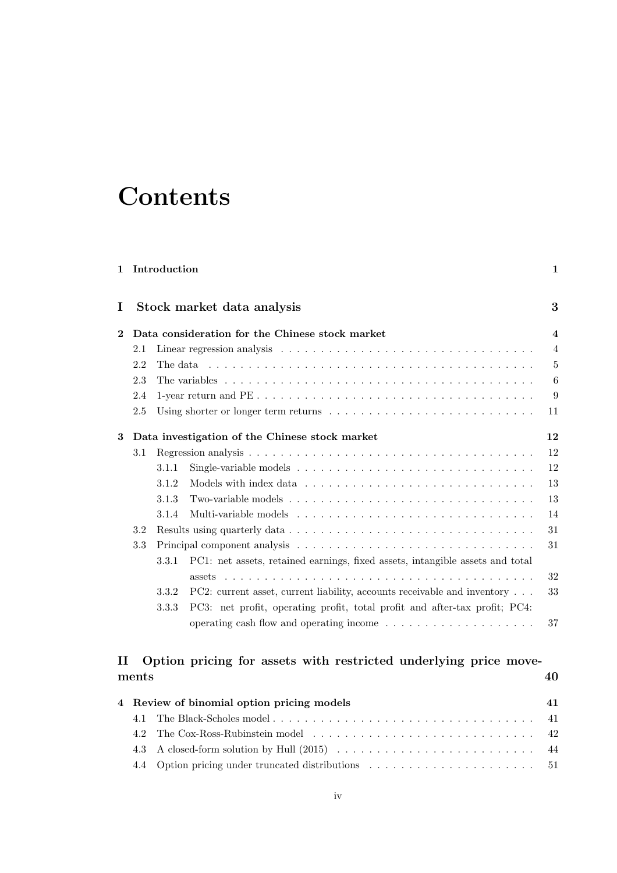### **Contents**

| 1        |       | Introduction |                                                                                                                                                                                                  | 1                       |
|----------|-------|--------------|--------------------------------------------------------------------------------------------------------------------------------------------------------------------------------------------------|-------------------------|
| I        |       |              | Stock market data analysis                                                                                                                                                                       | 3                       |
| $\bf{2}$ |       |              | Data consideration for the Chinese stock market                                                                                                                                                  | $\overline{\mathbf{4}}$ |
|          | 2.1   |              |                                                                                                                                                                                                  | $\overline{4}$          |
|          | 2.2   |              | The data entering the second state of the data in the second state of the second state of the data in the second state of the second state of the second state of the second state $\frac{1}{2}$ | 5                       |
|          | 2.3   |              |                                                                                                                                                                                                  | $6\phantom{.}6$         |
|          | 2.4   |              |                                                                                                                                                                                                  | 9                       |
|          | 2.5   |              |                                                                                                                                                                                                  | 11                      |
| 3        |       |              | Data investigation of the Chinese stock market                                                                                                                                                   | 12                      |
|          | 3.1   |              |                                                                                                                                                                                                  | 12                      |
|          |       | 3.1.1        |                                                                                                                                                                                                  | 12                      |
|          |       | 3.1.2        |                                                                                                                                                                                                  | 13                      |
|          |       | 3.1.3        | Two-variable models $\dots$ , $\dots$ , $\dots$ , $\dots$ , $\dots$ , $\dots$ , $\dots$ , $\dots$ , $\dots$ , $\dots$ , $\dots$ , $\dots$                                                        | 13                      |
|          |       | 3.1.4        |                                                                                                                                                                                                  | 14                      |
|          | 3.2   |              |                                                                                                                                                                                                  | 31                      |
|          | 3.3   | 3.3.1        | PC1: net assets, retained earnings, fixed assets, intangible assets and total                                                                                                                    | 31                      |
|          |       |              |                                                                                                                                                                                                  | 32                      |
|          |       | 3.3.2        | PC2: current asset, current liability, accounts receivable and inventory                                                                                                                         | 33                      |
|          |       | 3.3.3        | PC3: net profit, operating profit, total profit and after-tax profit; PC4:                                                                                                                       |                         |
|          |       |              |                                                                                                                                                                                                  | 37                      |
| TГ       |       |              | Option pricing for assets with restricted underlying price move-                                                                                                                                 |                         |
|          | ments |              |                                                                                                                                                                                                  | 40                      |

|  | 4 Review of binomial option pricing models |  |
|--|--------------------------------------------|--|
|  |                                            |  |
|  |                                            |  |
|  |                                            |  |
|  |                                            |  |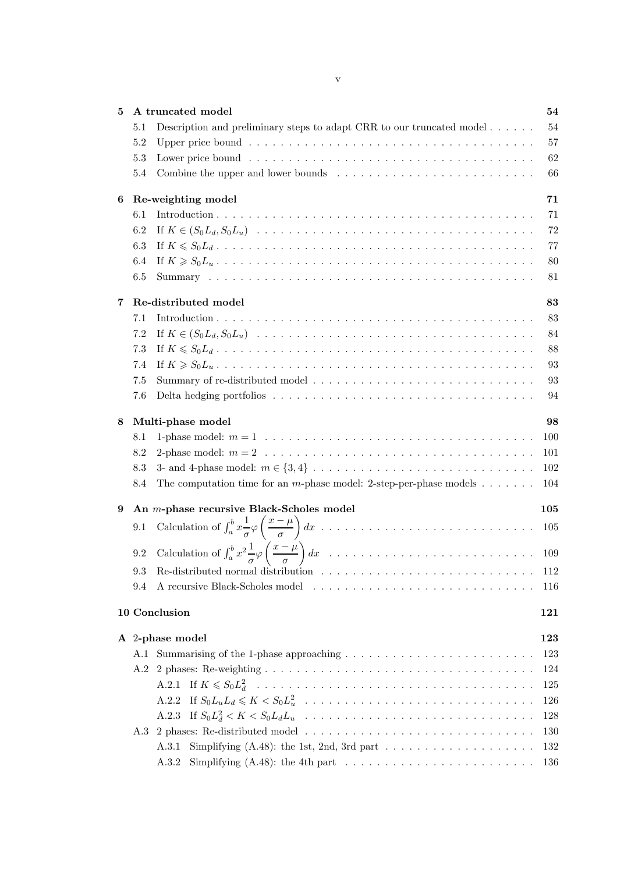| 5. | A truncated model                                                                                                 | 54  |
|----|-------------------------------------------------------------------------------------------------------------------|-----|
|    | Description and preliminary steps to adapt CRR to our truncated model $\dots \dots$<br>5.1                        | 54  |
|    | 5.2                                                                                                               | 57  |
|    | 5.3                                                                                                               | 62  |
|    | Combine the upper and lower bounds $\ldots \ldots \ldots \ldots \ldots \ldots \ldots \ldots$<br>5.4               | 66  |
| 6  | Re-weighting model                                                                                                | 71  |
|    | 6.1                                                                                                               | 71  |
|    | 6.2                                                                                                               | 72  |
|    | 6.3                                                                                                               | 77  |
|    | 6.4                                                                                                               | 80  |
|    | 6.5                                                                                                               | 81  |
| 7  | Re-distributed model                                                                                              | 83  |
|    | 7.1                                                                                                               | 83  |
|    | 7.2                                                                                                               | 84  |
|    | 7.3                                                                                                               | 88  |
|    | 7.4                                                                                                               | 93  |
|    | 7.5                                                                                                               | 93  |
|    | 7.6                                                                                                               | 94  |
| 8  | Multi-phase model                                                                                                 | 98  |
|    | 8.1                                                                                                               | 100 |
|    | 8.2                                                                                                               | 101 |
|    | 8.3                                                                                                               | 102 |
|    | The computation time for an <i>m</i> -phase model: 2-step-per-phase models $\dots \dots$<br>8.4                   | 104 |
| 9  | An <i>m</i> -phase recursive Black-Scholes model                                                                  | 105 |
|    | 9.1                                                                                                               | 105 |
|    | 9.2                                                                                                               | 109 |
|    | Re-distributed normal distribution $\ldots \ldots \ldots \ldots \ldots \ldots \ldots \ldots \ldots \ldots$<br>9.3 | 112 |
|    | 9.4                                                                                                               | 116 |
|    | 10 Conclusion                                                                                                     | 121 |
|    | A 2-phase model                                                                                                   | 123 |
|    |                                                                                                                   | 123 |
|    |                                                                                                                   | 124 |
|    |                                                                                                                   | 125 |
|    | A.2.2                                                                                                             | 126 |
|    | A.2.3                                                                                                             | 128 |
|    |                                                                                                                   | 130 |
|    | A.3.1                                                                                                             | 132 |
|    | A.3.2                                                                                                             | 136 |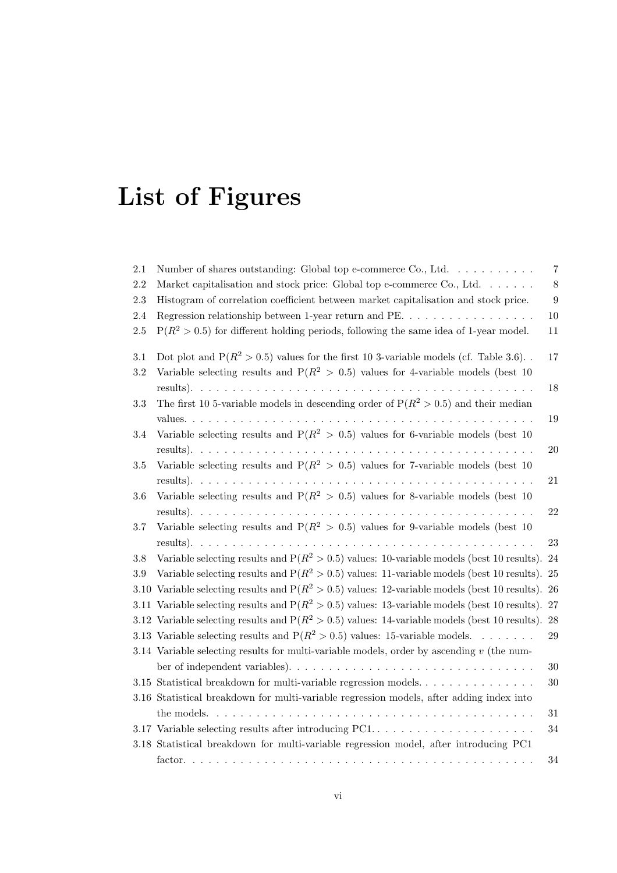# List of Figures

| 2.1     | Number of shares outstanding: Global top e-commerce Co., Ltd. $\dots \dots \dots$                   | 7                |
|---------|-----------------------------------------------------------------------------------------------------|------------------|
| 2.2     | Market capitalisation and stock price: Global top e-commerce Co., Ltd.                              | 8                |
| $2.3\,$ | Histogram of correlation coefficient between market capitalisation and stock price.                 | $\boldsymbol{9}$ |
| 2.4     | Regression relationship between 1-year return and PE                                                | $10\,$           |
| $2.5\,$ | $P(R^2 > 0.5)$ for different holding periods, following the same idea of 1-year model.              | 11               |
| $3.1\,$ | Dot plot and $P(R^2 > 0.5)$ values for the first 10 3-variable models (cf. Table 3.6).              | 17               |
| $3.2\,$ | Variable selecting results and $P(R^2 > 0.5)$ values for 4-variable models (best 10)                |                  |
|         |                                                                                                     | 18               |
| 3.3     | The first 10 5-variable models in descending order of $P(R^2 > 0.5)$ and their median               |                  |
|         |                                                                                                     | 19               |
| 3.4     | Variable selecting results and $P(R^2 > 0.5)$ values for 6-variable models (best 10)                |                  |
|         |                                                                                                     | $20\,$           |
| 3.5     | Variable selecting results and $P(R^2 > 0.5)$ values for 7-variable models (best 10)                |                  |
|         |                                                                                                     | 21               |
| $3.6\,$ | Variable selecting results and $P(R^2 > 0.5)$ values for 8-variable models (best 10)                |                  |
|         |                                                                                                     | $22\,$           |
| 3.7     | Variable selecting results and $P(R^2 > 0.5)$ values for 9-variable models (best 10)                |                  |
|         |                                                                                                     | 23               |
| 3.8     | Variable selecting results and $P(R^2 > 0.5)$ values: 10-variable models (best 10 results).         | 24               |
| 3.9     | Variable selecting results and $P(R^2 > 0.5)$ values: 11-variable models (best 10 results). 25      |                  |
|         | 3.10 Variable selecting results and $P(R^2 > 0.5)$ values: 12-variable models (best 10 results). 26 |                  |
|         | 3.11 Variable selecting results and $P(R^2 > 0.5)$ values: 13-variable models (best 10 results). 27 |                  |
|         | 3.12 Variable selecting results and $P(R^2 > 0.5)$ values: 14-variable models (best 10 results). 28 |                  |
|         | 3.13 Variable selecting results and $P(R^2 > 0.5)$ values: 15-variable models.                      | $\,29$           |
|         | 3.14 Variable selecting results for multi-variable models, order by ascending $v$ (the num-         |                  |
|         |                                                                                                     | 30               |
|         |                                                                                                     | 30               |
|         | 3.16 Statistical breakdown for multi-variable regression models, after adding index into            |                  |
|         |                                                                                                     | $31\,$           |
|         | 3.17 Variable selecting results after introducing PC1                                               | $34\,$           |
|         | 3.18 Statistical breakdown for multi-variable regression model, after introducing PC1               |                  |
|         |                                                                                                     | 34               |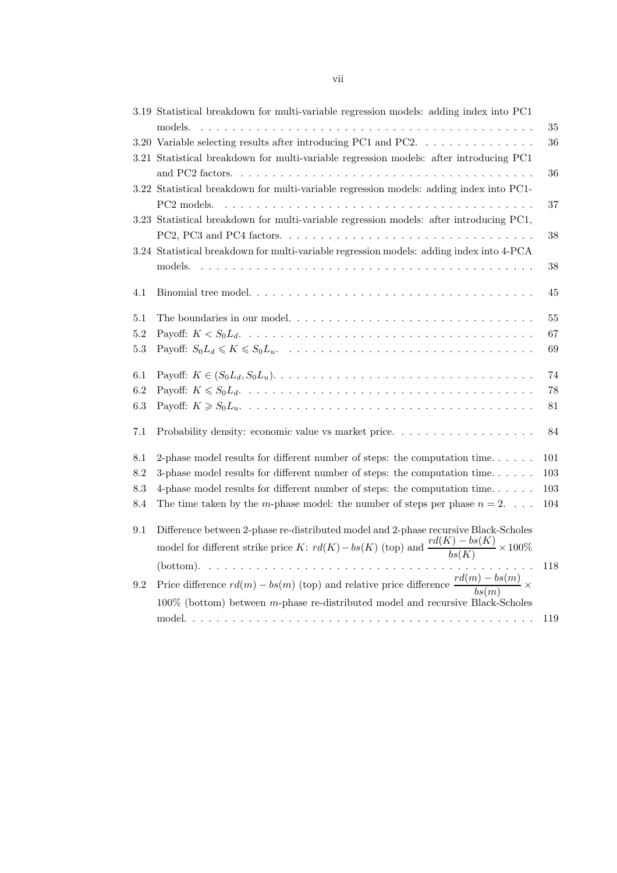|         | 3.19 Statistical breakdown for multi-variable regression models: adding index into PC1<br>models.                                                                                                                                                                                      | 35     |
|---------|----------------------------------------------------------------------------------------------------------------------------------------------------------------------------------------------------------------------------------------------------------------------------------------|--------|
|         | 3.20 Variable selecting results after introducing PC1 and PC2.                                                                                                                                                                                                                         | 36     |
|         | 3.21 Statistical breakdown for multi-variable regression models: after introducing PC1                                                                                                                                                                                                 | 36     |
|         | 3.22 Statistical breakdown for multi-variable regression models: adding index into PC1-<br>PC <sub>2</sub> models.                                                                                                                                                                     | 37     |
|         | 3.23 Statistical breakdown for multi-variable regression models: after introducing PC1,                                                                                                                                                                                                | 38     |
|         | 3.24 Statistical breakdown for multi-variable regression models: adding index into 4-PCA                                                                                                                                                                                               |        |
|         | models.                                                                                                                                                                                                                                                                                | 38     |
| 4.1     |                                                                                                                                                                                                                                                                                        | 45     |
| 5.1     | The boundaries in our model                                                                                                                                                                                                                                                            | 55     |
| 5.2     |                                                                                                                                                                                                                                                                                        | 67     |
| $5.3\,$ |                                                                                                                                                                                                                                                                                        | 69     |
| 6.1     |                                                                                                                                                                                                                                                                                        | 74     |
| 6.2     |                                                                                                                                                                                                                                                                                        | 78     |
| 6.3     |                                                                                                                                                                                                                                                                                        | $81\,$ |
| 7.1     | Probability density: economic value vs market price.                                                                                                                                                                                                                                   | 84     |
| 8.1     | 2-phase model results for different number of steps: the computation time                                                                                                                                                                                                              | 101    |
| 8.2     | 3-phase model results for different number of steps: the computation time                                                                                                                                                                                                              | 103    |
| 8.3     | 4-phase model results for different number of steps: the computation time                                                                                                                                                                                                              | 103    |
| 8.4     | The time taken by the <i>m</i> -phase model: the number of steps per phase $n = 2$                                                                                                                                                                                                     | 104    |
| $9.1\,$ | Difference between 2-phase re-distributed model and 2-phase recursive Black-Scholes<br>model for different strike price K: $rd(K) - bs(K)$ (top) and $\frac{rd(K) - bs(K)}{bs(K)} \times 100\%$<br>$(bottom). \dots \dots \dots \dots \dots \dots \dots \dots \dots \dots \dots \dots$ | 118    |
| 9.2     | Price difference $rd(m) - bs(m)$ (top) and relative price difference $\frac{rd(m) - bs(m)}{bs(m)} \times$<br>$100\%$ (bottom) between m-phase re-distributed model and recursive Black-Scholes                                                                                         |        |
|         |                                                                                                                                                                                                                                                                                        | 119    |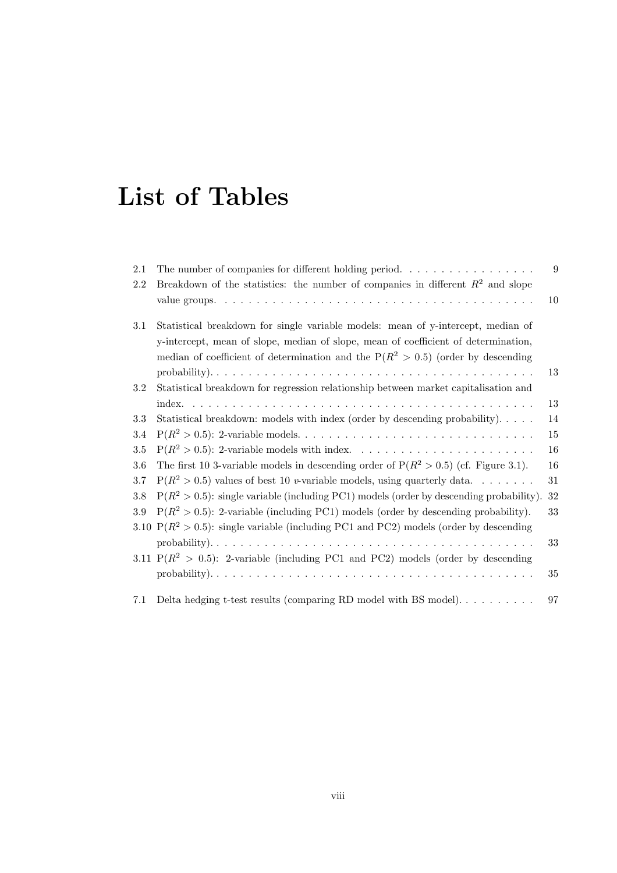### List of Tables

| $2.1\,$ | The number of companies for different holding period. $\dots \dots \dots \dots \dots \dots$ | 9  |
|---------|---------------------------------------------------------------------------------------------|----|
| 2.2     | Breakdown of the statistics: the number of companies in different $R^2$ and slope           |    |
|         |                                                                                             | 10 |
| 3.1     | Statistical breakdown for single variable models: mean of y-intercept, median of            |    |
|         | y-intercept, mean of slope, median of slope, mean of coefficient of determination,          |    |
|         | median of coefficient of determination and the $P(R^2 > 0.5)$ (order by descending          |    |
|         |                                                                                             | 13 |
| 3.2     | Statistical breakdown for regression relationship between market capitalisation and         |    |
|         |                                                                                             | 13 |
| 3.3     | Statistical breakdown: models with index (order by descending probability).                 | 14 |
| 3.4     |                                                                                             | 15 |
| 3.5     |                                                                                             | 16 |
| 3.6     | The first 10 3-variable models in descending order of $P(R^2 > 0.5)$ (cf. Figure 3.1).      | 16 |
| $3.7\,$ | $P(R^2 > 0.5)$ values of best 10 <i>v</i> -variable models, using quarterly data            | 31 |
| 3.8     | $P(R^2 > 0.5)$ : single variable (including PC1) models (order by descending probability).  | 32 |
| 3.9     | $P(R^2 > 0.5)$ : 2-variable (including PC1) models (order by descending probability).       | 33 |
|         | 3.10 $P(R^2 > 0.5)$ : single variable (including PC1 and PC2) models (order by descending   |    |
|         |                                                                                             | 33 |
|         | 3.11 $P(R^2 > 0.5)$ : 2-variable (including PC1 and PC2) models (order by descending        |    |
|         |                                                                                             | 35 |
| 7.1     |                                                                                             | 97 |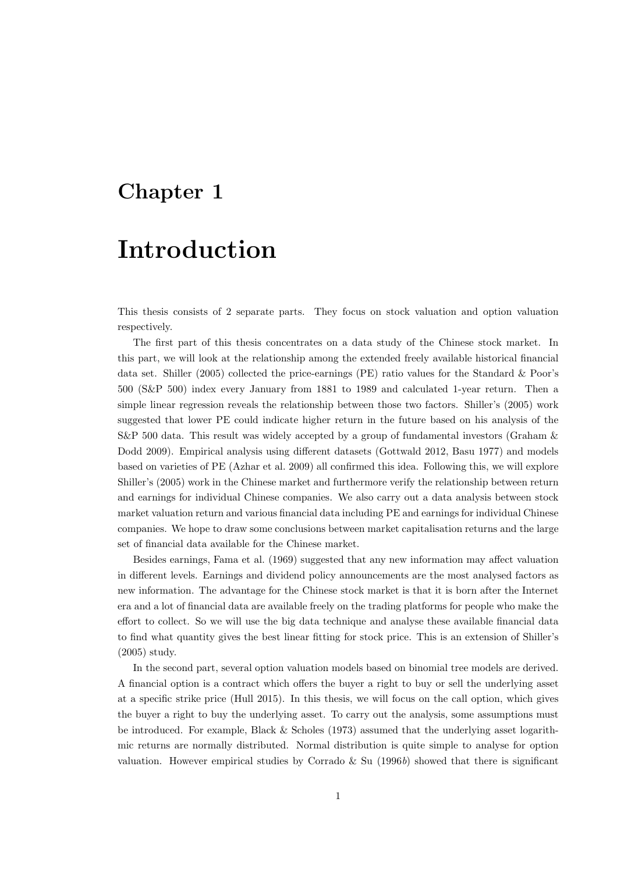### Chapter 1

### Introduction

This thesis consists of 2 separate parts. They focus on stock valuation and option valuation respectively.

The first part of this thesis concentrates on a data study of the Chinese stock market. In this part, we will look at the relationship among the extended freely available historical financial data set. Shiller (2005) collected the price-earnings (PE) ratio values for the Standard & Poor's 500 (S&P 500) index every January from 1881 to 1989 and calculated 1-year return. Then a simple linear regression reveals the relationship between those two factors. Shiller's (2005) work suggested that lower PE could indicate higher return in the future based on his analysis of the S&P 500 data. This result was widely accepted by a group of fundamental investors (Graham & Dodd 2009). Empirical analysis using different datasets (Gottwald 2012, Basu 1977) and models based on varieties of PE (Azhar et al. 2009) all confirmed this idea. Following this, we will explore Shiller's (2005) work in the Chinese market and furthermore verify the relationship between return and earnings for individual Chinese companies. We also carry out a data analysis between stock market valuation return and various financial data including PE and earnings for individual Chinese companies. We hope to draw some conclusions between market capitalisation returns and the large set of financial data available for the Chinese market.

Besides earnings, Fama et al. (1969) suggested that any new information may affect valuation in different levels. Earnings and dividend policy announcements are the most analysed factors as new information. The advantage for the Chinese stock market is that it is born after the Internet era and a lot of financial data are available freely on the trading platforms for people who make the effort to collect. So we will use the big data technique and analyse these available financial data to find what quantity gives the best linear fitting for stock price. This is an extension of Shiller's (2005) study.

In the second part, several option valuation models based on binomial tree models are derived. A financial option is a contract which offers the buyer a right to buy or sell the underlying asset at a specific strike price (Hull 2015). In this thesis, we will focus on the call option, which gives the buyer a right to buy the underlying asset. To carry out the analysis, some assumptions must be introduced. For example, Black  $&$  Scholes (1973) assumed that the underlying asset logarithmic returns are normally distributed. Normal distribution is quite simple to analyse for option valuation. However empirical studies by Corrado  $\&$  Su (1996b) showed that there is significant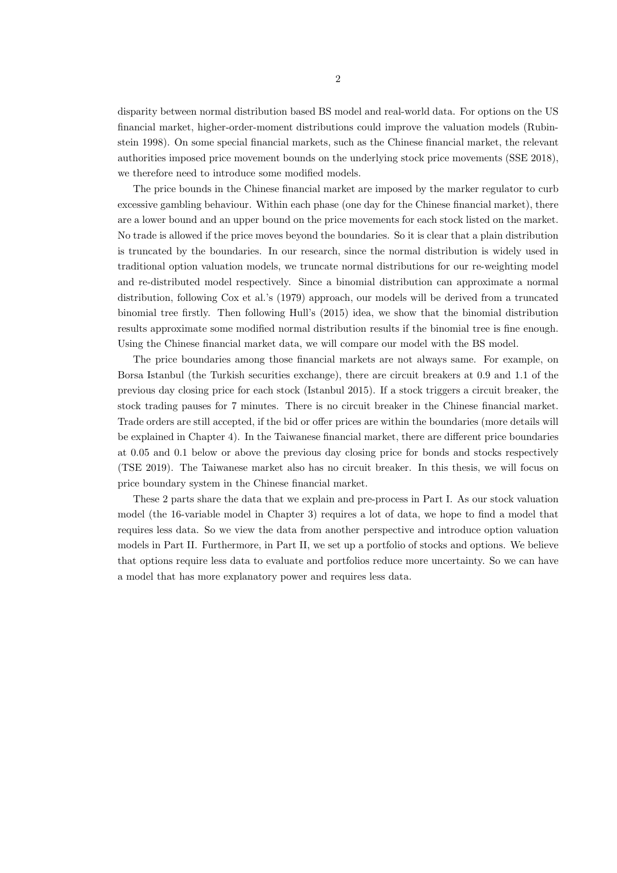disparity between normal distribution based BS model and real-world data. For options on the US financial market, higher-order-moment distributions could improve the valuation models (Rubinstein 1998). On some special financial markets, such as the Chinese financial market, the relevant authorities imposed price movement bounds on the underlying stock price movements (SSE 2018), we therefore need to introduce some modified models.

The price bounds in the Chinese financial market are imposed by the marker regulator to curb excessive gambling behaviour. Within each phase (one day for the Chinese financial market), there are a lower bound and an upper bound on the price movements for each stock listed on the market. No trade is allowed if the price moves beyond the boundaries. So it is clear that a plain distribution is truncated by the boundaries. In our research, since the normal distribution is widely used in traditional option valuation models, we truncate normal distributions for our re-weighting model and re-distributed model respectively. Since a binomial distribution can approximate a normal distribution, following Cox et al.'s (1979) approach, our models will be derived from a truncated binomial tree firstly. Then following Hull's (2015) idea, we show that the binomial distribution results approximate some modified normal distribution results if the binomial tree is fine enough. Using the Chinese financial market data, we will compare our model with the BS model.

The price boundaries among those financial markets are not always same. For example, on Borsa Istanbul (the Turkish securities exchange), there are circuit breakers at 0.9 and 1.1 of the previous day closing price for each stock (Istanbul 2015). If a stock triggers a circuit breaker, the stock trading pauses for 7 minutes. There is no circuit breaker in the Chinese financial market. Trade orders are still accepted, if the bid or offer prices are within the boundaries (more details will be explained in Chapter 4). In the Taiwanese financial market, there are different price boundaries at 0.05 and 0.1 below or above the previous day closing price for bonds and stocks respectively (TSE 2019). The Taiwanese market also has no circuit breaker. In this thesis, we will focus on price boundary system in the Chinese financial market.

These 2 parts share the data that we explain and pre-process in Part I. As our stock valuation model (the 16-variable model in Chapter 3) requires a lot of data, we hope to find a model that requires less data. So we view the data from another perspective and introduce option valuation models in Part II. Furthermore, in Part II, we set up a portfolio of stocks and options. We believe that options require less data to evaluate and portfolios reduce more uncertainty. So we can have a model that has more explanatory power and requires less data.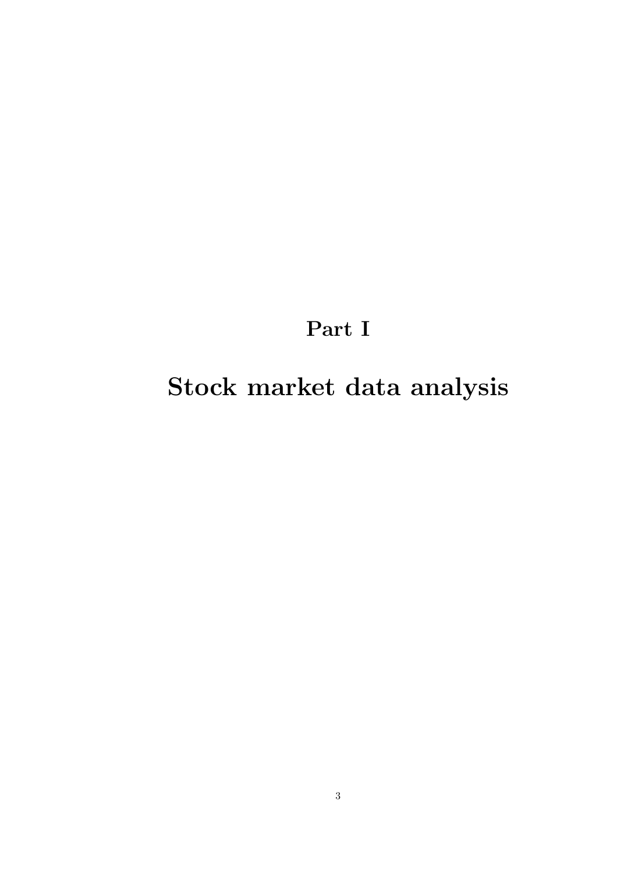Part I

Stock market data analysis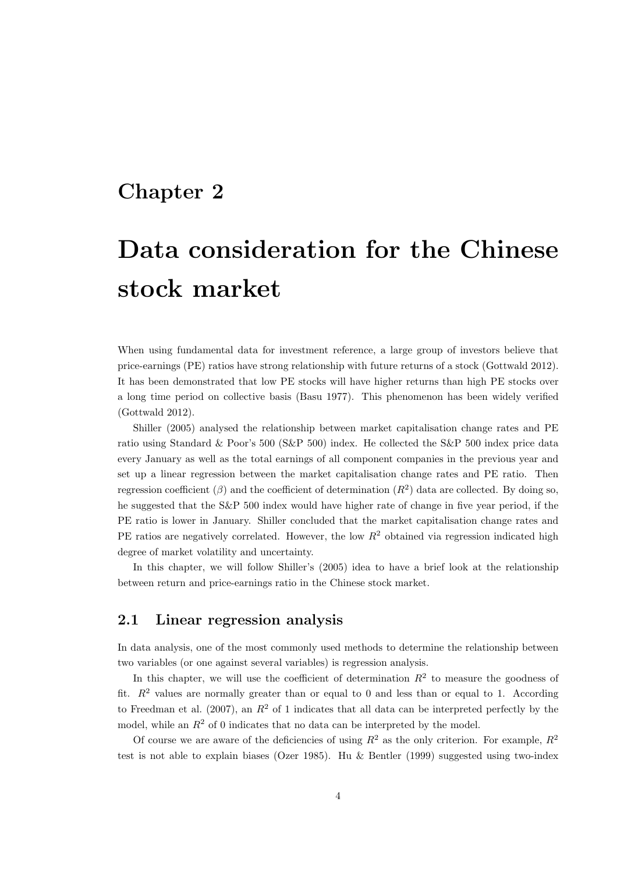### Chapter 2

# Data consideration for the Chinese stock market

When using fundamental data for investment reference, a large group of investors believe that price-earnings (PE) ratios have strong relationship with future returns of a stock (Gottwald 2012). It has been demonstrated that low PE stocks will have higher returns than high PE stocks over a long time period on collective basis (Basu 1977). This phenomenon has been widely verified (Gottwald 2012).

Shiller (2005) analysed the relationship between market capitalisation change rates and PE ratio using Standard & Poor's 500 (S&P 500) index. He collected the S&P 500 index price data every January as well as the total earnings of all component companies in the previous year and set up a linear regression between the market capitalisation change rates and PE ratio. Then regression coefficient ( $\beta$ ) and the coefficient of determination  $(R^2)$  data are collected. By doing so, he suggested that the S&P 500 index would have higher rate of change in five year period, if the PE ratio is lower in January. Shiller concluded that the market capitalisation change rates and PE ratios are negatively correlated. However, the low  $R<sup>2</sup>$  obtained via regression indicated high degree of market volatility and uncertainty.

In this chapter, we will follow Shiller's (2005) idea to have a brief look at the relationship between return and price-earnings ratio in the Chinese stock market.

#### 2.1 Linear regression analysis

In data analysis, one of the most commonly used methods to determine the relationship between two variables (or one against several variables) is regression analysis.

In this chapter, we will use the coefficient of determination  $R^2$  to measure the goodness of fit.  $R^2$  values are normally greater than or equal to 0 and less than or equal to 1. According to Freedman et al. (2007), an  $R^2$  of 1 indicates that all data can be interpreted perfectly by the model, while an  $R<sup>2</sup>$  of 0 indicates that no data can be interpreted by the model.

Of course we are aware of the deficiencies of using  $R^2$  as the only criterion. For example,  $R^2$ test is not able to explain biases (Ozer 1985). Hu & Bentler (1999) suggested using two-index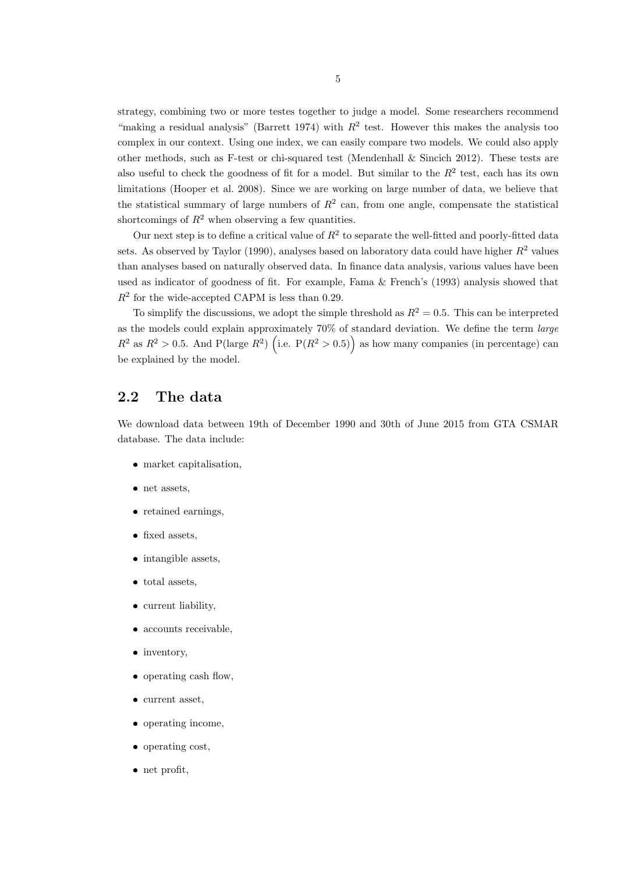strategy, combining two or more testes together to judge a model. Some researchers recommend "making a residual analysis" (Barrett 1974) with  $R^2$  test. However this makes the analysis too complex in our context. Using one index, we can easily compare two models. We could also apply other methods, such as F-test or chi-squared test (Mendenhall  $\&$  Sincich 2012). These tests are also useful to check the goodness of fit for a model. But similar to the  $R^2$  test, each has its own limitations (Hooper et al. 2008). Since we are working on large number of data, we believe that the statistical summary of large numbers of  $R^2$  can, from one angle, compensate the statistical shortcomings of  $R^2$  when observing a few quantities.

Our next step is to define a critical value of  $R^2$  to separate the well-fitted and poorly-fitted data sets. As observed by Taylor (1990), analyses based on laboratory data could have higher  $R^2$  values than analyses based on naturally observed data. In finance data analysis, various values have been used as indicator of goodness of fit. For example, Fama & French's (1993) analysis showed that  $R<sup>2</sup>$  for the wide-accepted CAPM is less than 0.29.

To simplify the discussions, we adopt the simple threshold as  $R^2 = 0.5$ . This can be interpreted as the models could explain approximately  $70\%$  of standard deviation. We define the term *large*  $R^2$  as  $R^2 > 0.5$ . And P(large  $R^2$ ) (i.e. P( $R^2 > 0.5$ )) as how many companies (in percentage) can be explained by the model.

#### 2.2 The data

We download data between 19th of December 1990 and 30th of June 2015 from GTA CSMAR database. The data include:

- market capitalisation,
- net assets,
- retained earnings,
- fixed assets,
- $\bullet$  intangible assets,
- total assets,
- current liability,
- accounts receivable.
- inventory,
- operating cash flow,
- current asset,
- operating income,
- operating cost,
- net profit,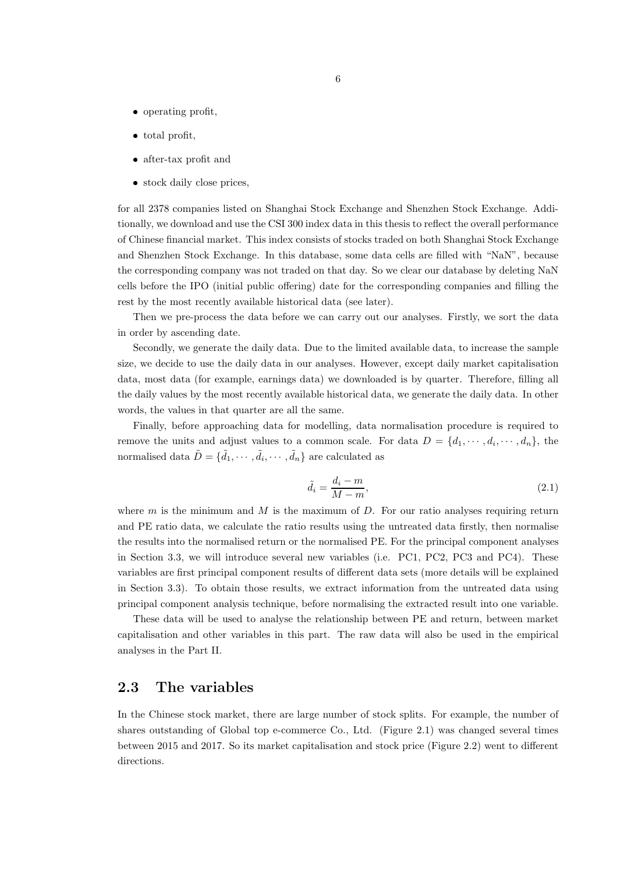- operating profit,
- total profit,
- after-tax profit and
- stock daily close prices,

for all 2378 companies listed on Shanghai Stock Exchange and Shenzhen Stock Exchange. Additionally, we download and use the CSI 300 index data in this thesis to reflect the overall performance of Chinese financial market. This index consists of stocks traded on both Shanghai Stock Exchange and Shenzhen Stock Exchange. In this database, some data cells are filled with "NaN", because the corresponding company was not traded on that day. So we clear our database by deleting NaN cells before the IPO (initial public offering) date for the corresponding companies and filling the rest by the most recently available historical data (see later).

Then we pre-process the data before we can carry out our analyses. Firstly, we sort the data in order by ascending date.

Secondly, we generate the daily data. Due to the limited available data, to increase the sample size, we decide to use the daily data in our analyses. However, except daily market capitalisation data, most data (for example, earnings data) we downloaded is by quarter. Therefore, filling all the daily values by the most recently available historical data, we generate the daily data. In other words, the values in that quarter are all the same.

Finally, before approaching data for modelling, data normalisation procedure is required to remove the units and adjust values to a common scale. For data  $D = \{d_1, \dots, d_i, \dots, d_n\}$ , the normalised data  $\tilde{D} = \{ \tilde{d}_1, \cdots, \tilde{d}_i, \cdots, \tilde{d}_n \}$  are calculated as

$$
\tilde{d}_i = \frac{d_i - m}{M - m},\tag{2.1}
$$

where  $m$  is the minimum and  $M$  is the maximum of  $D$ . For our ratio analyses requiring return and PE ratio data, we calculate the ratio results using the untreated data firstly, then normalise the results into the normalised return or the normalised PE. For the principal component analyses in Section 3.3, we will introduce several new variables (i.e. PC1, PC2, PC3 and PC4). These variables are first principal component results of different data sets (more details will be explained in Section 3.3). To obtain those results, we extract information from the untreated data using principal component analysis technique, before normalising the extracted result into one variable.

These data will be used to analyse the relationship between PE and return, between market capitalisation and other variables in this part. The raw data will also be used in the empirical analyses in the Part II.

#### 2.3 The variables

In the Chinese stock market, there are large number of stock splits. For example, the number of shares outstanding of Global top e-commerce Co., Ltd. (Figure 2.1) was changed several times between 2015 and 2017. So its market capitalisation and stock price (Figure 2.2) went to different directions.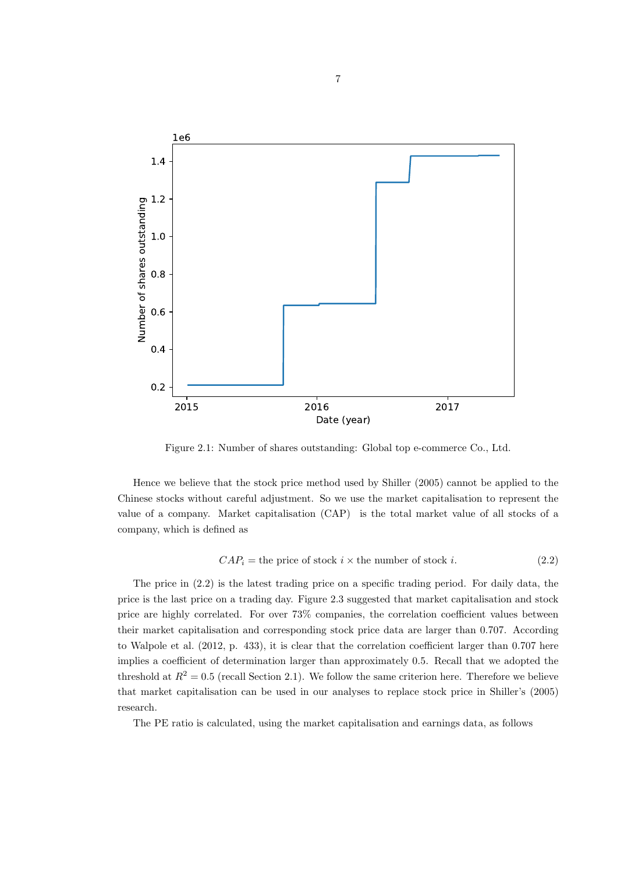

Figure 2.1: Number of shares outstanding: Global top e-commerce Co., Ltd.

Hence we believe that the stock price method used by Shiller (2005) cannot be applied to the Chinese stocks without careful adjustment. So we use the market capitalisation to represent the value of a company. Market capitalisation (CAP) is the total market value of all stocks of a company, which is defined as

$$
CAPi = the price of stock i × the number of stock i. (2.2)
$$

The price in (2.2) is the latest trading price on a specific trading period. For daily data, the price is the last price on a trading day. Figure 2.3 suggested that market capitalisation and stock price are highly correlated. For over 73% companies, the correlation coefficient values between their market capitalisation and corresponding stock price data are larger than 0.707. According to Walpole et al. (2012, p. 433), it is clear that the correlation coefficient larger than 0.707 here implies a coefficient of determination larger than approximately 0.5. Recall that we adopted the threshold at  $R^2 = 0.5$  (recall Section 2.1). We follow the same criterion here. Therefore we believe that market capitalisation can be used in our analyses to replace stock price in Shiller's (2005) research.

The PE ratio is calculated, using the market capitalisation and earnings data, as follows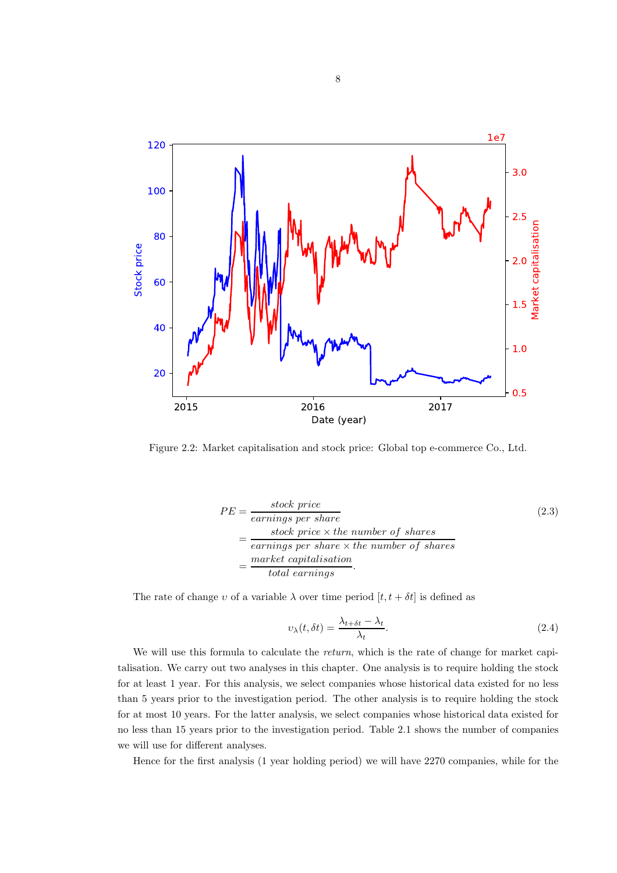

Figure 2.2: Market capitalisation and stock price: Global top e-commerce Co., Ltd.

$$
PE = \frac{\text{stock price}}{\text{earnings per share}}\tag{2.3}
$$
\n
$$
= \frac{\text{stock price} \times \text{the number of shares}}{\text{earnings per share} \times \text{the number of shares}}\n= \frac{\text{market capitalisation}}{\text{total earnings}}.
$$

The rate of change v of a variable  $\lambda$  over time period  $[t, t + \delta t]$  is defined as

$$
\upsilon_{\lambda}(t,\delta t) = \frac{\lambda_{t+\delta t} - \lambda_t}{\lambda_t}.
$$
\n(2.4)

We will use this formula to calculate the return, which is the rate of change for market capitalisation. We carry out two analyses in this chapter. One analysis is to require holding the stock for at least 1 year. For this analysis, we select companies whose historical data existed for no less than 5 years prior to the investigation period. The other analysis is to require holding the stock for at most 10 years. For the latter analysis, we select companies whose historical data existed for no less than 15 years prior to the investigation period. Table 2.1 shows the number of companies we will use for different analyses.

Hence for the first analysis (1 year holding period) we will have 2270 companies, while for the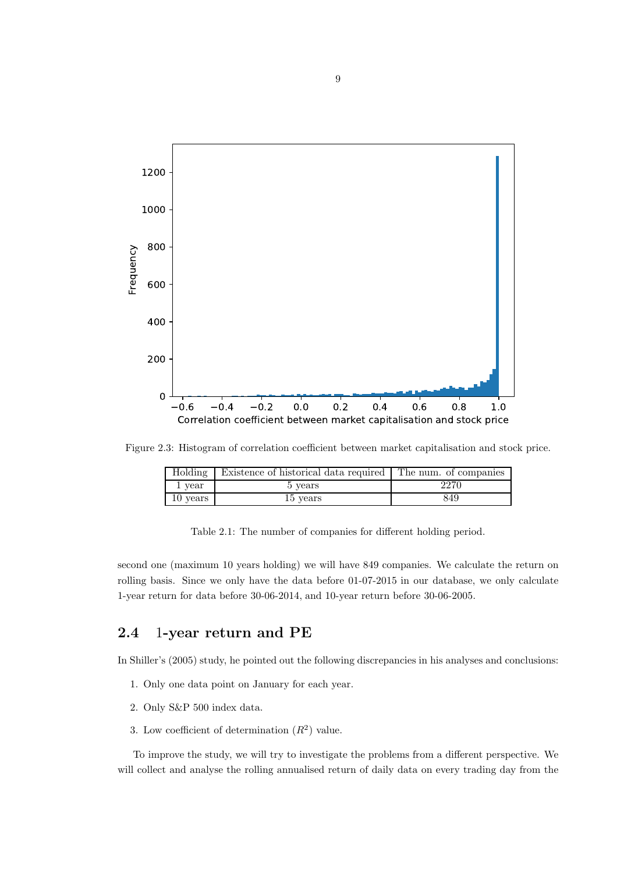

Figure 2.3: Histogram of correlation coefficient between market capitalisation and stock price.

| Holding  | Existence of historical data required The num. of companies |      |
|----------|-------------------------------------------------------------|------|
| 1 year   | 5 vears                                                     | 2270 |
| 10 years | 15 years                                                    | 849  |

Table 2.1: The number of companies for different holding period.

second one (maximum 10 years holding) we will have 849 companies. We calculate the return on rolling basis. Since we only have the data before 01-07-2015 in our database, we only calculate 1-year return for data before 30-06-2014, and 10-year return before 30-06-2005.

#### 2.4 1-year return and PE

In Shiller's (2005) study, he pointed out the following discrepancies in his analyses and conclusions:

- 1. Only one data point on January for each year.
- 2. Only S&P 500 index data.
- 3. Low coefficient of determination  $(R^2)$  value.

To improve the study, we will try to investigate the problems from a different perspective. We will collect and analyse the rolling annualised return of daily data on every trading day from the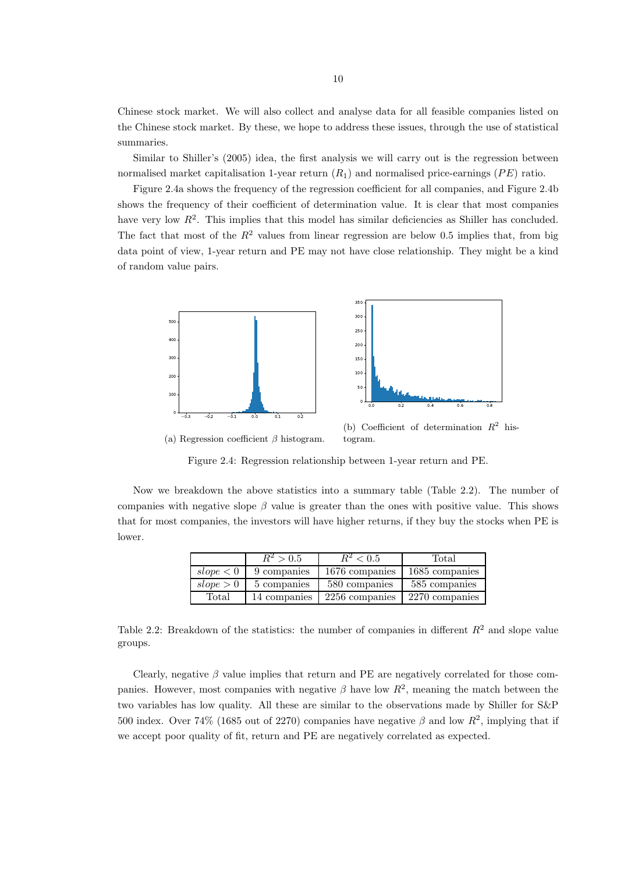Chinese stock market. We will also collect and analyse data for all feasible companies listed on the Chinese stock market. By these, we hope to address these issues, through the use of statistical summaries.

Similar to Shiller's (2005) idea, the first analysis we will carry out is the regression between normalised market capitalisation 1-year return  $(R_1)$  and normalised price-earnings (PE) ratio.

Figure 2.4a shows the frequency of the regression coefficient for all companies, and Figure 2.4b shows the frequency of their coefficient of determination value. It is clear that most companies have very low  $R^2$ . This implies that this model has similar deficiencies as Shiller has concluded. The fact that most of the  $R^2$  values from linear regression are below 0.5 implies that, from big data point of view, 1-year return and PE may not have close relationship. They might be a kind of random value pairs.



(a) Regression coefficient  $\beta$  histogram. togram.

Figure 2.4: Regression relationship between 1-year return and PE.

Now we breakdown the above statistics into a summary table (Table 2.2). The number of companies with negative slope  $\beta$  value is greater than the ones with positive value. This shows that for most companies, the investors will have higher returns, if they buy the stocks when PE is lower.

|           | $R^2 > 0.5$  | $R^2 < 0.5$    | Total          |
|-----------|--------------|----------------|----------------|
| slope < 0 | 9 companies  | 1676 companies | 1685 companies |
| slope > 0 | 5 companies  | 580 companies  | 585 companies  |
| Total     | 14 companies | 2256 companies | 2270 companies |

Table 2.2: Breakdown of the statistics: the number of companies in different  $R^2$  and slope value groups.

Clearly, negative  $\beta$  value implies that return and PE are negatively correlated for those companies. However, most companies with negative  $\beta$  have low  $R^2$ , meaning the match between the two variables has low quality. All these are similar to the observations made by Shiller for S&P 500 index. Over 74% (1685 out of 2270) companies have negative  $\beta$  and low  $R^2$ , implying that if we accept poor quality of fit, return and PE are negatively correlated as expected.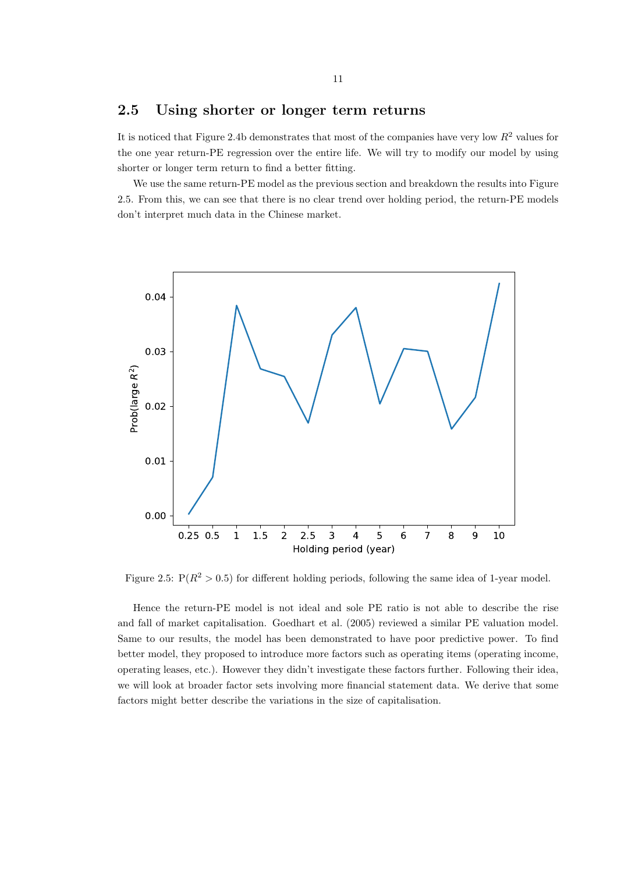#### 2.5 Using shorter or longer term returns

It is noticed that Figure 2.4b demonstrates that most of the companies have very low  $R^2$  values for the one year return-PE regression over the entire life. We will try to modify our model by using shorter or longer term return to find a better fitting.

We use the same return-PE model as the previous section and breakdown the results into Figure 2.5. From this, we can see that there is no clear trend over holding period, the return-PE models don't interpret much data in the Chinese market.



Figure 2.5:  $P(R^2 > 0.5)$  for different holding periods, following the same idea of 1-year model.

Hence the return-PE model is not ideal and sole PE ratio is not able to describe the rise and fall of market capitalisation. Goedhart et al. (2005) reviewed a similar PE valuation model. Same to our results, the model has been demonstrated to have poor predictive power. To find better model, they proposed to introduce more factors such as operating items (operating income, operating leases, etc.). However they didn't investigate these factors further. Following their idea, we will look at broader factor sets involving more financial statement data. We derive that some factors might better describe the variations in the size of capitalisation.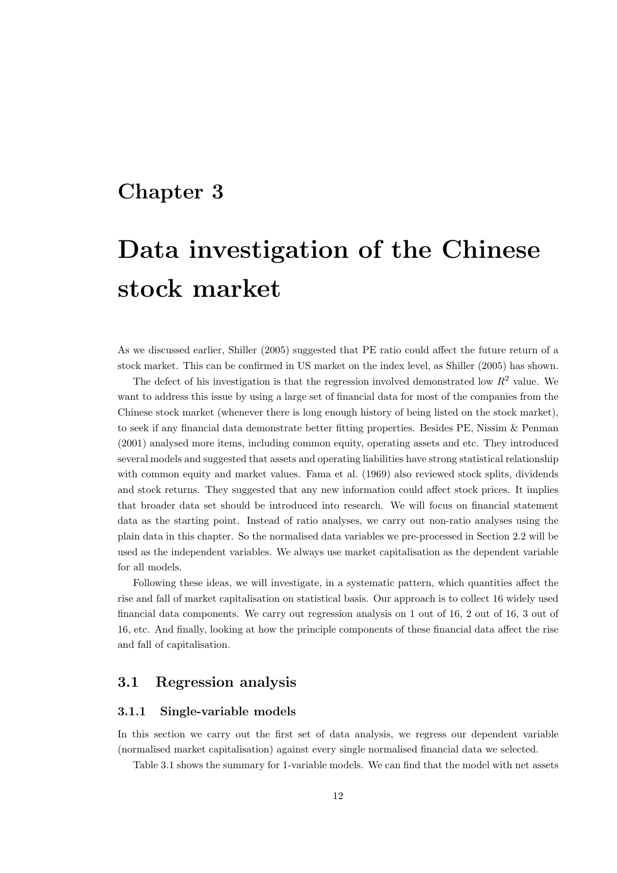### Chapter 3

# Data investigation of the Chinese stock market

As we discussed earlier, Shiller (2005) suggested that PE ratio could affect the future return of a stock market. This can be confirmed in US market on the index level, as Shiller (2005) has shown.

The defect of his investigation is that the regression involved demonstrated low  $R^2$  value. We want to address this issue by using a large set of financial data for most of the companies from the Chinese stock market (whenever there is long enough history of being listed on the stock market), to seek if any financial data demonstrate better fitting properties. Besides PE, Nissim & Penman (2001) analysed more items, including common equity, operating assets and etc. They introduced several models and suggested that assets and operating liabilities have strong statistical relationship with common equity and market values. Fama et al. (1969) also reviewed stock splits, dividends and stock returns. They suggested that any new information could affect stock prices. It implies that broader data set should be introduced into research. We will focus on financial statement data as the starting point. Instead of ratio analyses, we carry out non-ratio analyses using the plain data in this chapter. So the normalised data variables we pre-processed in Section 2.2 will be used as the independent variables. We always use market capitalisation as the dependent variable for all models.

Following these ideas, we will investigate, in a systematic pattern, which quantities affect the rise and fall of market capitalisation on statistical basis. Our approach is to collect 16 widely used financial data components. We carry out regression analysis on 1 out of 16, 2 out of 16, 3 out of 16, etc. And finally, looking at how the principle components of these financial data affect the rise and fall of capitalisation.

#### 3.1 Regression analysis

#### 3.1.1 Single-variable models

In this section we carry out the first set of data analysis, we regress our dependent variable (normalised market capitalisation) against every single normalised financial data we selected.

Table 3.1 shows the summary for 1-variable models. We can find that the model with net assets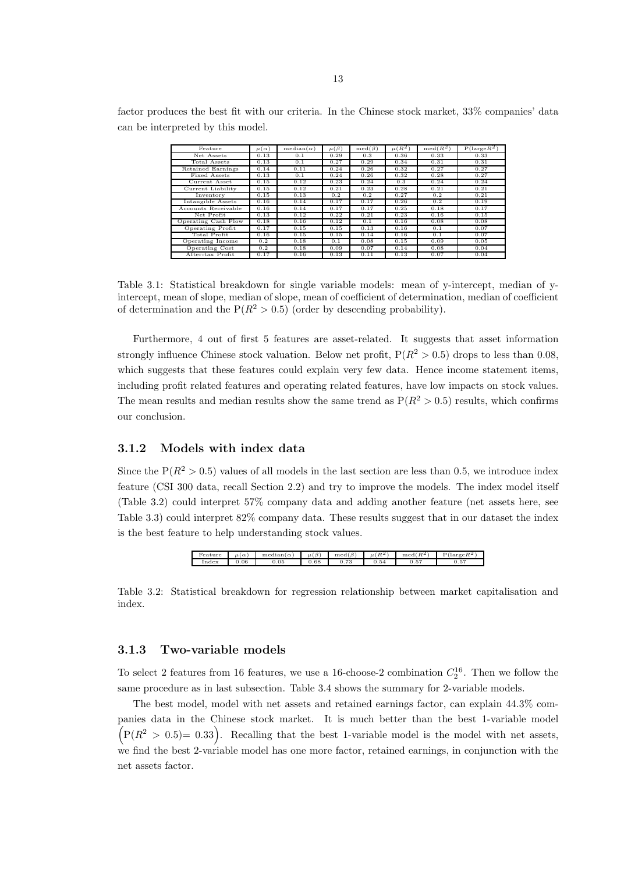factor produces the best fit with our criteria. In the Chinese stock market, 33% companies' data can be interpreted by this model.

| Feature                  | $\mu(\alpha)$ | $median(\alpha)$ | $\mu(\beta)$ | $\text{med}(\beta)$ | $\mu(R^2)$ | $\mathrm{med}(R^2)$ | $P(\text{large} R^2)$ |
|--------------------------|---------------|------------------|--------------|---------------------|------------|---------------------|-----------------------|
| Net Assets               | 0.13          | 0.1              | 0.29         | 0.3                 | 0.36       | 0.33                | 0.33                  |
| Total Assets             | 0.13          | 0.1              | 0.27         | 0.29                | 0.34       | 0.31                | 0.31                  |
| <b>Retained Earnings</b> | 0.14          | 0.11             | 0.24         | 0.26                | 0.32       | 0.27                | 0.27                  |
| Fixed Assets             | 0.13          | 0.1              | 0.24         | 0.26                | 0.32       | 0.28                | 0.27                  |
| Current Asset            | 0.15          | 0.12             | 0.23         | 0.24                | 0.3        | 0.24                | 0.24                  |
| Current Liability        | 0.15          | 0.12             | 0.21         | 0.23                | 0.28       | 0.21                | 0.21                  |
| Inventory                | 0.15          | 0.13             | 0.2          | 0.2                 | 0.27       | 0.2                 | 0.21                  |
| Intangible Assets        | 0.16          | 0.14             | 0.17         | 0.17                | 0.26       | 0.2                 | 0.19                  |
| Accounts Receivable      | 0.16          | 0.14             | 0.17         | 0.17                | 0.25       | 0.18                | 0.17                  |
| Net Profit               | 0.13          | 0.12             | 0.22         | 0.21                | 0.23       | 0.16                | 0.15                  |
| Operating Cash Flow      | 0.18          | 0.16             | 0.12         | 0.1                 | 0.16       | 0.08                | 0.08                  |
| Operating Profit         | 0.17          | 0.15             | 0.15         | 0.13                | 0.16       | 0.1                 | 0.07                  |
| Total Profit             | 0.16          | 0.15             | 0.15         | 0.14                | 0.16       | 0.1                 | 0.07                  |
| Operating Income         | 0.2           | 0.18             | 0.1          | 0.08                | 0.15       | 0.09                | 0.05                  |
| Operating Cost           | 0.2           | 0.18             | 0.09         | 0.07                | 0.14       | 0.08                | 0.04                  |
| After-tax Profit         | 0.17          | 0.16             | 0.13         | 0.11                | 0.13       | 0.07                | 0.04                  |

Table 3.1: Statistical breakdown for single variable models: mean of y-intercept, median of yintercept, mean of slope, median of slope, mean of coefficient of determination, median of coefficient of determination and the  $P(R^2 > 0.5)$  (order by descending probability).

Furthermore, 4 out of first 5 features are asset-related. It suggests that asset information strongly influence Chinese stock valuation. Below net profit,  $P(R^2 > 0.5)$  drops to less than 0.08, which suggests that these features could explain very few data. Hence income statement items, including profit related features and operating related features, have low impacts on stock values. The mean results and median results show the same trend as  $P(R^2 > 0.5)$  results, which confirms our conclusion.

#### 3.1.2 Models with index data

Since the  $P(R^2 > 0.5)$  values of all models in the last section are less than 0.5, we introduce index feature (CSI 300 data, recall Section 2.2) and try to improve the models. The index model itself (Table 3.2) could interpret 57% company data and adding another feature (net assets here, see Table 3.3) could interpret 82% company data. These results suggest that in our dataset the index is the best feature to help understanding stock values.



Table 3.2: Statistical breakdown for regression relationship between market capitalisation and index.

#### 3.1.3 Two-variable models

To select 2 features from 16 features, we use a 16-choose-2 combination  $C_2^{16}$ . Then we follow the same procedure as in last subsection. Table 3.4 shows the summary for 2-variable models.

The best model, model with net assets and retained earnings factor, can explain 44.3% companies data in the Chinese stock market. It is much better than the best 1-variable model  $(P(R^2 > 0.5) = 0.33)$ . Recalling that the best 1-variable model is the model with net assets, we find the best 2-variable model has one more factor, retained earnings, in conjunction with the net assets factor.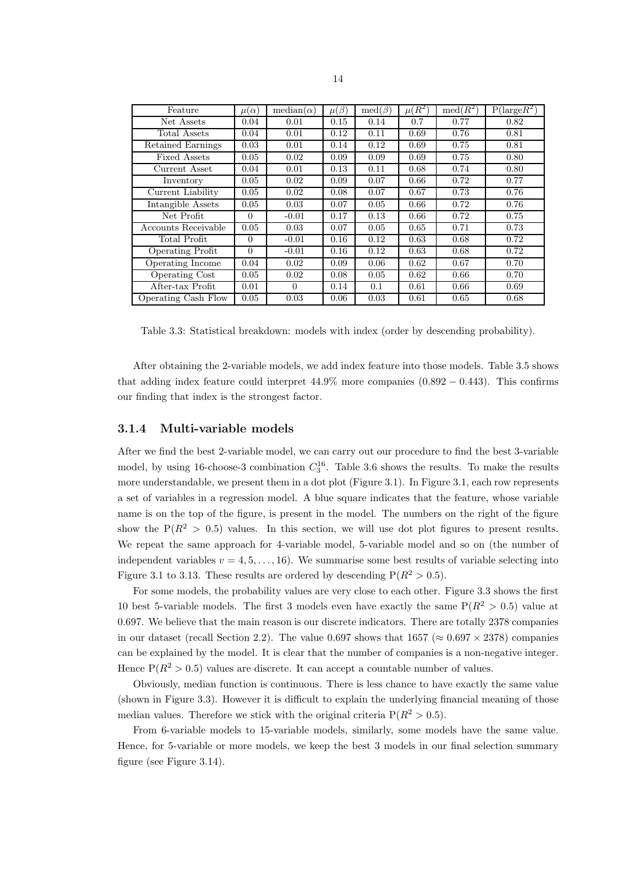| Feature             | $\mu(\alpha)$ | $median(\alpha)$ | $\mu(\beta)$ | $\overline{\text{med}}(\beta)$ | $\mu(R^2)$ | $\text{med}(R^2)$ | $P(\text{large} \overline{R^2})$ |
|---------------------|---------------|------------------|--------------|--------------------------------|------------|-------------------|----------------------------------|
| Net Assets          | 0.04          | 0.01             | 0.15         | 0.14                           | 0.7        | 0.77              | 0.82                             |
| Total Assets        | 0.04          | 0.01             | 0.12         | 0.11                           | 0.69       | 0.76              | 0.81                             |
| Retained Earnings   | 0.03          | 0.01             | 0.14         | 0.12                           | 0.69       | 0.75              | 0.81                             |
| Fixed Assets        | 0.05          | 0.02             | 0.09         | 0.09                           | 0.69       | 0.75              | 0.80                             |
| Current Asset       | 0.04          | 0.01             | 0.13         | 0.11                           | 0.68       | 0.74              | 0.80                             |
| Inventory           | 0.05          | 0.02             | 0.09         | 0.07                           | 0.66       | 0.72              | 0.77                             |
| Current Liability   | 0.05          | 0.02             | 0.08         | 0.07                           | 0.67       | 0.73              | 0.76                             |
| Intangible Assets   | 0.05          | 0.03             | 0.07         | 0.05                           | 0.66       | 0.72              | 0.76                             |
| Net Profit          | $\Omega$      | $-0.01$          | 0.17         | 0.13                           | 0.66       | 0.72              | 0.75                             |
| Accounts Receivable | 0.05          | 0.03             | 0.07         | 0.05                           | 0.65       | 0.71              | 0.73                             |
| Total Profit        | $\Omega$      | $-0.01$          | 0.16         | 0.12                           | 0.63       | 0.68              | 0.72                             |
| Operating Profit    | $\Omega$      | $-0.01$          | 0.16         | 0.12                           | 0.63       | 0.68              | 0.72                             |
| Operating Income    | 0.04          | 0.02             | 0.09         | 0.06                           | 0.62       | 0.67              | 0.70                             |
| Operating Cost      | 0.05          | 0.02             | 0.08         | 0.05                           | 0.62       | 0.66              | 0.70                             |
| After-tax Profit    | 0.01          | $\Omega$         | 0.14         | 0.1                            | 0.61       | 0.66              | 0.69                             |
| Operating Cash Flow | 0.05          | 0.03             | 0.06         | 0.03                           | 0.61       | 0.65              | 0.68                             |

Table 3.3: Statistical breakdown: models with index (order by descending probability).

After obtaining the 2-variable models, we add index feature into those models. Table 3.5 shows that adding index feature could interpret  $44.9\%$  more companies  $(0.892 - 0.443)$ . This confirms our finding that index is the strongest factor.

#### 3.1.4 Multi-variable models

After we find the best 2-variable model, we can carry out our procedure to find the best 3-variable model, by using 16-choose-3 combination  $C_3^{16}$ . Table 3.6 shows the results. To make the results more understandable, we present them in a dot plot (Figure 3.1). In Figure 3.1, each row represents a set of variables in a regression model. A blue square indicates that the feature, whose variable name is on the top of the figure, is present in the model. The numbers on the right of the figure show the  $P(R^2 > 0.5)$  values. In this section, we will use dot plot figures to present results. We repeat the same approach for 4-variable model, 5-variable model and so on (the number of independent variables  $v = 4, 5, \ldots, 16$ . We summarise some best results of variable selecting into Figure 3.1 to 3.13. These results are ordered by descending  $P(R^2 > 0.5)$ .

For some models, the probability values are very close to each other. Figure 3.3 shows the first 10 best 5-variable models. The first 3 models even have exactly the same  $P(R^2 > 0.5)$  value at 0.697. We believe that the main reason is our discrete indicators. There are totally 2378 companies in our dataset (recall Section 2.2). The value 0.697 shows that  $1657 \approx 0.697 \times 2378$ ) companies can be explained by the model. It is clear that the number of companies is a non-negative integer. Hence  $P(R^2 > 0.5)$  values are discrete. It can accept a countable number of values.

Obviously, median function is continuous. There is less chance to have exactly the same value (shown in Figure 3.3). However it is difficult to explain the underlying financial meaning of those median values. Therefore we stick with the original criteria  $P(R^2 > 0.5)$ .

From 6-variable models to 15-variable models, similarly, some models have the same value. Hence, for 5-variable or more models, we keep the best 3 models in our final selection summary figure (see Figure 3.14).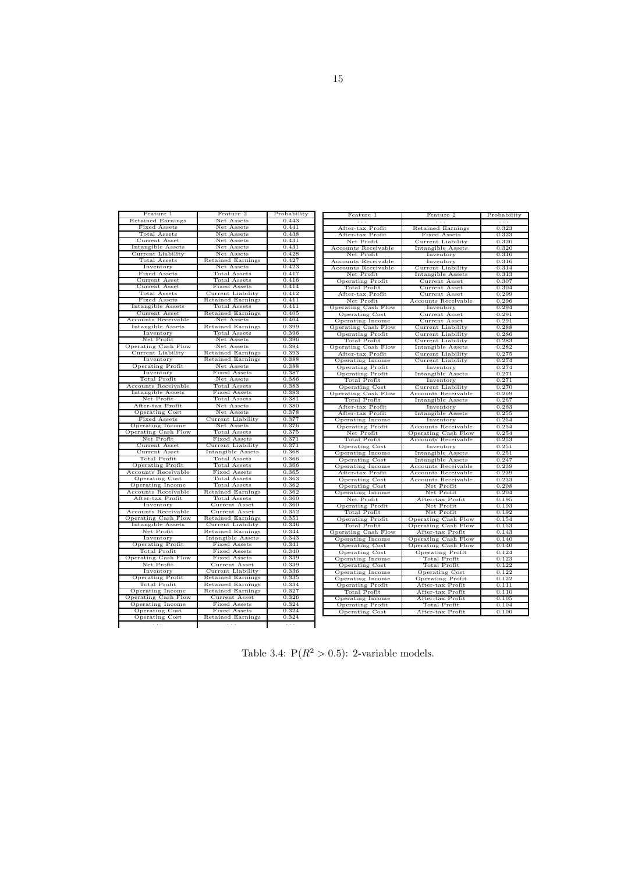| Feature 1                      | Feature 2                     | Probability          | Feature 1               | Feature 2                | Probability          |
|--------------------------------|-------------------------------|----------------------|-------------------------|--------------------------|----------------------|
| Retained Earnings              | Net Assets                    | 0.443                | $\sim$ $\sim$ $\sim$    | $\sim$ $\sim$ $\sim$     |                      |
| Fixed Assets                   | Net Assets                    | 0.441                |                         |                          | $\sim$ $\sim$ $\sim$ |
| Total Assets                   | Net Assets                    | 0.438                | After-tax Profit        | Retained Earnings        | 0.323                |
| Current Asset                  | Net Assets                    | 0.431                | After-tax Profit        | Fixed Assets             | 0.323                |
| Intangible Assets              | Net Assets                    | 0.431                | Net Profit              | Current Liability        | 0.320                |
| Current Liability              | Net Assets                    | 0.428                | Accounts Receivable     | Intangible Assets        | 0.320                |
| Total Assets                   | Retained Earnings             | 0.427                | Net Profit              | Inventory                | 0.316                |
| Inventory                      | Net Assets                    | 0.423                | Accounts Receivable     | Inventory                | 0.316                |
| Fixed Assets                   | Total Assets                  | 0.417                | Accounts Receivable     | Current Liability        | 0.314                |
| Current Asset                  | <b>Total Assets</b>           | 0.416                | Net Profit              | Intangible Assets        | 0.313                |
| Current Asset                  | Fixed Assets                  | 0.414                | <b>Operating Profit</b> | Current Asset            | 0.307                |
| Total Assets                   | Current Liability             | 0.412                | Total Profit            | Current Asset            | 0.304                |
| Fixed Assets                   | Retained Earnings             | 0.411                | After-tax Profit        | Current Asset            | 0.299                |
| Intangible Assets              | Total Assets                  | 0.411                | Net Profit              | Accounts Receivable      | 0.296                |
| Current Asset                  | Retained Earnings             | 0.405                | Operating Cash Flow     | Inventory                | 0.294                |
| Accounts Receivable            | Net Assets                    | 0.404                | Operating Cost          | Current Asset            | 0.291                |
| Intangible Assets              | Retained Earnings             | 0.399                | Operating Income        | Current Asset            | 0.291                |
|                                |                               | 0.396                | Operating Cash Flow     | Current Liability        | 0.288                |
| Inventory<br>Net Profit        | Total Assets<br>Net Assets    | 0.396                | <b>Operating Profit</b> | Current Liability        | 0.286                |
| Operating Cash Flow            | Net Assets                    | 0.394                | Total Profit            | Current Liability        | 0.283                |
| Current Liability              | <b>Retained Earnings</b>      | 0.393                | Operating Cash Flow     | Intangible Assets        | 0.282                |
| Inventory                      | Retained Earnings             | 0.388                | After-tax Profit        | Current Liability        | 0.275                |
| <b>Operating Profit</b>        | Net Assets                    | 0.388                | <b>Operating Income</b> | Current Liability        | 0.274                |
| Inventory                      | Fixed Assets                  | 0.387                | <b>Operating Profit</b> | Inventory                | 0.274                |
| <b>Total Profit</b>            | Net Assets                    | 0.386                | Operating Profit        | Intangible Assets        | 0.271                |
| Accounts Receivable            | Total Assets                  | 0.383                | Total Profit            | Inventory                | 0.271                |
| Intangible Assets              | Fixed Assets                  | 0.383                | <b>Operating Cost</b>   | Current Liability        | 0.270                |
| Net Profit                     | <b>Total Assets</b>           | 0.381                | Operating Cash Flow     | Accounts Receivable      | 0.269                |
| After-tax Profit               | Net Assets                    | 0.380                | Total Profit            | Intangible Assets        | 0.267                |
|                                | Net Assets                    | 0.378                | After-tax Profit        | Inventory                | 0.263                |
| Operating Cost<br>Fixed Assets | Current Liability             | 0.377                | After-tax Profit        | Intangible Assets        | 0.255                |
| Operating Income               | Net Assets                    | 0.376                | Operating Income        | Inventory                | 0.254                |
| Operating Cash Flow            | Total Assets                  | 0.375                | <b>Operating Profit</b> | Accounts Receivable      | 0.254                |
| Net Profit                     | Fixed Assets                  | 0.371                | Net Profit              | Operating Cash Flow      | 0.254                |
| Current Asset                  | Current Liability             | 0.371                | Total Profit            | Accounts Receivable      | 0.253                |
| Current Asset                  | Intangible Assets             | 0.368                | Operating Cost          | Inventory                | 0.251                |
| Total Profit                   | Total Assets                  | 0.366                | Operating Income        | <b>Intangible Assets</b> | 0.251                |
| <b>Operating Profit</b>        | <b>Total Assets</b>           | 0.366                | <b>Operating Cost</b>   | Intangible Assets        | 0.247                |
| Accounts Receivable            | Fixed Assets                  | 0.365                | Operating Income        | Accounts Receivable      | 0.239                |
| Operating Cost                 | <b>Total Assets</b>           | 0.363                | After-tax Profit        | Accounts Receivable      | 0.239                |
| Operating Income               | <b>Total Assets</b>           | 0.362                | <b>Operating Cost</b>   | Accounts Receivable      | 0.233                |
| Accounts Receivable            | Retained Earnings             | 0.362                | <b>Operating Cost</b>   | Net Profit               | 0.208                |
|                                |                               | 0.360                | Operating Income        | Net Profit               | 0.204                |
| After-tax Profit<br>Inventory  | Total Assets<br>Current Asset | 0.360                | Net Profit              | After-tax Profit         | 0.195                |
| Accounts Receivable            | Current Asset                 | 0.352                | <b>Operating Profit</b> | Net Profit               | 0.193                |
| Operating Cash Flow            | Retained Earnings             | 0.351                | Total Profit            | Net Profit               | 0.192                |
| Intangible Assets              | Current Liability             | 0.346                | Operating Profit        | Operating Cash Flow      | 0.154                |
| Net Profit                     | <b>Retained Earnings</b>      | 0.344                | Total Profit            | Operating Cash Flow      | 0.153                |
| Inventory                      | Intangible Assets             | 0.343                | Operating Cash Flow     | After-tax Profit         | 0.143                |
| <b>Operating Profit</b>        | Fixed Assets                  | 0.341                | Operating Income        | Operating Cash Flow      | 0.140                |
| <b>Total Profit</b>            | Fixed Assets                  | 0.340                | <b>Operating Cost</b>   | Operating Cash Flow      | 0.140                |
| Operating Cash Flow            | Fixed Assets                  | 0.339                | Operating Cost          | <b>Operating Profit</b>  | 0.124                |
| Net Profit                     | Current Asset                 | 0.339                | Operating Income        | Total Profit             | 0.123                |
| Inventory                      | Current Liability             | 0.336                | Operating Cost          | Total Profit             | 0.122                |
| <b>Operating Profit</b>        | <b>Retained Earnings</b>      | 0.335                | Operating Income        | Operating Cost           | 0.122                |
| <b>Total Profit</b>            | <b>Retained Earnings</b>      | 0.334                | Operating Income        | <b>Operating Profit</b>  | 0.122                |
| Operating Income               | Retained Earnings             | 0.327                | Operating Profit        | After-tax Profit         | 0.111                |
| Operating Cash Flow            | Current Asset                 | 0.326                | Total Profit            | After-tax Profit         | 0.110                |
| Operating Income               | Fixed Assets                  | 0.324                | Operating Income        | After-tax Profit         | 0.105                |
| Operating Cost                 | Fixed Assets                  | 0.324                | <b>Operating Profit</b> | <b>Total Profit</b>      | 0.104                |
| <b>Operating Cost</b>          | <b>Retained Earnings</b>      | 0.324                | Operating Cost          | After-tax Profit         | 0.100                |
| $\sim$ $\sim$ $\sim$           | $\cdots$                      | $\sim$ $\sim$ $\sim$ |                         |                          |                      |
|                                |                               |                      |                         |                          |                      |

Table 3.4:  $P(R^2 > 0.5)$ : 2-variable models.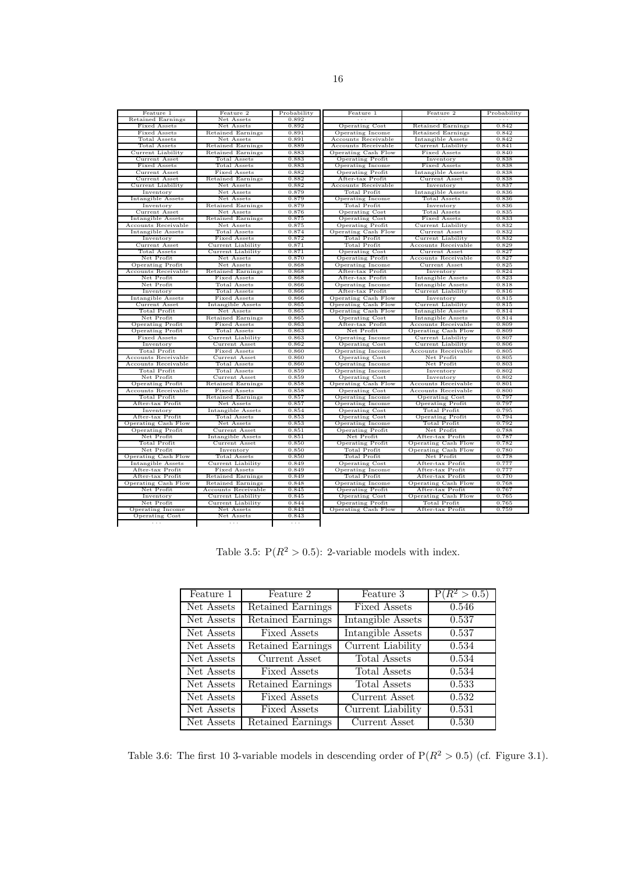| Feature 1               | Feature 2                | Probability | Feature 1               | Feature 2                | Probability          |
|-------------------------|--------------------------|-------------|-------------------------|--------------------------|----------------------|
| Retained Earnings       | Net Assets               | 0.892       | $\sim$ $\sim$ $\sim$    | $\sim$ $\sim$ $\sim$     | $\sim$ $\sim$ $\sim$ |
| Fixed Assets            | Net Assets               | 0.892       | Operating Cost          | Retained Earnings        | 0.842                |
| Fixed Assets            | <b>Retained Earnings</b> | 0.891       | Operating Income        | <b>Retained Earnings</b> | 0.842                |
| Total Assets            | Net Assets               | 0.891       | Accounts Receivable     | Intangible Assets        | 0.842                |
| Total Assets            | <b>Retained Earnings</b> | 0.889       | Accounts Receivable     | Current Liability        | 0.841                |
| Current Liability       | <b>Retained Earnings</b> | 0.883       | Operating Cash Flow     | Fixed Assets             | 0.840                |
| Current Asset           | <b>Total Assets</b>      | 0.883       | <b>Operating Profit</b> | Inventory                | 0.838                |
| Fixed Assets            | Total Assets             | 0.883       | Operating Income        | Fixed Assets             | 0.838                |
| Current Asset           | Fixed Assets             | 0.882       | <b>Operating Profit</b> | Intangible Assets        | 0.838                |
| Current Asset           | Retained Earnings        | 0.882       | After-tax Profit        | Current Asset            | 0.838                |
| Current Liability       | Net Assets               | 0.882       | Accounts Receivable     | Inventory                | 0.837                |
| Inventory               | Net Assets               | 0.879       | <b>Total Profit</b>     | Intangible Assets        | 0.836                |
| Intangible Assets       | Net Assets               | 0.879       | Operating Income        | Total Assets             | 0.836                |
| Inventory               | Retained Earnings        | 0.879       | Total Profit            | Inventory                | 0.836                |
| Current Asset           | Net Assets               | 0.876       | <b>Operating Cost</b>   | Total Assets             | 0.835                |
| Intangible Assets       | <b>Retained Earnings</b> | 0.875       | Operating Cost          | Fixed Assets             | 0.833                |
| Accounts Receivable     | Net Assets               | 0.875       | <b>Operating Profit</b> | Current Liability        | 0.832                |
| Intangible Assets       | Total Assets             | 0.874       | Operating Cash Flow     | Current Asset            | 0.832                |
| Inventory               | <b>Fixed Assets</b>      | 0.872       | <b>Total Profit</b>     | Current Liability        | 0.832                |
| Current Asset           | Current Liability        | 0.871       | Total Profit            | Accounts Receivable      | 0.829                |
| Total Assets            | Current Liability        | 0.871       | <b>Operating Cost</b>   | Current Asset            | 0.827                |
| Net Profit              | Net Assets               | 0.870       | Operating Profit        | Accounts Receivable      | 0.827                |
| <b>Operating Profit</b> | Net Assets               | 0.868       | Operating Income        | Current Asset            | 0.825                |
| Accounts Receivable     | <b>Retained Earnings</b> | 0.868       | After-tax Profit        | Inventory                | 0.824                |
| Net Profit              | Fixed Assets             | 0.868       | After-tax Profit        | Intangible Assets        | 0.823                |
| Net Profit              | Total Assets             | 0.866       | Operating Income        | Intangible Assets        | 0.818                |
| Inventory               | Total Assets             | 0.866       | After-tax Profit        | Current Liability        | 0.816                |
| Intangible Assets       | Fixed Assets             | 0.866       | Operating Cash Flow     | Inventory                | 0.815                |
| Current Asset           | Intangible Assets        | 0.865       | Operating Cash Flow     | Current Liability        | 0.815                |
| Total Profit            | Net Assets               | 0.865       | Operating Cash Flow     | Intangible Assets        | 0.814                |
| Net Profit              | <b>Retained Earnings</b> | 0.865       | Operating Cost          | Intangible Assets        | 0.814                |
| <b>Operating Profit</b> | Fixed Assets             | 0.863       | After-tax Profit        | Accounts Receivable      | 0.809                |
| <b>Operating Profit</b> | Total Assets             | 0.863       | Net Profit              | Operating Cash Flow      | 0.809                |
| Fixed Assets            | Current Liability        | 0.863       | <b>Operating Income</b> | <b>Current Liability</b> | 0.807                |
| Inventory               | Current Asset            | 0.862       | <b>Operating Cost</b>   | Current Liability        | 0.806                |
| Total Profit            | Fixed Assets             | 0.860       | Operating Income        | Accounts Receivable      | 0.805                |
| Accounts Receivable     | Current Asset            | 0.860       | Operating Cost          | Net Profit               | 0.805                |
| Accounts Receivable     | Total Assets             | 0.860       | Operating Income        | Net Profit               | 0.803                |
| Total Profit            | Total Assets             | 0.859       | Operating Income        | Inventory                | 0.802                |
| Net Profit              | Current Asset            | 0.859       | Operating Cost          | Inventory                | 0.802                |
| <b>Operating Profit</b> | <b>Retained Earnings</b> | 0.858       | Operating Cash Flow     | Accounts Receivable      | 0.801                |
| Accounts Receivable     | Fixed Assets             | 0.858       | Operating Cost          | Accounts Receivable      | 0.800                |
| Total Profit            | Retained Earnings        | 0.857       | <b>Operating Income</b> | Operating Cost           | 0.797                |
| After-tax Profit        | Net Assets               | 0.857       | Operating Income        | <b>Operating Profit</b>  | 0.797                |
| Inventory               | Intangible Assets        | 0.854       | Operating Cost          | Total Profit             | 0.795                |
| After-tax Profit        | <b>Total Assets</b>      | 0.853       | <b>Operating Cost</b>   | <b>Operating Profit</b>  | 0.794                |
| Operating Cash Flow     | Net Assets               | 0.853       | Operating Income        | Total Profit             | 0.792                |
| <b>Operating Profit</b> | Current Asset            | 0.851       | <b>Operating Profit</b> | Net Profit               | 0.788                |
| Net Profit              | Intangible Assets        | 0.851       | Net Profit              | After-tax Profit         | 0.787                |
| Total Profit            | Current Asset            | 0.850       | <b>Operating Profit</b> | Operating Cash Flow      | 0.782                |
| Net Profit              | Inventory                | 0.850       | <b>Total Profit</b>     | Operating Cash Flow      | 0.780                |
| Operating Cash Flow     | Total Assets             | 0.850       | Total Profit            | Net Profit               | 0.778                |
| Intangible Assets       | Current Liability        | 0.849       | <b>Operating Cost</b>   | After-tax Profit         | 0.777                |
| After-tax Profit        | Fixed Assets             | 0.849       | Operating Income        | After-tax Profit         | 0.777                |
| After-tax Profit        | Retained Earnings        | 0.849       | Total Profit            | After-tax Profit         | 0.770                |
| Operating Cash Flow     | <b>Retained Earnings</b> | 0.848       | Operating Income        | Operating Cash Flow      | 0.768                |
| Net Profit              | Accounts Receivable      | 0.845       | <b>Operating Profit</b> | After-tax Profit         | 0.767                |
| Inventory               | Current Liability        | 0.845       | Operating Cost          | Operating Cash Flow      | 0.765                |
| Net Profit              | Current Liability        | 0.844       | <b>Operating Profit</b> | <b>Total Profit</b>      | 0.765                |
| Operating Income        | Net Assets               | 0.843       | Operating Cash Flow     | After-tax Profit         | 0.759                |
|                         |                          |             |                         |                          |                      |

Table 3.5:  $P(R^2 > 0.5)$ : 2-variable models with index.

| Feature 1  | Feature 2                | Feature 3                | $P(R^2 > 0.5)$ |
|------------|--------------------------|--------------------------|----------------|
| Net Assets | Retained Earnings        | <b>Fixed Assets</b>      | 0.546          |
| Net Assets | Retained Earnings        | Intangible Assets        | 0.537          |
| Net Assets | <b>Fixed Assets</b>      | Intangible Assets        | 0.537          |
| Net Assets | Retained Earnings        | <b>Current Liability</b> | 0.534          |
| Net Assets | Current Asset            | Total Assets             | 0.534          |
| Net Assets | <b>Fixed Assets</b>      | Total Assets             | 0.534          |
| Net Assets | <b>Retained Earnings</b> | Total Assets             | 0.533          |
| Net Assets | <b>Fixed Assets</b>      | Current Asset            | 0.532          |
| Net Assets | <b>Fixed Assets</b>      | Current Liability        | 0.531          |
| Net Assets | Retained Earnings        | Current Asset            | 0.530          |

Table 3.6: The first 10 3-variable models in descending order of  $P(R^2 > 0.5)$  (cf. Figure 3.1).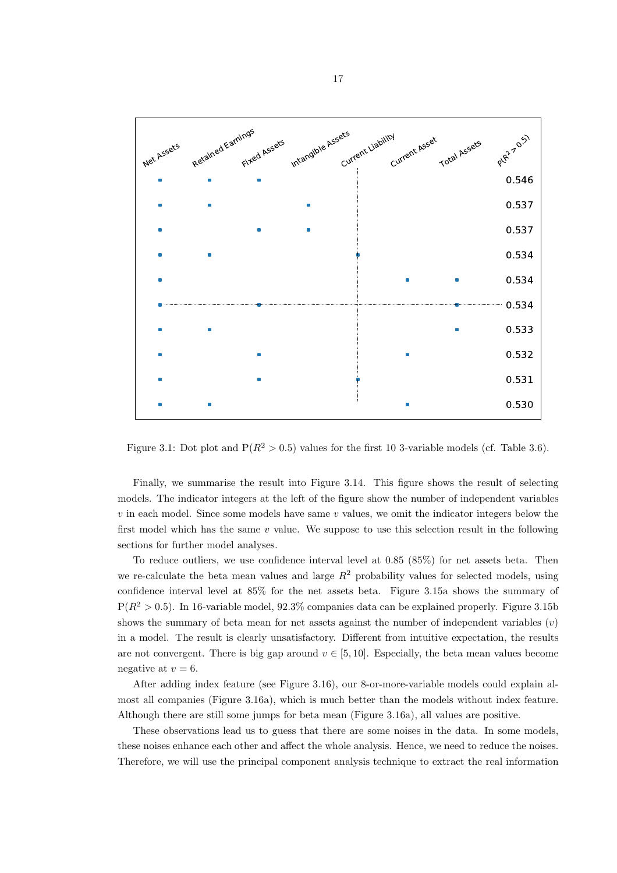

Figure 3.1: Dot plot and  $P(R^2 > 0.5)$  values for the first 10 3-variable models (cf. Table 3.6).

Finally, we summarise the result into Figure 3.14. This figure shows the result of selecting models. The indicator integers at the left of the figure show the number of independent variables  $v$  in each model. Since some models have same  $v$  values, we omit the indicator integers below the first model which has the same  $v$  value. We suppose to use this selection result in the following sections for further model analyses.

To reduce outliers, we use confidence interval level at 0.85 (85%) for net assets beta. Then we re-calculate the beta mean values and large  $R^2$  probability values for selected models, using confidence interval level at 85% for the net assets beta. Figure 3.15a shows the summary of  $P(R^2 > 0.5)$ . In 16-variable model, 92.3% companies data can be explained properly. Figure 3.15b shows the summary of beta mean for net assets against the number of independent variables  $(v)$ in a model. The result is clearly unsatisfactory. Different from intuitive expectation, the results are not convergent. There is big gap around  $v \in [5, 10]$ . Especially, the beta mean values become negative at  $v = 6$ .

After adding index feature (see Figure 3.16), our 8-or-more-variable models could explain almost all companies (Figure 3.16a), which is much better than the models without index feature. Although there are still some jumps for beta mean (Figure 3.16a), all values are positive.

These observations lead us to guess that there are some noises in the data. In some models, these noises enhance each other and affect the whole analysis. Hence, we need to reduce the noises. Therefore, we will use the principal component analysis technique to extract the real information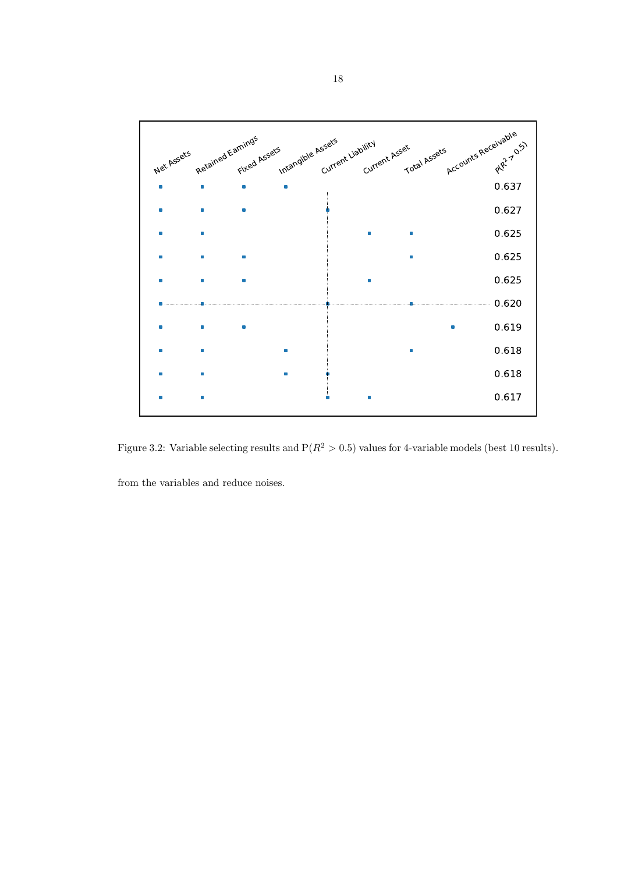

Figure 3.2: Variable selecting results and  $P(R^2 > 0.5)$  values for 4-variable models (best 10 results).

from the variables and reduce noises.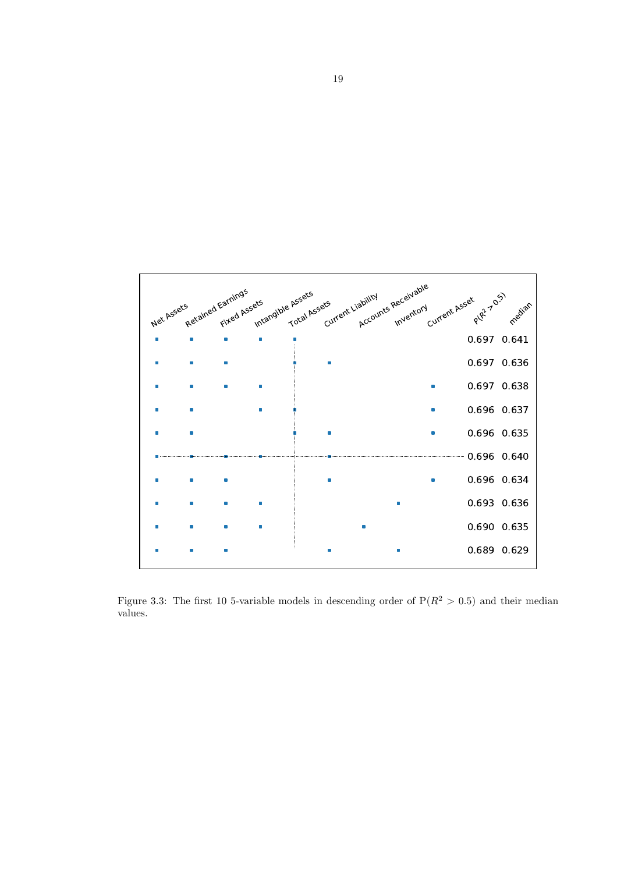

Figure 3.3: The first 10 5-variable models in descending order of  $P(R^2 > 0.5)$  and their median values.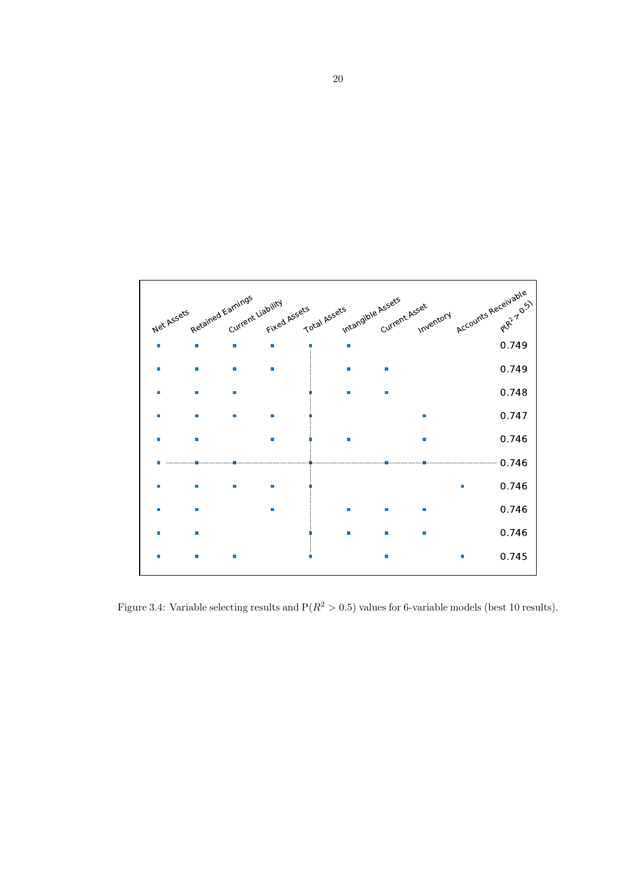

Figure 3.4: Variable selecting results and  $P(R^2 > 0.5)$  values for 6-variable models (best 10 results).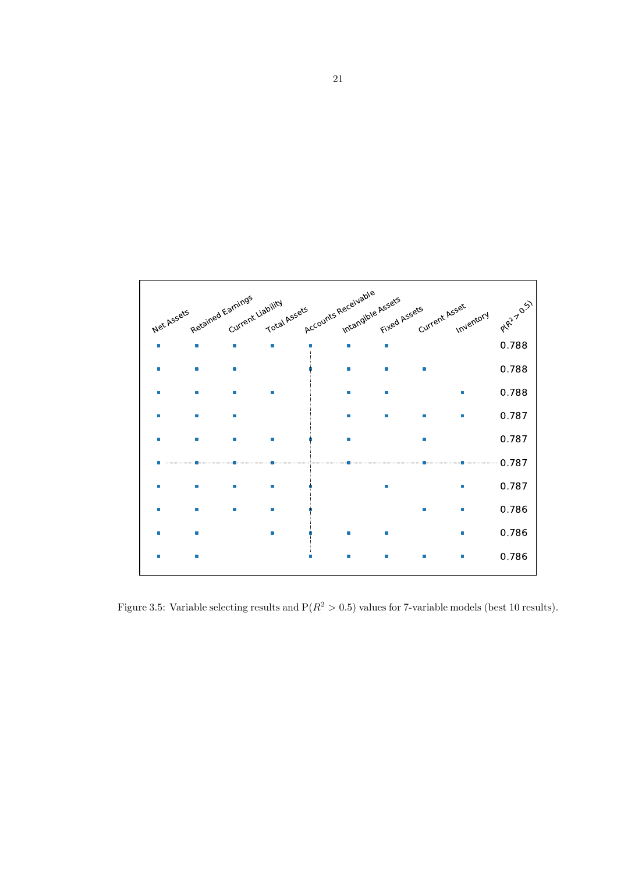

Figure 3.5: Variable selecting results and  $P(R^2 > 0.5)$  values for 7-variable models (best 10 results).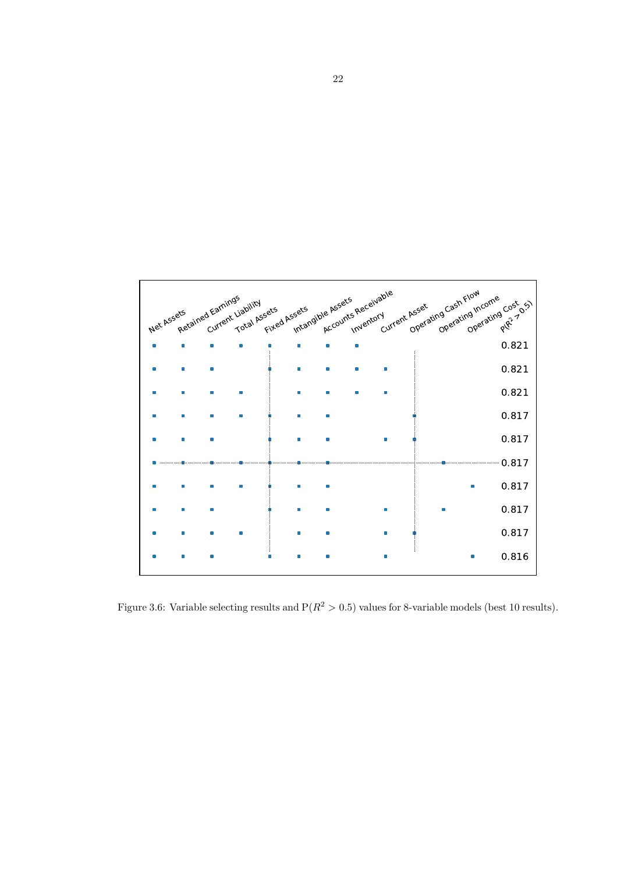

Figure 3.6: Variable selecting results and  $P(R^2 > 0.5)$  values for 8-variable models (best 10 results).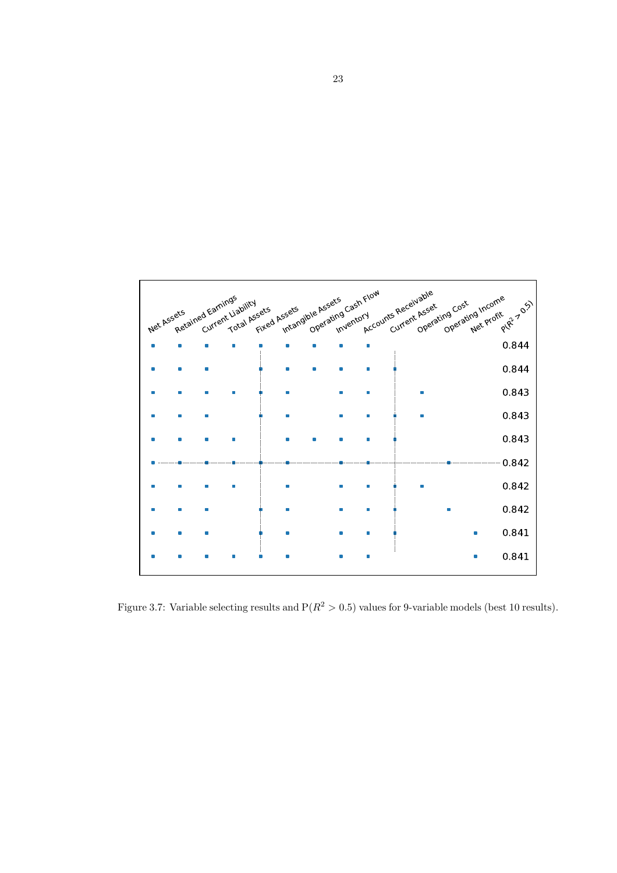

Figure 3.7: Variable selecting results and  $P(R^2 > 0.5)$  values for 9-variable models (best 10 results).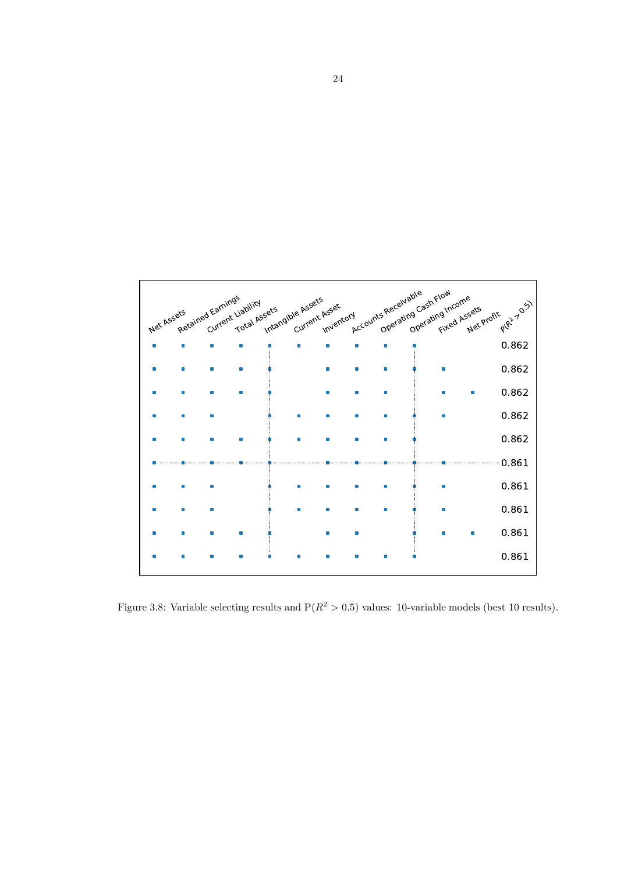

Figure 3.8: Variable selecting results and  $P(R^2 > 0.5)$  values: 10-variable models (best 10 results).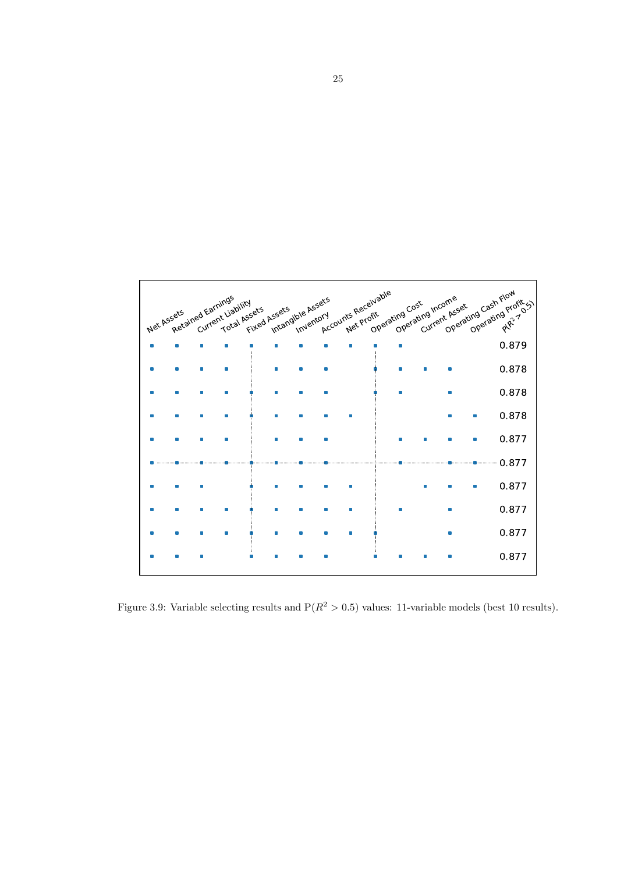

Figure 3.9: Variable selecting results and  $P(R^2 > 0.5)$  values: 11-variable models (best 10 results).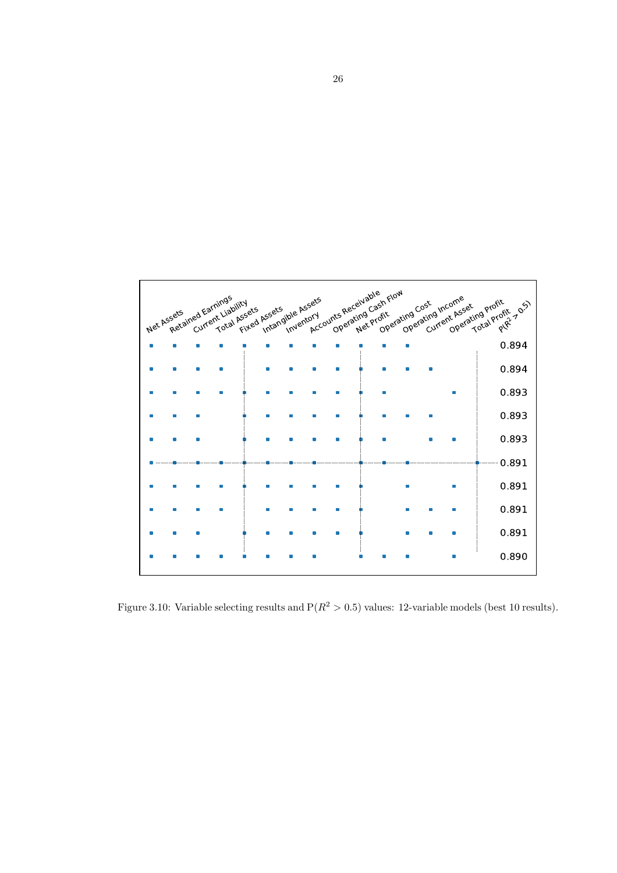

Figure 3.10: Variable selecting results and  $P(R^2 > 0.5)$  values: 12-variable models (best 10 results).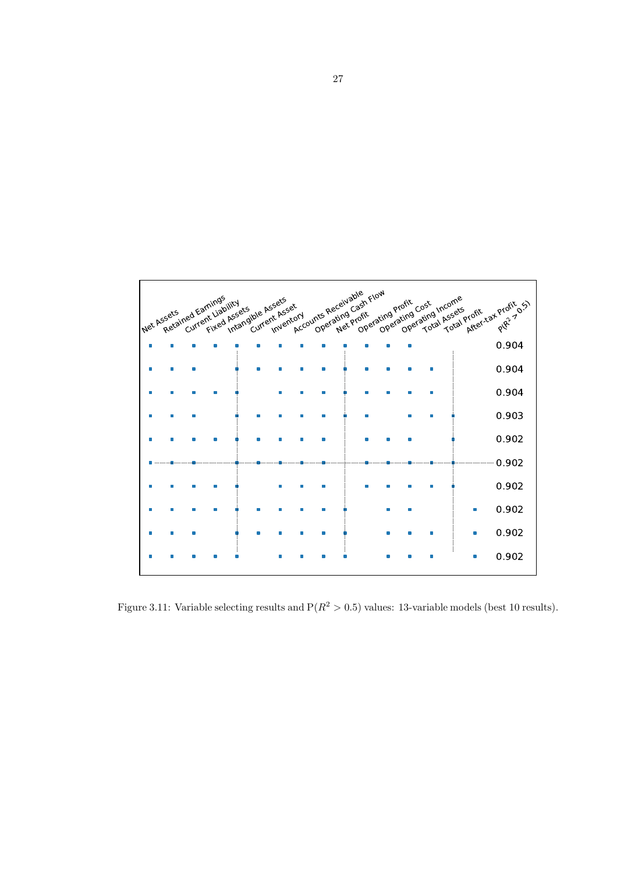

Figure 3.11: Variable selecting results and  $P(R^2 > 0.5)$  values: 13-variable models (best 10 results).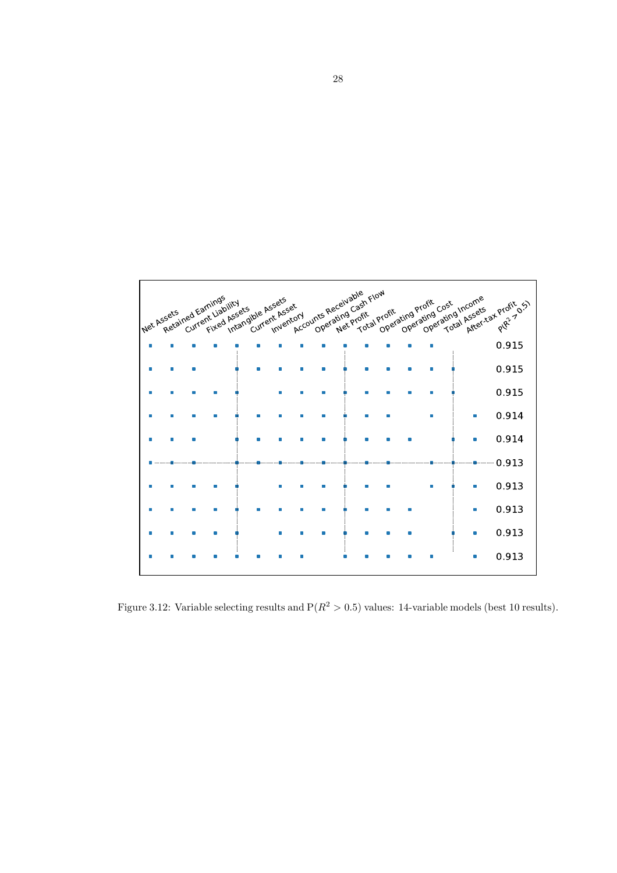

Figure 3.12: Variable selecting results and  $P(R^2 > 0.5)$  values: 14-variable models (best 10 results).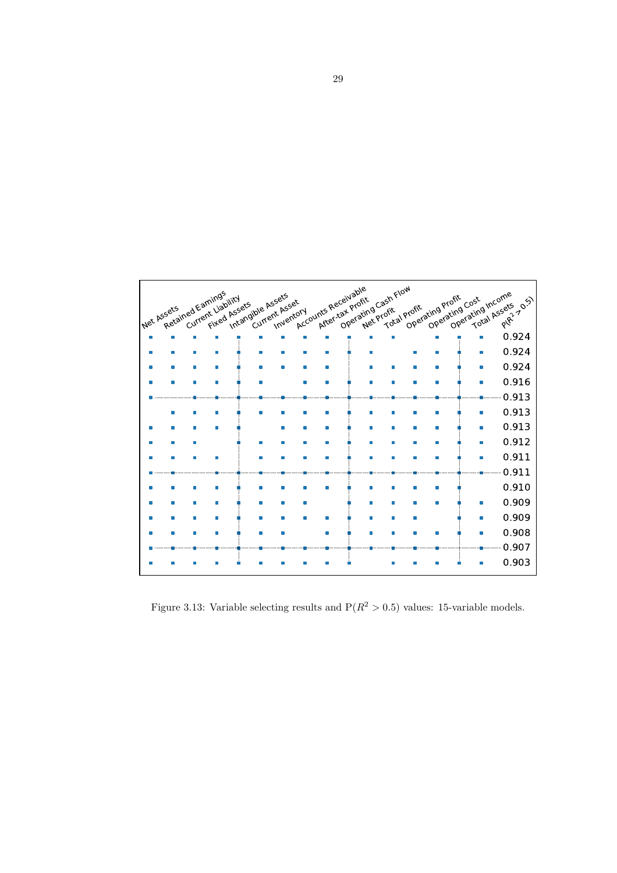

Figure 3.13: Variable selecting results and  $P(R^2 > 0.5)$  values: 15-variable models.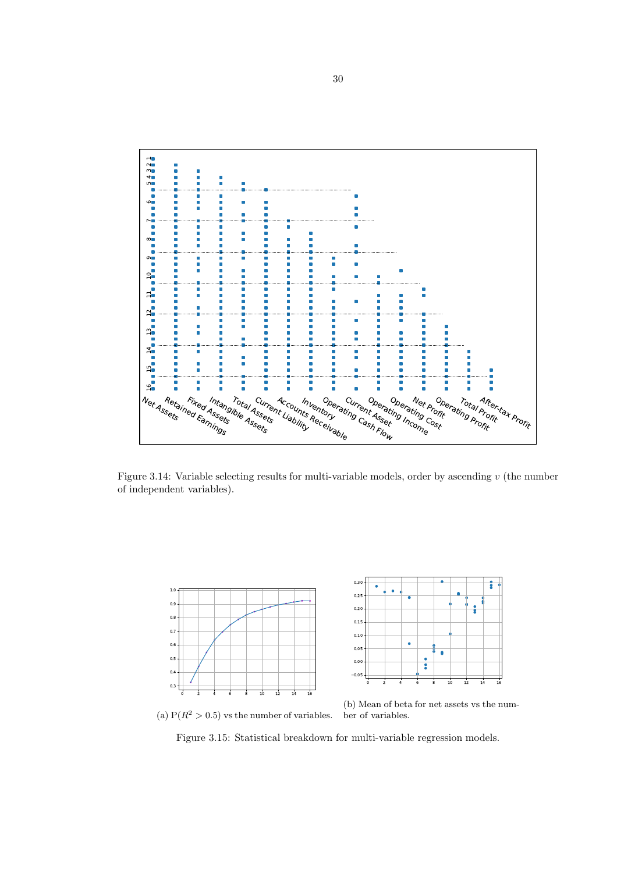

Figure 3.14: Variable selecting results for multi-variable models, order by ascending  $v$  (the number of independent variables).



(a)  $P(R^2 > 0.5)$  vs the number of variables.

(b) Mean of beta for net assets vs the number of variables.

Figure 3.15: Statistical breakdown for multi-variable regression models.

30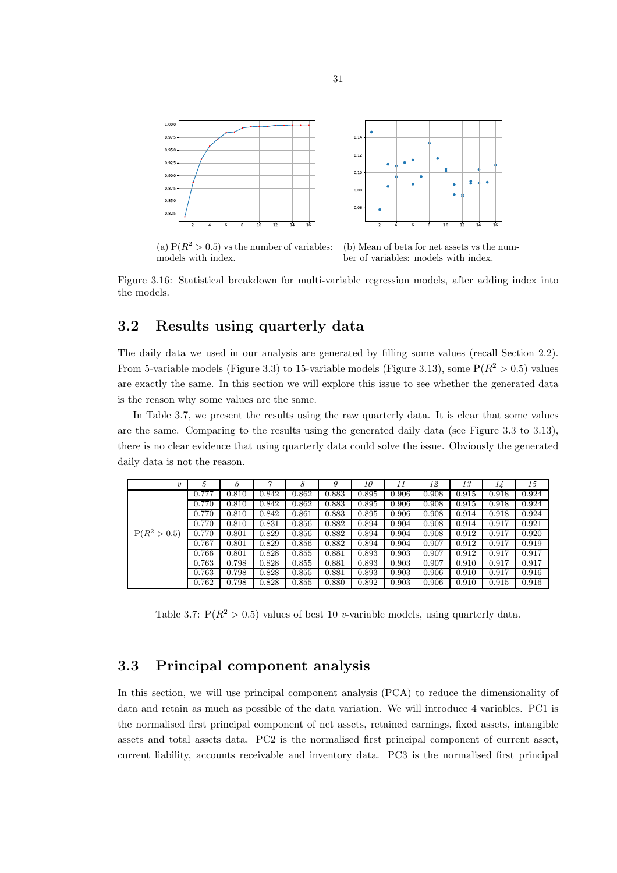

(a)  $P(R^2 > 0.5)$  vs the number of variables: models with index.

(b) Mean of beta for net assets vs the number of variables: models with index.

Figure 3.16: Statistical breakdown for multi-variable regression models, after adding index into the models.

### 3.2 Results using quarterly data

The daily data we used in our analysis are generated by filling some values (recall Section 2.2). From 5-variable models (Figure 3.3) to 15-variable models (Figure 3.13), some  $P(R^2 > 0.5)$  values are exactly the same. In this section we will explore this issue to see whether the generated data is the reason why some values are the same.

In Table 3.7, we present the results using the raw quarterly data. It is clear that some values are the same. Comparing to the results using the generated daily data (see Figure 3.3 to 3.13), there is no clear evidence that using quarterly data could solve the issue. Obviously the generated daily data is not the reason.

| $\eta$         | 5     | 6     | $\gamma$ | 8     | 9     | 10    | 11    | 12    | 13    | 14    | 15    |
|----------------|-------|-------|----------|-------|-------|-------|-------|-------|-------|-------|-------|
|                | 0.777 | 0.810 | 0.842    | 0.862 | 0.883 | 0.895 | 0.906 | 0.908 | 0.915 | 0.918 | 0.924 |
|                | 0.770 | 0.810 | 0.842    | 0.862 | 0.883 | 0.895 | 0.906 | 0.908 | 0.915 | 0.918 | 0.924 |
|                | 0.770 | 0.810 | 0.842    | 0.861 | 0.883 | 0.895 | 0.906 | 0.908 | 0.914 | 0.918 | 0.924 |
|                | 0.770 | 0.810 | 0.831    | 0.856 | 0.882 | 0.894 | 0.904 | 0.908 | 0.914 | 0.917 | 0.921 |
| $P(R^2 > 0.5)$ | 0.770 | 0.801 | 0.829    | 0.856 | 0.882 | 0.894 | 0.904 | 0.908 | 0.912 | 0.917 | 0.920 |
|                | 0.767 | 0.801 | 0.829    | 0.856 | 0.882 | 0.894 | 0.904 | 0.907 | 0.912 | 0.917 | 0.919 |
|                | 0.766 | 0.801 | 0.828    | 0.855 | 0.881 | 0.893 | 0.903 | 0.907 | 0.912 | 0.917 | 0.917 |
|                | 0.763 | 0.798 | 0.828    | 0.855 | 0.881 | 0.893 | 0.903 | 0.907 | 0.910 | 0.917 | 0.917 |
|                | 0.763 | 0.798 | 0.828    | 0.855 | 0.881 | 0.893 | 0.903 | 0.906 | 0.910 | 0.917 | 0.916 |
|                | 0.762 | 0.798 | 0.828    | 0.855 | 0.880 | 0.892 | 0.903 | 0.906 | 0.910 | 0.915 | 0.916 |

Table 3.7:  $P(R^2 > 0.5)$  values of best 10 *v*-variable models, using quarterly data.

## 3.3 Principal component analysis

In this section, we will use principal component analysis (PCA) to reduce the dimensionality of data and retain as much as possible of the data variation. We will introduce 4 variables. PC1 is the normalised first principal component of net assets, retained earnings, fixed assets, intangible assets and total assets data. PC2 is the normalised first principal component of current asset, current liability, accounts receivable and inventory data. PC3 is the normalised first principal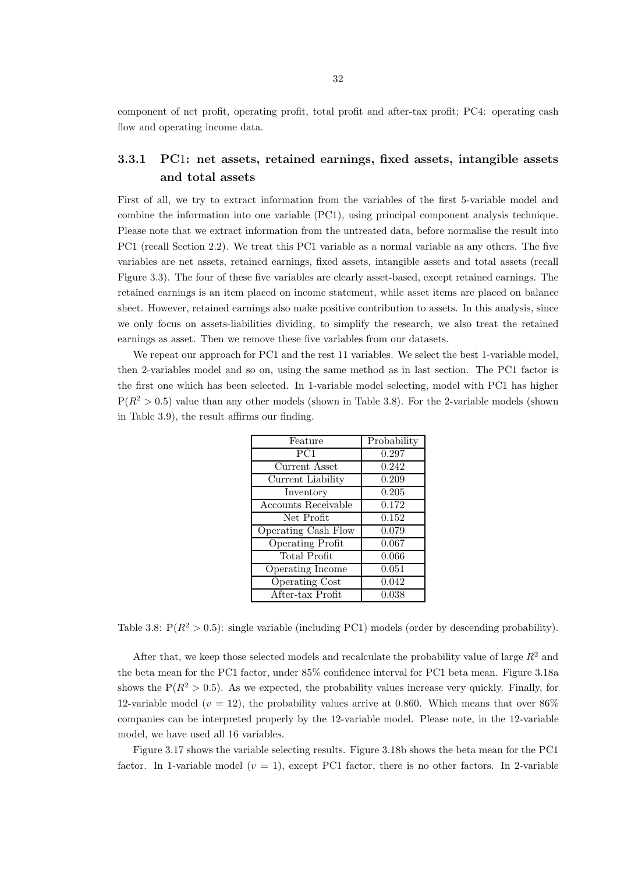component of net profit, operating profit, total profit and after-tax profit; PC4: operating cash flow and operating income data.

## 3.3.1 PC1: net assets, retained earnings, fixed assets, intangible assets and total assets

First of all, we try to extract information from the variables of the first 5-variable model and combine the information into one variable (PC1), using principal component analysis technique. Please note that we extract information from the untreated data, before normalise the result into PC1 (recall Section 2.2). We treat this PC1 variable as a normal variable as any others. The five variables are net assets, retained earnings, fixed assets, intangible assets and total assets (recall Figure 3.3). The four of these five variables are clearly asset-based, except retained earnings. The retained earnings is an item placed on income statement, while asset items are placed on balance sheet. However, retained earnings also make positive contribution to assets. In this analysis, since we only focus on assets-liabilities dividing, to simplify the research, we also treat the retained earnings as asset. Then we remove these five variables from our datasets.

We repeat our approach for PC1 and the rest 11 variables. We select the best 1-variable model, then 2-variables model and so on, using the same method as in last section. The PC1 factor is the first one which has been selected. In 1-variable model selecting, model with PC1 has higher  $P(R^2 > 0.5)$  value than any other models (shown in Table 3.8). For the 2-variable models (shown in Table 3.9), the result affirms our finding.

| Feature                    | Probability        |
|----------------------------|--------------------|
| PC <sub>1</sub>            | 0.297              |
| Current Asset              | 0.242              |
| Current Liability          | 0.209              |
| Inventory                  | 0.205              |
| Accounts Receivable        | 0.172              |
| Net Profit                 | 0.152              |
| <b>Operating Cash Flow</b> | 0.079              |
| <b>Operating Profit</b>    | 0.067              |
| <b>Total Profit</b>        | $\overline{0.066}$ |
| Operating Income           | 0.051              |
| <b>Operating Cost</b>      | 0.042              |
| After-tax Profit           | 0.038              |

Table 3.8:  $P(R^2 > 0.5)$ : single variable (including PC1) models (order by descending probability).

After that, we keep those selected models and recalculate the probability value of large  $R^2$  and the beta mean for the PC1 factor, under 85% confidence interval for PC1 beta mean. Figure 3.18a shows the  $P(R^2 > 0.5)$ . As we expected, the probability values increase very quickly. Finally, for 12-variable model ( $v = 12$ ), the probability values arrive at 0.860. Which means that over 86% companies can be interpreted properly by the 12-variable model. Please note, in the 12-variable model, we have used all 16 variables.

Figure 3.17 shows the variable selecting results. Figure 3.18b shows the beta mean for the PC1 factor. In 1-variable model  $(v = 1)$ , except PC1 factor, there is no other factors. In 2-variable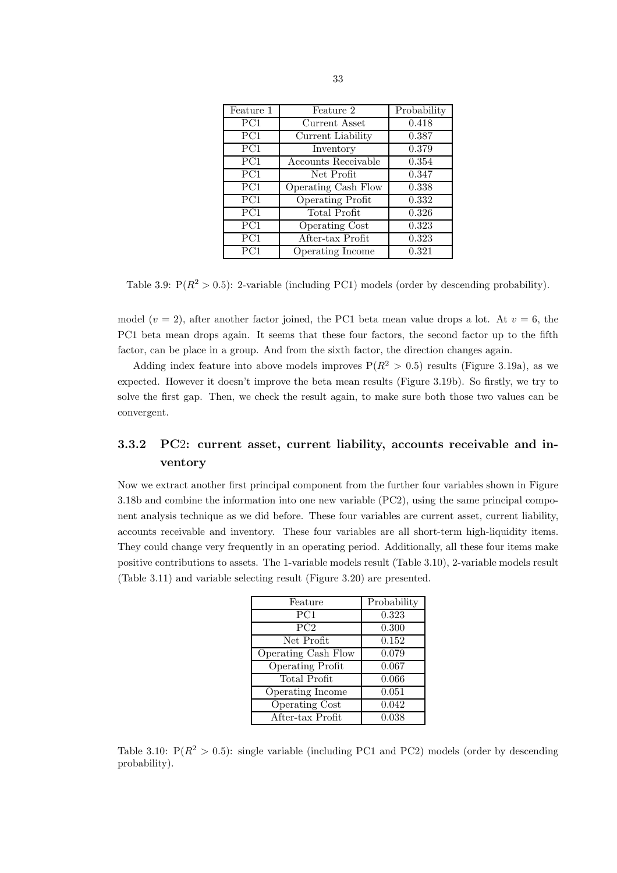| Feature 1 | Feature 2               | Probability |
|-----------|-------------------------|-------------|
| PC1       | Current Asset           | 0.418       |
| PC1       | Current Liability       | 0.387       |
| PC1       | Inventory               | 0.379       |
| PC1       | Accounts Receivable     | 0.354       |
| PC1       | Net Profit              | 0.347       |
| PC1       | Operating Cash Flow     | 0.338       |
| PC1       | <b>Operating Profit</b> | 0.332       |
| PC1       | Total Profit            | 0.326       |
| PC1       | <b>Operating Cost</b>   | 0.323       |
| PC1       | After-tax Profit        | 0.323       |
| PC1       | Operating Income        | 0.321       |

Table 3.9:  $P(R^2 > 0.5)$ : 2-variable (including PC1) models (order by descending probability).

model ( $v = 2$ ), after another factor joined, the PC1 beta mean value drops a lot. At  $v = 6$ , the PC1 beta mean drops again. It seems that these four factors, the second factor up to the fifth factor, can be place in a group. And from the sixth factor, the direction changes again.

Adding index feature into above models improves  $P(R^2 > 0.5)$  results (Figure 3.19a), as we expected. However it doesn't improve the beta mean results (Figure 3.19b). So firstly, we try to solve the first gap. Then, we check the result again, to make sure both those two values can be convergent.

## 3.3.2 PC2: current asset, current liability, accounts receivable and inventory

Now we extract another first principal component from the further four variables shown in Figure 3.18b and combine the information into one new variable (PC2), using the same principal component analysis technique as we did before. These four variables are current asset, current liability, accounts receivable and inventory. These four variables are all short-term high-liquidity items. They could change very frequently in an operating period. Additionally, all these four items make positive contributions to assets. The 1-variable models result (Table 3.10), 2-variable models result (Table 3.11) and variable selecting result (Figure 3.20) are presented.

| Feature                 | Probability |
|-------------------------|-------------|
| PC1                     | 0.323       |
| PC2                     | 0.300       |
| Net Profit              | 0.152       |
| Operating Cash Flow     | 0.079       |
| <b>Operating Profit</b> | 0.067       |
| Total Profit            | 0.066       |
| Operating Income        | 0.051       |
| Operating Cost          | 0.042       |
| After-tax Profit        | 0.038       |
|                         |             |

Table 3.10:  $P(R^2 > 0.5)$ : single variable (including PC1 and PC2) models (order by descending probability).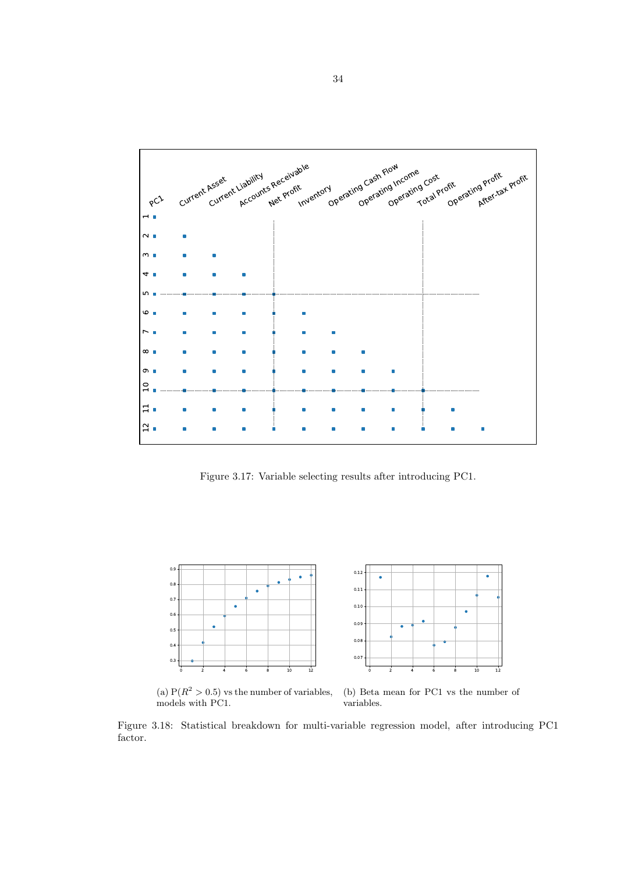

Figure 3.17: Variable selecting results after introducing PC1.



(a)  $P(R^2 > 0.5)$  vs the number of variables, models with PC1. (b) Beta mean for PC1 vs the number of variables.

Figure 3.18: Statistical breakdown for multi-variable regression model, after introducing PC1 factor.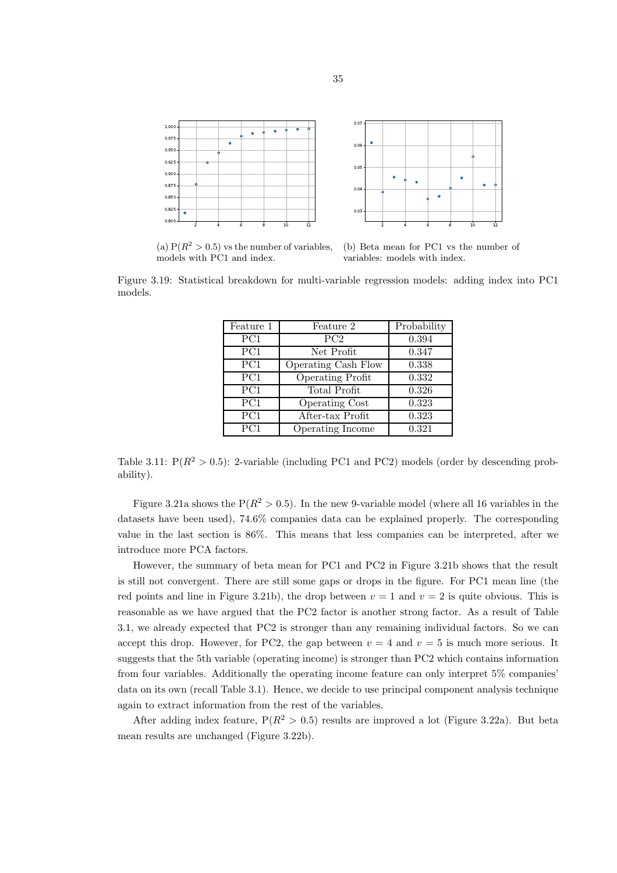

(a)  $P(R^2 > 0.5)$  vs the number of variables, models with PC1 and index.

(b) Beta mean for PC1 vs the number of variables: models with index.

Figure 3.19: Statistical breakdown for multi-variable regression models: adding index into PC1 models.

| Feature 1        | Feature 2               | Probability |
|------------------|-------------------------|-------------|
| $\overline{PC1}$ | PC2                     | 0.394       |
| $\overline{PC1}$ | Net Profit              | 0.347       |
| PC1              | Operating Cash Flow     | 0.338       |
| PC1              | <b>Operating Profit</b> | 0.332       |
| PC1              | Total Profit            | 0.326       |
| PC1              | <b>Operating Cost</b>   | 0.323       |
| $\overline{PC1}$ | After-tax Profit        | 0.323       |
| PC1              | Operating Income        | 0.321       |

Table 3.11:  $P(R^2 > 0.5)$ : 2-variable (including PC1 and PC2) models (order by descending probability).

Figure 3.21a shows the  $P(R^2 > 0.5)$ . In the new 9-variable model (where all 16 variables in the datasets have been used), 74.6% companies data can be explained properly. The corresponding value in the last section is 86%. This means that less companies can be interpreted, after we introduce more PCA factors.

However, the summary of beta mean for PC1 and PC2 in Figure 3.21b shows that the result is still not convergent. There are still some gaps or drops in the figure. For PC1 mean line (the red points and line in Figure 3.21b), the drop between  $v = 1$  and  $v = 2$  is quite obvious. This is reasonable as we have argued that the PC2 factor is another strong factor. As a result of Table 3.1, we already expected that PC2 is stronger than any remaining individual factors. So we can accept this drop. However, for PC2, the gap between  $v = 4$  and  $v = 5$  is much more serious. It suggests that the 5th variable (operating income) is stronger than PC2 which contains information from four variables. Additionally the operating income feature can only interpret 5% companies' data on its own (recall Table 3.1). Hence, we decide to use principal component analysis technique again to extract information from the rest of the variables.

After adding index feature,  $P(R^2 > 0.5)$  results are improved a lot (Figure 3.22a). But beta mean results are unchanged (Figure 3.22b).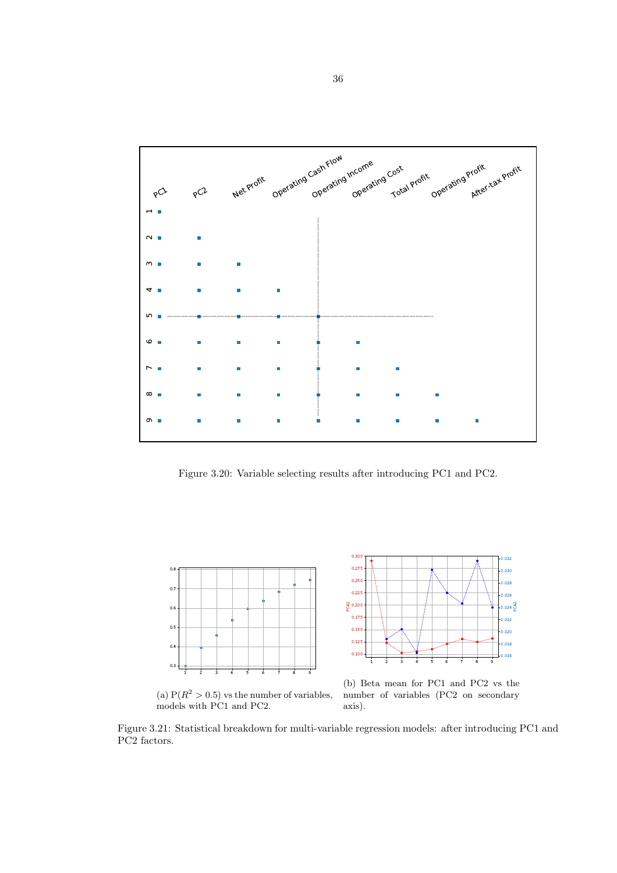

Figure 3.20: Variable selecting results after introducing PC1 and PC2.





(a)  $P(R^2 > 0.5)$  vs the number of variables, models with PC1 and PC2.

(b) Beta mean for PC1 and PC2 vs the number of variables (PC2 on secondary axis).

Figure 3.21: Statistical breakdown for multi-variable regression models: after introducing PC1 and PC2 factors.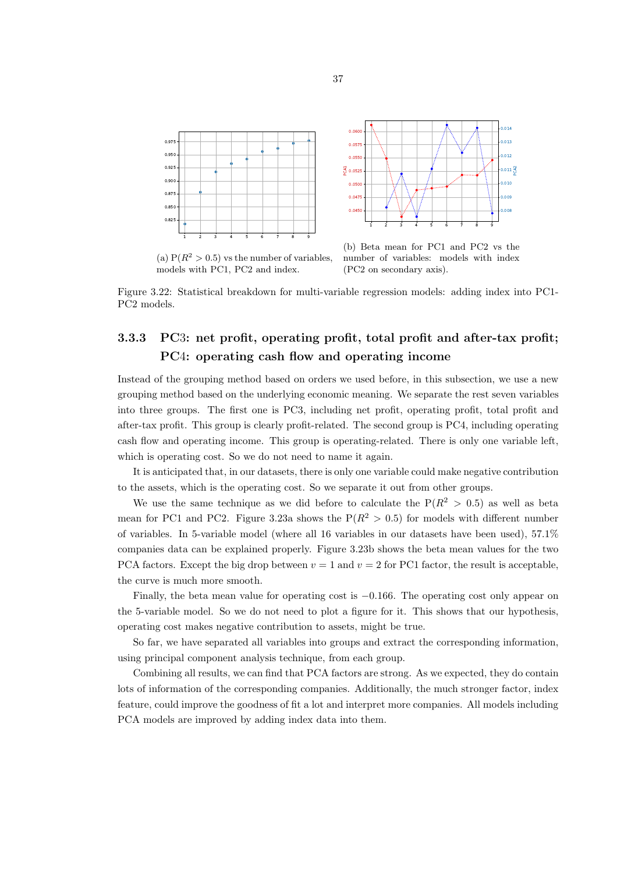

(a)  $P(R^2 > 0.5)$  vs the number of variables, models with PC1, PC2 and index.

(b) Beta mean for PC1 and PC2 vs the number of variables: models with index (PC2 on secondary axis).

oos 0.009  $_{0.01}$ Q  $0.011\frac{c}{\alpha}$ 0.012 0.013  $_{0.01}$ 4

Figure 3.22: Statistical breakdown for multi-variable regression models: adding index into PC1- PC2 models.

# 3.3.3 PC3: net profit, operating profit, total profit and after-tax profit; PC4: operating cash flow and operating income

Instead of the grouping method based on orders we used before, in this subsection, we use a new grouping method based on the underlying economic meaning. We separate the rest seven variables into three groups. The first one is PC3, including net profit, operating profit, total profit and after-tax profit. This group is clearly profit-related. The second group is PC4, including operating cash flow and operating income. This group is operating-related. There is only one variable left, which is operating cost. So we do not need to name it again.

It is anticipated that, in our datasets, there is only one variable could make negative contribution to the assets, which is the operating cost. So we separate it out from other groups.

We use the same technique as we did before to calculate the  $P(R^2 > 0.5)$  as well as beta mean for PC1 and PC2. Figure 3.23a shows the  $P(R^2 > 0.5)$  for models with different number of variables. In 5-variable model (where all 16 variables in our datasets have been used), 57.1% companies data can be explained properly. Figure 3.23b shows the beta mean values for the two PCA factors. Except the big drop between  $v = 1$  and  $v = 2$  for PC1 factor, the result is acceptable, the curve is much more smooth.

Finally, the beta mean value for operating cost is −0.166. The operating cost only appear on the 5-variable model. So we do not need to plot a figure for it. This shows that our hypothesis, operating cost makes negative contribution to assets, might be true.

So far, we have separated all variables into groups and extract the corresponding information, using principal component analysis technique, from each group.

Combining all results, we can find that PCA factors are strong. As we expected, they do contain lots of information of the corresponding companies. Additionally, the much stronger factor, index feature, could improve the goodness of fit a lot and interpret more companies. All models including PCA models are improved by adding index data into them.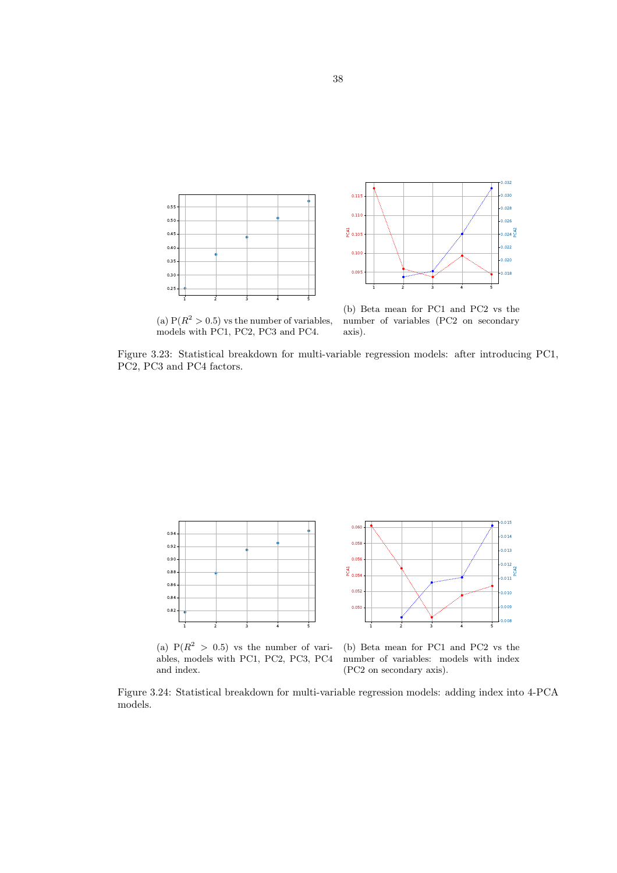



(a)  $P(R^2 > 0.5)$  vs the number of variables, models with PC1, PC2, PC3 and PC4.

(b) Beta mean for PC1 and PC2 vs the number of variables (PC2 on secondary axis).

Figure 3.23: Statistical breakdown for multi-variable regression models: after introducing PC1, PC2, PC3 and PC4 factors.



(a)  $P(R^2 > 0.5)$  vs the number of variables, models with PC1, PC2, PC3, PC4 and index.



0.014 0.015

(b) Beta mean for PC1 and PC2 vs the number of variables: models with index (PC2 on secondary axis).

Figure 3.24: Statistical breakdown for multi-variable regression models: adding index into 4-PCA models.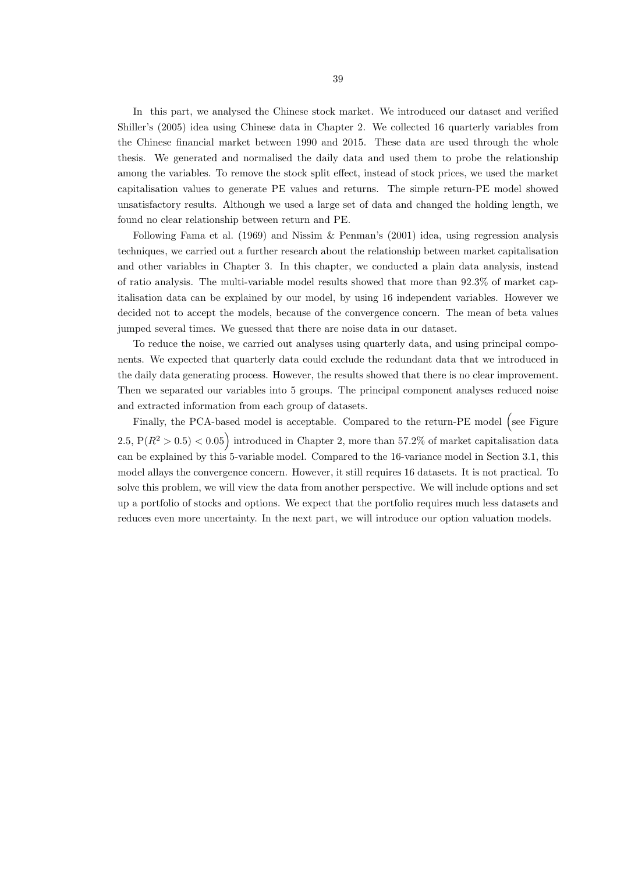In this part, we analysed the Chinese stock market. We introduced our dataset and verified Shiller's (2005) idea using Chinese data in Chapter 2. We collected 16 quarterly variables from the Chinese financial market between 1990 and 2015. These data are used through the whole thesis. We generated and normalised the daily data and used them to probe the relationship among the variables. To remove the stock split effect, instead of stock prices, we used the market capitalisation values to generate PE values and returns. The simple return-PE model showed unsatisfactory results. Although we used a large set of data and changed the holding length, we found no clear relationship between return and PE.

Following Fama et al. (1969) and Nissim & Penman's (2001) idea, using regression analysis techniques, we carried out a further research about the relationship between market capitalisation and other variables in Chapter 3. In this chapter, we conducted a plain data analysis, instead of ratio analysis. The multi-variable model results showed that more than 92.3% of market capitalisation data can be explained by our model, by using 16 independent variables. However we decided not to accept the models, because of the convergence concern. The mean of beta values jumped several times. We guessed that there are noise data in our dataset.

To reduce the noise, we carried out analyses using quarterly data, and using principal components. We expected that quarterly data could exclude the redundant data that we introduced in the daily data generating process. However, the results showed that there is no clear improvement. Then we separated our variables into 5 groups. The principal component analyses reduced noise and extracted information from each group of datasets.

Finally, the PCA-based model is acceptable. Compared to the return-PE model (see Figure 2.5,  $P(R^2 > 0.5) < 0.05$  introduced in Chapter 2, more than 57.2% of market capitalisation data can be explained by this 5-variable model. Compared to the 16-variance model in Section 3.1, this model allays the convergence concern. However, it still requires 16 datasets. It is not practical. To solve this problem, we will view the data from another perspective. We will include options and set up a portfolio of stocks and options. We expect that the portfolio requires much less datasets and reduces even more uncertainty. In the next part, we will introduce our option valuation models.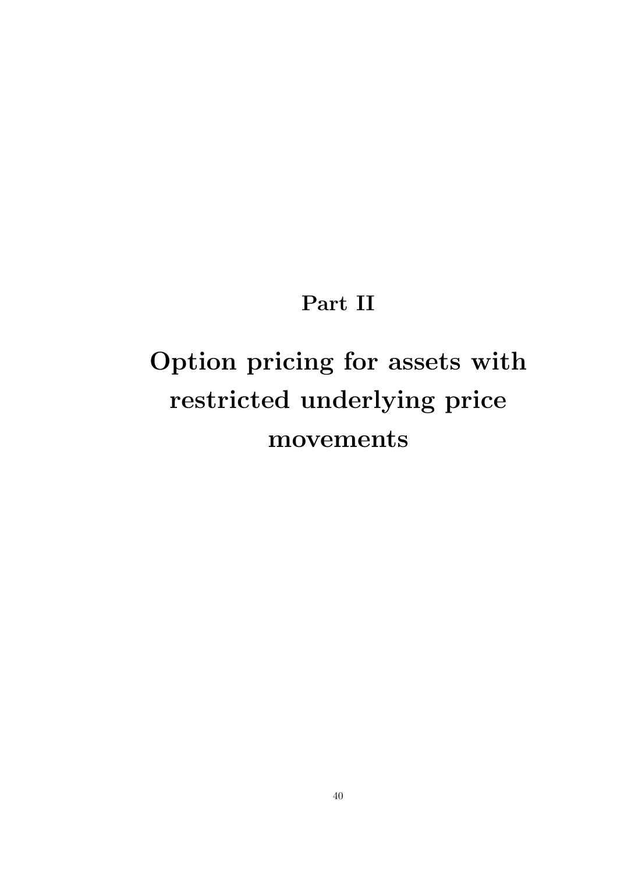# Part II

# Option pricing for assets with restricted underlying price movements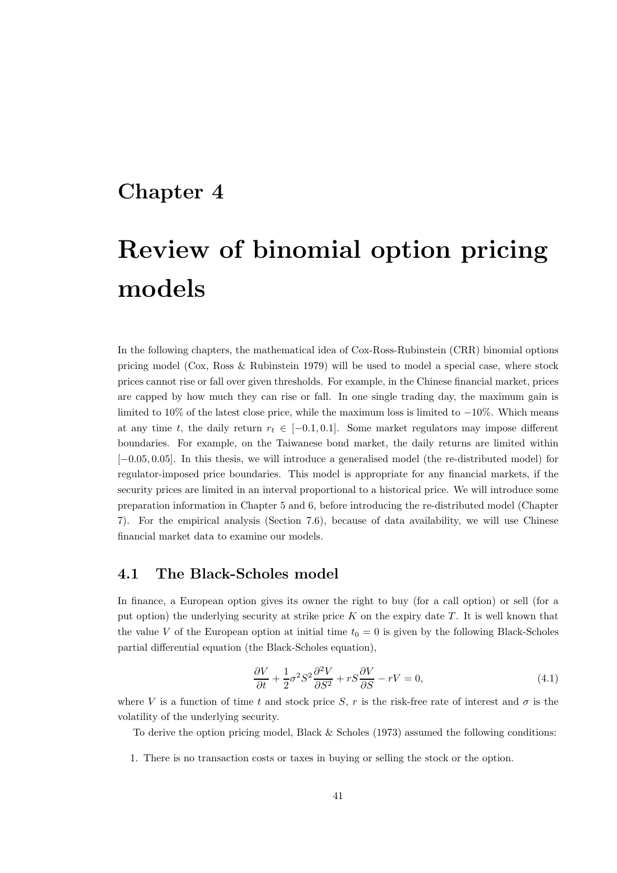# Chapter 4

# Review of binomial option pricing models

In the following chapters, the mathematical idea of Cox-Ross-Rubinstein (CRR) binomial options pricing model (Cox, Ross & Rubinstein 1979) will be used to model a special case, where stock prices cannot rise or fall over given thresholds. For example, in the Chinese financial market, prices are capped by how much they can rise or fall. In one single trading day, the maximum gain is limited to 10% of the latest close price, while the maximum loss is limited to  $-10\%$ . Which means at any time t, the daily return  $r_t \in [-0.1, 0.1]$ . Some market regulators may impose different boundaries. For example, on the Taiwanese bond market, the daily returns are limited within [−0.05, 0.05]. In this thesis, we will introduce a generalised model (the re-distributed model) for regulator-imposed price boundaries. This model is appropriate for any financial markets, if the security prices are limited in an interval proportional to a historical price. We will introduce some preparation information in Chapter 5 and 6, before introducing the re-distributed model (Chapter 7). For the empirical analysis (Section 7.6), because of data availability, we will use Chinese financial market data to examine our models.

#### 4.1 The Black-Scholes model

In finance, a European option gives its owner the right to buy (for a call option) or sell (for a put option) the underlying security at strike price  $K$  on the expiry date  $T$ . It is well known that the value V of the European option at initial time  $t_0 = 0$  is given by the following Black-Scholes partial differential equation (the Black-Scholes equation),

$$
\frac{\partial V}{\partial t} + \frac{1}{2}\sigma^2 S^2 \frac{\partial^2 V}{\partial S^2} + rS \frac{\partial V}{\partial S} - rV = 0,
$$
\n(4.1)

where V is a function of time t and stock price S, r is the risk-free rate of interest and  $\sigma$  is the volatility of the underlying security.

To derive the option pricing model, Black & Scholes (1973) assumed the following conditions:

1. There is no transaction costs or taxes in buying or selling the stock or the option.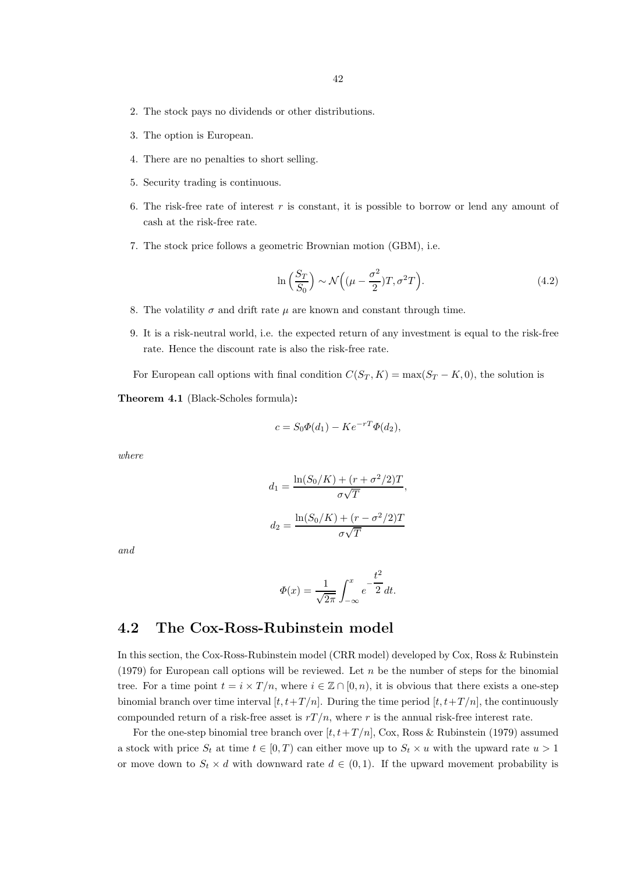- 2. The stock pays no dividends or other distributions.
- 3. The option is European.
- 4. There are no penalties to short selling.
- 5. Security trading is continuous.
- 6. The risk-free rate of interest  $r$  is constant, it is possible to borrow or lend any amount of cash at the risk-free rate.
- 7. The stock price follows a geometric Brownian motion (GBM), i.e.

$$
\ln\left(\frac{S_T}{S_0}\right) \sim \mathcal{N}\left((\mu - \frac{\sigma^2}{2})T, \sigma^2 T\right). \tag{4.2}
$$

- 8. The volatility  $\sigma$  and drift rate  $\mu$  are known and constant through time.
- 9. It is a risk-neutral world, i.e. the expected return of any investment is equal to the risk-free rate. Hence the discount rate is also the risk-free rate.

For European call options with final condition  $C(S_T, K) = \max(S_T - K, 0)$ , the solution is

Theorem 4.1 (Black-Scholes formula):

$$
c = S_0 \Phi(d_1) - K e^{-rT} \Phi(d_2),
$$

where

$$
d_1 = \frac{\ln(S_0/K) + (r + \sigma^2/2)T}{\sigma\sqrt{T}},
$$

$$
d_2 = \frac{\ln(S_0/K) + (r - \sigma^2/2)T}{\sigma\sqrt{T}}
$$

and

$$
\Phi(x) = \frac{1}{\sqrt{2\pi}} \int_{-\infty}^{x} e^{-\frac{t^2}{2}} dt.
$$

### 4.2 The Cox-Ross-Rubinstein model

In this section, the Cox-Ross-Rubinstein model (CRR model) developed by Cox, Ross & Rubinstein (1979) for European call options will be reviewed. Let  $n$  be the number of steps for the binomial tree. For a time point  $t = i \times T/n$ , where  $i \in \mathbb{Z} \cap [0, n)$ , it is obvious that there exists a one-step binomial branch over time interval  $[t, t+T/n]$ . During the time period  $[t, t+T/n]$ , the continuously compounded return of a risk-free asset is  $rT/n$ , where r is the annual risk-free interest rate.

For the one-step binomial tree branch over  $[t, t+T/n]$ , Cox, Ross & Rubinstein (1979) assumed a stock with price  $S_t$  at time  $t \in [0, T)$  can either move up to  $S_t \times u$  with the upward rate  $u > 1$ or move down to  $S_t \times d$  with downward rate  $d \in (0,1)$ . If the upward movement probability is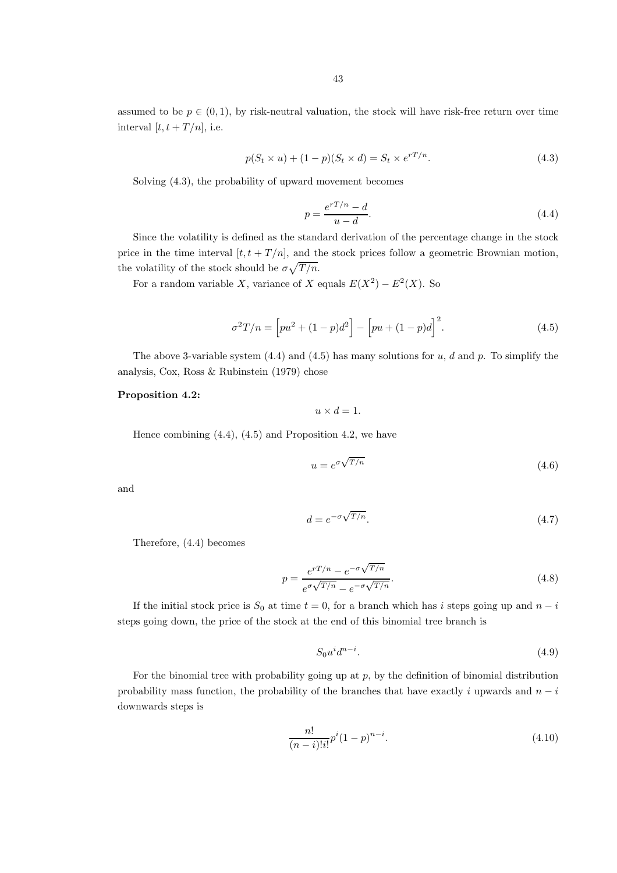assumed to be  $p \in (0, 1)$ , by risk-neutral valuation, the stock will have risk-free return over time interval  $[t, t + T/n]$ , i.e.

$$
p(St \times u) + (1 - p)(St \times d) = St \times erT/n.
$$
\n(4.3)

Solving (4.3), the probability of upward movement becomes

$$
p = \frac{e^{rT/n} - d}{u - d}.\tag{4.4}
$$

Since the volatility is defined as the standard derivation of the percentage change in the stock price in the time interval  $[t, t + T/n]$ , and the stock prices follow a geometric Brownian motion, the volatility of the stock should be  $\sigma \sqrt{T/n}$ .

For a random variable X, variance of X equals  $E(X^2) - E^2(X)$ . So

$$
\sigma^{2}T/n = \left[pu^{2} + (1-p)d^{2}\right] - \left[pu + (1-p)d\right]^{2}.
$$
\n(4.5)

The above 3-variable system  $(4.4)$  and  $(4.5)$  has many solutions for u, d and p. To simplify the analysis, Cox, Ross & Rubinstein (1979) chose

#### Proposition 4.2:

 $u \times d = 1.$ 

Hence combining (4.4), (4.5) and Proposition 4.2, we have

$$
u = e^{\sigma \sqrt{T/n}} \tag{4.6}
$$

and

$$
d = e^{-\sigma \sqrt{T/n}}.\t(4.7)
$$

Therefore, (4.4) becomes

$$
p = \frac{e^{rT/n} - e^{-\sigma\sqrt{T/n}}}{e^{\sigma\sqrt{T/n}} - e^{-\sigma\sqrt{T/n}}}.
$$
\n(4.8)

If the initial stock price is  $S_0$  at time  $t = 0$ , for a branch which has i steps going up and  $n - i$ steps going down, the price of the stock at the end of this binomial tree branch is

$$
S_0 u^i d^{n-i}.\tag{4.9}
$$

For the binomial tree with probability going up at  $p$ , by the definition of binomial distribution probability mass function, the probability of the branches that have exactly i upwards and  $n - i$ downwards steps is

$$
\frac{n!}{(n-i)!i!}p^i(1-p)^{n-i}.\tag{4.10}
$$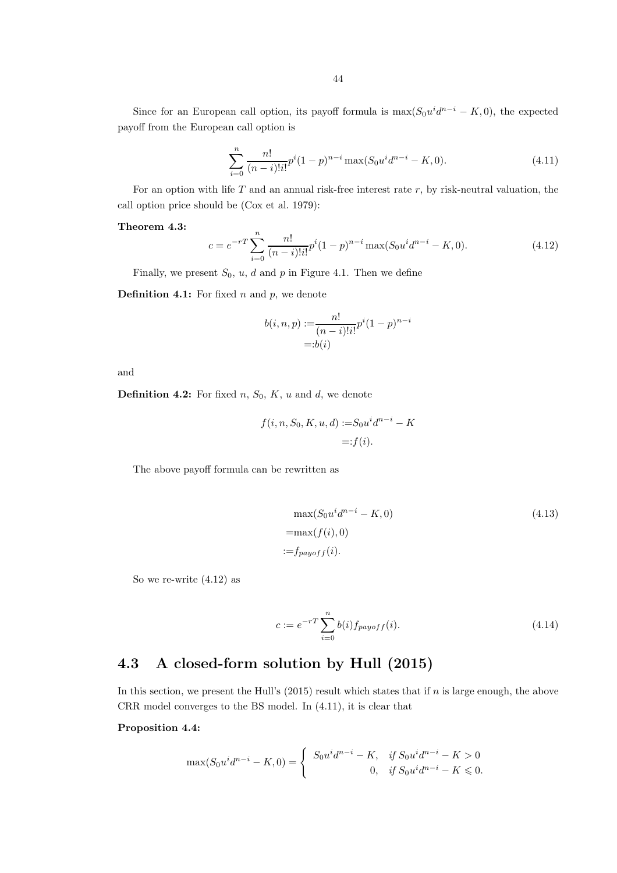Since for an European call option, its payoff formula is  $\max(S_0 u^i d^{n-i} - K, 0)$ , the expected payoff from the European call option is

$$
\sum_{i=0}^{n} \frac{n!}{(n-i)!i!} p^i (1-p)^{n-i} \max(S_0 u^i d^{n-i} - K, 0).
$$
 (4.11)

For an option with life  $T$  and an annual risk-free interest rate  $r$ , by risk-neutral valuation, the call option price should be (Cox et al. 1979):

#### Theorem 4.3:

$$
c = e^{-rT} \sum_{i=0}^{n} \frac{n!}{(n-i)!i!} p^i (1-p)^{n-i} \max(S_0 u^i d^{n-i} - K, 0).
$$
 (4.12)

Finally, we present  $S_0$ , u, d and p in Figure 4.1. Then we define

**Definition 4.1:** For fixed  $n$  and  $p$ , we denote

$$
b(i, n, p) := \frac{n!}{(n-i)!i!} p^{i} (1-p)^{n-i}
$$
  
=:  $b(i)$ 

and

**Definition 4.2:** For fixed  $n, S_0, K, u$  and  $d$ , we denote

$$
f(i, n, S_0, K, u, d) := S_0 u^i d^{n-i} - K
$$

$$
=: f(i).
$$

The above payoff formula can be rewritten as

$$
\max(S_0 u^i d^{n-i} - K, 0)
$$
  
=
$$
\max(f(i), 0)
$$
  
:=
$$
f_{payoff}(i)
$$
.  
(4.13)

So we re-write (4.12) as

$$
c := e^{-rT} \sum_{i=0}^{n} b(i) f_{payoff}(i).
$$
 (4.14)

## 4.3 A closed-form solution by Hull (2015)

In this section, we present the Hull's  $(2015)$  result which states that if n is large enough, the above CRR model converges to the BS model. In (4.11), it is clear that

#### Proposition 4.4:

$$
\max(S_0 u^i d^{n-i} - K, 0) = \begin{cases} S_0 u^i d^{n-i} - K, & \text{if } S_0 u^i d^{n-i} - K > 0 \\ 0, & \text{if } S_0 u^i d^{n-i} - K \leq 0. \end{cases}
$$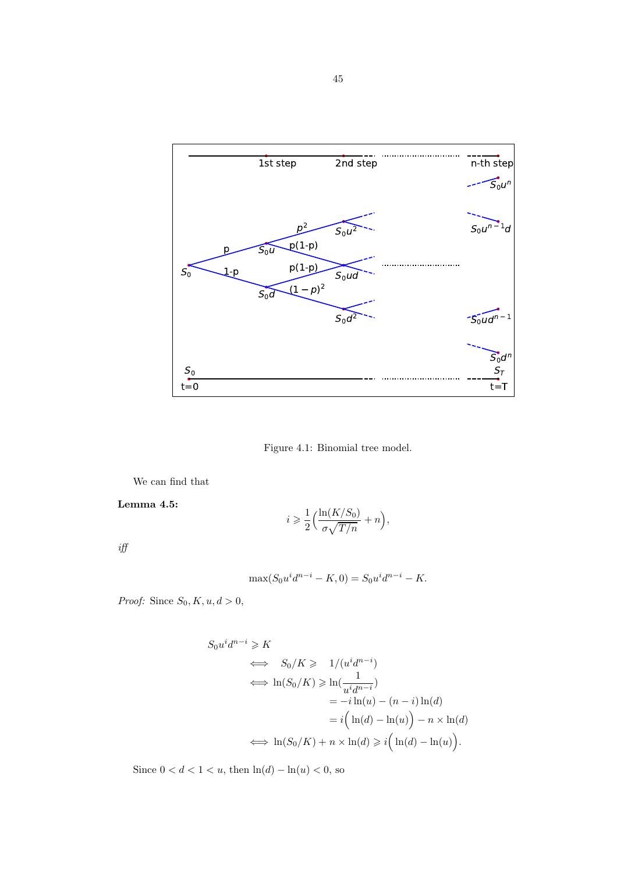

Figure 4.1: Binomial tree model.

We can find that

Lemma 4.5:

$$
i \geqslant \frac{1}{2} \Big( \frac{\ln(K/S_0)}{\sigma \sqrt{T/n}} + n \Big),
$$

 $\it{iff}$ 

$$
\max(S_0 u^i d^{n-i} - K, 0) = S_0 u^i d^{n-i} - K.
$$

Proof: Since  $S_0, K, u, d > 0$ ,

$$
S_0 u^i d^{n-i} \ge K
$$
  
\n
$$
\iff S_0/K \ge 1/(u^i d^{n-i})
$$
  
\n
$$
\iff \ln(S_0/K) \ge \ln(\frac{1}{u^i d^{n-i}})
$$
  
\n
$$
= -i \ln(u) - (n-i) \ln(d)
$$
  
\n
$$
= i(\ln(d) - \ln(u)) - n \times \ln(d)
$$
  
\n
$$
\iff \ln(S_0/K) + n \times \ln(d) \ge i(\ln(d) - \ln(u)).
$$

Since  $0 < d < 1 < u$ , then  $\ln(d) - \ln(u) < 0$ , so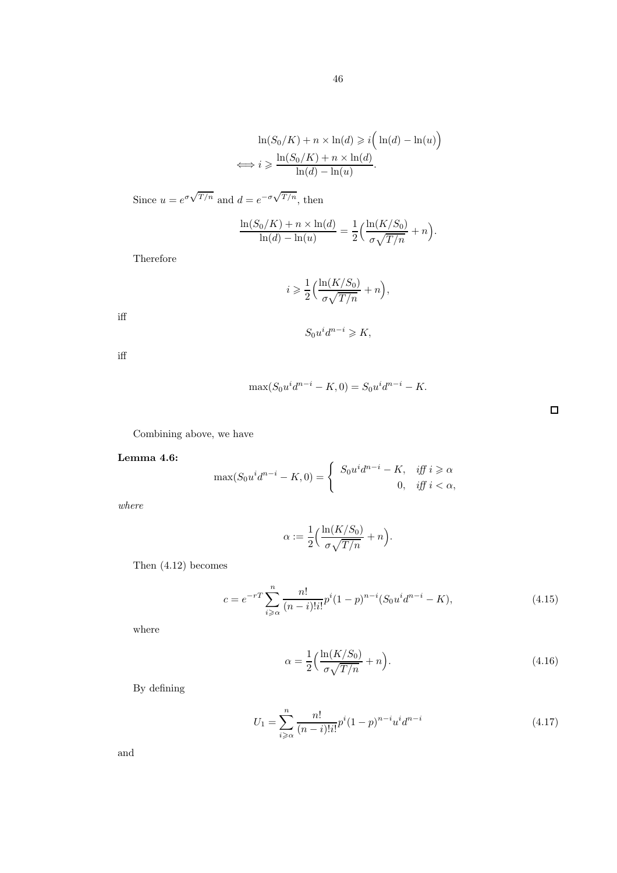$$
\ln(S_0/K) + n \times \ln(d) \geq i \left( \ln(d) - \ln(u) \right)
$$
  

$$
\iff i \geq \frac{\ln(S_0/K) + n \times \ln(d)}{\ln(d) - \ln(u)}.
$$

Since 
$$
u = e^{\sigma \sqrt{T/n}}
$$
 and  $d = e^{-\sigma \sqrt{T/n}}$ , then

$$
\frac{\ln(S_0/K) + n \times \ln(d)}{\ln(d) - \ln(u)} = \frac{1}{2} \left( \frac{\ln(K/S_0)}{\sigma \sqrt{T/n}} + n \right).
$$

Therefore

$$
i \geqslant \frac{1}{2} \Big( \frac{\ln(K/S_0)}{\sigma \sqrt{T/n}} + n \Big),
$$

iff

$$
S_0 u^i d^{n-i} \geqslant K,
$$

iff

$$
\max(S_0 u^i d^{n-i} - K, 0) = S_0 u^i d^{n-i} - K.
$$

Combining above, we have

#### Lemma 4.6:

$$
\max(S_0 u^i d^{n-i} - K, 0) = \begin{cases} S_0 u^i d^{n-i} - K, & \text{iff } i \ge \alpha \\ 0, & \text{iff } i < \alpha, \end{cases}
$$

where

$$
\alpha := \frac{1}{2} \Big( \frac{\ln(K/S_0)}{\sigma \sqrt{T/n}} + n \Big).
$$

Then (4.12) becomes

$$
c = e^{-rT} \sum_{i \ge \alpha}^{n} \frac{n!}{(n-i)!i!} p^i (1-p)^{n-i} (S_0 u^i d^{n-i} - K), \tag{4.15}
$$

where

$$
\alpha = \frac{1}{2} \left( \frac{\ln(K/S_0)}{\sigma \sqrt{T/n}} + n \right). \tag{4.16}
$$

By defining

$$
U_1 = \sum_{i \ge \alpha}^{n} \frac{n!}{(n-i)!i!} p^i (1-p)^{n-i} u^i d^{n-i}
$$
\n(4.17)

and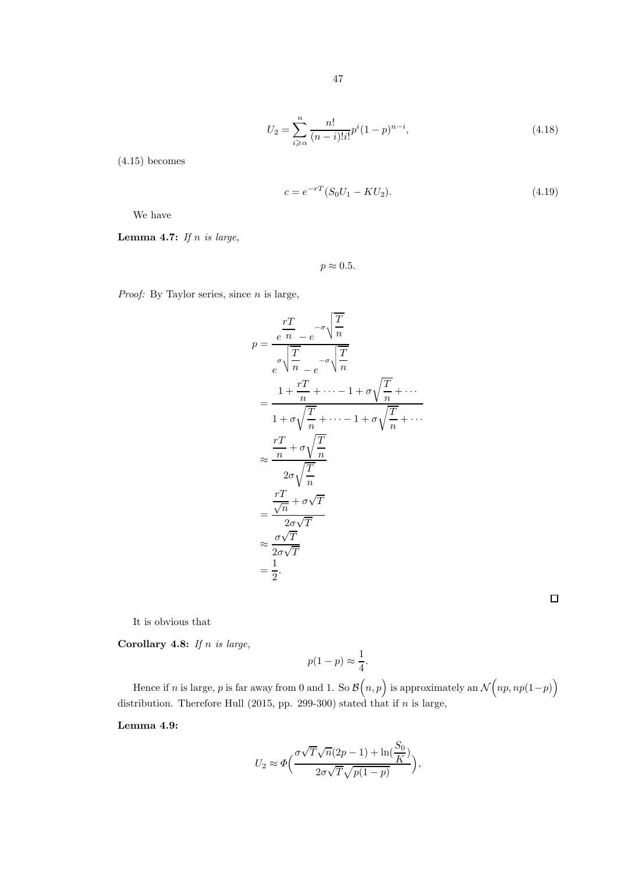$$
U_2 = \sum_{i \ge \alpha}^{n} \frac{n!}{(n-i)!i!} p^i (1-p)^{n-i},\tag{4.18}
$$

(4.15) becomes

$$
c = e^{-rT}(S_0U_1 - KU_2). \tag{4.19}
$$

We have

Lemma 4.7: If  $n$  is large,

 $p \approx 0.5$ .

*Proof:* By Taylor series, since  $n$  is large,

$$
p = \frac{\frac{rT}{e} - e^{-\sigma}\sqrt{\frac{T}{n}}}{e^{\sigma}\sqrt{\frac{T}{n}} - e^{-\sigma}\sqrt{\frac{T}{n}}}
$$
  
\n
$$
= \frac{1 + \frac{rT}{n} + \dots - 1 + \sigma\sqrt{\frac{T}{n}} + \dots}{1 + \sigma\sqrt{\frac{T}{n}} + \dots - 1 + \sigma\sqrt{\frac{T}{n}} + \dots}
$$
  
\n
$$
\approx \frac{\frac{rT}{n} + \sigma\sqrt{\frac{T}{n}}}{2\sigma\sqrt{\frac{T}{n}}}
$$
  
\n
$$
= \frac{\frac{rT}{\sqrt{n}} + \sigma\sqrt{T}}{2\sigma\sqrt{T}}
$$
  
\n
$$
\approx \frac{\sigma\sqrt{T}}{2\sigma\sqrt{T}}
$$
  
\n
$$
= \frac{1}{2}.
$$

 $\Box$ 

It is obvious that

Corollary 4.8: If n is large,

$$
p(1-p) \approx \frac{1}{4}.
$$

Hence if  $n$  is large,  $p$  is far away from 0 and 1. So  $\mathcal{B}\Big(n,p\Big)$  is approximately an  $\mathcal{N}\Big(np,np(1-p)\Big)$ distribution. Therefore Hull  $(2015, pp. 299-300)$  stated that if n is large,

Lemma 4.9:

$$
U_2 \approx \Phi\left(\frac{\sigma\sqrt{T}\sqrt{n}(2p-1) + \ln(\frac{S_0}{K})}{2\sigma\sqrt{T}\sqrt{p(1-p)}}\right),\,
$$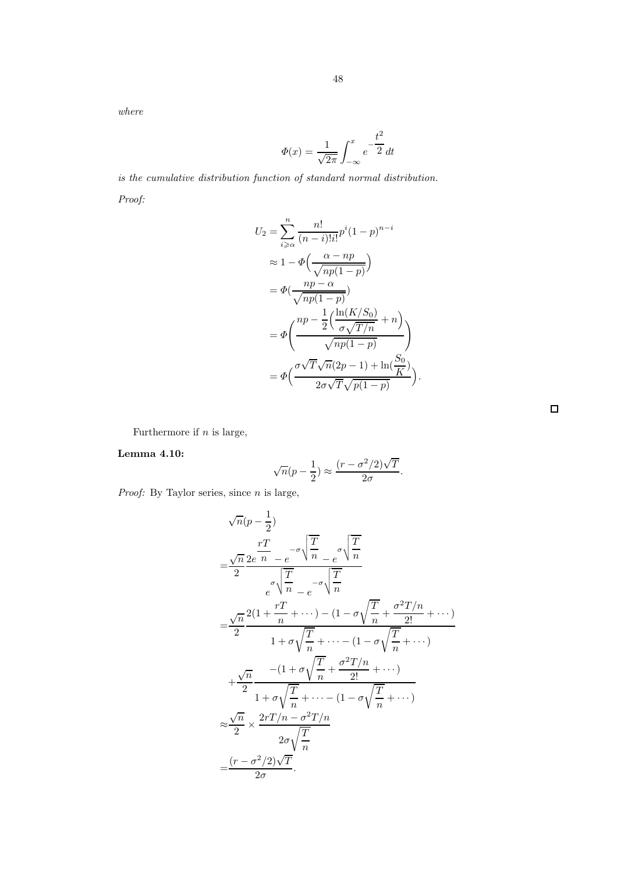$$
\Phi(x) = \frac{1}{\sqrt{2\pi}} \int_{-\infty}^{x} e^{-\frac{t^2}{2}} dt
$$

48

is the cumulative distribution function of standard normal distribution. Proof:

$$
U_2 = \sum_{i \ge \alpha}^{n} \frac{n!}{(n-i)!i!} p^i (1-p)^{n-i}
$$
  
\n
$$
\approx 1 - \Phi\left(\frac{\alpha - np}{\sqrt{np(1-p)}}\right)
$$
  
\n
$$
= \Phi\left(\frac{np - \alpha}{\sqrt{np(1-p)}}\right)
$$
  
\n
$$
= \Phi\left(\frac{np - \frac{1}{2}\left(\frac{\ln(K/S_0)}{\sigma\sqrt{T/n}} + n\right)}{\sqrt{np(1-p)}}\right)
$$
  
\n
$$
= \Phi\left(\frac{\sigma\sqrt{T}\sqrt{n}(2p-1) + \ln(\frac{S_0}{K})}{2\sigma\sqrt{T}\sqrt{p(1-p)}}\right).
$$

Furthermore if  $n$  is large,

#### Lemma 4.10:

$$
\sqrt{n}(p-\frac{1}{2}) \approx \frac{(r-\sigma^2/2)\sqrt{T}}{2\sigma}.
$$

*Proof:* By Taylor series, since  $n$  is large,

$$
\sqrt{n}(p-\frac{1}{2})
$$
\n
$$
=\frac{\sqrt{n}}{2}\frac{rT}{e^{\sigma}\sqrt{\frac{T}{n}}} - e^{-\sigma\sqrt{\frac{T}{n}}}
$$
\n
$$
= \frac{\sqrt{n}}{2}\frac{2(1+\frac{rT}{n}+\cdots)-(1-\sigma\sqrt{\frac{T}{n}}+\frac{\sigma^2T/n}{2!}+\cdots)}{1+\sigma\sqrt{\frac{T}{n}}+\cdots-(1-\sigma\sqrt{\frac{T}{n}}+\cdots)}
$$
\n
$$
+\frac{\sqrt{n}}{2}\frac{-(1+\sigma\sqrt{\frac{T}{n}}+\frac{\sigma^2T/n}{2!}+\cdots)}{1+\sigma\sqrt{\frac{T}{n}}+\cdots-(1-\sigma\sqrt{\frac{T}{n}}+\cdots)}
$$
\n
$$
\approx \frac{\sqrt{n}}{2} \times \frac{2rT/n-\sigma^2T/n}{2\sigma\sqrt{\frac{T}{n}}}
$$
\n
$$
=\frac{(r-\sigma^2/2)\sqrt{T}}{2\sigma}.
$$

 $\Box$ 

where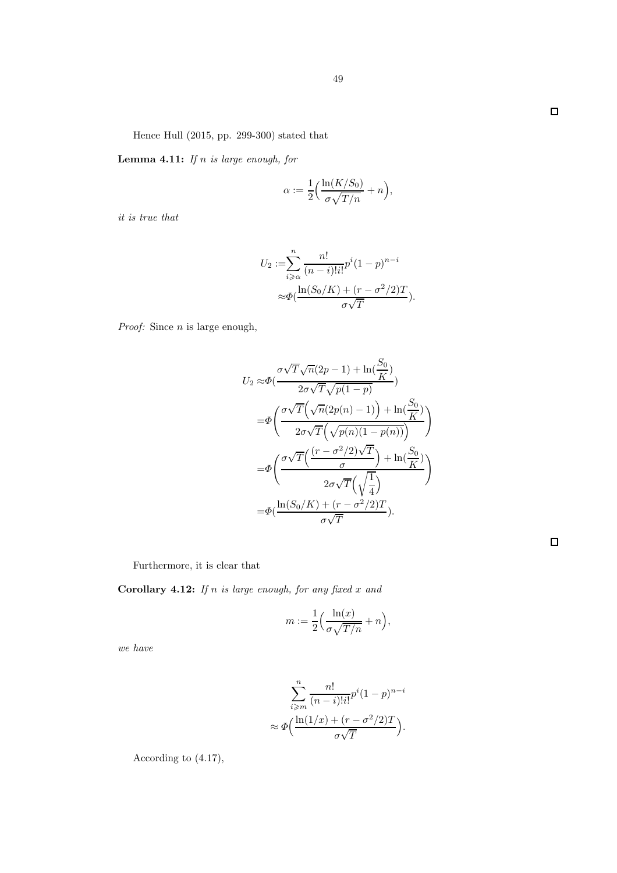Hence Hull (2015, pp. 299-300) stated that

**Lemma 4.11:** If  $n$  is large enough, for

$$
\alpha := \frac{1}{2} \Big( \frac{\ln(K/S_0)}{\sigma \sqrt{T/n}} + n \Big),\,
$$

it is true that

$$
U_2 := \sum_{i \geq \alpha}^{n} \frac{n!}{(n-i)!i!} p^i (1-p)^{n-i}
$$

$$
\approx \Phi\left(\frac{\ln(S_0/K) + (r - \sigma^2/2)T}{\sigma\sqrt{T}}\right).
$$

*Proof:* Since  $n$  is large enough,

$$
U_2 \approx \Phi\left(\frac{\sigma\sqrt{T}\sqrt{n}(2p-1) + \ln(\frac{S_0}{K})}{2\sigma\sqrt{T}\sqrt{p(1-p)}}\right)
$$
  
\n
$$
= \Phi\left(\frac{\sigma\sqrt{T}\left(\sqrt{n}(2p(n)-1)\right) + \ln(\frac{S_0}{K})}{2\sigma\sqrt{T}\left(\sqrt{p(n)(1-p(n))}\right)}\right)
$$
  
\n
$$
= \Phi\left(\frac{\sigma\sqrt{T}\left(\frac{(r-\sigma^2/2)\sqrt{T}}{\sigma}\right) + \ln(\frac{S_0}{K})}{2\sigma\sqrt{T}\left(\sqrt{\frac{1}{4}}\right)}\right)
$$
  
\n
$$
= \Phi\left(\frac{\ln(S_0/K) + (r-\sigma^2/2)T}{\sigma\sqrt{T}}\right).
$$

Furthermore, it is clear that

Corollary 4.12: If n is large enough, for any fixed  $x$  and

$$
m:=\frac{1}{2}\Big(\frac{\ln(x)}{\sigma\sqrt{T/n}}+n\Big),
$$

we have

$$
\sum_{i \geq m}^{n} \frac{n!}{(n-i)!i!} p^{i} (1-p)^{n-i}
$$

$$
\approx \Phi\left(\frac{\ln(1/x) + (r - \sigma^2/2)T}{\sigma\sqrt{T}}\right).
$$

According to (4.17),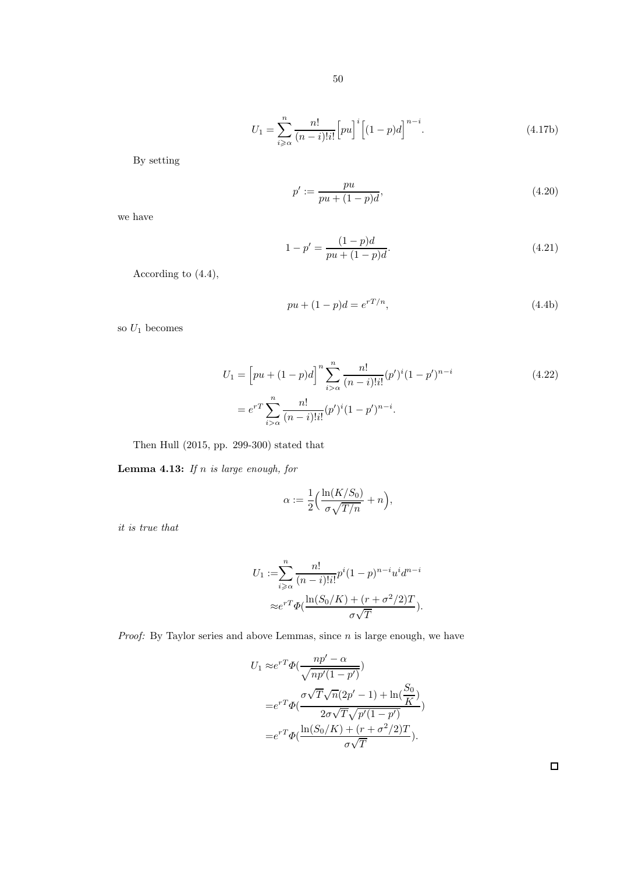$$
U_1 = \sum_{i \geq \alpha}^{n} \frac{n!}{(n-i)!i!} \left[ pu \right]^i \left[ (1-p)d \right]^{n-i}.
$$
 (4.17b)

By setting

$$
p' := \frac{pu}{pu + (1 - p)d},\tag{4.20}
$$

we have

$$
1 - p' = \frac{(1 - p)d}{pu + (1 - p)d}.
$$
\n(4.21)

According to (4.4),

$$
pu + (1 - p)d = e^{rT/n},
$$
\n(4.4b)

so  $U_1$  becomes

$$
U_1 = \left[ pu + (1-p)d \right]^n \sum_{i > \alpha}^n \frac{n!}{(n-i)!i!} (p')^i (1-p')^{n-i}
$$
  
= 
$$
e^{rT} \sum_{i > \alpha}^n \frac{n!}{(n-i)!i!} (p')^i (1-p')^{n-i}.
$$
 (4.22)

Then Hull (2015, pp. 299-300) stated that

Lemma 4.13: If  $n$  is large enough, for

$$
\alpha := \frac{1}{2} \Big( \frac{\ln(K/S_0)}{\sigma \sqrt{T/n}} + n \Big),\,
$$

it is true that

$$
U_1 := \sum_{i \geq \alpha}^{n} \frac{n!}{(n-i)!i!} p^i (1-p)^{n-i} u^i d^{n-i}
$$

$$
\approx e^{rT} \Phi\left(\frac{\ln(S_0/K) + (r + \sigma^2/2)T}{\sigma\sqrt{T}}\right).
$$

*Proof:* By Taylor series and above Lemmas, since  $n$  is large enough, we have

$$
U_1 \approx e^{rT} \Phi\left(\frac{np' - \alpha}{\sqrt{np'(1-p')}}\right)
$$
  
=  $e^{rT} \Phi\left(\frac{\sigma \sqrt{T} \sqrt{n}(2p' - 1) + \ln\left(\frac{S_0}{K}\right)}{2\sigma \sqrt{T} \sqrt{p'(1-p')}}\right)$   
=  $e^{rT} \Phi\left(\frac{\ln(S_0/K) + (r + \sigma^2/2)T}{\sigma \sqrt{T}}\right).$ 

 $\Box$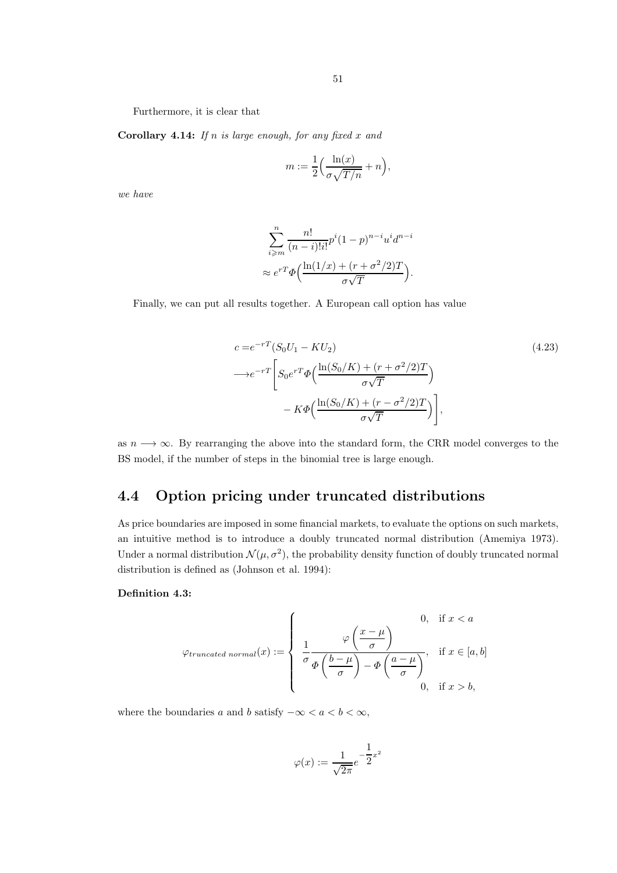Furthermore, it is clear that

Corollary 4.14: If n is large enough, for any fixed x and

$$
m:=\frac{1}{2}\Big(\frac{\ln(x)}{\sigma\sqrt{T/n}}+n\Big),
$$

we have

$$
\sum_{i \geqslant m}^{n} \frac{n!}{(n-i)!i!} p^{i} (1-p)^{n-i} u^{i} d^{n-i}
$$

$$
\approx e^{rT} \Phi\left(\frac{\ln(1/x) + (r + \sigma^2/2)T}{\sigma\sqrt{T}}\right).
$$

Finally, we can put all results together. A European call option has value

$$
c = e^{-rT} (S_0 U_1 - K U_2)
$$
\n
$$
\longrightarrow e^{-rT} \left[ S_0 e^{rT} \Phi \left( \frac{\ln(S_0/K) + (r + \sigma^2/2)T}{\sigma \sqrt{T}} \right) - K \Phi \left( \frac{\ln(S_0/K) + (r - \sigma^2/2)T}{\sigma \sqrt{T}} \right) \right],
$$
\n(4.23)

as  $n \longrightarrow \infty$ . By rearranging the above into the standard form, the CRR model converges to the BS model, if the number of steps in the binomial tree is large enough.

# 4.4 Option pricing under truncated distributions

As price boundaries are imposed in some financial markets, to evaluate the options on such markets, an intuitive method is to introduce a doubly truncated normal distribution (Amemiya 1973). Under a normal distribution  $\mathcal{N}(\mu, \sigma^2)$ , the probability density function of doubly truncated normal distribution is defined as (Johnson et al. 1994):

#### Definition 4.3:

$$
\varphi_{truncated\ normal}(x) := \begin{cases} & 0, \text{ if } x < a \\ & \frac{1}{\sigma} \frac{\varphi\left(\frac{x-\mu}{\sigma}\right)}{\Phi\left(\frac{b-\mu}{\sigma}\right) - \Phi\left(\frac{a-\mu}{\sigma}\right)}, & \text{if } x \in [a, b] \\ & 0, \text{ if } x > b, \end{cases}
$$

where the boundaries a and b satisfy  $-\infty < a < b < \infty$ ,

$$
\varphi(x) := \frac{1}{\sqrt{2\pi}} e^{-\frac{1}{2}x^2}
$$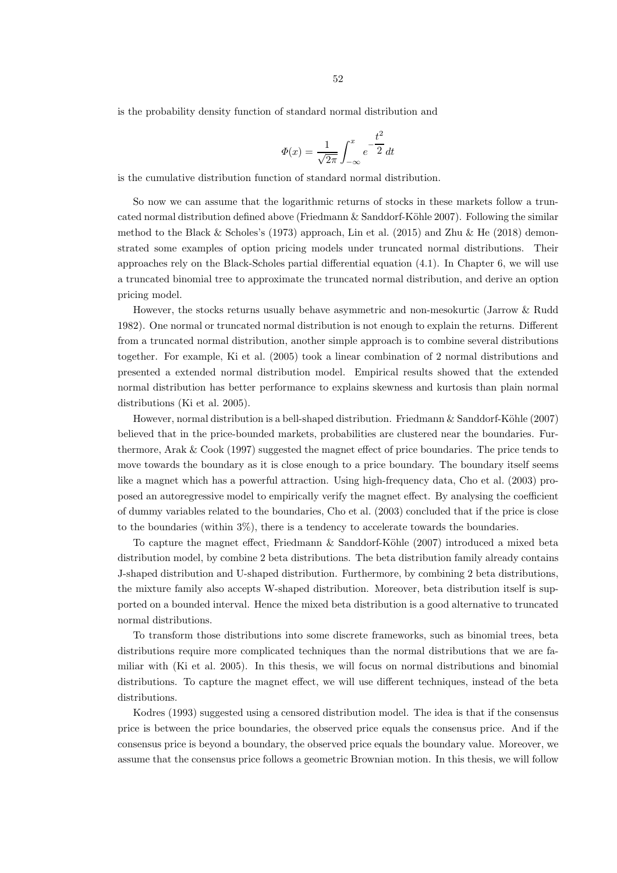is the probability density function of standard normal distribution and

$$
\Phi(x) = \frac{1}{\sqrt{2\pi}} \int_{-\infty}^{x} e^{-\frac{t^2}{2}} dt
$$

is the cumulative distribution function of standard normal distribution.

So now we can assume that the logarithmic returns of stocks in these markets follow a truncated normal distribution defined above (Friedmann  $\&$  Sanddorf-Köhle 2007). Following the similar method to the Black & Scholes's (1973) approach, Lin et al. (2015) and Zhu & He (2018) demonstrated some examples of option pricing models under truncated normal distributions. Their approaches rely on the Black-Scholes partial differential equation (4.1). In Chapter 6, we will use a truncated binomial tree to approximate the truncated normal distribution, and derive an option pricing model.

However, the stocks returns usually behave asymmetric and non-mesokurtic (Jarrow & Rudd 1982). One normal or truncated normal distribution is not enough to explain the returns. Different from a truncated normal distribution, another simple approach is to combine several distributions together. For example, Ki et al. (2005) took a linear combination of 2 normal distributions and presented a extended normal distribution model. Empirical results showed that the extended normal distribution has better performance to explains skewness and kurtosis than plain normal distributions (Ki et al. 2005).

However, normal distribution is a bell-shaped distribution. Friedmann & Sanddorf-Köhle (2007) believed that in the price-bounded markets, probabilities are clustered near the boundaries. Furthermore, Arak & Cook (1997) suggested the magnet effect of price boundaries. The price tends to move towards the boundary as it is close enough to a price boundary. The boundary itself seems like a magnet which has a powerful attraction. Using high-frequency data, Cho et al. (2003) proposed an autoregressive model to empirically verify the magnet effect. By analysing the coefficient of dummy variables related to the boundaries, Cho et al. (2003) concluded that if the price is close to the boundaries (within 3%), there is a tendency to accelerate towards the boundaries.

To capture the magnet effect, Friedmann  $\&$  Sanddorf-Köhle (2007) introduced a mixed beta distribution model, by combine 2 beta distributions. The beta distribution family already contains J-shaped distribution and U-shaped distribution. Furthermore, by combining 2 beta distributions, the mixture family also accepts W-shaped distribution. Moreover, beta distribution itself is supported on a bounded interval. Hence the mixed beta distribution is a good alternative to truncated normal distributions.

To transform those distributions into some discrete frameworks, such as binomial trees, beta distributions require more complicated techniques than the normal distributions that we are familiar with (Ki et al. 2005). In this thesis, we will focus on normal distributions and binomial distributions. To capture the magnet effect, we will use different techniques, instead of the beta distributions.

Kodres (1993) suggested using a censored distribution model. The idea is that if the consensus price is between the price boundaries, the observed price equals the consensus price. And if the consensus price is beyond a boundary, the observed price equals the boundary value. Moreover, we assume that the consensus price follows a geometric Brownian motion. In this thesis, we will follow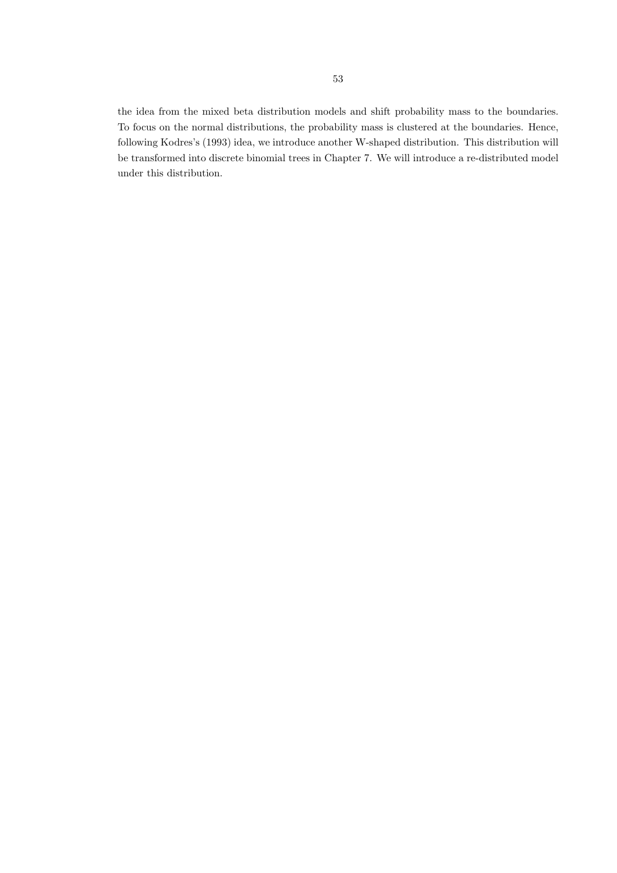the idea from the mixed beta distribution models and shift probability mass to the boundaries. To focus on the normal distributions, the probability mass is clustered at the boundaries. Hence, following Kodres's (1993) idea, we introduce another W-shaped distribution. This distribution will be transformed into discrete binomial trees in Chapter 7. We will introduce a re-distributed model under this distribution.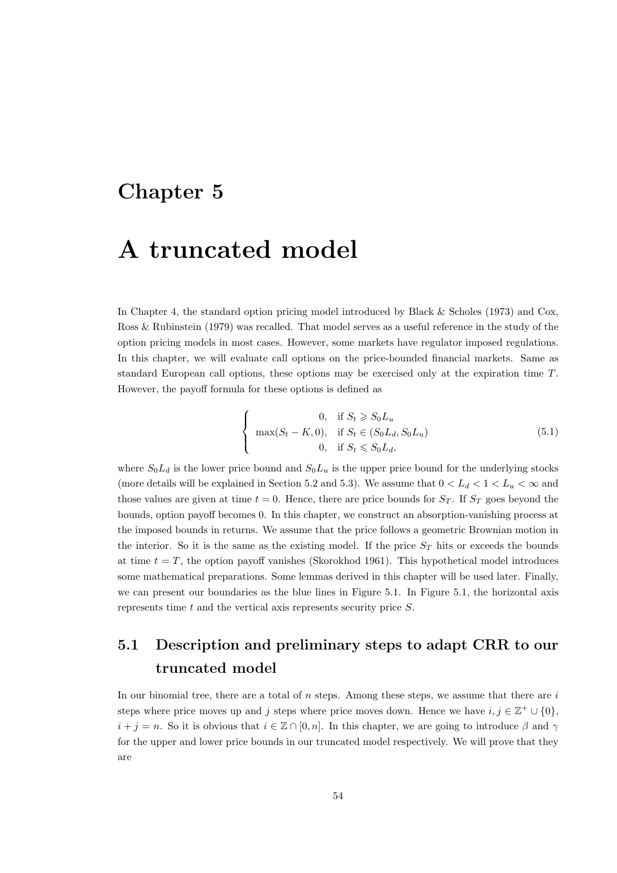# Chapter 5

# A truncated model

In Chapter 4, the standard option pricing model introduced by Black & Scholes (1973) and Cox, Ross & Rubinstein (1979) was recalled. That model serves as a useful reference in the study of the option pricing models in most cases. However, some markets have regulator imposed regulations. In this chapter, we will evaluate call options on the price-bounded financial markets. Same as standard European call options, these options may be exercised only at the expiration time  $T$ . However, the payoff formula for these options is defined as

$$
\begin{cases}\n0, & \text{if } S_t \ge S_0 L_u \\
\max(S_t - K, 0), & \text{if } S_t \in (S_0 L_d, S_0 L_u) \\
0, & \text{if } S_t \le S_0 L_d,\n\end{cases}
$$
\n(5.1)

where  $S_0L_d$  is the lower price bound and  $S_0L_u$  is the upper price bound for the underlying stocks (more details will be explained in Section 5.2 and 5.3). We assume that  $0 < L_d < 1 < L_u < \infty$  and those values are given at time  $t = 0$ . Hence, there are price bounds for  $S_T$ . If  $S_T$  goes beyond the bounds, option payoff becomes 0. In this chapter, we construct an absorption-vanishing process at the imposed bounds in returns. We assume that the price follows a geometric Brownian motion in the interior. So it is the same as the existing model. If the price  $S_T$  hits or exceeds the bounds at time  $t = T$ , the option payoff vanishes (Skorokhod 1961). This hypothetical model introduces some mathematical preparations. Some lemmas derived in this chapter will be used later. Finally, we can present our boundaries as the blue lines in Figure 5.1. In Figure 5.1, the horizontal axis represents time t and the vertical axis represents security price S.

# 5.1 Description and preliminary steps to adapt CRR to our truncated model

In our binomial tree, there are a total of  $n$  steps. Among these steps, we assume that there are  $i$ steps where price moves up and j steps where price moves down. Hence we have  $i, j \in \mathbb{Z}^+ \cup \{0\},$  $i + j = n$ . So it is obvious that  $i \in \mathbb{Z} \cap [0, n]$ . In this chapter, we are going to introduce  $\beta$  and  $\gamma$ for the upper and lower price bounds in our truncated model respectively. We will prove that they are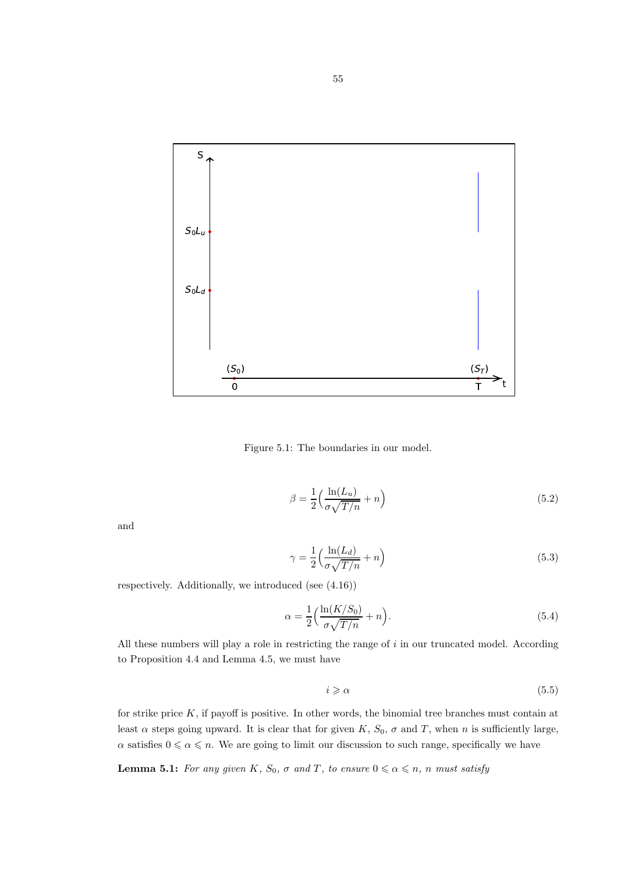

Figure 5.1: The boundaries in our model.

$$
\beta = \frac{1}{2} \left( \frac{\ln(L_u)}{\sigma \sqrt{T/n}} + n \right) \tag{5.2}
$$

and

$$
\gamma = \frac{1}{2} \left( \frac{\ln(L_d)}{\sigma \sqrt{T/n}} + n \right) \tag{5.3}
$$

respectively. Additionally, we introduced (see (4.16))

$$
\alpha = \frac{1}{2} \left( \frac{\ln(K/S_0)}{\sigma \sqrt{T/n}} + n \right). \tag{5.4}
$$

All these numbers will play a role in restricting the range of i in our truncated model. According to Proposition 4.4 and Lemma 4.5, we must have

$$
i \geqslant \alpha \tag{5.5}
$$

for strike price  $K$ , if payoff is positive. In other words, the binomial tree branches must contain at least  $\alpha$  steps going upward. It is clear that for given K,  $S_0$ ,  $\sigma$  and T, when n is sufficiently large,  $\alpha$  satisfies  $0 \le \alpha \le n$ . We are going to limit our discussion to such range, specifically we have

**Lemma 5.1:** For any given K,  $S_0$ ,  $\sigma$  and T, to ensure  $0 \le \alpha \le n$ , n must satisfy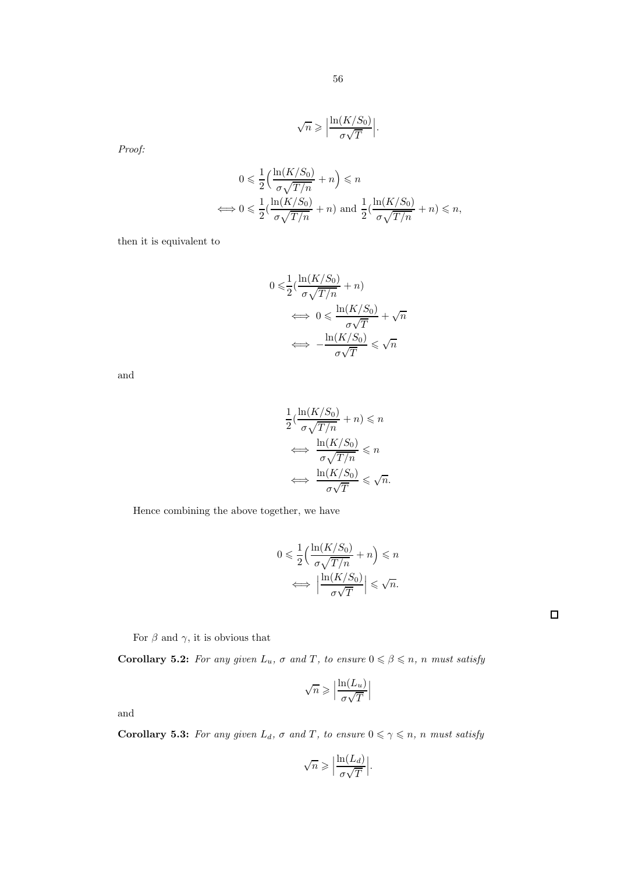$$
\sqrt{n} \geqslant \left| \frac{\ln(K/S_0)}{\sigma \sqrt{T}} \right|.
$$

Proof:

$$
0 \leq \frac{1}{2} \left( \frac{\ln(K/S_0)}{\sigma \sqrt{T/n}} + n \right) \leq n
$$
  

$$
\iff 0 \leq \frac{1}{2} \left( \frac{\ln(K/S_0)}{\sigma \sqrt{T/n}} + n \right) \text{ and } \frac{1}{2} \left( \frac{\ln(K/S_0)}{\sigma \sqrt{T/n}} + n \right) \leq n,
$$

then it is equivalent to

$$
0 \le \frac{1}{2} \left( \frac{\ln(K/S_0)}{\sigma \sqrt{T/n}} + n \right)
$$

$$
\iff 0 \le \frac{\ln(K/S_0)}{\sigma \sqrt{T}} + \sqrt{n}
$$

$$
\iff -\frac{\ln(K/S_0)}{\sigma \sqrt{T}} \le \sqrt{n}
$$

and

$$
\frac{1}{2}(\frac{\ln(K/S_0)}{\sigma\sqrt{T/n}} + n) \leq n
$$

$$
\iff \frac{\ln(K/S_0)}{\sigma\sqrt{T/n}} \leq n
$$

$$
\iff \frac{\ln(K/S_0)}{\sigma\sqrt{T}} \leq \sqrt{n}.
$$

Hence combining the above together, we have

$$
0 \leq \frac{1}{2} \left( \frac{\ln(K/S_0)}{\sigma \sqrt{T/n}} + n \right) \leq n
$$

$$
\iff \left| \frac{\ln(K/S_0)}{\sigma \sqrt{T}} \right| \leq \sqrt{n}.
$$

For  $\beta$  and  $\gamma$ , it is obvious that

**Corollary 5.2:** For any given  $L_u$ ,  $\sigma$  and  $T$ , to ensure  $0 \le \beta \le n$ , n must satisfy

$$
\sqrt{n} \geqslant \Big\lvert \frac{\ln(L_u)}{\sigma \sqrt{T}} \Big\rvert
$$

and

**Corollary 5.3:** For any given  $L_d$ ,  $\sigma$  and T, to ensure  $0 \leq \gamma \leq n$ , n must satisfy

$$
\sqrt{n} \geqslant \Big| \frac{\ln(L_d)}{\sigma \sqrt{T}} \Big|.
$$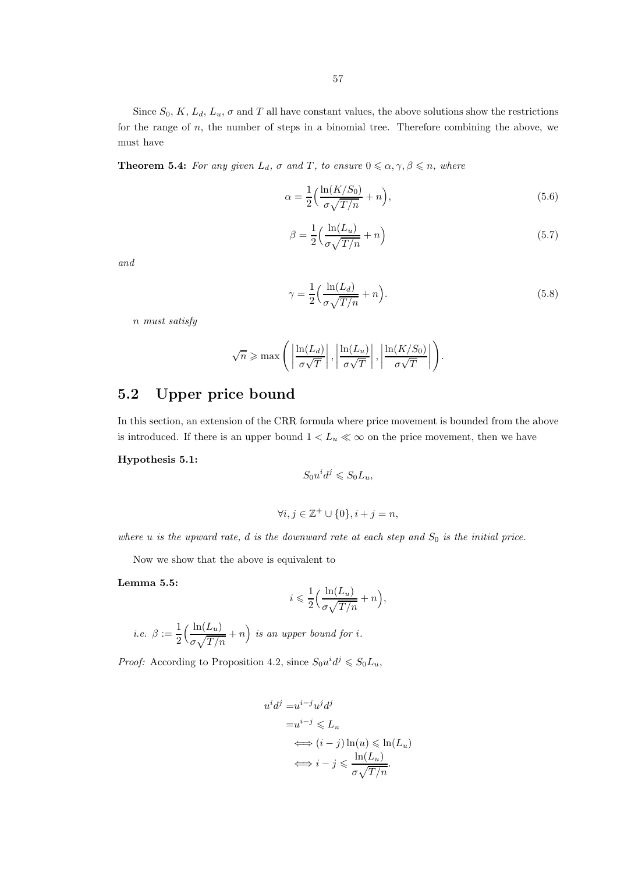Since  $S_0, K, L_d, L_u, \sigma$  and T all have constant values, the above solutions show the restrictions for the range of  $n$ , the number of steps in a binomial tree. Therefore combining the above, we must have

**Theorem 5.4:** For any given  $L_d$ ,  $\sigma$  and  $T$ , to ensure  $0 \leq \alpha, \gamma, \beta \leq n$ , where

$$
\alpha = \frac{1}{2} \left( \frac{\ln(K/S_0)}{\sigma \sqrt{T/n}} + n \right),\tag{5.6}
$$

$$
\beta = \frac{1}{2} \left( \frac{\ln(L_u)}{\sigma \sqrt{T/n}} + n \right) \tag{5.7}
$$

and

$$
\gamma = \frac{1}{2} \left( \frac{\ln(L_d)}{\sigma \sqrt{T/n}} + n \right). \tag{5.8}
$$

.

n must satisfy

$$
\sqrt{n} \ge \max\left(\left|\frac{\ln(L_d)}{\sigma\sqrt{T}}\right|, \left|\frac{\ln(L_u)}{\sigma\sqrt{T}}\right|, \left|\frac{\ln(K/S_0)}{\sigma\sqrt{T}}\right|\right)
$$

# 5.2 Upper price bound

In this section, an extension of the CRR formula where price movement is bounded from the above is introduced. If there is an upper bound  $1 < L_u \ll \infty$  on the price movement, then we have

#### Hypothesis 5.1:

$$
S_0 u^i d^j \leqslant S_0 L_u,
$$

$$
\forall i,j\in \mathbb{Z}^+\cup\{0\}, i+j=n,
$$

where u is the upward rate, d is the downward rate at each step and  $S_0$  is the initial price.

Now we show that the above is equivalent to

Lemma 5.5:

$$
i\leqslant \frac{1}{2}\Big(\frac{\ln(L_u)}{\sigma\sqrt{T/n}}+n\Big),
$$

i.e. 
$$
\beta := \frac{1}{2} \Big( \frac{\ln(L_u)}{\sigma \sqrt{T/n}} + n \Big)
$$
 is an upper bound for i.

*Proof:* According to Proposition 4.2, since  $S_0 u^i d^j \leq S_0 L_u$ ,

$$
u^{i}d^{j} = u^{i-j}u^{j}d^{j}
$$
  
\n
$$
= u^{i-j} \leq L_{u}
$$
  
\n
$$
\iff (i-j)\ln(u) \leq \ln(L_{u})
$$
  
\n
$$
\iff i-j \leq \frac{\ln(L_{u})}{\sigma\sqrt{T/n}}.
$$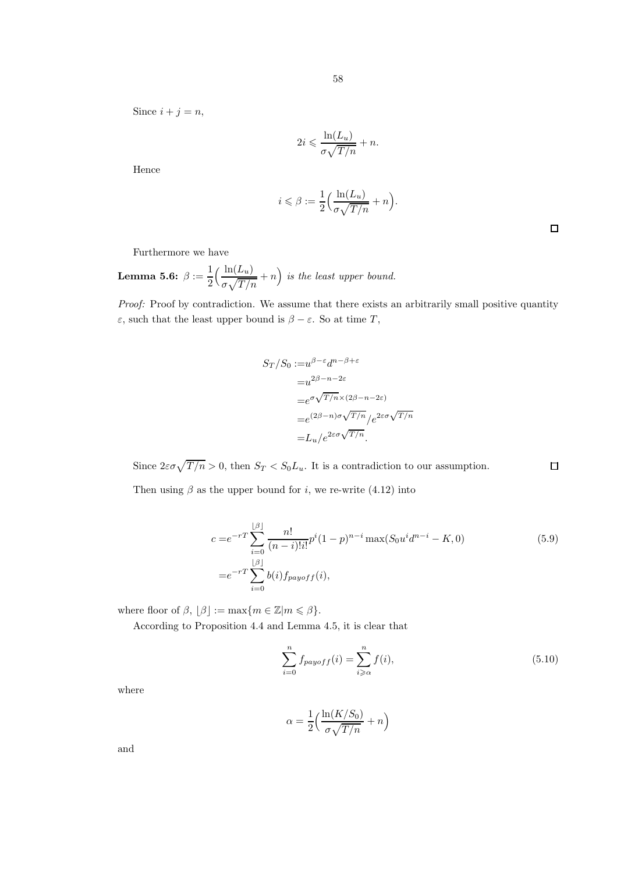Since  $i + j = n$ ,

$$
2i \leqslant \frac{\ln(L_u)}{\sigma\sqrt{T/n}} + n.
$$

Hence

$$
i \leqslant \beta := \frac{1}{2} \Big( \frac{\ln(L_u)}{\sigma \sqrt{T/n}} + n \Big).
$$

 $\Box$ 

Furthermore we have

Lemma 5.6:  $\beta := \frac{1}{2}$ 2  $\int \frac{\ln(L_u)}{L_u}$  $\sigma\sqrt{T/n}$  $+n$ ) is the least upper bound.

Proof: Proof by contradiction. We assume that there exists an arbitrarily small positive quantity  $\varepsilon$ , such that the least upper bound is  $\beta - \varepsilon$ . So at time T,

$$
S_T/S_0 := u^{\beta-\varepsilon} d^{n-\beta+\varepsilon}
$$
  
=  $u^{2\beta-n-2\varepsilon}$   
=  $e^{\sigma \sqrt{T/n} \times (2\beta-n-2\varepsilon)}$   
=  $e^{(2\beta-n)\sigma \sqrt{T/n}} / e^{2\varepsilon \sigma \sqrt{T/n}}$   
=  $L_u / e^{2\varepsilon \sigma \sqrt{T/n}}$ .

Since  $2\varepsilon\sigma\sqrt{T/n} > 0$ , then  $S_T < S_0L_u$ . It is a contradiction to our assumption.  $\Box$ 

Then using  $\beta$  as the upper bound for *i*, we re-write (4.12) into

$$
c = e^{-rT} \sum_{i=0}^{\lfloor \beta \rfloor} \frac{n!}{(n-i)!i!} p^i (1-p)^{n-i} \max(S_0 u^i d^{n-i} - K, 0)
$$
\n
$$
= e^{-rT} \sum_{i=0}^{\lfloor \beta \rfloor} b(i) f_{payoff}(i),
$$
\n(5.9)

where floor of  $\beta$ ,  $|\beta| := \max\{m \in \mathbb{Z}|m \leq \beta\}.$ 

According to Proposition 4.4 and Lemma 4.5, it is clear that

$$
\sum_{i=0}^{n} f_{payoff}(i) = \sum_{i \ge \alpha}^{n} f(i),
$$
\n(5.10)

where

$$
\alpha = \frac{1}{2} \Big( \frac{\ln(K/S_0)}{\sigma \sqrt{T/n}} + n \Big)
$$

and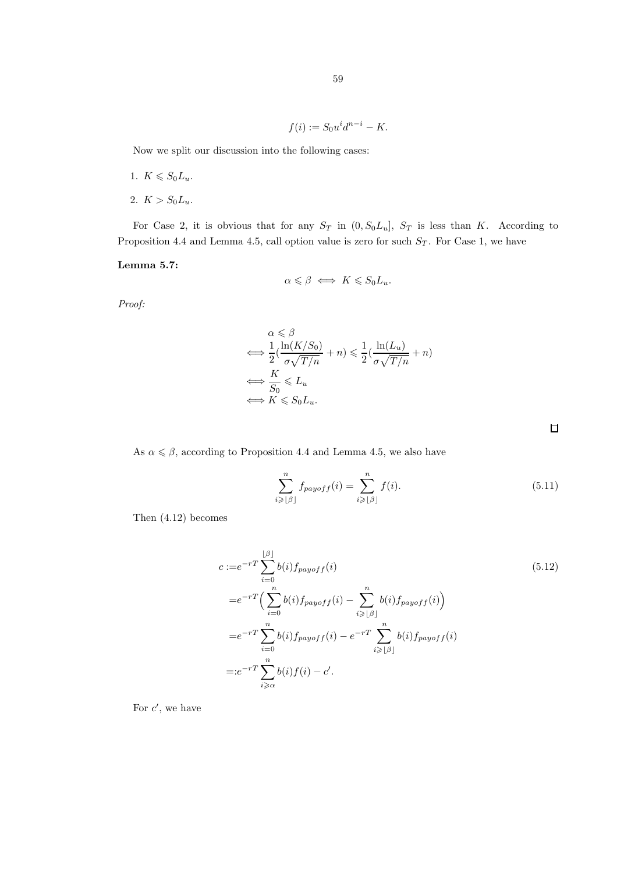$$
f(i) := S_0 u^i d^{n-i} - K.
$$

Now we split our discussion into the following cases:

- 1.  $K \leqslant S_0 L_u$ .
- 2.  $K > S_0L_u$ .

For Case 2, it is obvious that for any  $S_T$  in  $(0, S_0L_u]$ ,  $S_T$  is less than K. According to Proposition 4.4 and Lemma 4.5, call option value is zero for such  $S_T$ . For Case 1, we have

#### Lemma 5.7:

$$
\alpha \leqslant \beta \iff K \leqslant S_0 L_u.
$$

Proof:

$$
\alpha \leqslant \beta
$$
\n
$$
\iff \frac{1}{2}(\frac{\ln(K/S_0)}{\sigma\sqrt{T/n}} + n) \leqslant \frac{1}{2}(\frac{\ln(L_u)}{\sigma\sqrt{T/n}} + n)
$$
\n
$$
\iff \frac{K}{S_0} \leqslant L_u
$$
\n
$$
\iff K \leqslant S_0L_u.
$$

As  $\alpha \leq \beta$ , according to Proposition 4.4 and Lemma 4.5, we also have

$$
\sum_{i\geqslant\lfloor\beta\rfloor}^n f_{payoff}(i) = \sum_{i\geqslant\lfloor\beta\rfloor}^n f(i). \tag{5.11}
$$

Then (4.12) becomes

$$
c := e^{-rT} \sum_{i=0}^{\lfloor \beta \rfloor} b(i) f_{payoff}(i)
$$
\n
$$
= e^{-rT} \Big( \sum_{i=0}^{n} b(i) f_{payoff}(i) - \sum_{i \geq \lfloor \beta \rfloor}^{n} b(i) f_{payoff}(i) \Big)
$$
\n
$$
= e^{-rT} \sum_{i=0}^{n} b(i) f_{payoff}(i) - e^{-rT} \sum_{i \geq \lfloor \beta \rfloor}^{n} b(i) f_{payoff}(i)
$$
\n
$$
= : e^{-rT} \sum_{i \geq \alpha}^{n} b(i) f(i) - c'.
$$
\n
$$
(5.12)
$$

For  $c'$ , we have

 $\Box$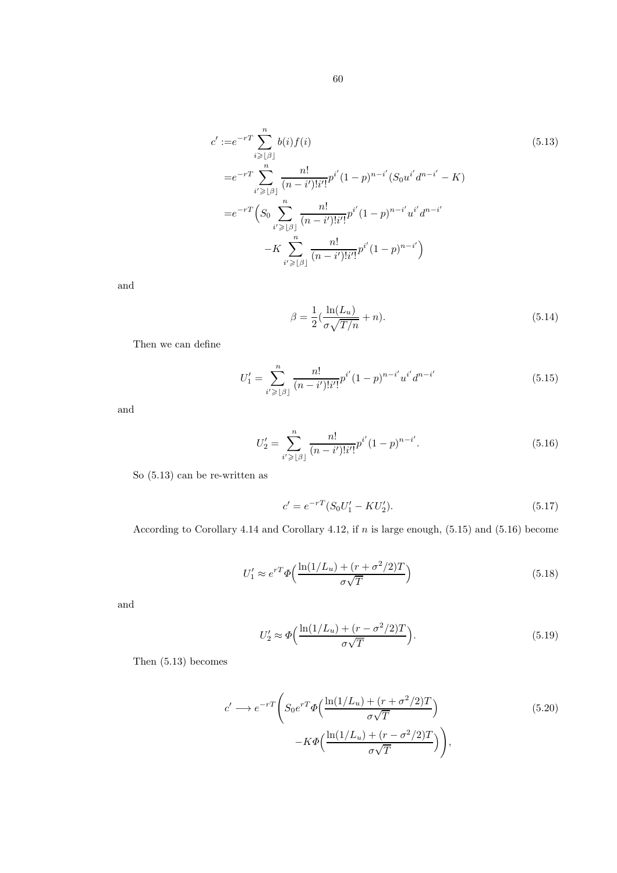$$
c' := e^{-rT} \sum_{i \geq |\beta|}^{n} b(i) f(i)
$$
\n
$$
= e^{-rT} \sum_{i' \geq |\beta|}^{n} \frac{n!}{(n-i')!i'!} p^{i'} (1-p)^{n-i'} (S_0 u^{i'} d^{n-i'} - K)
$$
\n
$$
= e^{-rT} \left( S_0 \sum_{i' \geq |\beta|}^{n} \frac{n!}{(n-i')!i'!} p^{i'} (1-p)^{n-i'} u^{i'} d^{n-i'}
$$
\n
$$
-K \sum_{i' \geq |\beta|}^{n} \frac{n!}{(n-i')!i'!} p^{i'} (1-p)^{n-i'} \right)
$$
\n(5.13)

and

$$
\beta = \frac{1}{2} \left( \frac{\ln(L_u)}{\sigma \sqrt{T/n}} + n \right). \tag{5.14}
$$

Then we can define

$$
U_1' = \sum_{i' \geq |\beta|}^{n} \frac{n!}{(n-i')!i'!} p^{i'} (1-p)^{n-i'} u^{i'} d^{n-i'}
$$
 (5.15)

and

$$
U_2' = \sum_{i' \geq |\beta|}^{n} \frac{n!}{(n-i')!i'!} p^{i'} (1-p)^{n-i'}.
$$
\n(5.16)

So (5.13) can be re-written as

$$
c' = e^{-rT}(S_0U'_1 - KU'_2). \tag{5.17}
$$

According to Corollary 4.14 and Corollary 4.12, if n is large enough, (5.15) and (5.16) become

$$
U_1' \approx e^{rT} \Phi\left(\frac{\ln(1/L_u) + (r + \sigma^2/2)T}{\sigma\sqrt{T}}\right)
$$
\n(5.18)

and

$$
U_2' \approx \Phi\left(\frac{\ln(1/L_u) + (r - \sigma^2/2)T}{\sigma\sqrt{T}}\right). \tag{5.19}
$$

Then (5.13) becomes

$$
c' \longrightarrow e^{-rT} \left( S_0 e^{rT} \Phi \left( \frac{\ln(1/L_u) + (r + \sigma^2/2)T}{\sigma \sqrt{T}} \right) - K \Phi \left( \frac{\ln(1/L_u) + (r - \sigma^2/2)T}{\sigma \sqrt{T}} \right) \right),
$$
\n(5.20)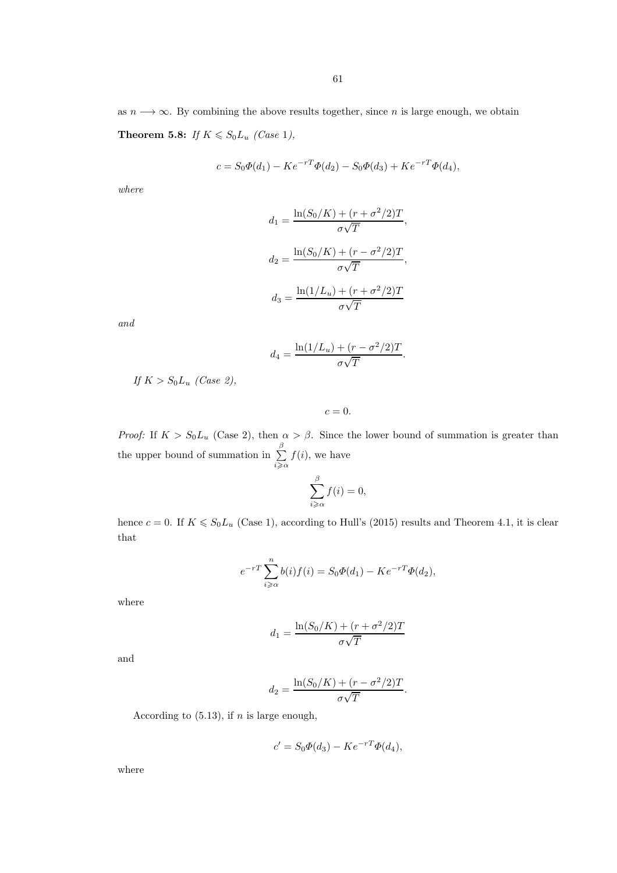as  $n \longrightarrow \infty$ . By combining the above results together, since n is large enough, we obtain Theorem 5.8: If  $K \le S_0 L_u$  (Case 1),

$$
c = S_0 \Phi(d_1) - K e^{-rT} \Phi(d_2) - S_0 \Phi(d_3) + K e^{-rT} \Phi(d_4),
$$

where

$$
d_1 = \frac{\ln(S_0/K) + (r + \sigma^2/2)T}{\sigma\sqrt{T}},
$$

$$
d_2 = \frac{\ln(S_0/K) + (r - \sigma^2/2)T}{\sigma\sqrt{T}},
$$

$$
d_3 = \frac{\ln(1/L_u) + (r + \sigma^2/2)T}{\sigma\sqrt{T}}
$$

and

$$
d_4 = \frac{\ln(1/L_u) + (r - \sigma^2/2)T}{\sigma\sqrt{T}}.
$$

If  $K > S_0L_u$  (Case 2),

 $c=0.$ 

*Proof:* If  $K > S_0L_u$  (Case 2), then  $\alpha > \beta$ . Since the lower bound of summation is greater than the upper bound of summation in  $\sum^{\beta}$  $i \geqslant \alpha$  $f(i)$ , we have

$$
\sum_{i\geqslant\alpha}^{\beta}f(i)=0,
$$

hence  $c = 0$ . If  $K \le S_0 L_u$  (Case 1), according to Hull's (2015) results and Theorem 4.1, it is clear that

$$
e^{-rT} \sum_{i \geqslant \alpha}^{n} b(i) f(i) = S_0 \Phi(d_1) - K e^{-rT} \Phi(d_2),
$$

where

$$
d_1 = \frac{\ln(S_0/K) + (r + \sigma^2/2)T}{\sigma\sqrt{T}}
$$

and

$$
d_2 = \frac{\ln(S_0/K) + (r - \sigma^2/2)T}{\sigma\sqrt{T}}.
$$

According to  $(5.13)$ , if *n* is large enough,

$$
c' = S_0 \Phi(d_3) - K e^{-rT} \Phi(d_4),
$$

where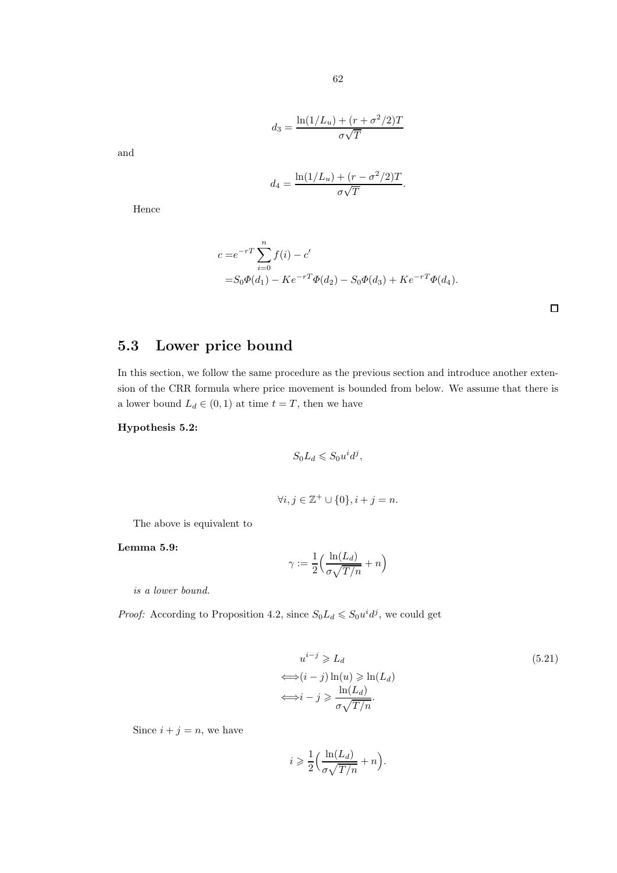$$
d_3 = \frac{\ln(1/L_u) + (r + \sigma^2/2)T}{\sigma\sqrt{T}}
$$

and

$$
d_4 = \frac{\ln(1/L_u) + (r - \sigma^2/2)T}{\sigma\sqrt{T}}
$$

.

Hence

$$
c = e^{-rT} \sum_{i=0}^{n} f(i) - c'
$$
  
=  $S_0 \Phi(d_1) - Ke^{-rT} \Phi(d_2) - S_0 \Phi(d_3) + Ke^{-rT} \Phi(d_4)$ .

# 5.3 Lower price bound

In this section, we follow the same procedure as the previous section and introduce another extension of the CRR formula where price movement is bounded from below. We assume that there is a lower bound  $L_d \in (0,1)$  at time  $t = T$ , then we have

#### Hypothesis 5.2:

$$
S_0 L_d \leqslant S_0 u^i d^j,
$$

$$
\forall i, j \in \mathbb{Z}^+ \cup \{0\}, i+j = n.
$$

The above is equivalent to

Lemma 5.9:

$$
\gamma := \frac{1}{2} \Big( \frac{\ln(L_d)}{\sigma \sqrt{T/n}} + n \Big)
$$

is a lower bound.

*Proof:* According to Proposition 4.2, since  $S_0L_d \leq S_0u^id^j$ , we could get

$$
u^{i-j} \ge L_d
$$
\n
$$
\iff (i-j)\ln(u) \ge \ln(L_d)
$$
\n
$$
\iff i-j \ge \frac{\ln(L_d)}{\sigma\sqrt{T/n}}.
$$
\n(5.21)

Since  $i + j = n$ , we have

$$
i \geqslant \frac{1}{2} \Big( \frac{\ln(L_d)}{\sigma \sqrt{T/n}} + n \Big).
$$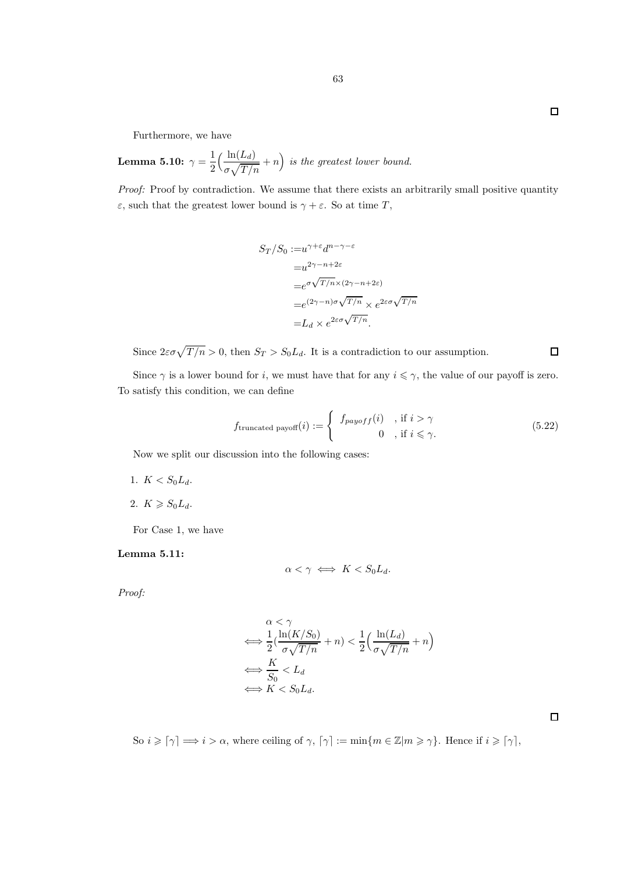Lemma 5.10:  $\gamma = \frac{1}{2}$ 2  $\int \frac{\ln(L_d)}{L_d}$  $\sigma\sqrt{T/n}$  $+n$ ) is the greatest lower bound.

Proof: Proof by contradiction. We assume that there exists an arbitrarily small positive quantity  $\varepsilon$ , such that the greatest lower bound is  $\gamma + \varepsilon$ . So at time T,

$$
S_T/S_0 := u^{\gamma + \varepsilon} d^{n - \gamma - \varepsilon}
$$
  
\n
$$
= u^{2\gamma - n + 2\varepsilon}
$$
  
\n
$$
= e^{\sigma \sqrt{T/n} \times (2\gamma - n + 2\varepsilon)}
$$
  
\n
$$
= e^{(2\gamma - n)\sigma \sqrt{T/n}} \times e^{2\varepsilon \sigma \sqrt{T/n}}
$$
  
\n
$$
= L_d \times e^{2\varepsilon \sigma \sqrt{T/n}}.
$$

Since  $2\varepsilon\sigma\sqrt{T/n} > 0$ , then  $S_T > S_0L_d$ . It is a contradiction to our assumption.

Since  $\gamma$  is a lower bound for *i*, we must have that for any  $i \leq \gamma$ , the value of our payoff is zero. To satisfy this condition, we can define

$$
f_{\text{truncated payoff}}(i) := \begin{cases} f_{payoff}(i) & \text{if } i > \gamma \\ 0 & \text{if } i \leq \gamma. \end{cases} \tag{5.22}
$$

Now we split our discussion into the following cases:

- 1.  $K < S_0 L_d$ .
- 2.  $K \geqslant S_0 L_d$ .

For Case 1, we have

#### Lemma 5.11:

$$
\alpha < \gamma \iff K < S_0 L_d.
$$

Proof:

$$
\alpha < \gamma
$$
\n
$$
\iff \frac{1}{2} \left( \frac{\ln(K/S_0)}{\sigma \sqrt{T/n}} + n \right) < \frac{1}{2} \left( \frac{\ln(L_d)}{\sigma \sqrt{T/n}} + n \right)
$$
\n
$$
\iff \frac{K}{S_0} < L_d
$$
\n
$$
\iff K < S_0 L_d.
$$

So  $i \geq \lceil \gamma \rceil \Longrightarrow i > \alpha$ , where ceiling of  $\gamma$ ,  $\lceil \gamma \rceil := \min\{m \in \mathbb{Z} | m \geq \gamma\}$ . Hence if  $i \geq \lceil \gamma \rceil$ ,

 $\Box$ 

 $\Box$ 

 $\Box$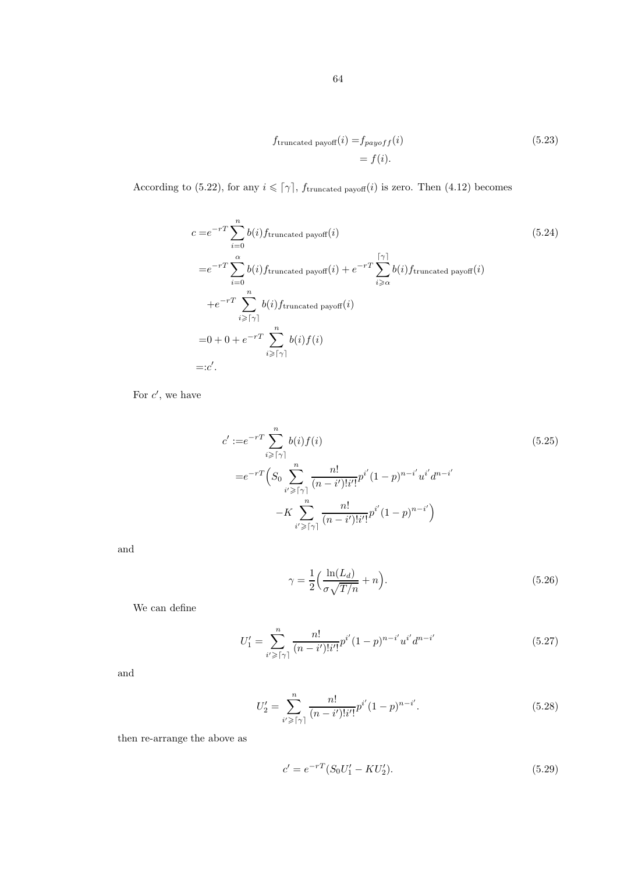$$
f_{\text{truncated payoff}}(i) = f_{payoff}(i)
$$
\n
$$
= f(i).
$$
\n(5.23)

According to (5.22), for any  $i \leq \lceil \gamma \rceil$ ,  $f_{\text{truncated payoff}}(i)$  is zero. Then (4.12) becomes

$$
c = e^{-rT} \sum_{i=0}^{n} b(i) f_{\text{truncated payoff}}(i)
$$
\n
$$
= e^{-rT} \sum_{i=0}^{\alpha} b(i) f_{\text{truncated payoff}}(i) + e^{-rT} \sum_{i \ge \alpha}^{\lceil \gamma \rceil} b(i) f_{\text{truncated payoff}}(i)
$$
\n
$$
+ e^{-rT} \sum_{i \ge \lceil \gamma \rceil}^{n} b(i) f_{\text{truncated payoff}}(i)
$$
\n
$$
= 0 + 0 + e^{-rT} \sum_{i \ge \lceil \gamma \rceil}^{n} b(i) f(i)
$$
\n
$$
= :c'.
$$
\n(5.24) (5.24)\n(6.24) (7.24) (8.24) (9.24) (10.24) (11.24) (12.24) (13.24) (14.24) (15.24) (17.24) (18.24) (19.24) (19.24) (19.24) (19.24) (19.24) (19.24) (19.24) (19.24) (19.24) (19.24) (19.24) (19.24) (19.24) (19.24) (19.24) (19.24) (19.24) (19.24) (19.24) (19.24) (19.24) (19.24) (19.24) (19.24) (19.24) (19.24) (19.24) (19.24) (19.24) (19.24) (19.24) (19.24) (19.24) (19.24) (19.24) (19.24) (19.24) (19.24) (19.24) (19.24) (19.24) (19.24) (19.24) (19.24) (19.24) (19.24) (19.24) (19.24) (19.24) (19.24) (19.24) (19.24) (19.24) (19.24) (19.24) (19.24) (19.24) (19.24) (19.24) (19.24) (19.24) (19.24) (19.24)

For  $c'$ , we have

$$
c' := e^{-rT} \sum_{i \geq \lceil \gamma \rceil}^{n} b(i) f(i)
$$
\n
$$
= e^{-rT} \left( S_0 \sum_{i' \geq \lceil \gamma \rceil}^{n} \frac{n!}{(n - i')! i'!} p^{i'} (1 - p)^{n - i'} u^{i'} d^{n - i'} \right)
$$
\n
$$
-K \sum_{i' \geq \lceil \gamma \rceil}^{n} \frac{n!}{(n - i')! i'!} p^{i'} (1 - p)^{n - i'}
$$
\n(5.25)

and

$$
\gamma = \frac{1}{2} \left( \frac{\ln(L_d)}{\sigma \sqrt{T/n}} + n \right). \tag{5.26}
$$

We can define

$$
U_1' = \sum_{i' \geq \lceil \gamma \rceil}^{n} \frac{n!}{(n - i')! i'!} p^{i'} (1 - p)^{n - i'} u^{i'} d^{n - i'} \tag{5.27}
$$

and

$$
U_2' = \sum_{i' \geq \lceil \gamma \rceil}^{n} \frac{n!}{(n - i')! i'!} p^{i'} (1 - p)^{n - i'}.
$$
\n(5.28)

then re-arrange the above as

$$
c' = e^{-rT}(S_0U'_1 - KU'_2). \tag{5.29}
$$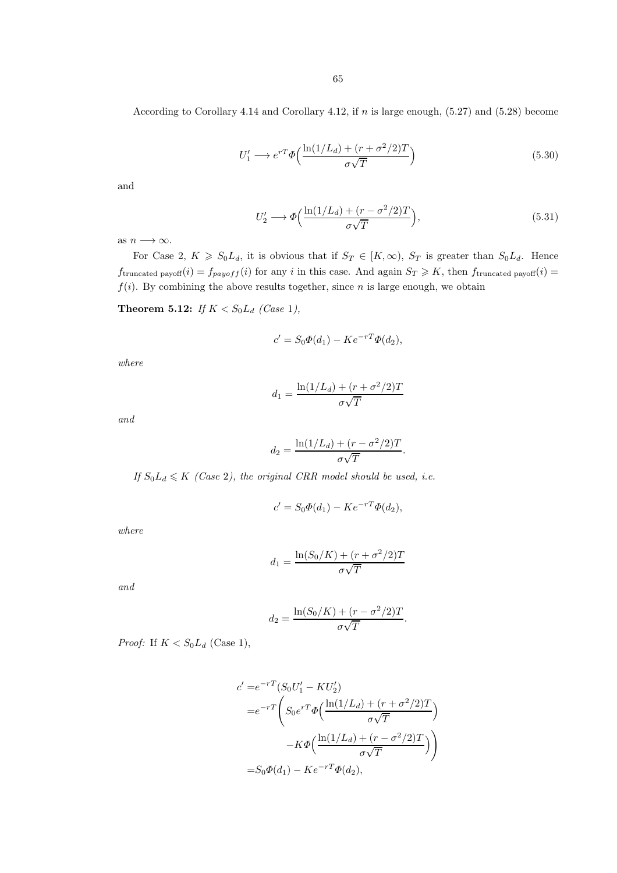According to Corollary 4.14 and Corollary 4.12, if n is large enough, (5.27) and (5.28) become

$$
U_1' \longrightarrow e^{rT} \Phi\left(\frac{\ln(1/L_d) + (r + \sigma^2/2)T}{\sigma\sqrt{T}}\right)
$$
\n(5.30)

and

$$
U_2' \longrightarrow \Phi\left(\frac{\ln(1/L_d) + (r - \sigma^2/2)T}{\sigma\sqrt{T}}\right),\tag{5.31}
$$

as  $n \longrightarrow \infty$ .

For Case 2,  $K \ge S_0L_d$ , it is obvious that if  $S_T \in [K,\infty)$ ,  $S_T$  is greater than  $S_0L_d$ . Hence  $f_{\text{truncated payoff}}(i) = f_{payoff}(i)$  for any i in this case. And again  $S_T \geq K$ , then  $f_{\text{truncated payoff}}(i)$  $f(i)$ . By combining the above results together, since n is large enough, we obtain

**Theorem 5.12:** If  $K < S_0L_d$  (Case 1),

$$
c' = S_0 \Phi(d_1) - K e^{-rT} \Phi(d_2),
$$

where

$$
d_1 = \frac{\ln(1/L_d) + (r + \sigma^2/2)T}{\sigma\sqrt{T}}
$$

and

$$
d_2 = \frac{\ln(1/L_d) + (r - \sigma^2/2)T}{\sigma\sqrt{T}}.
$$

If  $S_0L_d \leq K$  (Case 2), the original CRR model should be used, i.e.

$$
c' = S_0 \Phi(d_1) - K e^{-rT} \Phi(d_2),
$$

where

$$
d_1 = \frac{\ln(S_0/K) + (r + \sigma^2/2)T}{\sigma\sqrt{T}}
$$

and

$$
d_2 = \frac{\ln(S_0/K) + (r - \sigma^2/2)T}{\sigma\sqrt{T}}.
$$

*Proof:* If  $K < S_0L_d$  (Case 1),

$$
c' = e^{-rT} (S_0 U_1' - K U_2')
$$
  
= 
$$
e^{-rT} \left( S_0 e^{rT} \Phi \left( \frac{\ln(1/L_d) + (r + \sigma^2/2)T}{\sigma \sqrt{T}} \right) - K \Phi \left( \frac{\ln(1/L_d) + (r - \sigma^2/2)T}{\sigma \sqrt{T}} \right) \right)
$$
  
= 
$$
S_0 \Phi(d_1) - K e^{-rT} \Phi(d_2),
$$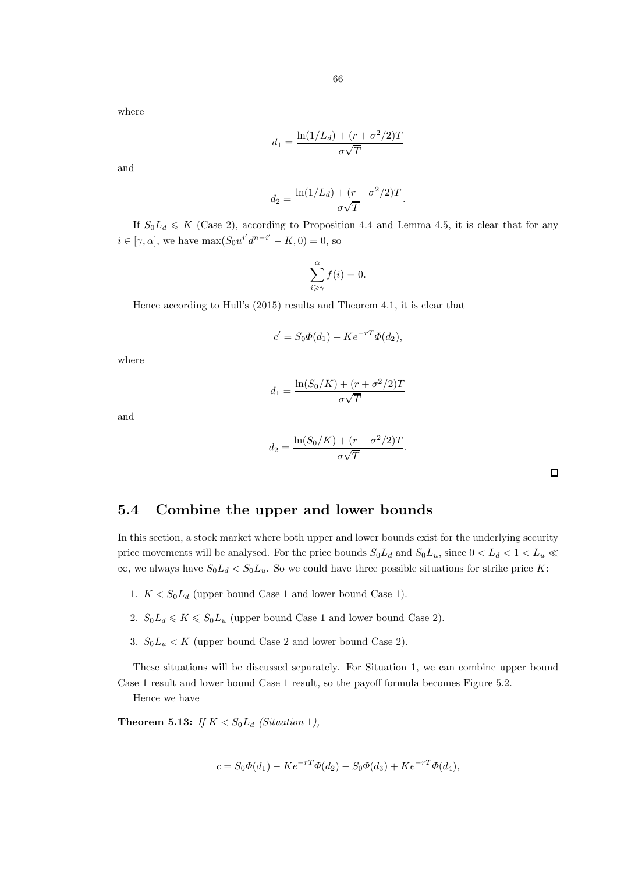$$
d_1 = \frac{\ln(1/L_d) + (r + \sigma^2/2)T}{\sigma\sqrt{T}}
$$

and

$$
d_2 = \frac{\ln(1/L_d) + (r - \sigma^2/2)T}{\sigma\sqrt{T}}.
$$

If  $S_0L_d \leq K$  (Case 2), according to Proposition 4.4 and Lemma 4.5, it is clear that for any  $i \in [\gamma, \alpha]$ , we have  $\max(S_0 u^{i'} d^{n-i'} - K, 0) = 0$ , so

$$
\sum_{i \geqslant \gamma}^{\alpha} f(i) = 0.
$$

Hence according to Hull's (2015) results and Theorem 4.1, it is clear that

$$
c' = S_0 \Phi(d_1) - K e^{-rT} \Phi(d_2),
$$

where

$$
d_1 = \frac{\ln(S_0/K) + (r + \sigma^2/2)T}{\sigma\sqrt{T}}
$$

and

$$
d_2 = \frac{\ln(S_0/K) + (r - \sigma^2/2)T}{\sigma\sqrt{T}}.
$$

### 5.4 Combine the upper and lower bounds

In this section, a stock market where both upper and lower bounds exist for the underlying security price movements will be analysed. For the price bounds  $S_0L_d$  and  $S_0L_u$ , since  $0 < L_d < 1 < L_u \ll$  $\infty$ , we always have  $S_0L_d < S_0L_u$ . So we could have three possible situations for strike price K:

- 1.  $K < S_0 L_d$  (upper bound Case 1 and lower bound Case 1).
- 2.  $S_0L_d \leq K \leq S_0L_u$  (upper bound Case 1 and lower bound Case 2).
- 3.  $S_0L_u < K$  (upper bound Case 2 and lower bound Case 2).

These situations will be discussed separately. For Situation 1, we can combine upper bound Case 1 result and lower bound Case 1 result, so the payoff formula becomes Figure 5.2.

Hence we have

**Theorem 5.13:** If  $K < S_0L_d$  (Situation 1),

$$
c = S_0 \Phi(d_1) - K e^{-rT} \Phi(d_2) - S_0 \Phi(d_3) + K e^{-rT} \Phi(d_4),
$$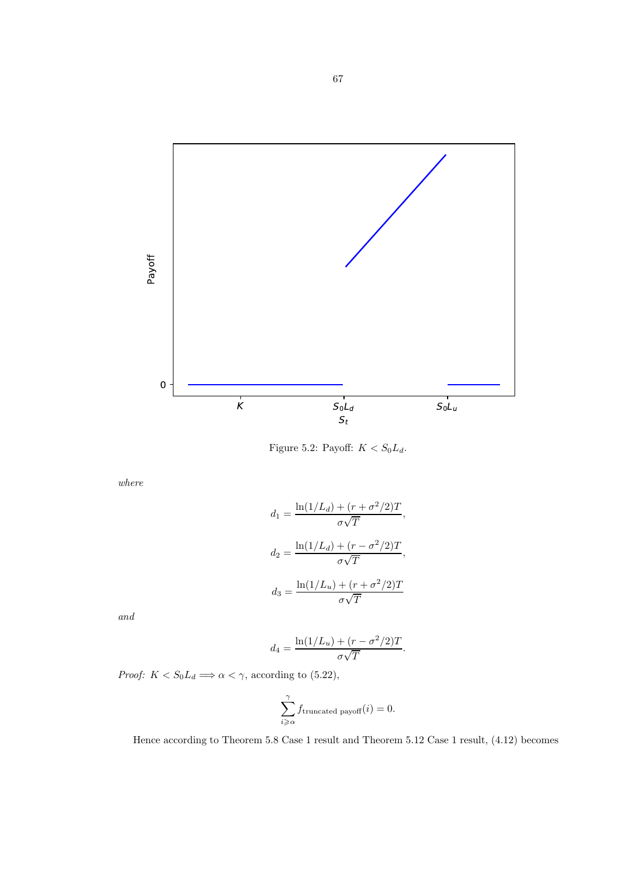

Figure 5.2: Payoff:  $K < S_0 L_d$ .

$$
d_1 = \frac{\ln(1/L_d) + (r + \sigma^2/2)T}{\sigma\sqrt{T}},
$$

$$
d_2 = \frac{\ln(1/L_d) + (r - \sigma^2/2)T}{\sigma\sqrt{T}},
$$

$$
d_3 = \frac{\ln(1/L_u) + (r + \sigma^2/2)T}{\sigma\sqrt{T}}
$$

and

$$
d_4 = \frac{\ln(1/L_u) + (r - \sigma^2/2)T}{\sigma\sqrt{T}}.
$$

*Proof:*  $K < S_0 L_d \Longrightarrow \alpha < \gamma$ , according to (5.22),

$$
\sum_{i \geq \alpha}^{\gamma} f_{\text{truncated payoff}}(i) = 0.
$$

Hence according to Theorem 5.8 Case 1 result and Theorem 5.12 Case 1 result, (4.12) becomes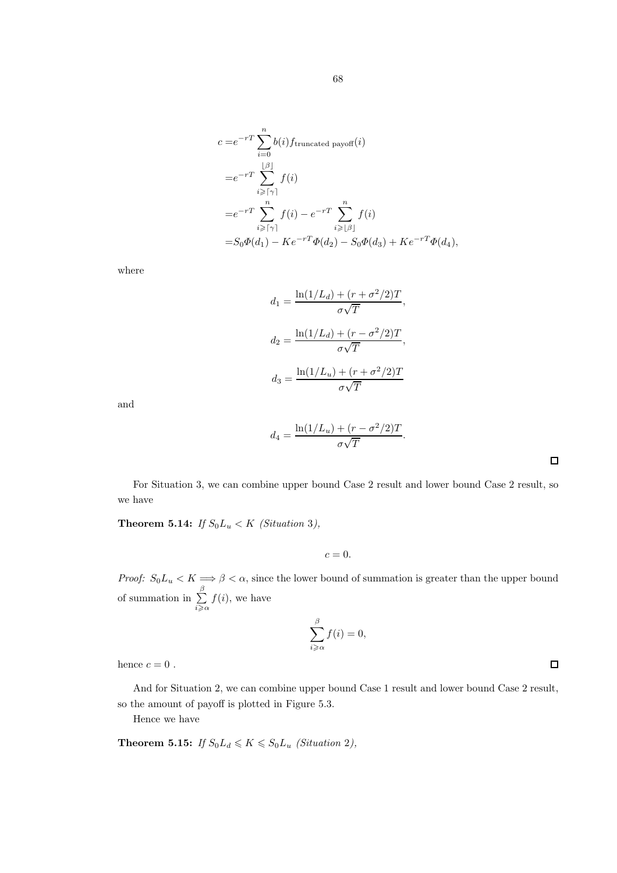$$
c = e^{-rT} \sum_{i=0}^{n} b(i) f_{\text{truncated payoff}}(i)
$$
  
\n
$$
= e^{-rT} \sum_{i \geq \lceil \gamma \rceil}^{\lfloor \beta \rfloor} f(i)
$$
  
\n
$$
= e^{-rT} \sum_{i \geq \lceil \gamma \rceil}^{n} f(i) - e^{-rT} \sum_{i \geq \lfloor \beta \rfloor}^{n} f(i)
$$
  
\n
$$
= S_0 \Phi(d_1) - Ke^{-rT} \Phi(d_2) - S_0 \Phi(d_3) + Ke^{-rT} \Phi(d_4),
$$

$$
d_1 = \frac{\ln(1/L_d) + (r + \sigma^2/2)T}{\sigma\sqrt{T}},
$$

$$
d_2 = \frac{\ln(1/L_d) + (r - \sigma^2/2)T}{\sigma\sqrt{T}},
$$

$$
d_3 = \frac{\ln(1/L_u) + (r + \sigma^2/2)T}{\sigma\sqrt{T}}
$$

and

$$
d_4 = \frac{\ln(1/L_u) + (r - \sigma^2/2)T}{\sigma\sqrt{T}}.
$$

For Situation 3, we can combine upper bound Case 2 result and lower bound Case 2 result, so we have

**Theorem 5.14:** If  $S_0L_u < K$  (Situation 3),

 $c = 0$ .

Proof:  $S_0L_u < K \Longrightarrow \beta < \alpha$ , since the lower bound of summation is greater than the upper bound of summation in  $\sum^{\beta}$  $i \geqslant \alpha$  $f(i)$ , we have

$$
\sum_{i\geqslant\alpha}^{\beta}f(i)=0,
$$

hence  $c = 0$ .

And for Situation 2, we can combine upper bound Case 1 result and lower bound Case 2 result, so the amount of payoff is plotted in Figure 5.3.

Hence we have

**Theorem 5.15:** If  $S_0L_d \leq K \leq S_0L_u$  (Situation 2),

 $\Box$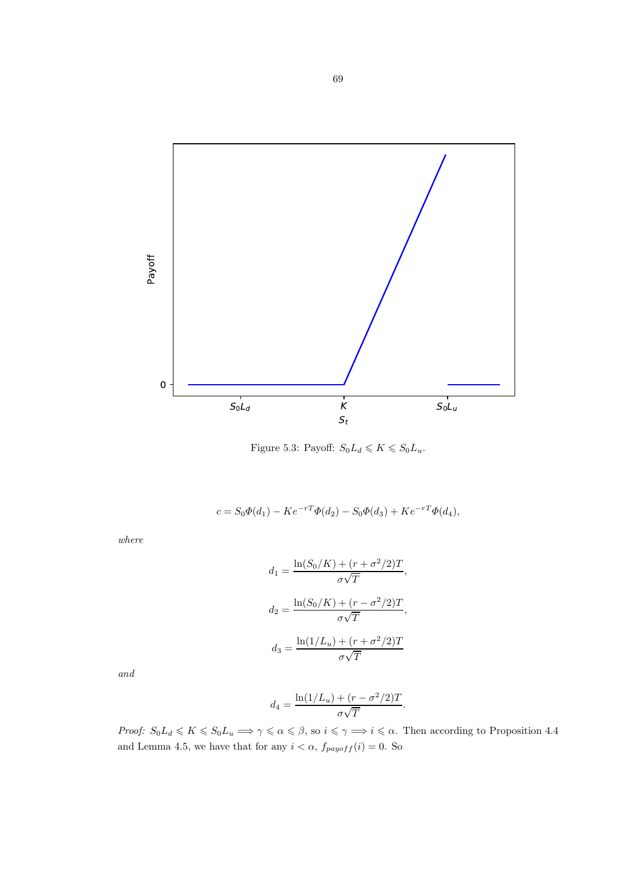

Figure 5.3: Payoff:  $S_0L_d \leqslant K \leqslant S_0L_u$ .

$$
c = S_0 \Phi(d_1) - K e^{-rT} \Phi(d_2) - S_0 \Phi(d_3) + K e^{-rT} \Phi(d_4),
$$

$$
d_1 = \frac{\ln(S_0/K) + (r + \sigma^2/2)T}{\sigma\sqrt{T}},
$$

$$
d_2 = \frac{\ln(S_0/K) + (r - \sigma^2/2)T}{\sigma\sqrt{T}},
$$

$$
d_3 = \frac{\ln(1/L_u) + (r + \sigma^2/2)T}{\sigma\sqrt{T}}
$$

and

$$
d_4 = \frac{\ln(1/L_u) + (r - \sigma^2/2)T}{\sigma\sqrt{T}}
$$

.

Proof:  $S_0L_d \leq K \leq S_0L_u \Longrightarrow \gamma \leq \alpha \leq \beta$ , so  $i \leq \gamma \Longrightarrow i \leq \alpha$ . Then according to Proposition 4.4 and Lemma 4.5, we have that for any  $i < \alpha$ ,  $f_{payoff}(i) = 0$ . So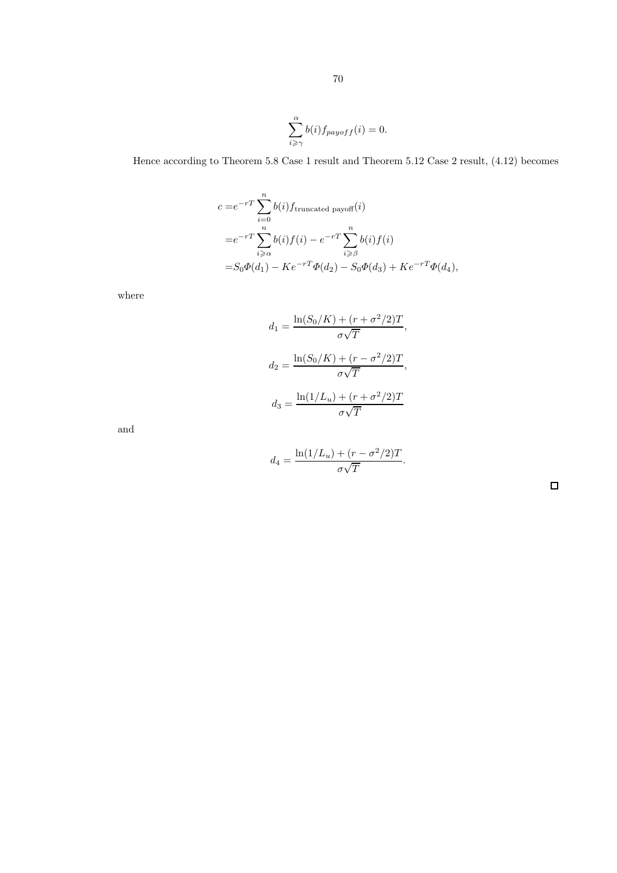$$
\sum_{i \geq \gamma}^{\alpha} b(i) f_{payoff}(i) = 0.
$$

Hence according to Theorem 5.8 Case 1 result and Theorem 5.12 Case 2 result, (4.12) becomes

$$
c = e^{-rT} \sum_{i=0}^{n} b(i) f_{\text{truncated payoff}}(i)
$$
  
=  $e^{-rT} \sum_{i \ge \alpha}^{n} b(i) f(i) - e^{-rT} \sum_{i \ge \beta}^{n} b(i) f(i)$   
=  $S_0 \Phi(d_1) - Ke^{-rT} \Phi(d_2) - S_0 \Phi(d_3) + Ke^{-rT} \Phi(d_4),$ 

where

$$
d_1 = \frac{\ln(S_0/K) + (r + \sigma^2/2)T}{\sigma\sqrt{T}},
$$

$$
d_2 = \frac{\ln(S_0/K) + (r - \sigma^2/2)T}{\sigma\sqrt{T}},
$$

$$
d_3 = \frac{\ln(1/L_u) + (r + \sigma^2/2)T}{\sigma\sqrt{T}}
$$

and

$$
d_4 = \frac{\ln(1/L_u) + (r - \sigma^2/2)T}{\sigma\sqrt{T}}.
$$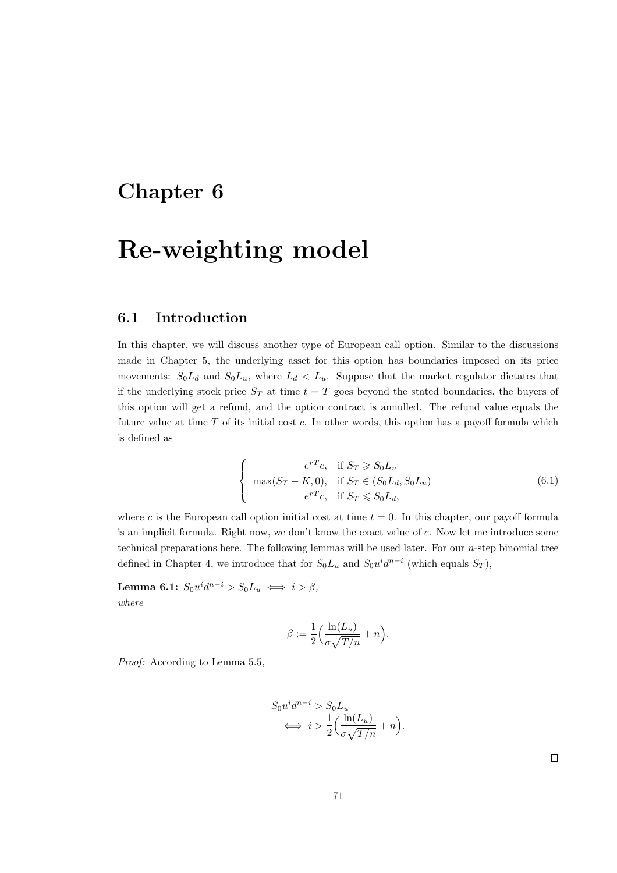## Chapter 6

# Re-weighting model

### 6.1 Introduction

In this chapter, we will discuss another type of European call option. Similar to the discussions made in Chapter 5, the underlying asset for this option has boundaries imposed on its price movements:  $S_0L_d$  and  $S_0L_u$ , where  $L_d < L_u$ . Suppose that the market regulator dictates that if the underlying stock price  $S_T$  at time  $t = T$  goes beyond the stated boundaries, the buyers of this option will get a refund, and the option contract is annulled. The refund value equals the future value at time  $T$  of its initial cost  $c$ . In other words, this option has a payoff formula which is defined as

$$
\begin{cases}\n e^{rT}c, & \text{if } S_T \geqslant S_0L_u \\
 \max(S_T - K, 0), & \text{if } S_T \in (S_0L_d, S_0L_u) \\
 e^{rT}c, & \text{if } S_T \leqslant S_0L_d,\n\end{cases}
$$
\n(6.1)

where c is the European call option initial cost at time  $t = 0$ . In this chapter, our payoff formula is an implicit formula. Right now, we don't know the exact value of c. Now let me introduce some technical preparations here. The following lemmas will be used later. For our  $n$ -step binomial tree defined in Chapter 4, we introduce that for  $S_0L_u$  and  $S_0u^id^{n-i}$  (which equals  $S_T$ ),

Lemma 6.1:  $S_0 u^i d^{n-i} > S_0 L_u \iff i > \beta,$ where

$$
\beta := \frac{1}{2} \Big( \frac{\ln(L_u)}{\sigma \sqrt{T/n}} + n \Big).
$$

Proof: According to Lemma 5.5,

$$
S_0 u^i d^{n-i} > S_0 L_u
$$
  

$$
\iff i > \frac{1}{2} \Big( \frac{\ln(L_u)}{\sigma \sqrt{T/n}} + n \Big).
$$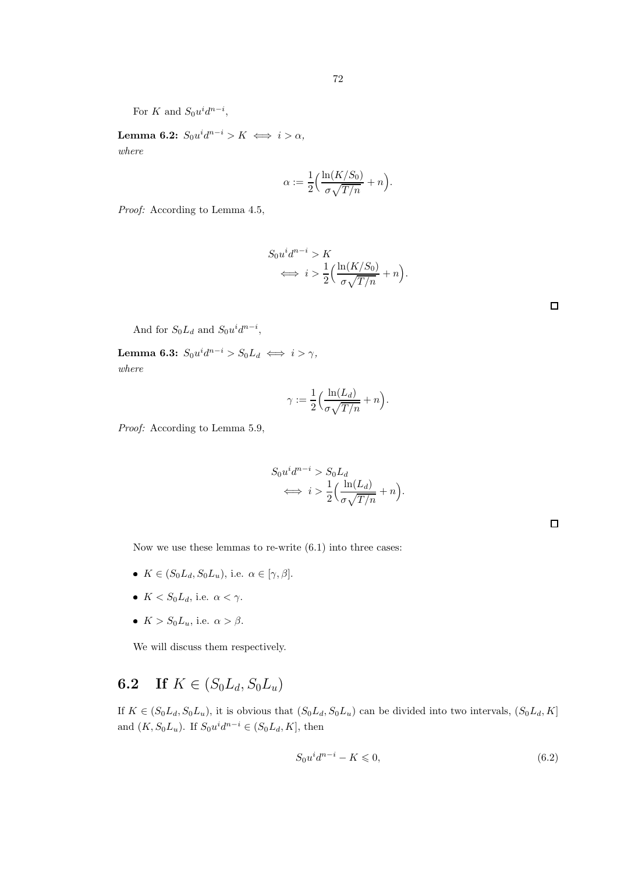For K and  $S_0 u^i d^{n-i}$ ,

Lemma 6.2:  $S_0 u^i d^{n-i} > K \iff i > \alpha,$ where

$$
\alpha:=\frac{1}{2}\Big(\frac{\ln(K/S_0)}{\sigma\sqrt{T/n}}+n\Big).
$$

|  | <i>Proof:</i> According to Lemma 4.5, |  |  |  |
|--|---------------------------------------|--|--|--|
|--|---------------------------------------|--|--|--|

$$
S_0 u^i d^{n-i} > K
$$
  

$$
\iff i > \frac{1}{2} \Big( \frac{\ln(K/S_0)}{\sigma \sqrt{T/n}} + n \Big).
$$

| And for $S_0L_d$ and $S_0u^id^{n-i}$ , |  |  |
|----------------------------------------|--|--|
|----------------------------------------|--|--|

**Lemma 6.3:**  $S_0 u^i d^{n-i} > S_0 L_d \iff i > \gamma$ , where

$$
\gamma := \frac{1}{2} \Big( \frac{\ln(L_d)}{\sigma \sqrt{T/n}} + n \Big).
$$

Proof: According to Lemma 5.9,

$$
S_0 u^i d^{n-i} > S_0 L_d
$$
  

$$
\iff i > \frac{1}{2} \Big( \frac{\ln(L_d)}{\sigma \sqrt{T/n}} + n \Big).
$$

 $\Box$ 

Now we use these lemmas to re-write (6.1) into three cases:

- $K \in (S_0L_d, S_0L_u)$ , i.e.  $\alpha \in [\gamma, \beta]$ .
- $K < S_0 L_d$ , i.e.  $\alpha < \gamma$ .
- $K > S_0 L_u$ , i.e.  $\alpha > \beta$ .

We will discuss them respectively.

## **6.2** If  $K \in (S_0L_d, S_0L_u)$

If  $K \in (S_0L_d, S_0L_u)$ , it is obvious that  $(S_0L_d, S_0L_u)$  can be divided into two intervals,  $(S_0L_d, K]$ and  $(K, S_0L_u)$ . If  $S_0u^id^{n-i} \in (S_0L_d, K]$ , then

$$
S_0 u^i d^{n-i} - K \leqslant 0,\tag{6.2}
$$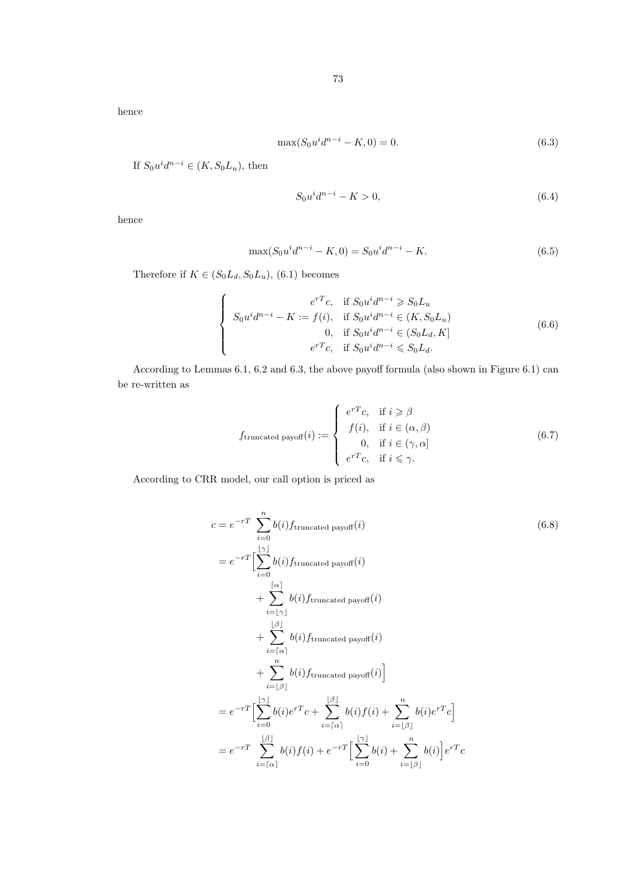hence

$$
\max(S_0 u^i d^{n-i} - K, 0) = 0.
$$
\n(6.3)

If  $S_0 u^i d^{n-i} \in (K, S_0 L_u)$ , then

$$
S_0 u^i d^{n-i} - K > 0,\t\t(6.4)
$$

hence

$$
\max(S_0 u^i d^{n-i} - K, 0) = S_0 u^i d^{n-i} - K.
$$
\n(6.5)

Therefore if  $K \in (S_0L_d, S_0L_u)$ , (6.1) becomes

$$
\begin{cases}\n e^{rT}c, & \text{if } S_0u^id^{n-i} \geq S_0L_u \\
 S_0u^id^{n-i} - K := f(i), & \text{if } S_0u^id^{n-i} \in (K, S_0L_u) \\
 0, & \text{if } S_0u^id^{n-i} \in (S_0L_d, K] \\
 e^{rT}c, & \text{if } S_0u^id^{n-i} \leqslant S_0L_d.\n\end{cases}
$$
\n(6.6)

According to Lemmas 6.1, 6.2 and 6.3, the above payoff formula (also shown in Figure 6.1) can be re-written as

$$
f_{\text{truncated payoff}}(i) := \begin{cases} e^{rT}c, & \text{if } i \geq \beta \\ f(i), & \text{if } i \in (\alpha, \beta) \\ 0, & \text{if } i \in (\gamma, \alpha] \\ e^{rT}c, & \text{if } i \leq \gamma. \end{cases} \tag{6.7}
$$

According to CRR model, our call option is priced as

$$
c = e^{-rT} \sum_{i=0}^{n} b(i) f_{\text{truncated payoff}}(i)
$$
\n
$$
= e^{-rT} \left[ \sum_{i=0}^{|r|} b(i) f_{\text{truncated payoff}}(i) + \sum_{i=|\gamma|}^{|r|} b(i) f_{\text{truncated payoff}}(i) + \sum_{i=|\gamma|}^{|r|} b(i) f_{\text{truncated payoff}}(i) + \sum_{i=|\alpha|}^{|r|} b(i) f_{\text{truncated payoff}}(i) + \sum_{i=|\beta|}^{n} b(i) f_{\text{truncated payoff}}(i) \right]
$$
\n
$$
= e^{-rT} \left[ \sum_{i=0}^{|r|} b(i) e^{rT} c + \sum_{i=|\alpha|}^{|r|} b(i) f(i) + \sum_{i=|\beta|}^{n} b(i) e^{rT} c \right]
$$
\n
$$
= e^{-rT} \sum_{i=|\alpha|}^{|r|} b(i) f(i) + e^{-rT} \left[ \sum_{i=0}^{|\gamma|} b(i) + \sum_{i=|\beta|}^{n} b(i) \right] e^{rT} c
$$
\n(6.8)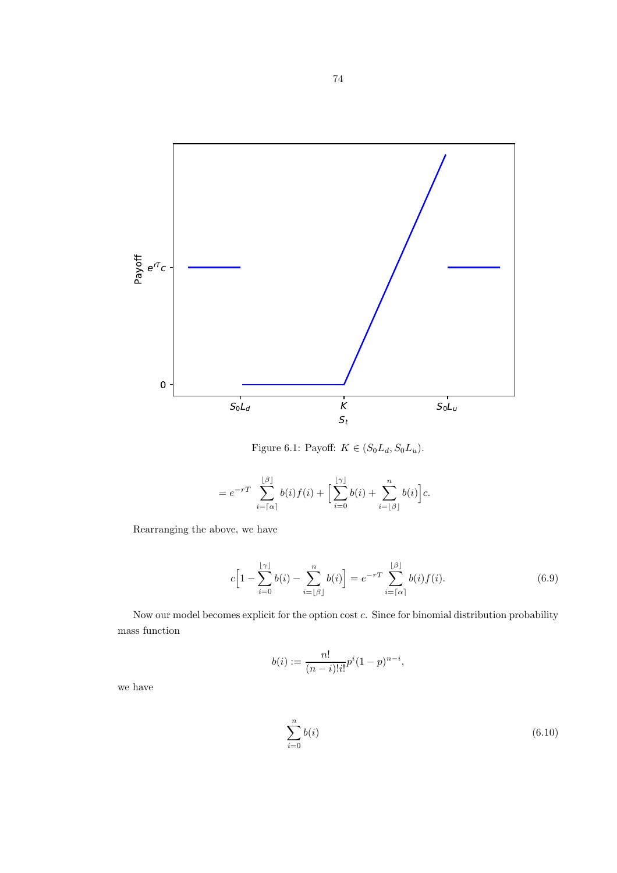

Figure 6.1: Payoff:  $K \in (S_0L_d, S_0L_u)$ .

$$
=e^{-rT}\sum_{i=\lceil\alpha\rceil}^{\lfloor\beta\rfloor}b(i)f(i)+\Big[\sum_{i=0}^{\lfloor\gamma\rfloor}b(i)+\sum_{i=\lfloor\beta\rfloor}^{n}b(i)\Big]c.
$$

Rearranging the above, we have

$$
c\left[1-\sum_{i=0}^{\lfloor \gamma\rfloor}b(i)-\sum_{i=\lfloor \beta\rfloor}^{n}b(i)\right] = e^{-rT}\sum_{i=\lceil \alpha\rceil}^{\lfloor \beta\rfloor}b(i)f(i). \tag{6.9}
$$

Now our model becomes explicit for the option cost c. Since for binomial distribution probability mass function

$$
b(i) := \frac{n!}{(n-i)!i!}p^{i}(1-p)^{n-i},
$$

we have

$$
\sum_{i=0}^{n} b(i) \tag{6.10}
$$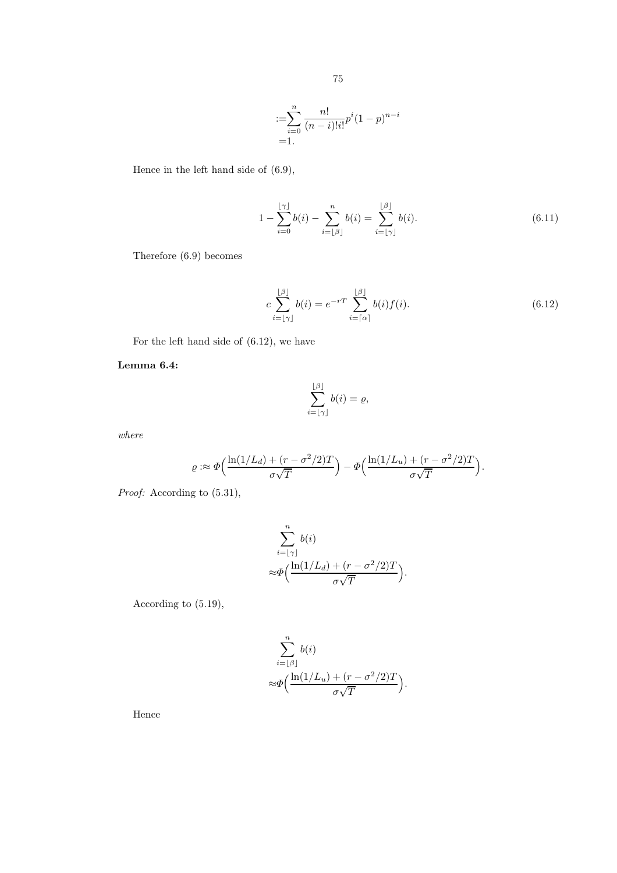:=
$$
\sum_{i=0}^{n} \frac{n!}{(n-i)!i!} p^{i} (1-p)^{n-i}
$$
  
=1.

Hence in the left hand side of (6.9),

$$
1 - \sum_{i=0}^{\lfloor \gamma \rfloor} b(i) - \sum_{i=\lfloor \beta \rfloor}^{n} b(i) = \sum_{i=\lfloor \gamma \rfloor}^{\lfloor \beta \rfloor} b(i). \tag{6.11}
$$

Therefore (6.9) becomes

$$
c\sum_{i=\lfloor \gamma \rfloor}^{\lfloor \beta \rfloor} b(i) = e^{-rT} \sum_{i=\lceil \alpha \rceil}^{\lfloor \beta \rfloor} b(i) f(i). \tag{6.12}
$$

For the left hand side of (6.12), we have

#### Lemma 6.4:

$$
\sum_{i=\lfloor \gamma\rfloor}^{\lfloor \beta\rfloor}b(i)=\varrho,
$$

where

$$
\varrho :\approx \varPhi\Bigl(\frac{\ln(1/L_d)+(r-\sigma^2/2)T}{\sigma\sqrt{T}}\Bigr)-\varPhi\Bigl(\frac{\ln(1/L_u)+(r-\sigma^2/2)T}{\sigma\sqrt{T}}\Bigr).
$$

Proof: According to  $(5.31)$ ,

$$
\sum_{i=\lfloor \gamma \rfloor}^{n} b(i)
$$

$$
\approx \Phi\left(\frac{\ln(1/L_d) + (r - \sigma^2/2)T}{\sigma\sqrt{T}}\right).
$$

According to (5.19),

$$
\sum_{i=\lfloor \beta \rfloor}^{n} b(i)
$$

$$
\approx \Phi\Big(\frac{\ln(1/L_u) + (r - \sigma^2/2)T}{\sigma\sqrt{T}}\Big).
$$

Hence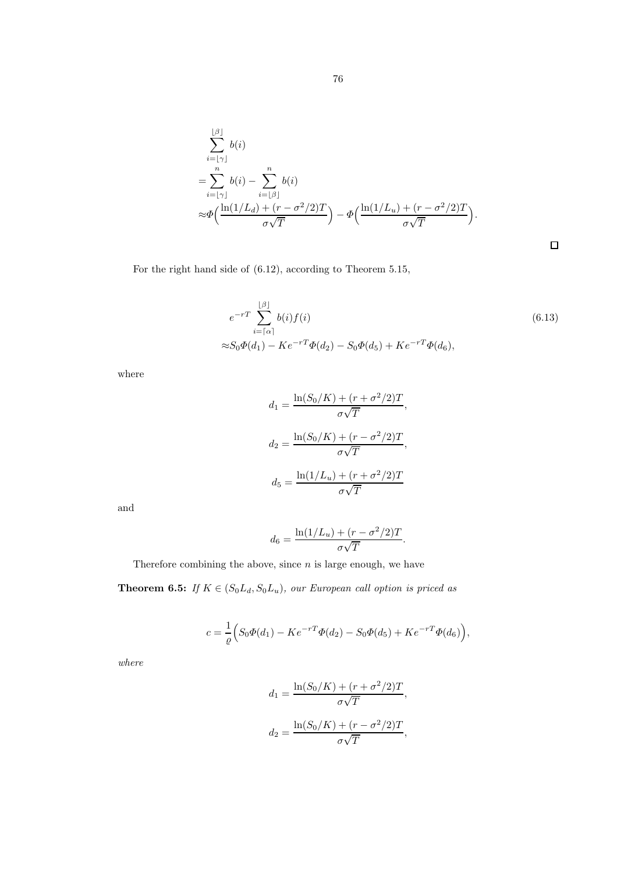$$
\sum_{i=\lfloor \gamma \rfloor}^{\lfloor \beta \rfloor} b(i)
$$
\n
$$
= \sum_{i=\lfloor \gamma \rfloor}^{n} b(i) - \sum_{i=\lfloor \beta \rfloor}^{n} b(i)
$$
\n
$$
\approx \Phi\left(\frac{\ln(1/L_d) + (r - \sigma^2/2)T}{\sigma\sqrt{T}}\right) - \Phi\left(\frac{\ln(1/L_u) + (r - \sigma^2/2)T}{\sigma\sqrt{T}}\right).
$$

For the right hand side of (6.12), according to Theorem 5.15,

$$
e^{-rT} \sum_{i=\lceil \alpha \rceil}^{\lfloor \beta \rfloor} b(i) f(i) \tag{6.13}
$$
  

$$
\approx S_0 \Phi(d_1) - Ke^{-rT} \Phi(d_2) - S_0 \Phi(d_5) + Ke^{-rT} \Phi(d_6),
$$

 $\Box$ 

where

$$
d_1 = \frac{\ln(S_0/K) + (r + \sigma^2/2)T}{\sigma\sqrt{T}},
$$

$$
d_2 = \frac{\ln(S_0/K) + (r - \sigma^2/2)T}{\sigma\sqrt{T}},
$$

$$
d_5 = \frac{\ln(1/L_u) + (r + \sigma^2/2)T}{\sigma\sqrt{T}}
$$

and

$$
d_6 = \frac{\ln(1/L_u) + (r - \sigma^2/2)T}{\sigma\sqrt{T}}.
$$

Therefore combining the above, since  $n$  is large enough, we have

**Theorem 6.5:** If  $K \in (S_0L_d, S_0L_u)$ , our European call option is priced as

$$
c = \frac{1}{\varrho} \Big( S_0 \Phi(d_1) - K e^{-rT} \Phi(d_2) - S_0 \Phi(d_5) + K e^{-rT} \Phi(d_6) \Big),
$$

where

$$
d_1 = \frac{\ln(S_0/K) + (r + \sigma^2/2)T}{\sigma\sqrt{T}},
$$
  

$$
d_2 = \frac{\ln(S_0/K) + (r - \sigma^2/2)T}{\sigma\sqrt{T}},
$$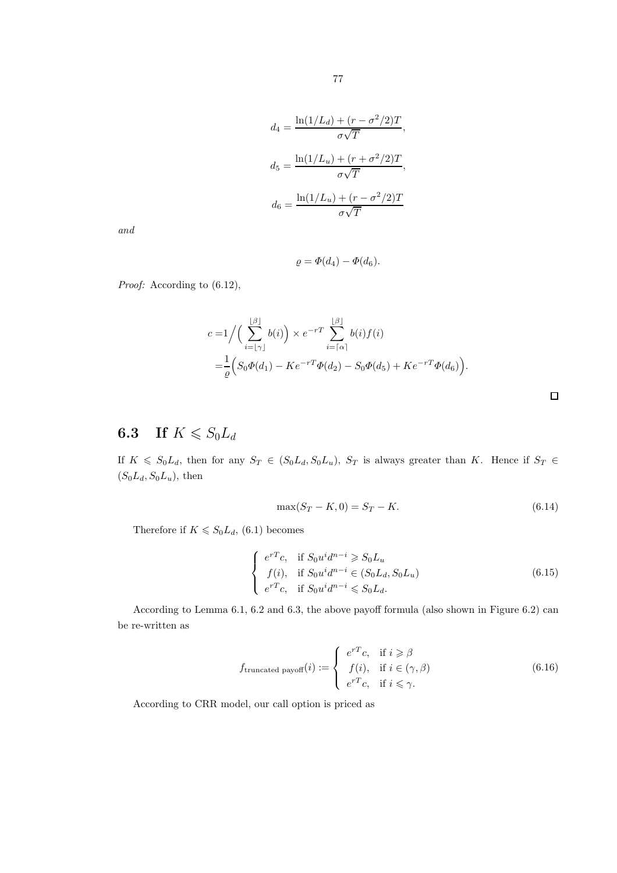$$
d_4 = \frac{\ln(1/L_d) + (r - \sigma^2/2)T}{\sigma\sqrt{T}},
$$

$$
d_5 = \frac{\ln(1/L_u) + (r + \sigma^2/2)T}{\sigma\sqrt{T}},
$$

$$
d_6 = \frac{\ln(1/L_u) + (r - \sigma^2/2)T}{\sigma\sqrt{T}}
$$

and

$$
\varrho = \varPhi(d_4) - \varPhi(d_6).
$$

Proof: According to  $(6.12)$ ,

$$
c = 1 / \Big( \sum_{i=\lfloor \gamma \rfloor}^{\lfloor \beta \rfloor} b(i) \Big) \times e^{-rT} \sum_{i=\lceil \alpha \rceil}^{\lfloor \beta \rfloor} b(i) f(i)
$$
  
= 
$$
\frac{1}{\varrho} \Big( S_0 \Phi(d_1) - K e^{-rT} \Phi(d_2) - S_0 \Phi(d_5) + K e^{-rT} \Phi(d_6) \Big).
$$

## **6.3** If  $K \le S_0 L_d$

If  $K \le S_0L_d$ , then for any  $S_T \in (S_0L_d, S_0L_u)$ ,  $S_T$  is always greater than K. Hence if  $S_T \in$  $(S_0L_d, S_0L_u)$ , then

$$
\max(S_T - K, 0) = S_T - K. \tag{6.14}
$$

 $\Box$ 

Therefore if  $K \leq S_0 L_d$ , (6.1) becomes

$$
\begin{cases}\ne^{rT}c, & \text{if } S_0u^id^{n-i} \geqslant S_0L_u \\
f(i), & \text{if } S_0u^id^{n-i} \in (S_0L_d, S_0L_u) \\
e^{rT}c, & \text{if } S_0u^id^{n-i} \leqslant S_0L_d.\n\end{cases}
$$
\n(6.15)

According to Lemma 6.1, 6.2 and 6.3, the above payoff formula (also shown in Figure 6.2) can be re-written as

$$
f_{\text{truncated payoff}}(i) := \begin{cases} e^{rT}c, & \text{if } i \geq \beta \\ f(i), & \text{if } i \in (\gamma, \beta) \\ e^{rT}c, & \text{if } i \leq \gamma. \end{cases}
$$
(6.16)

According to CRR model, our call option is priced as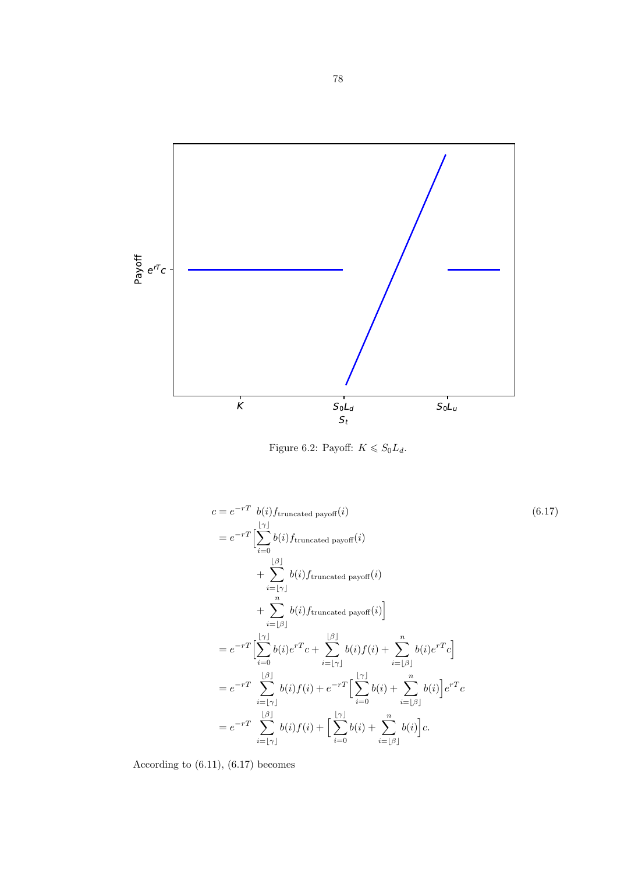

Figure 6.2: Payoff:  $K \leq S_0 L_d$ .

$$
c = e^{-rT} b(i) f_{truncated\ payoff}(i)
$$
\n
$$
= e^{-rT} \left[ \sum_{i=0}^{\lfloor \gamma \rfloor} b(i) f_{truncated\ payoff}(i) + \sum_{i=\lfloor \gamma \rfloor}^{\lfloor \beta \rfloor} b(i) f_{truncated\ payoff}(i) + \sum_{i=\lfloor \beta \rfloor}^n b(i) f_{truncated\ payoff}(i) \right]
$$
\n
$$
+ \sum_{i=\lfloor \beta \rfloor}^n b(i) f_{truncated\ payoff}(i)
$$
\n
$$
= e^{-rT} \left[ \sum_{i=0}^{\lfloor \gamma \rfloor} b(i) e^{rT} c + \sum_{i=\lfloor \gamma \rfloor}^{\lfloor \beta \rfloor} b(i) f(i) + \sum_{i=\lfloor \beta \rfloor}^n b(i) e^{rT} c \right]
$$
\n
$$
= e^{-rT} \sum_{i=\lfloor \gamma \rfloor}^{\lfloor \beta \rfloor} b(i) f(i) + e^{-rT} \left[ \sum_{i=0}^{\lfloor \gamma \rfloor} b(i) + \sum_{i=\lfloor \beta \rfloor}^n b(i) \right] e^{rT} c
$$
\n
$$
= e^{-rT} \sum_{i=\lfloor \gamma \rfloor}^{\lfloor \beta \rfloor} b(i) f(i) + \left[ \sum_{i=0}^{\lfloor \gamma \rfloor} b(i) + \sum_{i=\lfloor \beta \rfloor}^n b(i) \right] c.
$$
\n(6.17)

According to (6.11), (6.17) becomes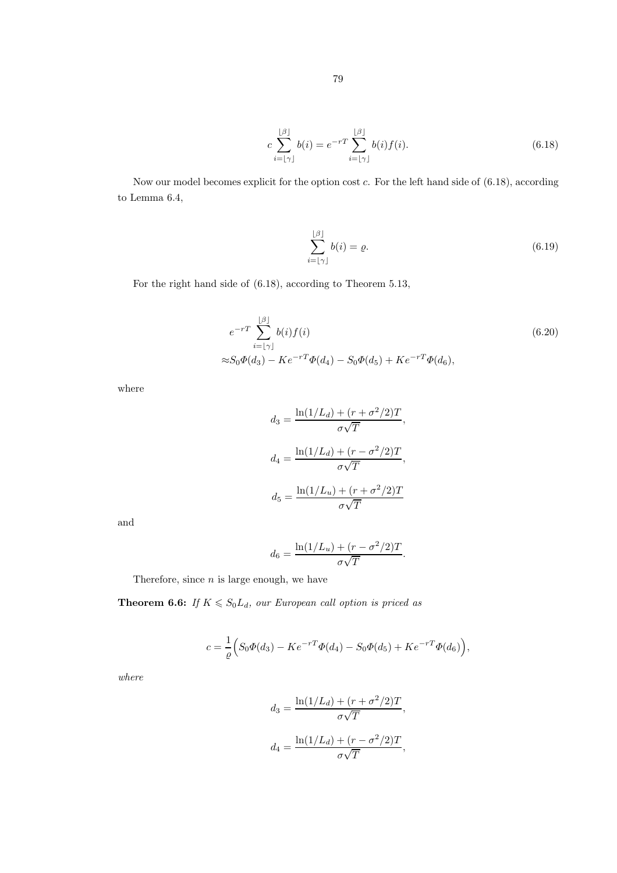$$
c\sum_{i=\lfloor \gamma \rfloor}^{\lfloor \beta \rfloor} b(i) = e^{-rT} \sum_{i=\lfloor \gamma \rfloor}^{\lfloor \beta \rfloor} b(i) f(i). \tag{6.18}
$$

Now our model becomes explicit for the option cost  $c$ . For the left hand side of  $(6.18)$ , according to Lemma 6.4,

$$
\sum_{i=\lfloor \gamma \rfloor}^{\lfloor \beta \rfloor} b(i) = \varrho. \tag{6.19}
$$

For the right hand side of (6.18), according to Theorem 5.13,

$$
e^{-rT} \sum_{i=\lfloor \gamma \rfloor}^{\lfloor \beta \rfloor} b(i) f(i)
$$
\n
$$
\approx S_0 \Phi(d_3) - K e^{-rT} \Phi(d_4) - S_0 \Phi(d_5) + K e^{-rT} \Phi(d_6),
$$
\n(6.20)

where

$$
d_3 = \frac{\ln(1/L_d) + (r + \sigma^2/2)T}{\sigma\sqrt{T}},
$$

$$
d_4 = \frac{\ln(1/L_d) + (r - \sigma^2/2)T}{\sigma\sqrt{T}},
$$

$$
d_5 = \frac{\ln(1/L_u) + (r + \sigma^2/2)T}{\sigma\sqrt{T}}
$$

and

$$
d_6 = \frac{\ln(1/L_u) + (r - \sigma^2/2)T}{\sigma\sqrt{T}}.
$$

Therefore, since  $n$  is large enough, we have

**Theorem 6.6:** If  $K \le S_0L_d$ , our European call option is priced as

$$
c = \frac{1}{\varrho} \Big( S_0 \Phi(d_3) - K e^{-rT} \Phi(d_4) - S_0 \Phi(d_5) + K e^{-rT} \Phi(d_6) \Big),
$$

where

$$
d_3 = \frac{\ln(1/L_d) + (r + \sigma^2/2)T}{\sigma\sqrt{T}},
$$

$$
d_4 = \frac{\ln(1/L_d) + (r - \sigma^2/2)T}{\sigma\sqrt{T}},
$$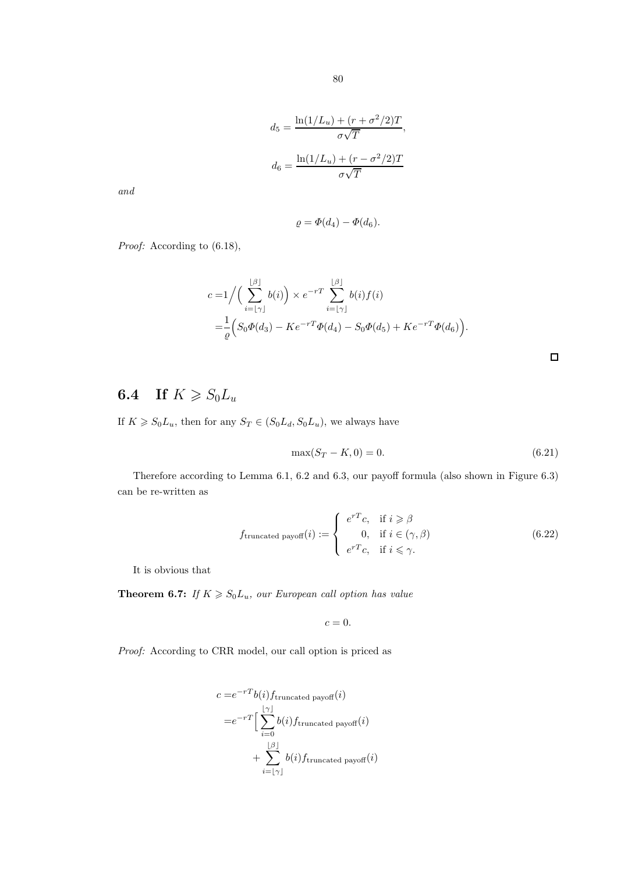$$
d_5 = \frac{\ln(1/L_u) + (r + \sigma^2/2)T}{\sigma\sqrt{T}},
$$

$$
d_6 = \frac{\ln(1/L_u) + (r - \sigma^2/2)T}{\sigma\sqrt{T}}
$$

and

$$
\varrho = \Phi(d_4) - \Phi(d_6).
$$

Proof: According to  $(6.18)$ ,

$$
c = 1 / \Big( \sum_{i=\lfloor \gamma \rfloor}^{\lfloor \beta \rfloor} b(i) \Big) \times e^{-rT} \sum_{i=\lfloor \gamma \rfloor}^{\lfloor \beta \rfloor} b(i) f(i)
$$
  
=  $\frac{1}{\varrho} \Big( S_0 \Phi(d_3) - K e^{-rT} \Phi(d_4) - S_0 \Phi(d_5) + K e^{-rT} \Phi(d_6) \Big).$ 

## **6.4** If  $K \ge S_0L_u$

If  $K \ge S_0L_u$ , then for any  $S_T \in (S_0L_d, S_0L_u)$ , we always have

$$
\max(S_T - K, 0) = 0. \tag{6.21}
$$

 $\Box$ 

Therefore according to Lemma 6.1, 6.2 and 6.3, our payoff formula (also shown in Figure 6.3) can be re-written as

$$
f_{\text{truncated payoff}}(i) := \begin{cases} e^{rT}c, & \text{if } i \geq \beta \\ 0, & \text{if } i \in (\gamma, \beta) \\ e^{rT}c, & \text{if } i \leq \gamma. \end{cases} \tag{6.22}
$$

It is obvious that

**Theorem 6.7:** If  $K \ge S_0L_u$ , our European call option has value

 $c=0.$ 

Proof: According to CRR model, our call option is priced as

$$
c = e^{-rT} b(i) f_{\text{truncated payoff}}(i)
$$
  
= 
$$
e^{-rT} \Big[ \sum_{i=0}^{\lfloor r \rfloor} b(i) f_{\text{truncated payoff}}(i)
$$
  
+ 
$$
\sum_{i=\lfloor r \rfloor}^{\lfloor \beta \rfloor} b(i) f_{\text{truncated payoff}}(i)
$$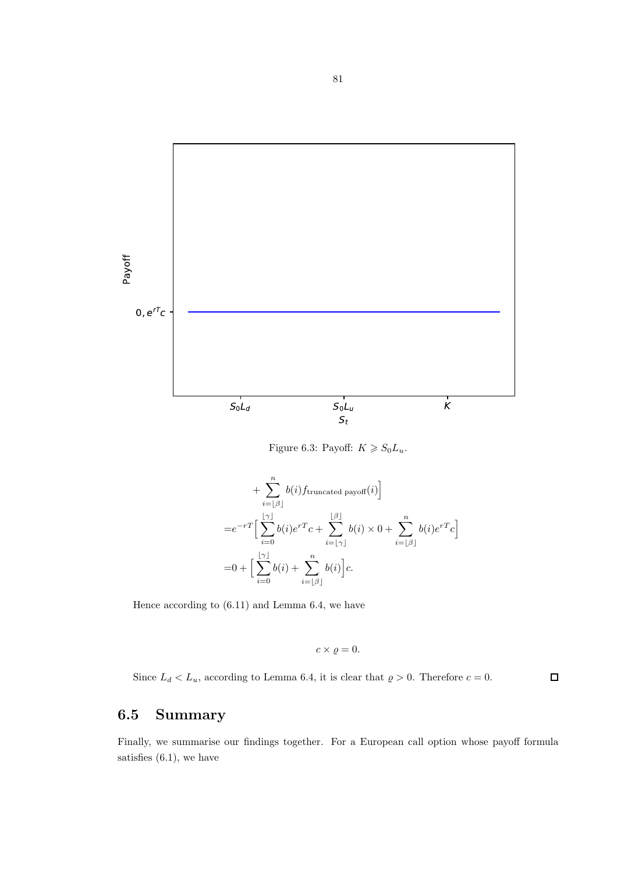

Figure 6.3: Payoff:  $K \ge S_0L_u$ .

+ 
$$
\sum_{i=\lfloor \beta \rfloor}^{n} b(i) f_{\text{truncated payoff}}(i)
$$
  
\n=  $e^{-rT} \Big[ \sum_{i=0}^{\lfloor \gamma \rfloor} b(i) e^{rT} c + \sum_{i=\lfloor \gamma \rfloor}^{\lfloor \beta \rfloor} b(i) \times 0 + \sum_{i=\lfloor \beta \rfloor}^{n} b(i) e^{rT} c \Big]$   
\n=  $0 + \Big[ \sum_{i=0}^{\lfloor \gamma \rfloor} b(i) + \sum_{i=\lfloor \beta \rfloor}^{n} b(i) \Big] c.$ 

Hence according to (6.11) and Lemma 6.4, we have

$$
c \times \varrho = 0.
$$

Since  $L_d < L_u$ , according to Lemma 6.4, it is clear that  $\varrho > 0$ . Therefore  $c = 0$ .  $\Box$ 

## 6.5 Summary

Finally, we summarise our findings together. For a European call option whose payoff formula satisfies (6.1), we have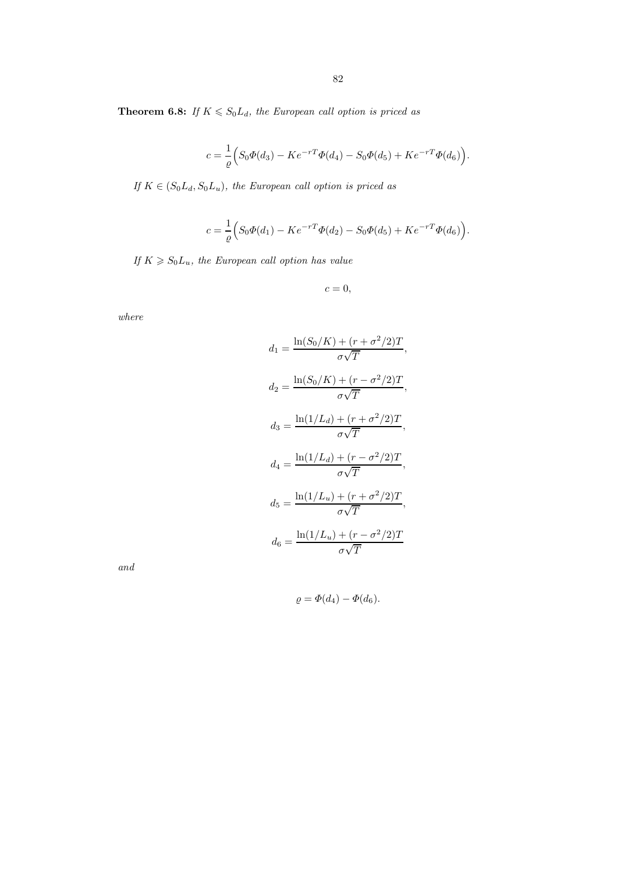**Theorem 6.8:** If  $K \le S_0L_d$ , the European call option is priced as

$$
c = \frac{1}{\varrho} \Big( S_0 \Phi(d_3) - K e^{-rT} \Phi(d_4) - S_0 \Phi(d_5) + K e^{-rT} \Phi(d_6) \Big).
$$

If  $K \in (S_0L_d, S_0L_u)$ , the European call option is priced as

$$
c = \frac{1}{\varrho} \Big( S_0 \Phi(d_1) - K e^{-rT} \Phi(d_2) - S_0 \Phi(d_5) + K e^{-rT} \Phi(d_6) \Big).
$$

If  $K \ge S_0L_u$ , the European call option has value

$$
c=0,
$$

where

$$
d_1 = \frac{\ln(S_0/K) + (r + \sigma^2/2)T}{\sigma\sqrt{T}},
$$
  
\n
$$
d_2 = \frac{\ln(S_0/K) + (r - \sigma^2/2)T}{\sigma\sqrt{T}},
$$
  
\n
$$
d_3 = \frac{\ln(1/L_d) + (r + \sigma^2/2)T}{\sigma\sqrt{T}},
$$
  
\n
$$
d_4 = \frac{\ln(1/L_d) + (r - \sigma^2/2)T}{\sigma\sqrt{T}},
$$
  
\n
$$
d_5 = \frac{\ln(1/L_u) + (r + \sigma^2/2)T}{\sigma\sqrt{T}},
$$
  
\n
$$
d_6 = \frac{\ln(1/L_u) + (r - \sigma^2/2)T}{\sigma\sqrt{T}}
$$

and

$$
\varrho = \varPhi(d_4) - \varPhi(d_6).
$$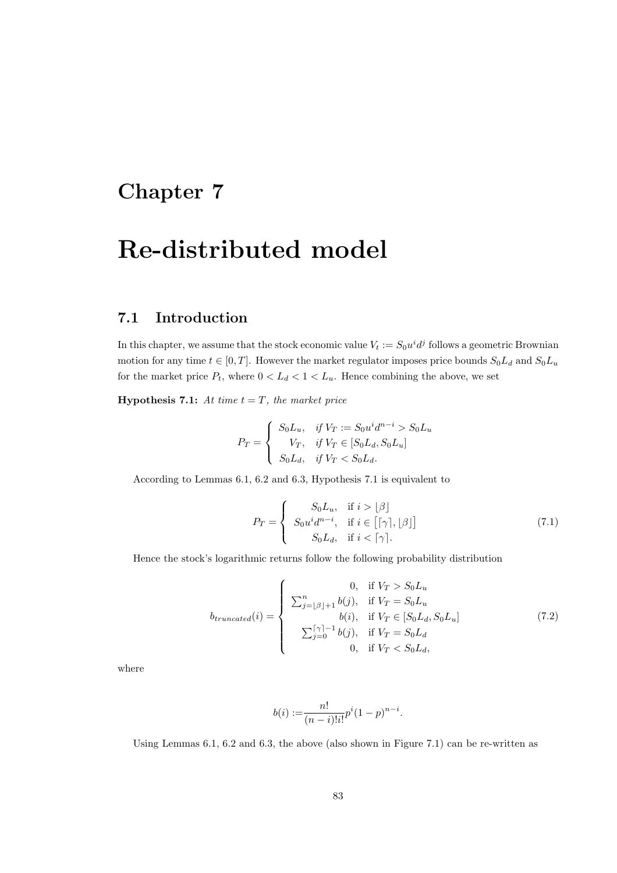# Chapter 7

# Re-distributed model

### 7.1 Introduction

In this chapter, we assume that the stock economic value  $V_t := S_0 u^i d^j$  follows a geometric Brownian motion for any time  $t \in [0, T]$ . However the market regulator imposes price bounds  $S_0L_d$  and  $S_0L_u$ for the market price  $P_t$ , where  $0 < L_d < 1 < L_u$ . Hence combining the above, we set

**Hypothesis 7.1:** At time  $t = T$ , the market price

$$
P_T = \begin{cases} S_0 L_u, & \text{if } V_T := S_0 u^i d^{n-i} > S_0 L_u \\ V_T, & \text{if } V_T \in [S_0 L_d, S_0 L_u] \\ S_0 L_d, & \text{if } V_T < S_0 L_d. \end{cases}
$$

According to Lemmas 6.1, 6.2 and 6.3, Hypothesis 7.1 is equivalent to

$$
P_T = \begin{cases} S_0 L_u, & \text{if } i > \lfloor \beta \rfloor \\ S_0 u^i d^{n-i}, & \text{if } i \in \lfloor \lceil \gamma \rceil, \lfloor \beta \rfloor \rfloor \\ S_0 L_d, & \text{if } i < \lceil \gamma \rceil. \end{cases}
$$
 (7.1)

Hence the stock's logarithmic returns follow the following probability distribution

$$
b_{truncated}(i) = \begin{cases} 0, & \text{if } V_T > S_0 L_u \\ \sum_{j=\lfloor \beta \rfloor+1}^{n} b(j), & \text{if } V_T = S_0 L_u \\ b(i), & \text{if } V_T \in [S_0 L_d, S_0 L_u] \\ \sum_{j=0}^{\lceil \gamma \rceil-1} b(j), & \text{if } V_T = S_0 L_d \\ 0, & \text{if } V_T < S_0 L_d, \end{cases} \tag{7.2}
$$

where

$$
b(i) := \frac{n!}{(n-i)!i!}p^{i}(1-p)^{n-i}.
$$

Using Lemmas 6.1, 6.2 and 6.3, the above (also shown in Figure 7.1) can be re-written as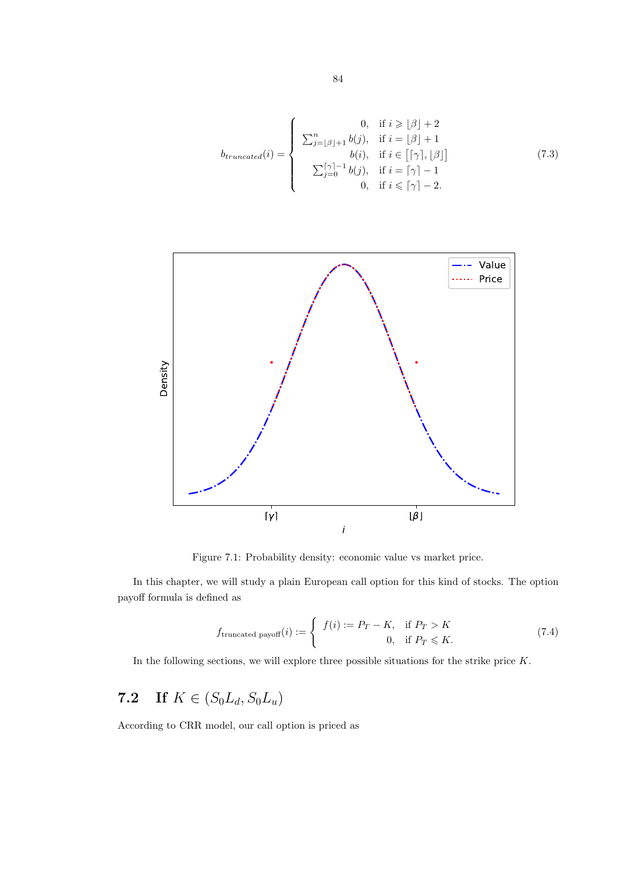$$
b_{truncated}(i) = \begin{cases} 0, & \text{if } i \geq |\beta| + 2 \\ \sum_{j=\lfloor \beta \rfloor+1}^{n} b(j), & \text{if } i = \lfloor \beta \rfloor + 1 \\ b(i), & \text{if } i \in \lfloor \lceil \gamma \rceil, \lfloor \beta \rfloor] \\ \sum_{j=0}^{\lceil \gamma \rceil-1} b(j), & \text{if } i = \lceil \gamma \rceil-1 \\ 0, & \text{if } i \leq \lceil \gamma \rceil-2. \end{cases} (7.3)
$$



Figure 7.1: Probability density: economic value vs market price.

In this chapter, we will study a plain European call option for this kind of stocks. The option payoff formula is defined as

$$
f_{\text{truncated payoff}}(i) := \begin{cases} f(i) := P_T - K, & \text{if } P_T > K \\ 0, & \text{if } P_T \leq K. \end{cases}
$$
 (7.4)

In the following sections, we will explore three possible situations for the strike price  $K$ .

## 7.2 If  $K \in (S_0L_d, S_0L_u)$

According to CRR model, our call option is priced as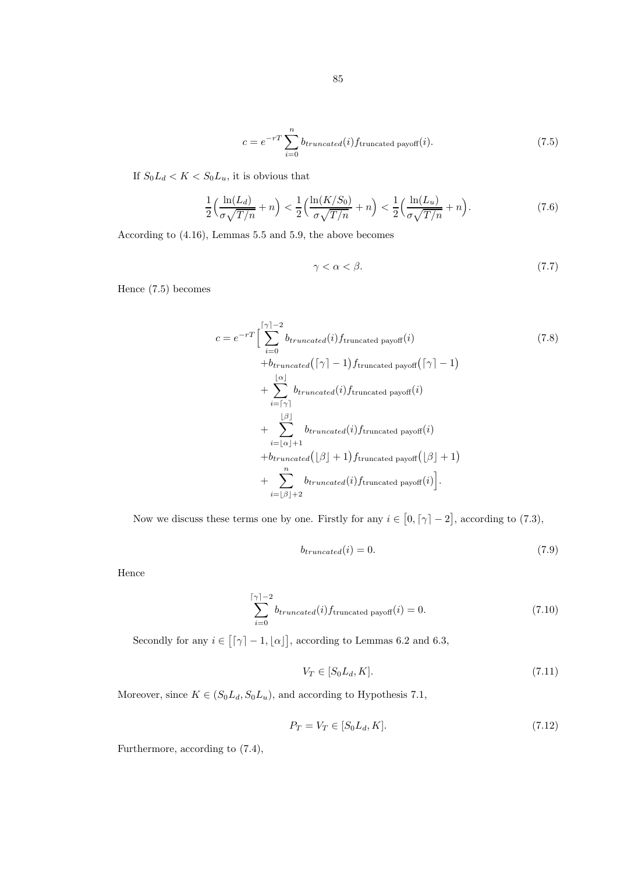$$
c = e^{-rT} \sum_{i=0}^{n} b_{truncated}(i) f_{\text{truncated payoff}}(i). \tag{7.5}
$$

If  $S_0L_d < K < S_0L_u$ , it is obvious that

$$
\frac{1}{2}\left(\frac{\ln(L_d)}{\sigma\sqrt{T/n}} + n\right) < \frac{1}{2}\left(\frac{\ln(K/S_0)}{\sigma\sqrt{T/n}} + n\right) < \frac{1}{2}\left(\frac{\ln(L_u)}{\sigma\sqrt{T/n}} + n\right). \tag{7.6}
$$

According to (4.16), Lemmas 5.5 and 5.9, the above becomes

$$
\gamma < \alpha < \beta. \tag{7.7}
$$

Hence (7.5) becomes

$$
c = e^{-rT} \Big[ \sum_{i=0}^{\lceil \gamma \rceil - 2} b_{truncated}(i) f_{truncated\ payoff}(i) \Big] \qquad (7.8)
$$
  
+ 
$$
b_{truncated}(\lceil \gamma \rceil - 1) f_{truncated\ payoff}(\lceil \gamma \rceil - 1)
$$
  
+ 
$$
\sum_{i=\lceil \gamma \rceil}^{[\alpha]} b_{truncated}(i) f_{truncated\ payoff}(i)
$$
  
+ 
$$
\sum_{i=\lfloor \alpha \rfloor + 1}^{[\beta]} b_{truncated}(i) f_{truncated\ payoff}(i)
$$
  
+ 
$$
b_{truncated}(\lfloor \beta \rfloor + 1) f_{truncated\ payoff}(\lfloor \beta \rfloor + 1)
$$
  
+ 
$$
b_{truncated}(\lfloor \beta \rfloor + 1) f_{truncated\ payoff}(i).
$$
  
+ 
$$
\sum_{i=\lfloor \beta \rfloor + 2}^{n} b_{truncated}(i) f_{truncated\ payoff}(i).
$$

Now we discuss these terms one by one. Firstly for any  $i \in [0, \lceil \gamma \rceil - 2]$ , according to (7.3),

$$
b_{truncated}(i) = 0. \tag{7.9}
$$

Hence

$$
\sum_{i=0}^{\lceil \gamma \rceil - 2} b_{truncated}(i) f_{\text{truncated payoff}}(i) = 0.
$$
 (7.10)

Secondly for any  $i \in [\lceil \gamma \rceil - 1, \lfloor \alpha \rfloor]$ , according to Lemmas 6.2 and 6.3,

$$
V_T \in [S_0 L_d, K]. \tag{7.11}
$$

Moreover, since  $K \in (S_0L_d, S_0L_u)$ , and according to Hypothesis 7.1,

$$
P_T = V_T \in [S_0 L_d, K].
$$
\n(7.12)

Furthermore, according to (7.4),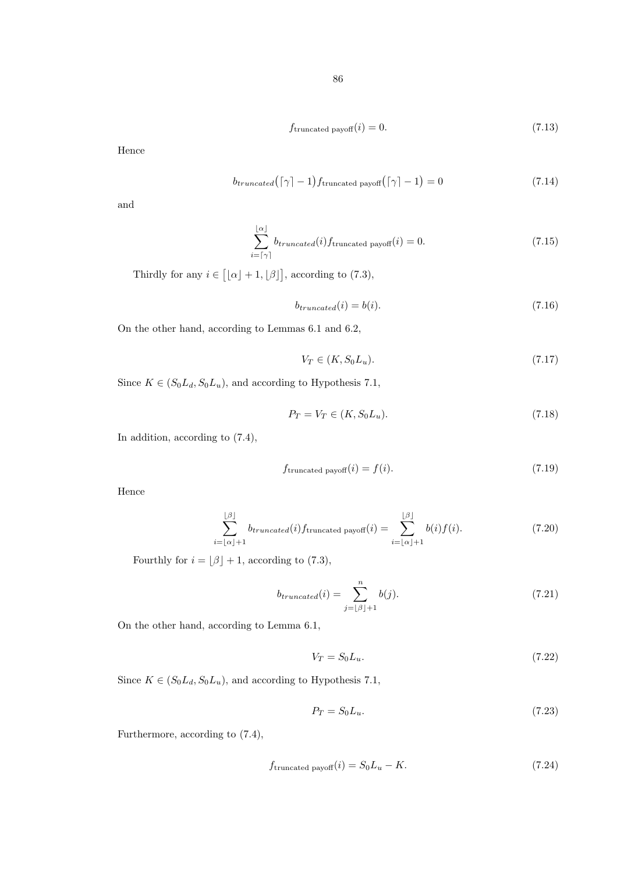$$
f_{\text{truncated payoff}}(i) = 0. \tag{7.13}
$$

Hence

$$
b_{truncated}(\lceil \gamma \rceil - 1) f_{truncated\ payoff}(\lceil \gamma \rceil - 1) = 0 \tag{7.14}
$$

and

$$
\sum_{i=\lceil \gamma \rceil}^{\lfloor \alpha \rfloor} b_{truncated}(i) f_{\text{truncated payoff}}(i) = 0.
$$
 (7.15)

Thirdly for any  $i \in [$ [ $\alpha$ ] + 1, [ $\beta$ ]], according to (7.3),

$$
b_{truncated}(i) = b(i). \tag{7.16}
$$

On the other hand, according to Lemmas 6.1 and 6.2,

$$
V_T \in (K, S_0 L_u). \tag{7.17}
$$

Since  $K \in (S_0L_d, S_0L_u)$ , and according to Hypothesis 7.1,

$$
P_T = V_T \in (K, S_0 L_u). \tag{7.18}
$$

In addition, according to (7.4),

$$
f_{\text{truncated payoff}}(i) = f(i). \tag{7.19}
$$

Hence

$$
\sum_{i=\lfloor \alpha \rfloor + 1}^{\lfloor \beta \rfloor} b_{truncated}(i) f_{\text{truncated payoff}}(i) = \sum_{i=\lfloor \alpha \rfloor + 1}^{\lfloor \beta \rfloor} b(i) f(i). \tag{7.20}
$$

Fourthly for  $i = \lfloor \beta \rfloor + 1$ , according to (7.3),

$$
b_{truncated}(i) = \sum_{j=\lfloor \beta \rfloor + 1}^{n} b(j). \tag{7.21}
$$

On the other hand, according to Lemma 6.1,

$$
V_T = S_0 L_u. \tag{7.22}
$$

Since  $K \in (S_0L_d, S_0L_u)$ , and according to Hypothesis 7.1,

$$
P_T = S_0 L_u. \tag{7.23}
$$

Furthermore, according to (7.4),

$$
f_{\text{truncated payoff}}(i) = S_0 L_u - K. \tag{7.24}
$$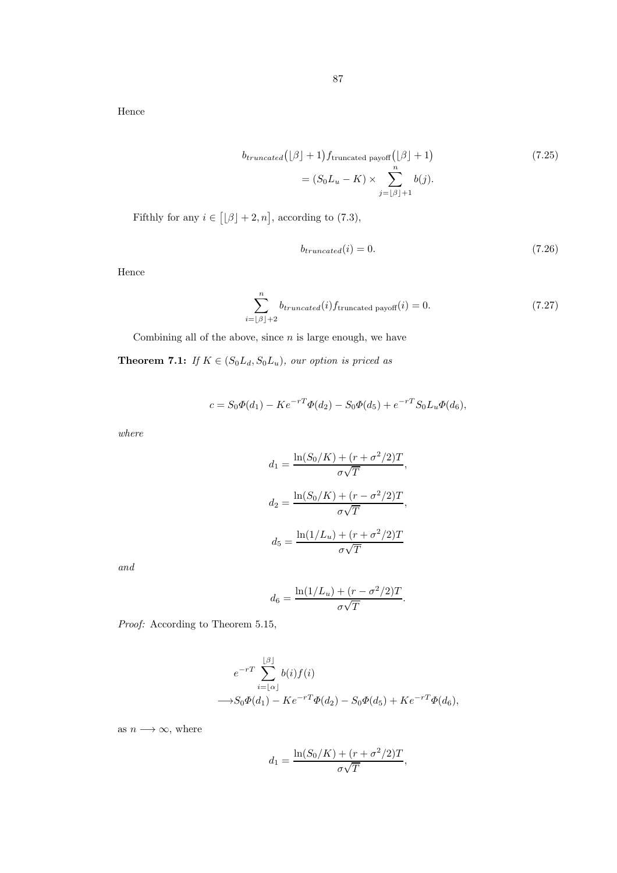Hence

$$
b_{truncated}([\beta] + 1) f_{truncated\ payoff}([\beta] + 1)
$$
\n
$$
= (S_0 L_u - K) \times \sum_{j=[\beta]+1}^{n} b(j).
$$
\n(7.25)

Fifthly for any  $i \in [\lfloor \beta \rfloor + 2, n]$ , according to (7.3),

$$
b_{truncated}(i) = 0.\t\t(7.26)
$$

Hence

$$
\sum_{i=\lfloor \beta \rfloor+2}^{n} b_{truncated}(i) f_{\text{truncated payoff}}(i) = 0. \tag{7.27}
$$

Combining all of the above, since  $n$  is large enough, we have

**Theorem 7.1:** If  $K \in (S_0L_d, S_0L_u)$ , our option is priced as

$$
c = S_0 \Phi(d_1) - K e^{-rT} \Phi(d_2) - S_0 \Phi(d_5) + e^{-rT} S_0 L_u \Phi(d_6),
$$

where

$$
d_1 = \frac{\ln(S_0/K) + (r + \sigma^2/2)T}{\sigma\sqrt{T}},
$$

$$
d_2 = \frac{\ln(S_0/K) + (r - \sigma^2/2)T}{\sigma\sqrt{T}},
$$

$$
d_5 = \frac{\ln(1/L_u) + (r + \sigma^2/2)T}{\sigma\sqrt{T}}
$$

and

$$
d_6 = \frac{\ln(1/L_u) + (r - \sigma^2/2)T}{\sigma\sqrt{T}}.
$$

Proof: According to Theorem 5.15,

$$
e^{-rT} \sum_{i=\lfloor \alpha \rfloor}^{\lfloor \beta \rfloor} b(i) f(i)
$$
  
\$\longrightarrow S\_0 \Phi(d\_1) - Ke^{-rT} \Phi(d\_2) - S\_0 \Phi(d\_5) + Ke^{-rT} \Phi(d\_6),\$

as  $n \longrightarrow \infty$ , where

$$
d_1 = \frac{\ln(S_0/K) + (r + \sigma^2/2)T}{\sigma\sqrt{T}},
$$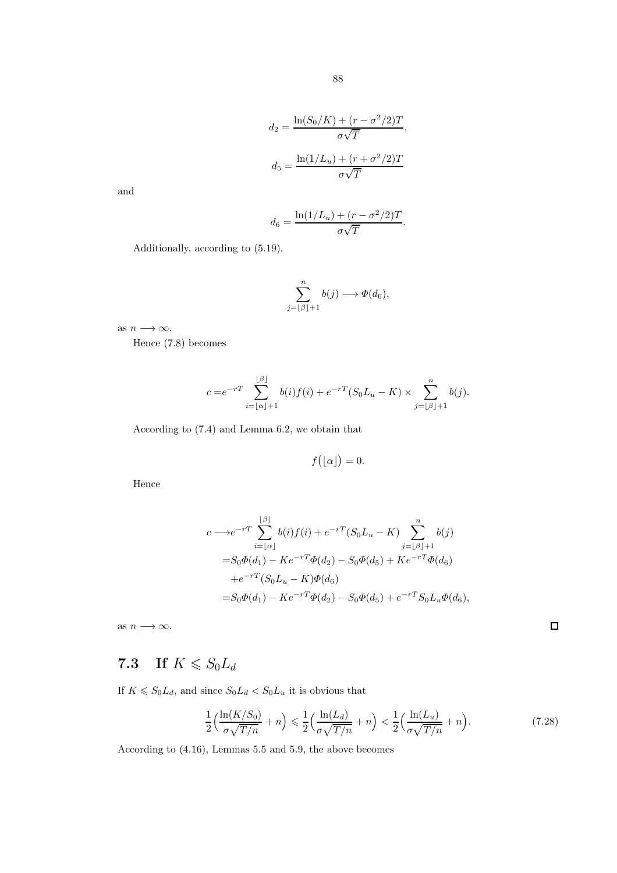$$
d_2 = \frac{\ln(S_0/K) + (r - \sigma^2/2)T}{\sigma\sqrt{T}},
$$

$$
d_5 = \frac{\ln(1/L_u) + (r + \sigma^2/2)T}{\sigma\sqrt{T}}
$$

and

$$
d_6 = \frac{\ln(1/L_u) + (r - \sigma^2/2)T}{\sigma\sqrt{T}}.
$$

Additionally, according to (5.19),

$$
\sum_{j=\lfloor \beta \rfloor+1}^n b(j) \longrightarrow \Phi(d_6),
$$

as  $n \longrightarrow \infty$ .

Hence (7.8) becomes

$$
c = e^{-rT} \sum_{i=\lfloor \alpha \rfloor + 1}^{\lfloor \beta \rfloor} b(i) f(i) + e^{-rT} (S_0 L_u - K) \times \sum_{j=\lfloor \beta \rfloor + 1}^{n} b(j).
$$

According to (7.4) and Lemma 6.2, we obtain that

$$
f\bigl(\lfloor\alpha\rfloor\bigr)=0.
$$

Hence

$$
c \longrightarrow e^{-rT} \sum_{i=\lfloor \alpha \rfloor}^{\lfloor \beta \rfloor} b(i) f(i) + e^{-rT} (S_0 L_u - K) \sum_{j=\lfloor \beta \rfloor+1}^n b(j)
$$
  
=  $S_0 \Phi(d_1) - K e^{-rT} \Phi(d_2) - S_0 \Phi(d_5) + K e^{-rT} \Phi(d_6)$   
+  $e^{-rT} (S_0 L_u - K) \Phi(d_6)$   
=  $S_0 \Phi(d_1) - K e^{-rT} \Phi(d_2) - S_0 \Phi(d_5) + e^{-rT} S_0 L_u \Phi(d_6),$ 

as  $n\longrightarrow\infty.$ 

 $\Box$ 

## 7.3 If  $K \le S_0 L_d$

If  $K \le S_0 L_d$ , and since  $S_0 L_d < S_0 L_u$  it is obvious that

$$
\frac{1}{2} \left( \frac{\ln(K/S_0)}{\sigma \sqrt{T/n}} + n \right) \leq \frac{1}{2} \left( \frac{\ln(L_d)}{\sigma \sqrt{T/n}} + n \right) < \frac{1}{2} \left( \frac{\ln(L_u)}{\sigma \sqrt{T/n}} + n \right). \tag{7.28}
$$

According to (4.16), Lemmas 5.5 and 5.9, the above becomes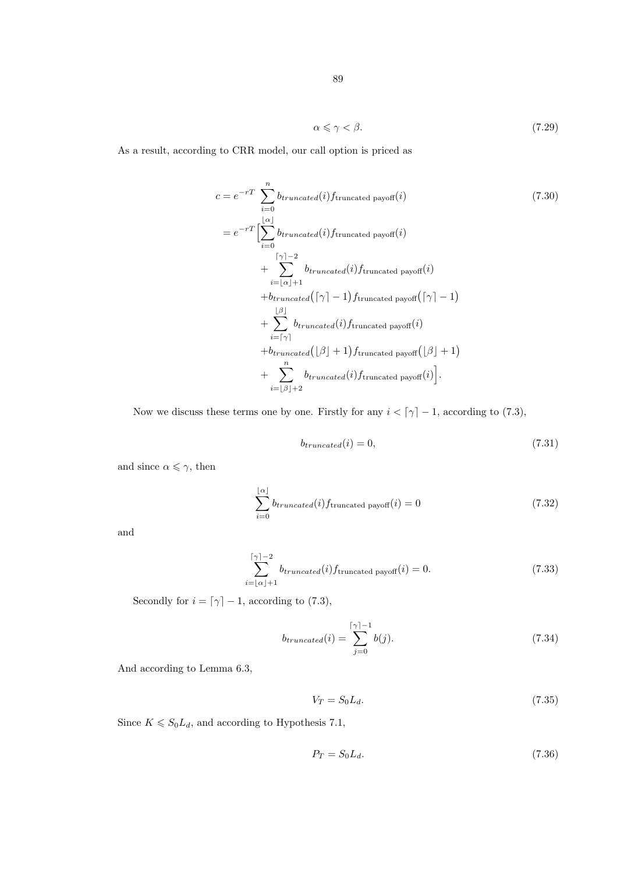$$
\alpha \leqslant \gamma < \beta. \tag{7.29}
$$

As a result, according to CRR model, our call option is priced as

$$
c = e^{-rT} \sum_{i=0}^{n} b_{truncated}(i) f_{truncated\ payoff}(i)
$$
\n
$$
= e^{-rT} \left[ \sum_{i=0}^{\lfloor \alpha \rfloor} b_{truncated}(i) f_{truncated\ payoff}(i) + \sum_{i=\lfloor \alpha \rfloor + 1}^{\lceil \gamma \rceil - 2} b_{truncated}(i) f_{truncated\ payoff}(i) + b_{truncated} \left( \lceil \gamma \rceil - 1 \right) f_{truncated\ payoff}(i) + b_{truncated} \left( \lceil \gamma \rceil - 1 \right) f_{truncated\ payoff}(i)
$$
\n
$$
+ \sum_{i=\lceil \gamma \rceil}^{\lfloor \beta \rfloor} b_{truncated}(i) f_{truncated\ payoff}(i) + b_{truncated} \left( \lfloor \beta \rfloor + 1 \right) f_{truncated\ payoff}(l) + b_{truncated} \left( \lfloor \beta \rfloor + 1 \right) f_{truncated\ payoff}(i).
$$

Now we discuss these terms one by one. Firstly for any  $i < \lceil \gamma \rceil - 1$ , according to (7.3),

$$
b_{truncated}(i) = 0,\t\t(7.31)
$$

and since  $\alpha \leqslant \gamma,$  then

$$
\sum_{i=0}^{\lfloor \alpha \rfloor} b_{truncated}(i) f_{\text{truncated payoff}}(i) = 0 \tag{7.32}
$$

and

$$
\sum_{i=\lfloor \alpha \rfloor + 1}^{\lceil \gamma \rceil - 2} b_{truncated}(i) f_{\text{truncated payoff}}(i) = 0.
$$
 (7.33)

Secondly for  $i = \lceil \gamma \rceil - 1$ , according to (7.3),

$$
b_{truncated}(i) = \sum_{j=0}^{\lceil \gamma \rceil - 1} b(j). \tag{7.34}
$$

And according to Lemma 6.3,

$$
V_T = S_0 L_d. \tag{7.35}
$$

Since  $K \le S_0 L_d$ , and according to Hypothesis 7.1,

$$
P_T = S_0 L_d. \tag{7.36}
$$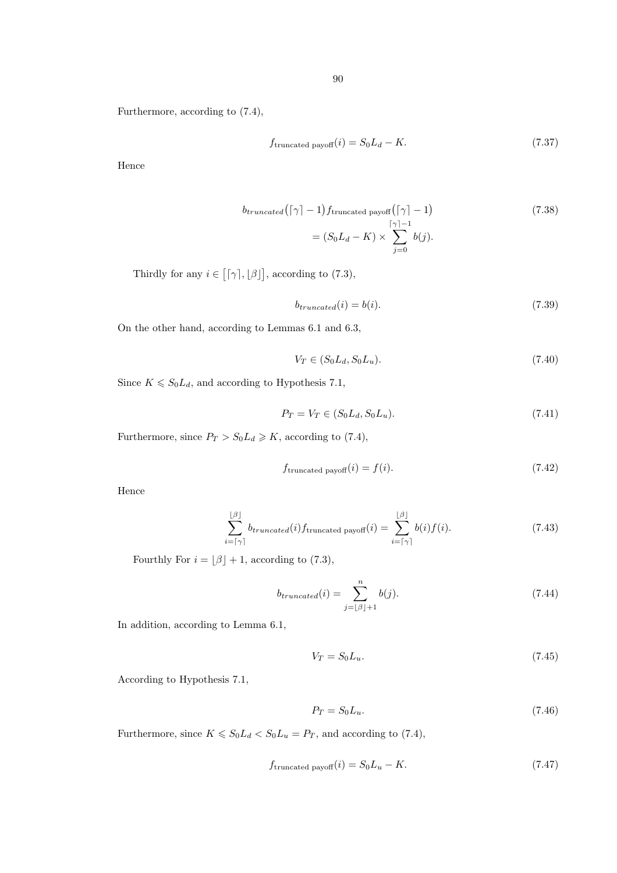Furthermore, according to (7.4),

$$
f_{\text{truncated payoff}}(i) = S_0 L_d - K. \tag{7.37}
$$

Hence

$$
b_{truncated}([\gamma] - 1) f_{truncated\ payoff}([\gamma] - 1)
$$
\n
$$
= (S_0 L_d - K) \times \sum_{j=0}^{\lceil \gamma \rceil - 1} b(j).
$$
\n(7.38)

Thirdly for any  $i \in [ [\gamma], [\beta] ]$ , according to (7.3),

$$
b_{truncated}(i) = b(i). \tag{7.39}
$$

On the other hand, according to Lemmas 6.1 and 6.3,

$$
V_T \in (S_0 L_d, S_0 L_u). \tag{7.40}
$$

Since  $K \leq S_0 L_d$ , and according to Hypothesis 7.1,

$$
P_T = V_T \in (S_0 L_d, S_0 L_u). \tag{7.41}
$$

Furthermore, since  $P_T > S_0 L_d \geq K$ , according to (7.4),

$$
f_{\text{truncated payoff}}(i) = f(i). \tag{7.42}
$$

Hence

$$
\sum_{i=\lceil \gamma \rceil}^{\lfloor \beta \rfloor} b_{truncated}(i) f_{\text{truncated payoff}}(i) = \sum_{i=\lceil \gamma \rceil}^{\lfloor \beta \rfloor} b(i) f(i). \tag{7.43}
$$

Fourthly For  $i = \lfloor \beta \rfloor + 1$ , according to (7.3),

$$
b_{truncated}(i) = \sum_{j=\lfloor \beta \rfloor + 1}^{n} b(j). \tag{7.44}
$$

In addition, according to Lemma 6.1,

$$
V_T = S_0 L_u. \tag{7.45}
$$

According to Hypothesis 7.1,

$$
P_T = S_0 L_u. \tag{7.46}
$$

Furthermore, since  $K \le S_0 L_d < S_0 L_u = P_T$ , and according to (7.4),

$$
f_{\text{truncated payoff}}(i) = S_0 L_u - K. \tag{7.47}
$$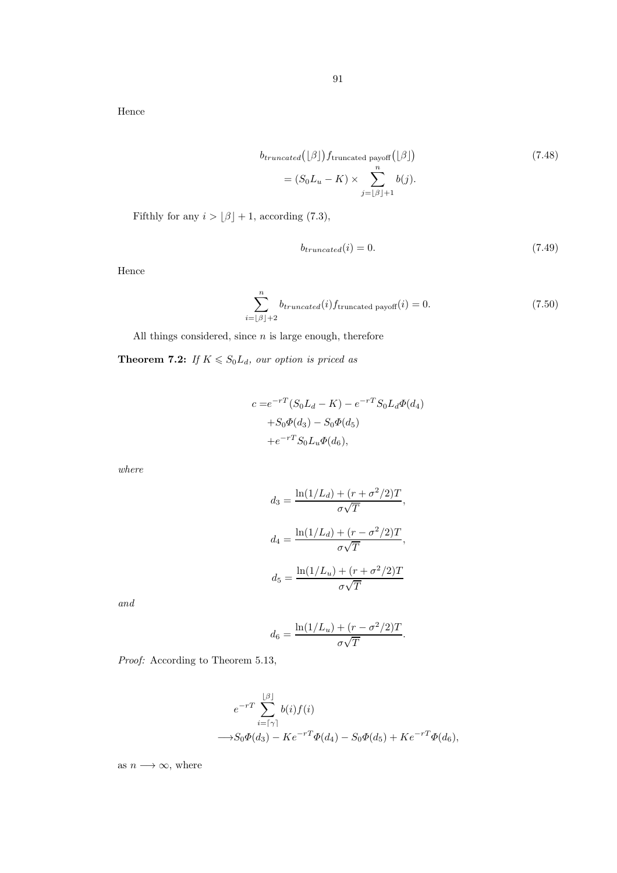Hence

$$
b_{truncated}([\beta]) f_{truncated\ payoff}([\beta])
$$
\n
$$
= (S_0 L_u - K) \times \sum_{j=[\beta]+1}^{n} b(j).
$$
\n(7.48)

Fifthly for any  $i > \lfloor \beta \rfloor + 1$ , according (7.3),

$$
b_{truncated}(i) = 0.\t\t(7.49)
$$

Hence

$$
\sum_{i=\lfloor \beta \rfloor+2}^{n} b_{truncated}(i) f_{\text{truncated payoff}}(i) = 0. \tag{7.50}
$$

All things considered, since  $n$  is large enough, therefore

**Theorem 7.2:** If  $K \le S_0L_d$ , our option is priced as

$$
c = e^{-rT} (S_0 L_d - K) - e^{-rT} S_0 L_d \Phi(d_4)
$$
  
+ $S_0 \Phi(d_3) - S_0 \Phi(d_5)$   
+ $e^{-rT} S_0 L_u \Phi(d_6)$ ,

where

$$
d_3 = \frac{\ln(1/L_d) + (r + \sigma^2/2)T}{\sigma\sqrt{T}},
$$

$$
d_4 = \frac{\ln(1/L_d) + (r - \sigma^2/2)T}{\sigma\sqrt{T}},
$$

$$
d_5 = \frac{\ln(1/L_u) + (r + \sigma^2/2)T}{\sigma\sqrt{T}}
$$

and

$$
d_6 = \frac{\ln(1/L_u) + (r - \sigma^2/2)T}{\sigma\sqrt{T}}.
$$

Proof: According to Theorem 5.13,

$$
e^{-rT} \sum_{i=\lceil \gamma \rceil}^{\lfloor \beta \rfloor} b(i) f(i)
$$
  

$$
\longrightarrow S_0 \Phi(d_3) - K e^{-rT} \Phi(d_4) - S_0 \Phi(d_5) + K e^{-rT} \Phi(d_6),
$$

as  $n \longrightarrow \infty$ , where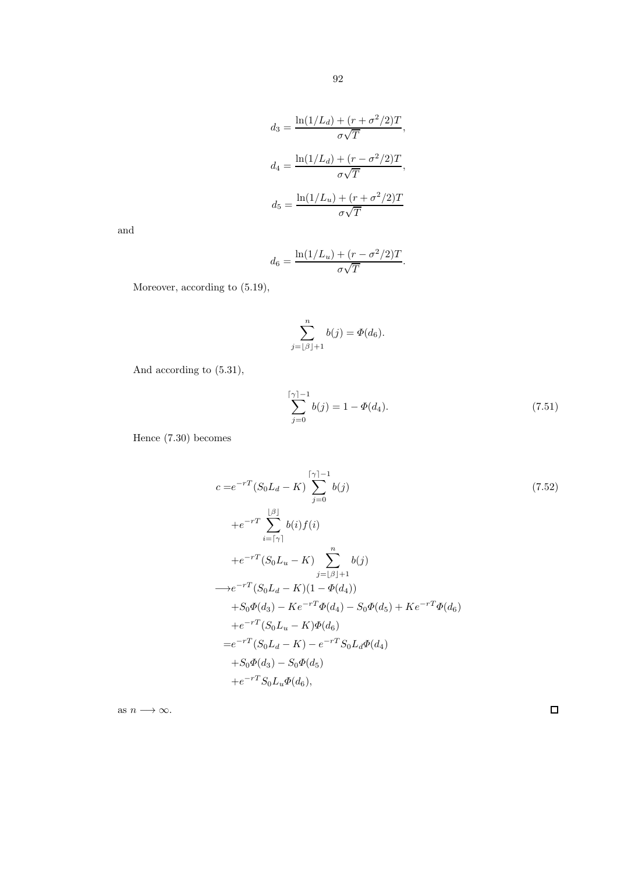$$
d_3 = \frac{\ln(1/L_d) + (r + \sigma^2/2)T}{\sigma\sqrt{T}},
$$

$$
d_4 = \frac{\ln(1/L_d) + (r - \sigma^2/2)T}{\sigma\sqrt{T}},
$$

$$
d_5 = \frac{\ln(1/L_u) + (r + \sigma^2/2)T}{\sigma\sqrt{T}}
$$

and

$$
d_6 = \frac{\ln(1/L_u) + (r - \sigma^2/2)T}{\sigma\sqrt{T}}.
$$

Moreover, according to (5.19),

$$
\sum_{j=\lfloor \beta \rfloor+1}^n b(j) = \Phi(d_6).
$$

And according to (5.31),

$$
\sum_{j=0}^{\lceil \gamma \rceil - 1} b(j) = 1 - \Phi(d_4). \tag{7.51}
$$

Hence (7.30) becomes

$$
c = e^{-rT} (S_0 L_d - K) \sum_{j=0}^{\lceil \gamma \rceil - 1} b(j)
$$
\n
$$
+ e^{-rT} \sum_{i=\lceil \gamma \rceil}^{\lfloor \beta \rfloor} b(i) f(i)
$$
\n
$$
+ e^{-rT} \sum_{i=\lceil \gamma \rceil}^{\lceil \beta \rceil} b(i) f(i)
$$
\n
$$
+ e^{-rT} (S_0 L_u - K) \sum_{j=\lfloor \beta \rfloor + 1}^n b(j)
$$
\n
$$
+ S_0 e^{-rT} (S_0 L_d - K) (1 - \Phi(d_4))
$$
\n
$$
+ S_0 \Phi(d_3) - K e^{-rT} \Phi(d_4) - S_0 \Phi(d_5) + K e^{-rT} \Phi(d_6)
$$
\n
$$
+ e^{-rT} (S_0 L_u - K) \Phi(d_6)
$$
\n
$$
= e^{-rT} (S_0 L_d - K) - e^{-rT} S_0 L_d \Phi(d_4)
$$
\n
$$
+ S_0 \Phi(d_3) - S_0 \Phi(d_5)
$$
\n
$$
+ e^{-rT} S_0 L_u \Phi(d_6),
$$
\n(11.10)

as  $n \longrightarrow \infty$ .

 $\Box$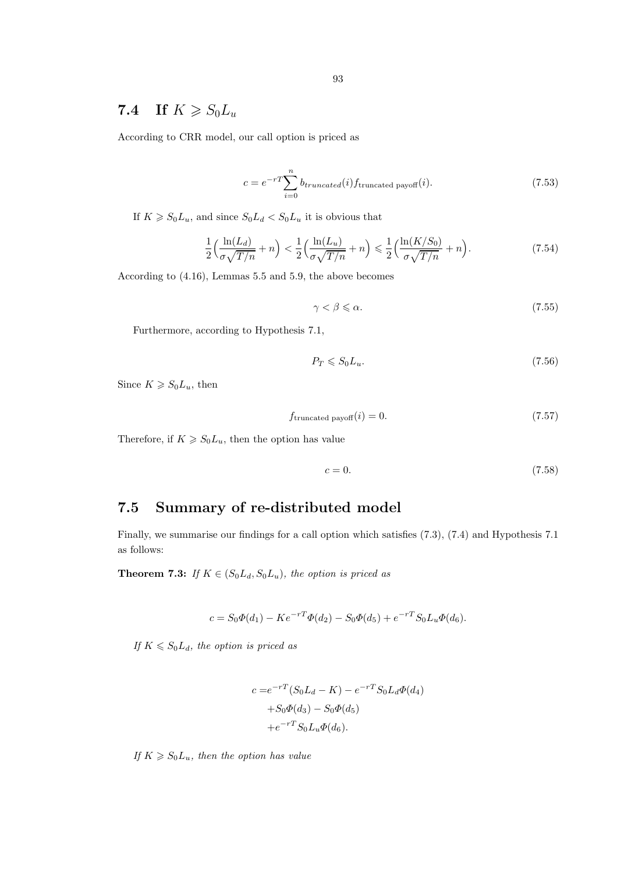#### 93

## 7.4 If  $K \ge S_0L_u$

According to CRR model, our call option is priced as

$$
c = e^{-rT} \sum_{i=0}^{n} b_{truncated}(i) f_{\text{truncated payoff}}(i). \tag{7.53}
$$

If  $K \ge S_0L_u$ , and since  $S_0L_d < S_0L_u$  it is obvious that

$$
\frac{1}{2}\left(\frac{\ln(L_d)}{\sigma\sqrt{T/n}} + n\right) < \frac{1}{2}\left(\frac{\ln(L_u)}{\sigma\sqrt{T/n}} + n\right) \leq \frac{1}{2}\left(\frac{\ln(K/S_0)}{\sigma\sqrt{T/n}} + n\right). \tag{7.54}
$$

According to (4.16), Lemmas 5.5 and 5.9, the above becomes

$$
\gamma < \beta \leqslant \alpha. \tag{7.55}
$$

Furthermore, according to Hypothesis 7.1,

$$
P_T \leqslant S_0 L_u. \tag{7.56}
$$

Since  $K \ge S_0L_u$ , then

$$
f_{\text{truncated payoff}}(i) = 0. \tag{7.57}
$$

Therefore, if  $K \ge S_0L_u$ , then the option has value

$$
c = 0.\t\t(7.58)
$$

### 7.5 Summary of re-distributed model

Finally, we summarise our findings for a call option which satisfies (7.3), (7.4) and Hypothesis 7.1 as follows:

**Theorem 7.3:** If  $K \in (S_0L_d, S_0L_u)$ , the option is priced as

$$
c = S_0 \Phi(d_1) - K e^{-rT} \Phi(d_2) - S_0 \Phi(d_5) + e^{-rT} S_0 L_u \Phi(d_6).
$$

If  $K \le S_0 L_d$ , the option is priced as

$$
c = e^{-rT}(S_0L_d - K) - e^{-rT}S_0L_d\Phi(d_4)
$$
  
+
$$
S_0\Phi(d_3) - S_0\Phi(d_5)
$$
  
+
$$
e^{-rT}S_0L_u\Phi(d_6).
$$

If  $K \ge S_0L_u$ , then the option has value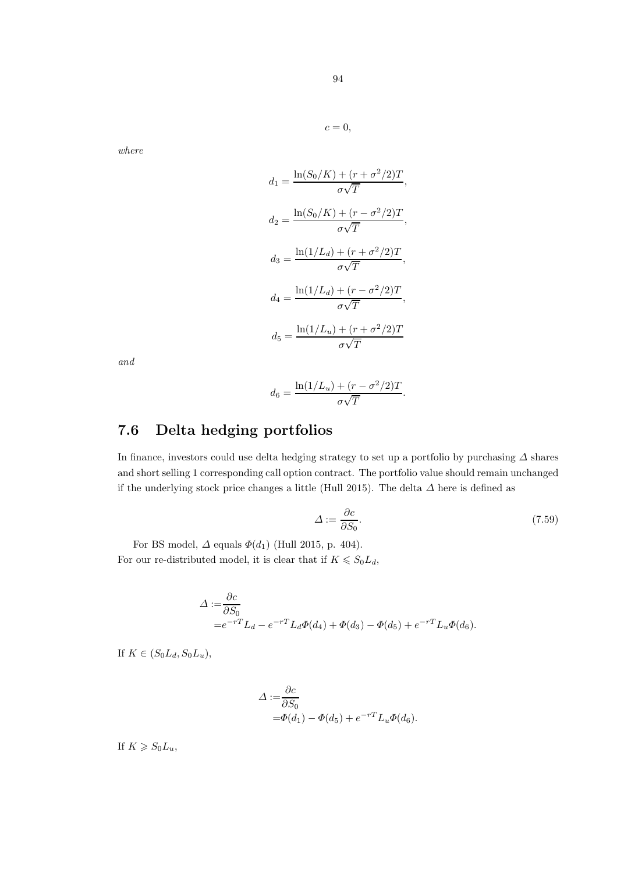$$
c=0,
$$

$$
d_1 = \frac{\ln(S_0/K) + (r + \sigma^2/2)T}{\sigma\sqrt{T}},
$$
  
\n
$$
d_2 = \frac{\ln(S_0/K) + (r - \sigma^2/2)T}{\sigma\sqrt{T}},
$$
  
\n
$$
d_3 = \frac{\ln(1/L_d) + (r + \sigma^2/2)T}{\sigma\sqrt{T}},
$$
  
\n
$$
d_4 = \frac{\ln(1/L_d) + (r - \sigma^2/2)T}{\sigma\sqrt{T}},
$$
  
\n
$$
d_5 = \frac{\ln(1/L_u) + (r + \sigma^2/2)T}{\sigma\sqrt{T}}
$$

and

$$
d_6 = \frac{\ln(1/L_u) + (r - \sigma^2/2)T}{\sigma\sqrt{T}}.
$$

## 7.6 Delta hedging portfolios

In finance, investors could use delta hedging strategy to set up a portfolio by purchasing  $\varDelta$  shares and short selling 1 corresponding call option contract. The portfolio value should remain unchanged if the underlying stock price changes a little (Hull 2015). The delta  $\Delta$  here is defined as

$$
\Delta := \frac{\partial c}{\partial S_0}.\tag{7.59}
$$

For BS model,  $\Delta$  equals  $\Phi(d_1)$  (Hull 2015, p. 404). For our re-distributed model, it is clear that if  $K \leq S_0 L_d$ ,

$$
\Delta := \frac{\partial c}{\partial S_0}
$$
  
=  $e^{-rT}L_d - e^{-rT}L_d\Phi(d_4) + \Phi(d_3) - \Phi(d_5) + e^{-rT}L_u\Phi(d_6).$ 

If  $K \in (S_0L_d, S_0L_u)$ ,

$$
\Delta := \frac{\partial c}{\partial S_0}
$$
  
=  $\Phi(d_1) - \Phi(d_5) + e^{-rT} L_u \Phi(d_6).$ 

If  $K \geqslant S_0L_u$ ,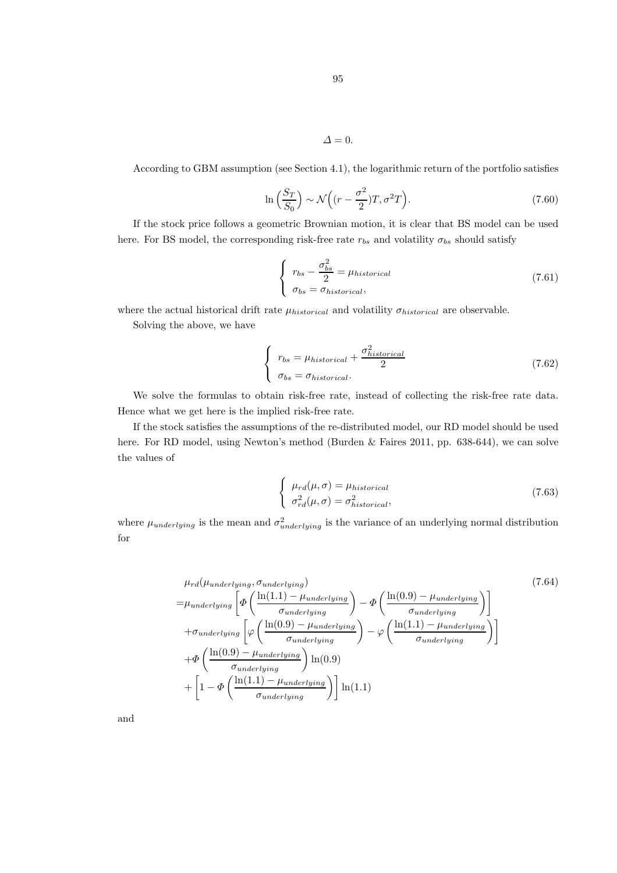$$
\Delta=0.
$$

According to GBM assumption (see Section 4.1), the logarithmic return of the portfolio satisfies

$$
\ln\left(\frac{S_T}{S_0}\right) \sim \mathcal{N}\left((r - \frac{\sigma^2}{2})T, \sigma^2 T\right). \tag{7.60}
$$

If the stock price follows a geometric Brownian motion, it is clear that BS model can be used here. For BS model, the corresponding risk-free rate  $r_{bs}$  and volatility  $\sigma_{bs}$  should satisfy

$$
\begin{cases}\n r_{bs} - \frac{\sigma_{bs}^2}{2} = \mu_{historical} \\
 \sigma_{bs} = \sigma_{historical},\n\end{cases}
$$
\n(7.61)

where the actual historical drift rate  $\mu_{historical}$  and volatility  $\sigma_{historical}$  are observable.

Solving the above, we have

$$
\begin{cases}\n r_{bs} = \mu_{historical} + \frac{\sigma_{historical}^2}{2} \\
 \sigma_{bs} = \sigma_{historical}.\n\end{cases}
$$
\n(7.62)

We solve the formulas to obtain risk-free rate, instead of collecting the risk-free rate data. Hence what we get here is the implied risk-free rate.

If the stock satisfies the assumptions of the re-distributed model, our RD model should be used here. For RD model, using Newton's method (Burden & Faires 2011, pp. 638-644), we can solve the values of

$$
\begin{cases}\n\mu_{rd}(\mu,\sigma) = \mu_{historical} \\
\sigma_{rd}^2(\mu,\sigma) = \sigma_{historical}^2,\n\end{cases}
$$
\n(7.63)

where  $\mu_{underlying}$  is the mean and  $\sigma_{underlying}^2$  is the variance of an underlying normal distribution for

$$
\mu_{rd}(\mu_{underlying}, \sigma_{underlying}) \qquad (7.64)
$$
\n
$$
= \mu_{underlying} \left[ \Phi \left( \frac{\ln(1.1) - \mu_{underlying}}{\sigma_{underlying}} \right) - \Phi \left( \frac{\ln(0.9) - \mu_{underlying}}{\sigma_{underlying}} \right) \right]
$$
\n
$$
+ \sigma_{underlying} \left[ \varphi \left( \frac{\ln(0.9) - \mu_{underlying}}{\sigma_{underlying}} \right) - \varphi \left( \frac{\ln(1.1) - \mu_{underlying}}{\sigma_{underlying}} \right) \right]
$$
\n
$$
+ \Phi \left( \frac{\ln(0.9) - \mu_{underlying}}{\sigma_{underlying}} \right) \ln(0.9)
$$
\n
$$
+ \left[ 1 - \Phi \left( \frac{\ln(1.1) - \mu_{underlying}}{\sigma_{underlying}} \right) \right] \ln(1.1)
$$
\n
$$
(7.64)
$$

and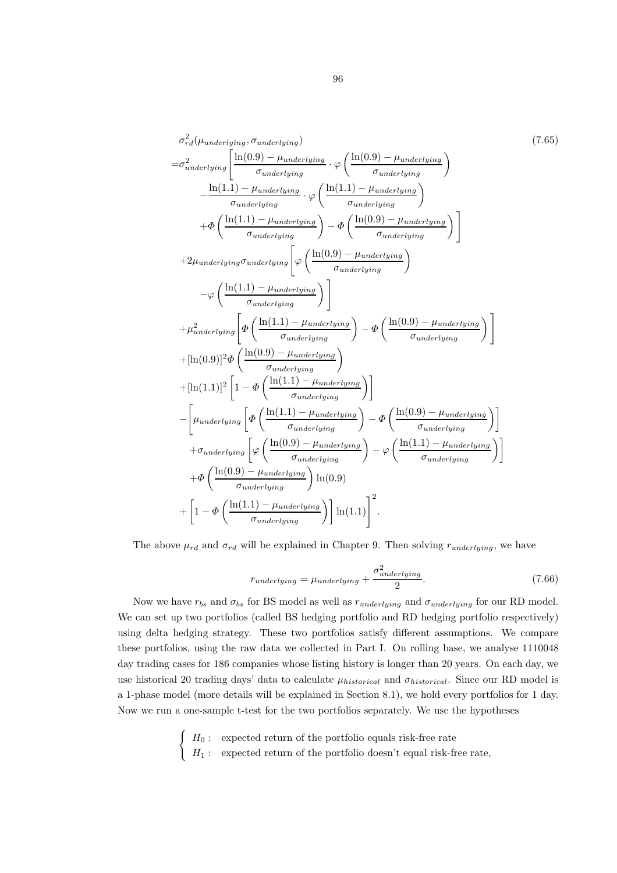$$
\sigma_r^2 d(\mu_{underlying}, \sigma_{underlying}) \qquad (7.65)
$$
\n
$$
= \sigma_{underlying}^2 \left[ \frac{\ln(0.9) - \mu_{underlying}}{\sigma_{underlying}} \cdot \varphi \left( \frac{\ln(0.9) - \mu_{underlying}}{\sigma_{underlying}} \right) \right]
$$
\n
$$
- \frac{\ln(1.1) - \mu_{underlying}}{\sigma_{underlying}} \cdot \varphi \left( \frac{\ln(1.1) - \mu_{underlying}}{\sigma_{underlying}} \right)
$$
\n
$$
+ \Phi \left( \frac{\ln(1.1) - \mu_{underlying}}{\sigma_{underlying}} \right) - \Phi \left( \frac{\ln(0.9) - \mu_{underlying}}{\sigma_{underlying}} \right)
$$
\n
$$
+ 2\mu_{underlying} \sigma_{underlying} \left[ \varphi \left( \frac{\ln(0.9) - \mu_{underlying}}{\sigma_{underlying}} \right) \right]
$$
\n
$$
+ 2\mu_{underlying} \sigma_{underlying} \left[ \varphi \left( \frac{\ln(0.9) - \mu_{underlying}}{\sigma_{underlying}} \right) \right]
$$
\n
$$
+ \mu_{underlying}^2 \left[ \Phi \left( \frac{\ln(1.1) - \mu_{underlying}}{\sigma_{underlying}} \right) \right]
$$
\n
$$
+ \mu_{underlying}^2 \left[ \Phi \left( \frac{\ln(1.1) - \mu_{underlying}}{\sigma_{underlying}} \right) \right]
$$
\n
$$
+ [\ln(0.9)]^2 \Phi \left( \frac{\ln(0.9) - \mu_{underlying}}{\sigma_{underlying}} \right)
$$
\n
$$
+ [\ln(1.1)]^2 \left[ 1 - \Phi \left( \frac{\ln(1.1) - \mu_{underlying}}{\sigma_{underlying}} \right) \right]
$$
\n
$$
- \left[ \mu_{underlying} \left[ \Phi \left( \frac{\ln(1.1) - \mu_{underlying}}{\sigma_{underlying}} \right) - \Phi \left( \frac{\ln(0.9) - \mu_{underlying}}{\sigma_{underlying}} \right) \right]
$$
\n
$$
+ \sigma_{underlying} \left[ \varphi \left( \frac{\ln(0.9) - \mu_{underlying}}{\sigma_{underlying}} \right) - \varphi \left( \frac{\ln(1.1) - \mu_{underlying}}{\sigma_{underlying}} \right) \right]
$$
\n
$$
+
$$

The above  $\mu_{rd}$  and  $\sigma_{rd}$  will be explained in Chapter 9. Then solving  $r_{underlying}$ , we have

$$
r_{underlying} = \mu_{underlying} + \frac{\sigma_{underlying}^2}{2}.
$$
\n(7.66)

Now we have  $r_{bs}$  and  $\sigma_{bs}$  for BS model as well as  $r_{underlying}$  and  $\sigma_{underlying}$  for our RD model. We can set up two portfolios (called BS hedging portfolio and RD hedging portfolio respectively) using delta hedging strategy. These two portfolios satisfy different assumptions. We compare these portfolios, using the raw data we collected in Part I. On rolling base, we analyse 1110048 day trading cases for 186 companies whose listing history is longer than 20 years. On each day, we use historical 20 trading days' data to calculate  $\mu_{historical}$  and  $\sigma_{historical}$ . Since our RD model is a 1-phase model (more details will be explained in Section 8.1), we hold every portfolios for 1 day. Now we run a one-sample t-test for the two portfolios separately. We use the hypotheses

> $\int H_0$ : expected return of the portfolio equals risk-free rate  $H_1:$  expected return of the portfolio doesn't equal risk-free rate,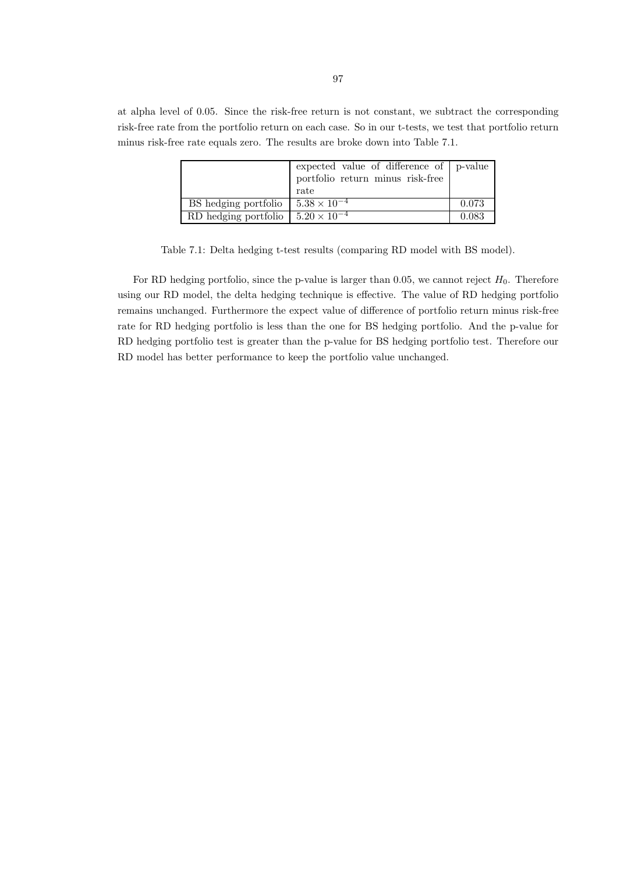at alpha level of 0.05. Since the risk-free return is not constant, we subtract the corresponding risk-free rate from the portfolio return on each case. So in our t-tests, we test that portfolio return minus risk-free rate equals zero. The results are broke down into Table 7.1.

|                      | expected value of difference of $ p$ -value |       |
|----------------------|---------------------------------------------|-------|
|                      | portfolio return minus risk-free            |       |
|                      | rate                                        |       |
| BS hedging portfolio | $5.38 \times 10^{-4}$                       | 0.073 |
| RD hedging portfolio | $5.20 \times 10^{-4}$                       | 0.083 |

Table 7.1: Delta hedging t-test results (comparing RD model with BS model).

For RD hedging portfolio, since the p-value is larger than 0.05, we cannot reject  $H_0$ . Therefore using our RD model, the delta hedging technique is effective. The value of RD hedging portfolio remains unchanged. Furthermore the expect value of difference of portfolio return minus risk-free rate for RD hedging portfolio is less than the one for BS hedging portfolio. And the p-value for RD hedging portfolio test is greater than the p-value for BS hedging portfolio test. Therefore our RD model has better performance to keep the portfolio value unchanged.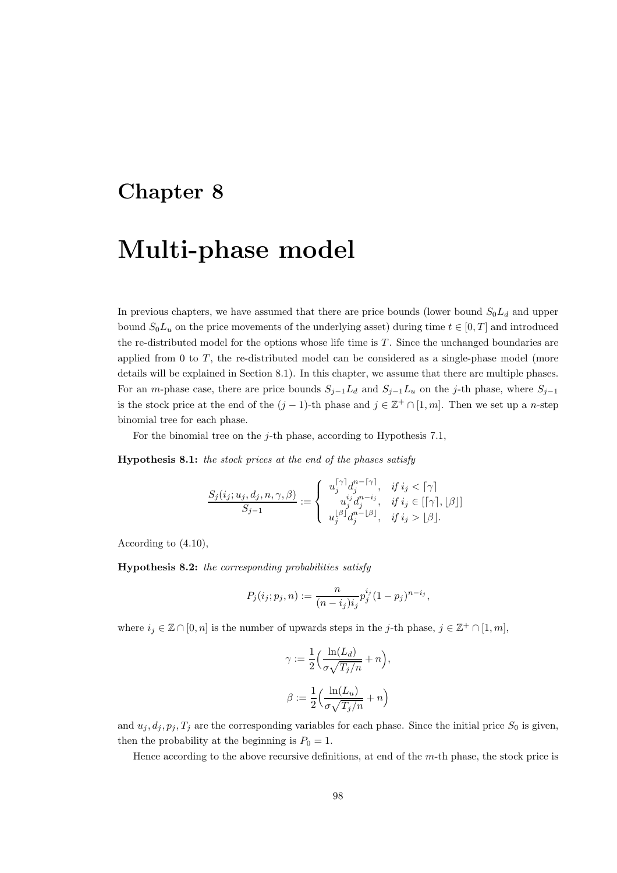## Chapter 8

# Multi-phase model

In previous chapters, we have assumed that there are price bounds (lower bound  $S_0L_d$  and upper bound  $S_0L_u$  on the price movements of the underlying asset) during time  $t \in [0, T]$  and introduced the re-distributed model for the options whose life time is T. Since the unchanged boundaries are applied from  $0$  to  $T$ , the re-distributed model can be considered as a single-phase model (more details will be explained in Section 8.1). In this chapter, we assume that there are multiple phases. For an m-phase case, there are price bounds  $S_{j-1}L_d$  and  $S_{j-1}L_u$  on the j-th phase, where  $S_{j-1}$ is the stock price at the end of the  $(j-1)$ -th phase and  $j \in \mathbb{Z}^+ \cap [1,m]$ . Then we set up a n-step binomial tree for each phase.

For the binomial tree on the  $j$ -th phase, according to Hypothesis 7.1,

Hypothesis 8.1: the stock prices at the end of the phases satisfy

$$
\frac{S_j(i_j; u_j, d_j, n, \gamma, \beta)}{S_{j-1}} := \left\{ \begin{array}{ll} u_j^{[\gamma]} d_j^{n - \lceil \gamma \rceil}, & \text{if } i_j < \lceil \gamma \rceil \\ u_j^{i_j} d_j^{n - i_j}, & \text{if } i_j \in \lbrack \lceil \gamma \rbrack, \lfloor \beta \rfloor \rbrack \\ u_j^{[\beta]} d_j^{n - \lfloor \beta \rfloor}, & \text{if } i_j > \lfloor \beta \rfloor. \end{array} \right.
$$

According to (4.10),

Hypothesis 8.2: the corresponding probabilities satisfy

$$
P_j(i_j; p_j, n) := \frac{n}{(n-i_j)i_j} p_j^{i_j} (1-p_j)^{n-i_j},
$$

where  $i_j \in \mathbb{Z} \cap [0, n]$  is the number of upwards steps in the j-th phase,  $j \in \mathbb{Z}^+ \cap [1, m]$ ,

$$
\gamma := \frac{1}{2} \left( \frac{\ln(L_d)}{\sigma \sqrt{T_j/n}} + n \right),
$$

$$
\beta := \frac{1}{2} \left( \frac{\ln(L_u)}{\sigma \sqrt{T_j/n}} + n \right)
$$

and  $u_j, d_j, p_j, T_j$  are the corresponding variables for each phase. Since the initial price  $S_0$  is given, then the probability at the beginning is  $P_0 = 1$ .

Hence according to the above recursive definitions, at end of the m-th phase, the stock price is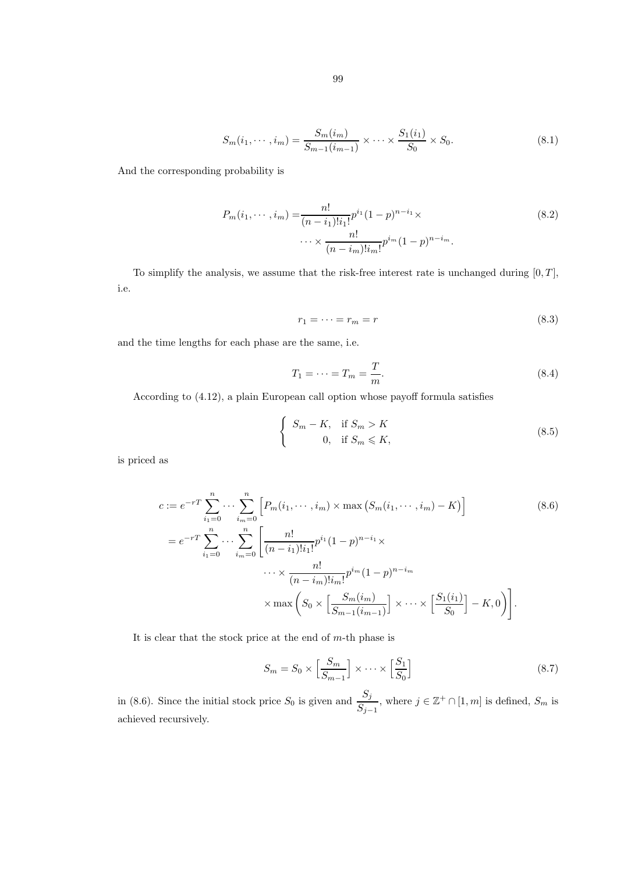$$
99\\
$$

$$
S_m(i_1, \dots, i_m) = \frac{S_m(i_m)}{S_{m-1}(i_{m-1})} \times \dots \times \frac{S_1(i_1)}{S_0} \times S_0.
$$
\n(8.1)

And the corresponding probability is

$$
P_m(i_1, \dots, i_m) = \frac{n!}{(n - i_1)! i_1!} p^{i_1} (1 - p)^{n - i_1} \times \dots \times \frac{n!}{(n - i_m)! i_m!} p^{i_m} (1 - p)^{n - i_m}.
$$
\n(8.2)

To simplify the analysis, we assume that the risk-free interest rate is unchanged during  $[0, T]$ , i.e.

$$
r_1 = \dots = r_m = r \tag{8.3}
$$

and the time lengths for each phase are the same, i.e.

$$
T_1 = \dots = T_m = \frac{T}{m}.\tag{8.4}
$$

According to (4.12), a plain European call option whose payoff formula satisfies

$$
\begin{cases}\nS_m - K, & \text{if } S_m > K \\
0, & \text{if } S_m \leq K,\n\end{cases}
$$
\n(8.5)

is priced as

$$
c := e^{-rT} \sum_{i_1=0}^n \cdots \sum_{i_m=0}^n \left[ P_m(i_1, \cdots, i_m) \times \max\left( S_m(i_1, \cdots, i_m) - K \right) \right]
$$
\n
$$
= e^{-rT} \sum_{i_1=0}^n \cdots \sum_{i_m=0}^n \left[ \frac{n!}{(n-i_1)! i_1!} p^{i_1} (1-p)^{n-i_1} \times \cdots \times \frac{n!}{(n-i_m)! i_m!} p^{i_m} (1-p)^{n-i_m} \right]
$$
\n
$$
\times \max\left( S_0 \times \left[ \frac{S_m(i_m)}{S_{m-1}(i_{m-1})} \right] \times \cdots \times \left[ \frac{S_1(i_1)}{S_0} \right] - K, 0 \right).
$$
\n(8.6)

It is clear that the stock price at the end of  $m$ -th phase is

$$
S_m = S_0 \times \left[\frac{S_m}{S_{m-1}}\right] \times \cdots \times \left[\frac{S_1}{S_0}\right]
$$
\n(8.7)

in (8.6). Since the initial stock price  $S_0$  is given and  $\frac{S_j}{S_{j-1}}$ , where  $j \in \mathbb{Z}^+ \cap [1,m]$  is defined,  $S_m$  is achieved recursively.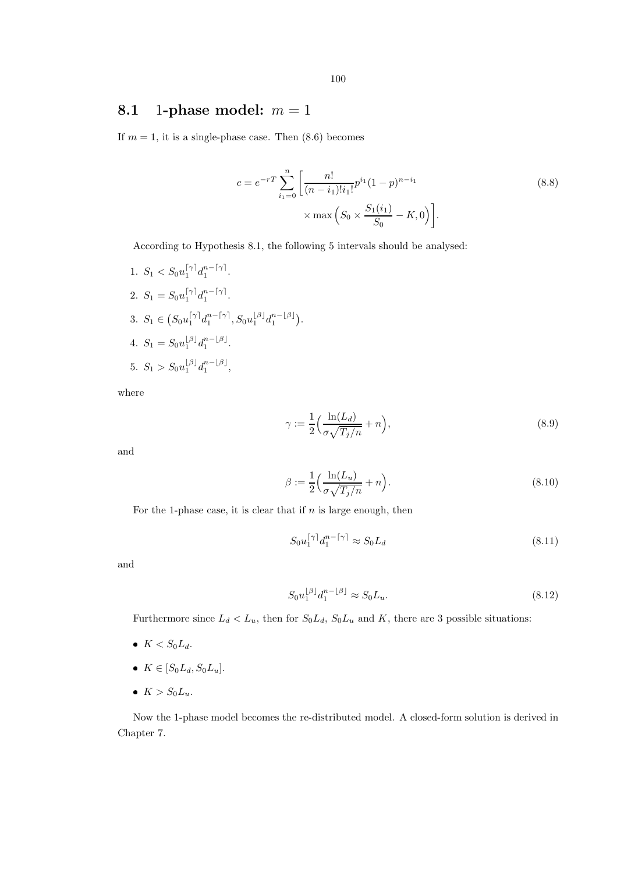### 8.1 1-phase model:  $m = 1$

If  $m = 1$ , it is a single-phase case. Then  $(8.6)$  becomes

$$
c = e^{-rT} \sum_{i_1=0}^{n} \left[ \frac{n!}{(n-i_1)!i_1!} p^{i_1} (1-p)^{n-i_1} \times \max\left(S_0 \times \frac{S_1(i_1)}{S_0} - K, 0\right) \right].
$$
\n(8.8)

According to Hypothesis 8.1, the following 5 intervals should be analysed:

1.  $S_1 < S_0 u_1^{\lceil \gamma \rceil} d_1^{n - \lceil \gamma \rceil}$ . 2.  $S_1 = S_0 u_1^{\lceil \gamma \rceil} d_1^{n - \lceil \gamma \rceil}$ . 3.  $S_1 \in (S_0 u_1^{\lceil \gamma \rceil} d_1^{n - \lceil \gamma \rceil}, S_0 u_1^{\lfloor \beta \rfloor} d_1^{n - \lfloor \beta \rfloor}).$ 4.  $S_1 = S_0 u_1^{\lfloor \beta \rfloor} d_1^{n-\lfloor \beta \rfloor}$ . 5.  $S_1 > S_0 u_1^{\lfloor \beta \rfloor} d_1^{n-\lfloor \beta \rfloor},$ 

where

$$
\gamma := \frac{1}{2} \Big( \frac{\ln(L_d)}{\sigma \sqrt{T_j/n}} + n \Big),\tag{8.9}
$$

and

$$
\beta := \frac{1}{2} \left( \frac{\ln(L_u)}{\sigma \sqrt{T_j/n}} + n \right). \tag{8.10}
$$

For the 1-phase case, it is clear that if  $n$  is large enough, then

$$
S_0 u_1^{\lceil \gamma \rceil} d_1^{n - \lceil \gamma \rceil} \approx S_0 L_d \tag{8.11}
$$

and

$$
S_0 u_1^{\lfloor \beta \rfloor} d_1^{n-\lfloor \beta \rfloor} \approx S_0 L_u. \tag{8.12}
$$

Furthermore since  $L_d < L_u$ , then for  $S_0L_d$ ,  $S_0L_u$  and K, there are 3 possible situations:

- $K < S_0L_d$ .
- $K \in [S_0 L_d, S_0 L_u]$ .
- $K > S_0L_u$ .

Now the 1-phase model becomes the re-distributed model. A closed-form solution is derived in Chapter 7.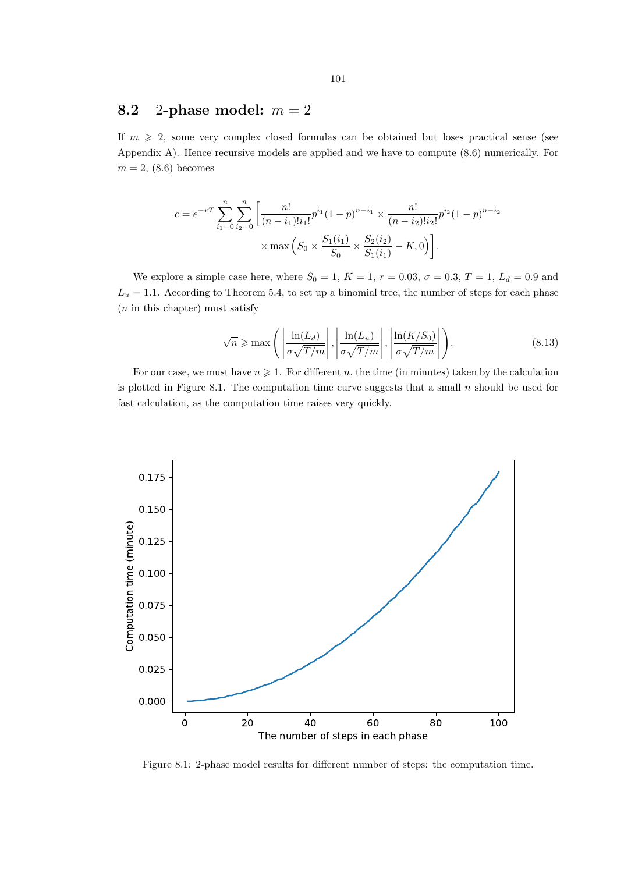### 8.2 2-phase model:  $m = 2$

If  $m \geq 2$ , some very complex closed formulas can be obtained but loses practical sense (see Appendix A). Hence recursive models are applied and we have to compute (8.6) numerically. For  $m = 2, (8.6)$  becomes

$$
c = e^{-rT} \sum_{i_1=0}^n \sum_{i_2=0}^n \left[ \frac{n!}{(n-i_1)! i_1!} p^{i_1} (1-p)^{n-i_1} \times \frac{n!}{(n-i_2)! i_2!} p^{i_2} (1-p)^{n-i_2} \right] \times \max \left( S_0 \times \frac{S_1(i_1)}{S_0} \times \frac{S_2(i_2)}{S_1(i_1)} - K, 0 \right).
$$

We explore a simple case here, where  $S_0 = 1, K = 1, r = 0.03, \sigma = 0.3, T = 1, L_d = 0.9$  and  $L_u = 1.1$ . According to Theorem 5.4, to set up a binomial tree, the number of steps for each phase  $(n \text{ in this chapter})$  must satisfy

$$
\sqrt{n} \ge \max\left(\left|\frac{\ln(L_d)}{\sigma\sqrt{T/m}}\right|, \left|\frac{\ln(L_u)}{\sigma\sqrt{T/m}}\right|, \left|\frac{\ln(K/S_0)}{\sigma\sqrt{T/m}}\right|\right).
$$
\n(8.13)

For our case, we must have  $n \geq 1$ . For different n, the time (in minutes) taken by the calculation is plotted in Figure 8.1. The computation time curve suggests that a small  $n$  should be used for fast calculation, as the computation time raises very quickly.



Figure 8.1: 2-phase model results for different number of steps: the computation time.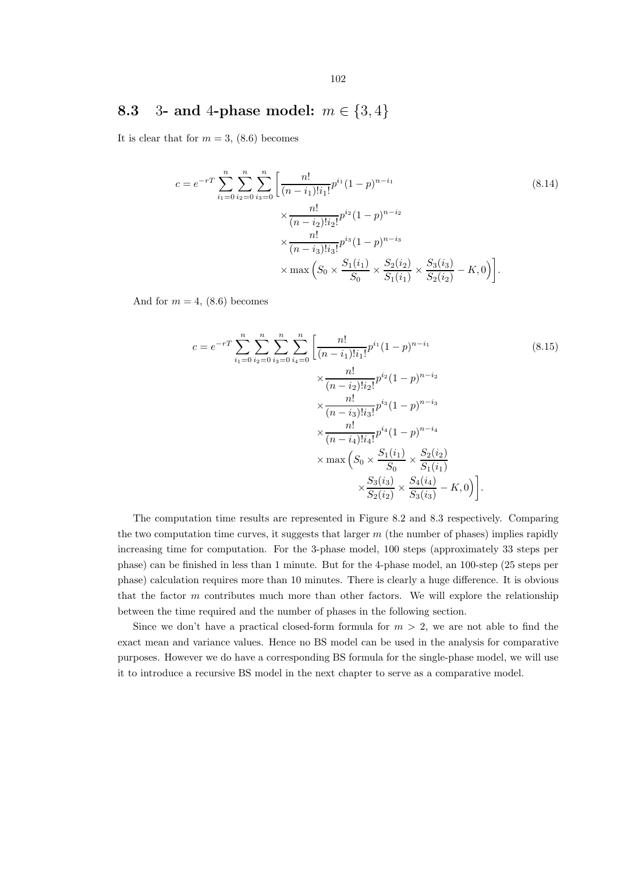### 8.3 3- and 4-phase model:  $m \in \{3, 4\}$

It is clear that for  $m = 3$ , (8.6) becomes

$$
c = e^{-rT} \sum_{i_1=0}^n \sum_{i_2=0}^n \sum_{i_3=0}^n \left[ \frac{n!}{(n-i_1)!i_1!} p^{i_1} (1-p)^{n-i_1} \times \frac{n!}{(n-i_2)!i_2!} p^{i_2} (1-p)^{n-i_2} \times \frac{n!}{(n-i_3)!i_3!} p^{i_3} (1-p)^{n-i_3} \times \max \left( S_0 \times \frac{S_1(i_1)}{S_0} \times \frac{S_2(i_2)}{S_1(i_1)} \times \frac{S_3(i_3)}{S_2(i_2)} - K, 0 \right) \right].
$$
\n(8.14)

And for  $m = 4$ , (8.6) becomes

$$
c = e^{-rT} \sum_{i_1=0}^n \sum_{i_2=0}^n \sum_{i_3=0}^n \left[ \frac{n!}{(n-i_1)!i_1!} p^{i_1} (1-p)^{n-i_1} \times \frac{n!}{(n-i_2)!i_2!} p^{i_2} (1-p)^{n-i_2} \right]
$$
\n
$$
\times \frac{n!}{(n-i_2)!i_3!} p^{i_3} (1-p)^{n-i_3}
$$
\n
$$
\times \frac{n!}{(n-i_4)!i_4!} p^{i_4} (1-p)^{n-i_4}
$$
\n
$$
\times \max \left( S_0 \times \frac{S_1(i_1)}{S_0} \times \frac{S_2(i_2)}{S_1(i_1)} \right)
$$
\n
$$
\times \frac{S_3(i_3)}{S_2(i_2)} \times \frac{S_4(i_4)}{S_3(i_3)} - K, 0 \Big).
$$
\n(8.15)

The computation time results are represented in Figure 8.2 and 8.3 respectively. Comparing the two computation time curves, it suggests that larger  $m$  (the number of phases) implies rapidly increasing time for computation. For the 3-phase model, 100 steps (approximately 33 steps per phase) can be finished in less than 1 minute. But for the 4-phase model, an 100-step (25 steps per phase) calculation requires more than 10 minutes. There is clearly a huge difference. It is obvious that the factor  $m$  contributes much more than other factors. We will explore the relationship between the time required and the number of phases in the following section.

Since we don't have a practical closed-form formula for  $m > 2$ , we are not able to find the exact mean and variance values. Hence no BS model can be used in the analysis for comparative purposes. However we do have a corresponding BS formula for the single-phase model, we will use it to introduce a recursive BS model in the next chapter to serve as a comparative model.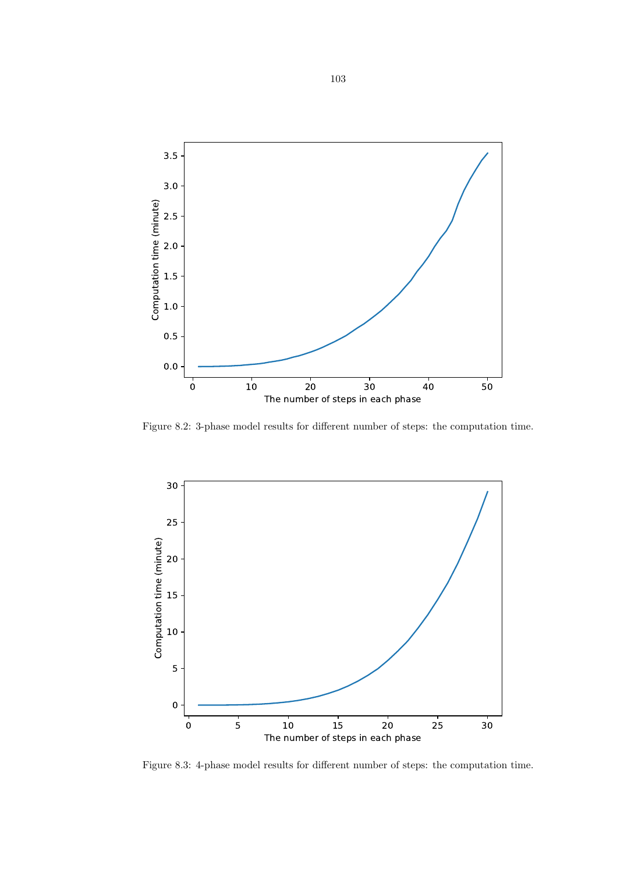

Figure 8.2: 3-phase model results for different number of steps: the computation time.



Figure 8.3: 4-phase model results for different number of steps: the computation time.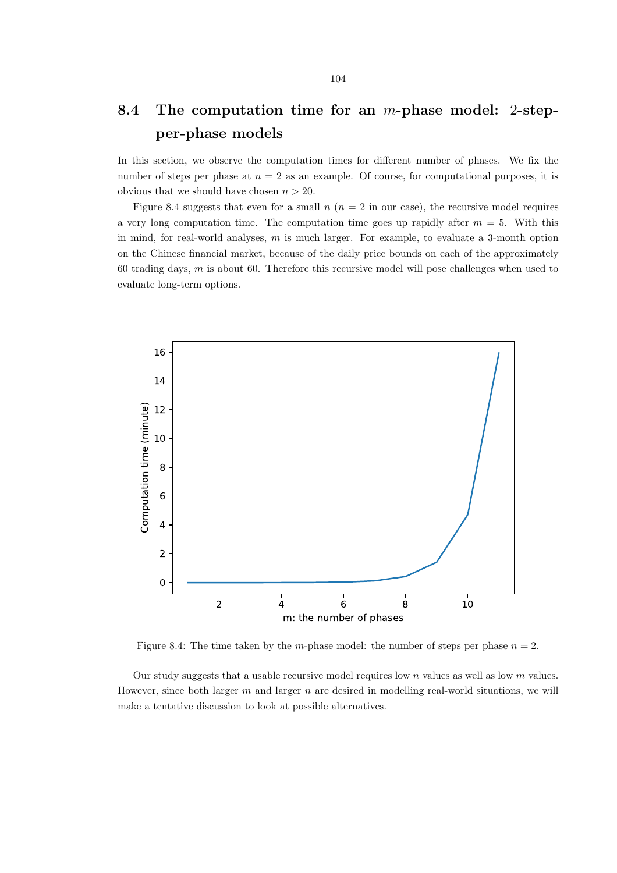### 8.4 The computation time for an m-phase model: 2-stepper-phase models

In this section, we observe the computation times for different number of phases. We fix the number of steps per phase at  $n = 2$  as an example. Of course, for computational purposes, it is obvious that we should have chosen  $n > 20$ .

Figure 8.4 suggests that even for a small  $n (n = 2$  in our case), the recursive model requires a very long computation time. The computation time goes up rapidly after  $m = 5$ . With this in mind, for real-world analyses, m is much larger. For example, to evaluate a 3-month option on the Chinese financial market, because of the daily price bounds on each of the approximately 60 trading days,  $m$  is about 60. Therefore this recursive model will pose challenges when used to evaluate long-term options.



Figure 8.4: The time taken by the m-phase model: the number of steps per phase  $n = 2$ .

Our study suggests that a usable recursive model requires low  $n$  values as well as low  $m$  values. However, since both larger  $m$  and larger  $n$  are desired in modelling real-world situations, we will make a tentative discussion to look at possible alternatives.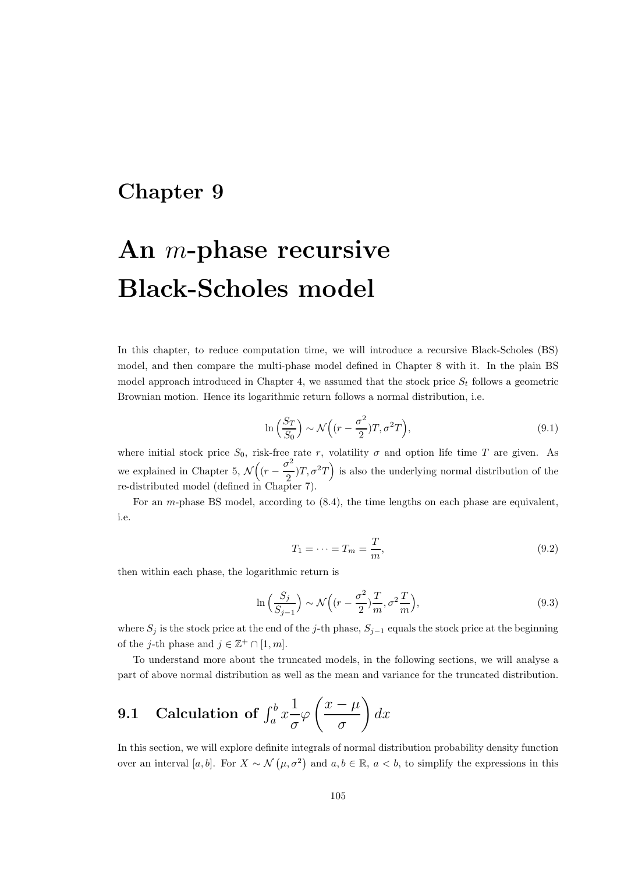### Chapter 9

# An m-phase recursive Black-Scholes model

In this chapter, to reduce computation time, we will introduce a recursive Black-Scholes (BS) model, and then compare the multi-phase model defined in Chapter 8 with it. In the plain BS model approach introduced in Chapter 4, we assumed that the stock price  $S_t$  follows a geometric Brownian motion. Hence its logarithmic return follows a normal distribution, i.e.

$$
\ln\left(\frac{S_T}{S_0}\right) \sim \mathcal{N}\left((r - \frac{\sigma^2}{2})T, \sigma^2 T\right),\tag{9.1}
$$

where initial stock price  $S_0$ , risk-free rate r, volatility  $\sigma$  and option life time T are given. As we explained in Chapter 5,  $\mathcal{N}\left((r - \frac{\sigma^2}{2})\right)$  $(\frac{\tau^2}{2})T, \sigma^2 T$  is also the underlying normal distribution of the re-distributed model (defined in Chapter 7).

For an m-phase BS model, according to (8.4), the time lengths on each phase are equivalent, i.e.

$$
T_1 = \dots = T_m = \frac{T}{m},\tag{9.2}
$$

then within each phase, the logarithmic return is

$$
\ln\left(\frac{S_j}{S_{j-1}}\right) \sim \mathcal{N}\left((r - \frac{\sigma^2}{2})\frac{T}{m}, \sigma^2 \frac{T}{m}\right),\tag{9.3}
$$

where  $S_j$  is the stock price at the end of the j-th phase,  $S_{j-1}$  equals the stock price at the beginning of the *j*-th phase and  $j \in \mathbb{Z}^+ \cap [1, m]$ .

To understand more about the truncated models, in the following sections, we will analyse a part of above normal distribution as well as the mean and variance for the truncated distribution.

9.1 Calculation of 
$$
\int_a^b x \frac{1}{\sigma} \varphi \left( \frac{x - \mu}{\sigma} \right) dx
$$

In this section, we will explore definite integrals of normal distribution probability density function over an interval [a, b]. For  $X \sim \mathcal{N}(\mu, \sigma^2)$  and  $a, b \in \mathbb{R}$ ,  $a < b$ , to simplify the expressions in this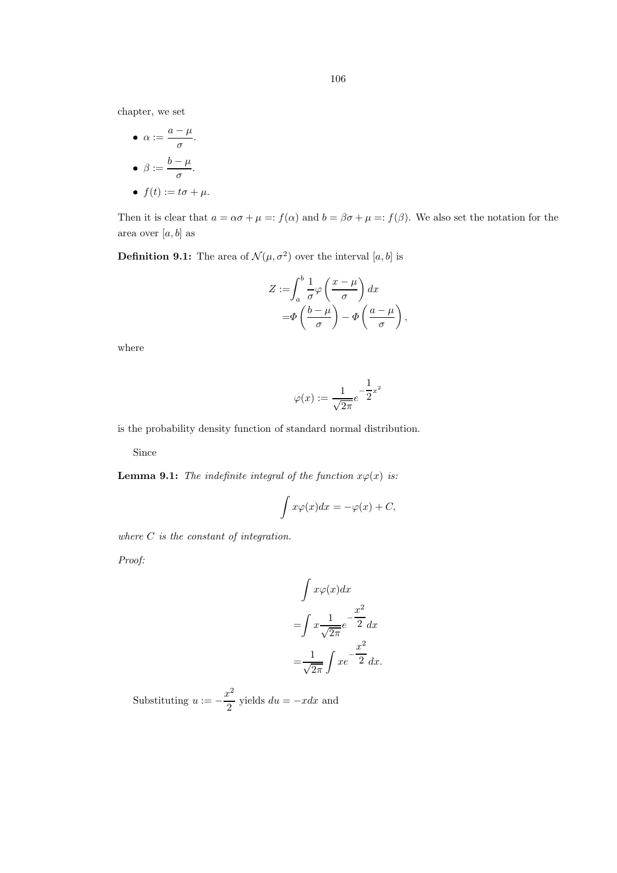chapter, we set

\n- $$
\alpha := \frac{a - \mu}{\sigma}
$$
.
\n- $\beta := \frac{b - \mu}{\sigma}$ .
\n- $f(t) := t\sigma + \mu$ .
\n

Then it is clear that  $a = \alpha \sigma + \mu =: f(\alpha)$  and  $b = \beta \sigma + \mu =: f(\beta)$ . We also set the notation for the area over  $[a, b]$  as

**Definition 9.1:** The area of  $\mathcal{N}(\mu, \sigma^2)$  over the interval  $[a, b]$  is

$$
Z := \int_{a}^{b} \frac{1}{\sigma} \varphi \left( \frac{x - \mu}{\sigma} \right) dx
$$

$$
= \Phi \left( \frac{b - \mu}{\sigma} \right) - \Phi \left( \frac{a - \mu}{\sigma} \right),
$$

where

$$
\varphi(x) := \frac{1}{\sqrt{2\pi}} e^{-\frac{1}{2}x^2}
$$

is the probability density function of standard normal distribution.

Since

**Lemma 9.1:** The indefinite integral of the function  $x\varphi(x)$  is:

$$
\int x\varphi(x)dx = -\varphi(x) + C,
$$

where  $C$  is the constant of integration.

Proof:

$$
\int x\varphi(x)dx
$$

$$
=\int x\frac{1}{\sqrt{2\pi}}e^{-\frac{x^2}{2}}dx
$$

$$
=\frac{1}{\sqrt{2\pi}}\int xe^{-\frac{x^2}{2}}dx.
$$

Substituting  $u := -\frac{x^2}{2}$  $\frac{c}{2}$  yields  $du = -xdx$  and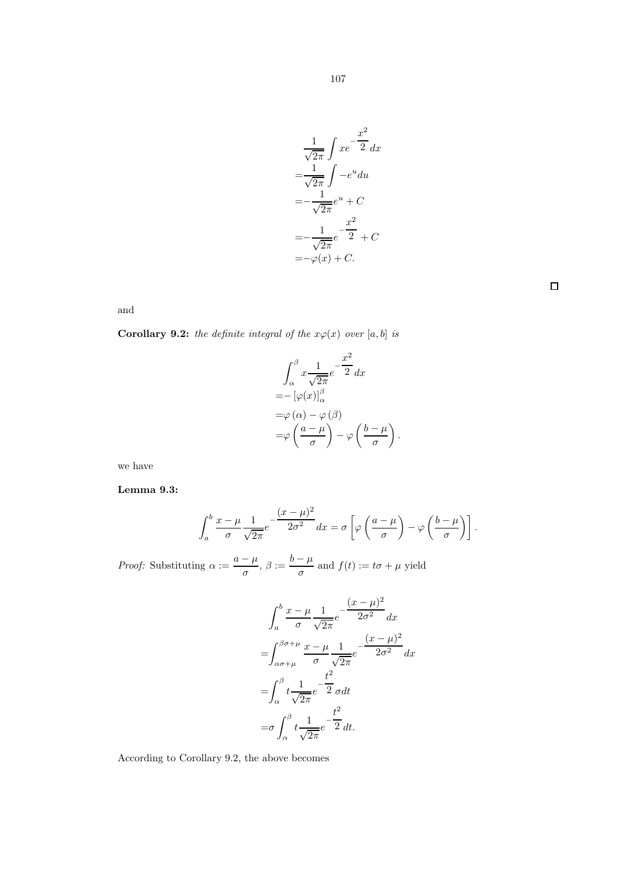$$
\frac{1}{\sqrt{2\pi}} \int xe^{-\frac{x^2}{2}} dx
$$

$$
= \frac{1}{\sqrt{2\pi}} \int -e^u du
$$

$$
= -\frac{1}{\sqrt{2\pi}} e^u + C
$$

$$
= -\frac{1}{\sqrt{2\pi}} e^{-\frac{x^2}{2}} + C
$$

$$
= -\varphi(x) + C.
$$

 $\Box$ 

and

**Corollary 9.2:** the definite integral of the  $x\varphi(x)$  over [a, b] is

$$
\int_{\alpha}^{\beta} x \frac{1}{\sqrt{2\pi}} e^{-\frac{x^2}{2}} dx
$$
  
=  $-\left[\varphi(x)\right]_{\alpha}^{\beta}$   
=  $\varphi(\alpha) - \varphi(\beta)$   
=  $\varphi\left(\frac{a-\mu}{\sigma}\right) - \varphi\left(\frac{b-\mu}{\sigma}\right).$ 

we have

Lemma 9.3:

$$
\int_{a}^{b} \frac{x-\mu}{\sigma} \frac{1}{\sqrt{2\pi}} e^{-\frac{(x-\mu)^2}{2\sigma^2}} dx = \sigma \left[ \varphi \left( \frac{a-\mu}{\sigma} \right) - \varphi \left( \frac{b-\mu}{\sigma} \right) \right].
$$

*Proof:* Substituting  $\alpha := \frac{a - \mu}{\sigma}$  $\frac{\overline{\phantom{a}} - \mu}{\sigma}, \ \beta := \frac{b - \mu}{\sigma}$  $\frac{r}{\sigma}$  and  $f(t) := t\sigma + \mu$  yield

$$
\int_{a}^{b} \frac{x - \mu}{\sigma} \frac{1}{\sqrt{2\pi}} e^{-\frac{(x - \mu)^2}{2\sigma^2}} dx
$$

$$
= \int_{\alpha\sigma+\mu}^{\beta\sigma+\mu} \frac{x - \mu}{\sigma} \frac{1}{\sqrt{2\pi}} e^{-\frac{(x - \mu)^2}{2\sigma^2}} dx
$$

$$
= \int_{\alpha}^{\beta} t \frac{1}{\sqrt{2\pi}} e^{-\frac{t^2}{2}} \sigma dt
$$

$$
= \sigma \int_{\alpha}^{\beta} t \frac{1}{\sqrt{2\pi}} e^{-\frac{t^2}{2}} dt.
$$

According to Corollary 9.2, the above becomes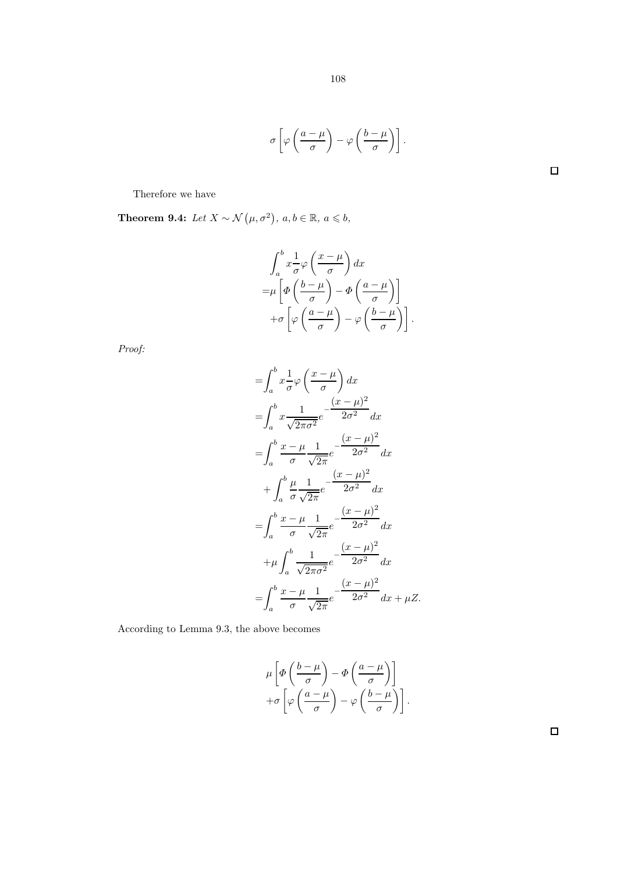$$
\sigma\left[\varphi\left(\frac{a-\mu}{\sigma}\right)-\varphi\left(\frac{b-\mu}{\sigma}\right)\right].
$$

 $\Box$ 

Therefore we have

**Theorem 9.4:** Let  $X \sim \mathcal{N}(\mu, \sigma^2)$ ,  $a, b \in \mathbb{R}$ ,  $a \leq b$ ,

$$
\int_{a}^{b} x \frac{1}{\sigma} \varphi \left( \frac{x - \mu}{\sigma} \right) dx
$$
  
=  $\mu \left[ \varphi \left( \frac{b - \mu}{\sigma} \right) - \varphi \left( \frac{a - \mu}{\sigma} \right) \right]$   
+  $\sigma \left[ \varphi \left( \frac{a - \mu}{\sigma} \right) - \varphi \left( \frac{b - \mu}{\sigma} \right) \right].$ 

Proof:

$$
\begin{split}\n&= \int_{a}^{b} x \frac{1}{\sigma} \varphi \left( \frac{x - \mu}{\sigma} \right) dx \\
&= \int_{a}^{b} x \frac{1}{\sqrt{2\pi\sigma^{2}}} e^{-\frac{(x - \mu)^{2}}{2\sigma^{2}}} dx \\
&= \int_{a}^{b} \frac{x - \mu}{\sigma} \frac{1}{\sqrt{2\pi}} e^{-\frac{(x - \mu)^{2}}{2\sigma^{2}}} dx \\
&+ \int_{a}^{b} \frac{\mu}{\sigma} \frac{1}{\sqrt{2\pi}} e^{-\frac{(x - \mu)^{2}}{2\sigma^{2}}} dx \\
&= \int_{a}^{b} \frac{x - \mu}{\sigma} \frac{1}{\sqrt{2\pi}} e^{-\frac{(x - \mu)^{2}}{2\sigma^{2}}} dx \\
&+ \mu \int_{a}^{b} \frac{1}{\sqrt{2\pi\sigma^{2}}} e^{-\frac{(x - \mu)^{2}}{2\sigma^{2}}} dx \\
&= \int_{a}^{b} \frac{x - \mu}{\sigma} \frac{1}{\sqrt{2\pi}} e^{-\frac{(x - \mu)^{2}}{2\sigma^{2}}} dx + \mu Z.\n\end{split}
$$

According to Lemma 9.3, the above becomes

$$
\mu \left[ \varPhi \left( \frac{b - \mu}{\sigma} \right) - \varPhi \left( \frac{a - \mu}{\sigma} \right) \right] + \sigma \left[ \varphi \left( \frac{a - \mu}{\sigma} \right) - \varphi \left( \frac{b - \mu}{\sigma} \right) \right].
$$

 $\Box$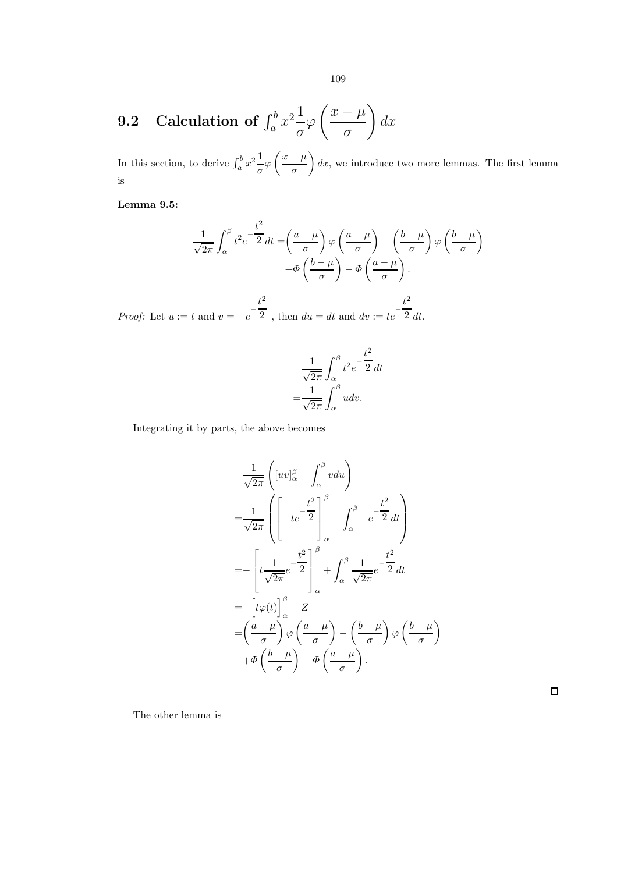#### 9.2 Calculation of  $\int_a^b x^2 \frac{1}{a}$ σ  $\varphi$  $\left(\frac{x-\mu}{\sigma}\right)$ σ  $\setminus$  $dx$

In this section, to derive  $\int_a^b x^2 \frac{1}{a}$  $rac{1}{\sigma}\varphi\left(\frac{x-\mu}{\sigma}\right)$ σ  $dx$ , we introduce two more lemmas. The first lemma is

Lemma 9.5:

$$
\frac{1}{\sqrt{2\pi}} \int_{\alpha}^{\beta} t^2 e^{-\frac{t^2}{2}} dt = \left(\frac{a-\mu}{\sigma}\right) \varphi \left(\frac{a-\mu}{\sigma}\right) - \left(\frac{b-\mu}{\sigma}\right) \varphi \left(\frac{b-\mu}{\sigma}\right) + \varphi \left(\frac{b-\mu}{\sigma}\right) - \varphi \left(\frac{a-\mu}{\sigma}\right).
$$

*Proof:* Let  $u := t$  and  $v = -e^{-\frac{t^2}{2}}$  $\frac{t^2}{2}$ , then  $du = dt$  and  $dv := te^{-\frac{t^2}{2}}$ 2 dt.

$$
\frac{1}{\sqrt{2\pi}} \int_{\alpha}^{\beta} t^2 e^{-\frac{t^2}{2}} dt
$$

$$
= \frac{1}{\sqrt{2\pi}} \int_{\alpha}^{\beta} u dv.
$$

Integrating it by parts, the above becomes

$$
\frac{1}{\sqrt{2\pi}} \left( [uv]_{\alpha}^{\beta} - \int_{\alpha}^{\beta} v du \right)
$$
\n
$$
= \frac{1}{\sqrt{2\pi}} \left( \left[ -te^{-\frac{t^2}{2}} \right]_{\alpha}^{\beta} - \int_{\alpha}^{\beta} -e^{-\frac{t^2}{2}} dt \right)
$$
\n
$$
= -\left[ t \frac{1}{\sqrt{2\pi}} e^{-\frac{t^2}{2}} \right]_{\alpha}^{\beta} + \int_{\alpha}^{\beta} \frac{1}{\sqrt{2\pi}} e^{-\frac{t^2}{2}} dt
$$
\n
$$
= -\left[ t \varphi(t) \right]_{\alpha}^{\beta} + Z
$$
\n
$$
= \left( \frac{a - \mu}{\sigma} \right) \varphi \left( \frac{a - \mu}{\sigma} \right) - \left( \frac{b - \mu}{\sigma} \right) \varphi \left( \frac{b - \mu}{\sigma} \right)
$$
\n
$$
+ \Phi \left( \frac{b - \mu}{\sigma} \right) - \Phi \left( \frac{a - \mu}{\sigma} \right).
$$

 $\setminus$ 

The other lemma is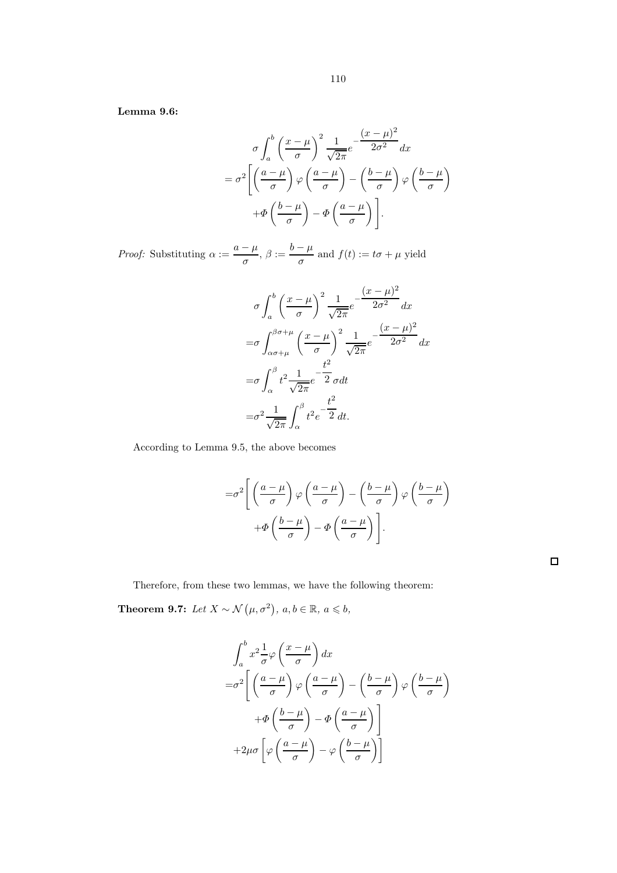Lemma 9.6:

$$
\sigma \int_{a}^{b} \left(\frac{x-\mu}{\sigma}\right)^{2} \frac{1}{\sqrt{2\pi}} e^{-\frac{(x-\mu)^{2}}{2\sigma^{2}}} dx
$$

$$
= \sigma^{2} \left[ \left(\frac{a-\mu}{\sigma}\right) \varphi \left(\frac{a-\mu}{\sigma}\right) - \left(\frac{b-\mu}{\sigma}\right) \varphi \left(\frac{b-\mu}{\sigma}\right) + \Phi \left(\frac{b-\mu}{\sigma}\right) - \Phi \left(\frac{a-\mu}{\sigma}\right) \right].
$$

*Proof:* Substituting  $\alpha := \frac{a - \mu}{\sigma}$  $\frac{\overline{\phantom{a}} - \mu}{\sigma}$ ,  $\beta := \frac{b - \mu}{\sigma}$  $\frac{\mu}{\sigma}$  and  $f(t) := t\sigma + \mu$  yield

$$
\sigma \int_{a}^{b} \left(\frac{x-\mu}{\sigma}\right)^{2} \frac{1}{\sqrt{2\pi}} e^{-\frac{(x-\mu)^{2}}{2\sigma^{2}}} dx
$$

$$
= \sigma \int_{\alpha\sigma+\mu}^{\beta\sigma+\mu} \left(\frac{x-\mu}{\sigma}\right)^{2} \frac{1}{\sqrt{2\pi}} e^{-\frac{(x-\mu)^{2}}{2\sigma^{2}}} dx
$$

$$
= \sigma \int_{\alpha}^{\beta} t^{2} \frac{1}{\sqrt{2\pi}} e^{-\frac{t^{2}}{2}} dt
$$

$$
= \sigma^{2} \frac{1}{\sqrt{2\pi}} \int_{\alpha}^{\beta} t^{2} e^{-\frac{t^{2}}{2}} dt.
$$

According to Lemma 9.5, the above becomes

$$
= \sigma^2 \left[ \left( \frac{a - \mu}{\sigma} \right) \varphi \left( \frac{a - \mu}{\sigma} \right) - \left( \frac{b - \mu}{\sigma} \right) \varphi \left( \frac{b - \mu}{\sigma} \right) \right] + \Phi \left( \frac{b - \mu}{\sigma} \right) - \Phi \left( \frac{a - \mu}{\sigma} \right) \right].
$$

 $\Box$ 

Therefore, from these two lemmas, we have the following theorem:

**Theorem 9.7:** Let  $X \sim \mathcal{N}(\mu, \sigma^2)$ ,  $a, b \in \mathbb{R}$ ,  $a \leq b$ ,

$$
\int_{a}^{b} x^{2} \frac{1}{\sigma} \varphi \left( \frac{x - \mu}{\sigma} \right) dx
$$
  
= $\sigma^{2} \left[ \left( \frac{a - \mu}{\sigma} \right) \varphi \left( \frac{a - \mu}{\sigma} \right) - \left( \frac{b - \mu}{\sigma} \right) \varphi \left( \frac{b - \mu}{\sigma} \right) \right]$   
+ $\Phi \left( \frac{b - \mu}{\sigma} \right) - \Phi \left( \frac{a - \mu}{\sigma} \right) \right]$   
+ $2\mu \sigma \left[ \varphi \left( \frac{a - \mu}{\sigma} \right) - \varphi \left( \frac{b - \mu}{\sigma} \right) \right]$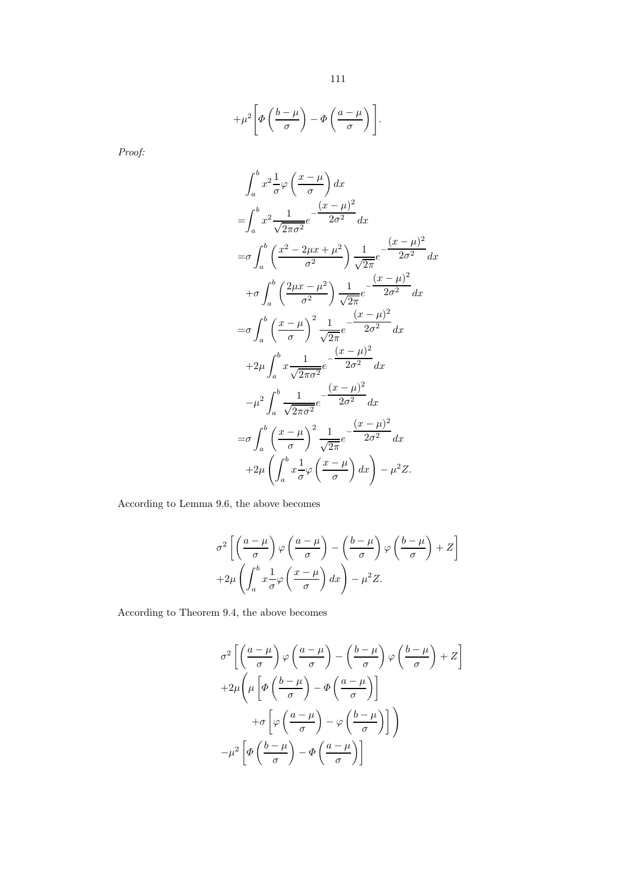$$
+\mu^2\Bigg[\Phi\left(\frac{b-\mu}{\sigma}\right)-\Phi\left(\frac{a-\mu}{\sigma}\right)\Bigg].
$$

Proof:

$$
\int_{a}^{b} x^{2} \frac{1}{\sigma} \varphi \left( \frac{x-\mu}{\sigma} \right) dx
$$
  
\n
$$
= \int_{a}^{b} x^{2} \frac{1}{\sqrt{2\pi\sigma^{2}}} e^{-\frac{(x-\mu)^{2}}{2\sigma^{2}}} dx
$$
  
\n
$$
= \sigma \int_{a}^{b} \left( \frac{x^{2} - 2\mu x + \mu^{2}}{\sigma^{2}} \right) \frac{1}{\sqrt{2\pi}} e^{-\frac{(x-\mu)^{2}}{2\sigma^{2}}} dx
$$
  
\n
$$
+ \sigma \int_{a}^{b} \left( \frac{2\mu x - \mu^{2}}{\sigma^{2}} \right) \frac{1}{\sqrt{2\pi}} e^{-\frac{(x-\mu)^{2}}{2\sigma^{2}}} dx
$$
  
\n
$$
= \sigma \int_{a}^{b} \left( \frac{x-\mu}{\sigma} \right)^{2} \frac{1}{\sqrt{2\pi}} e^{-\frac{(x-\mu)^{2}}{2\sigma^{2}}} dx
$$
  
\n
$$
+ 2\mu \int_{a}^{b} x \frac{1}{\sqrt{2\pi\sigma^{2}}} e^{-\frac{(x-\mu)^{2}}{2\sigma^{2}}} dx
$$
  
\n
$$
- \mu^{2} \int_{a}^{b} \frac{1}{\sqrt{2\pi\sigma^{2}}} e^{-\frac{(x-\mu)^{2}}{2\sigma^{2}}} dx
$$
  
\n
$$
= \sigma \int_{a}^{b} \left( \frac{x-\mu}{\sigma} \right)^{2} \frac{1}{\sqrt{2\pi}} e^{-\frac{(x-\mu)^{2}}{2\sigma^{2}}} dx
$$
  
\n
$$
+ 2\mu \left( \int_{a}^{b} x \frac{1}{\sigma} \varphi \left( \frac{x-\mu}{\sigma} \right) dx \right) - \mu^{2} Z.
$$

According to Lemma 9.6, the above becomes

$$
\sigma^2 \left[ \left( \frac{a - \mu}{\sigma} \right) \varphi \left( \frac{a - \mu}{\sigma} \right) - \left( \frac{b - \mu}{\sigma} \right) \varphi \left( \frac{b - \mu}{\sigma} \right) + Z \right] + 2\mu \left( \int_a^b x \frac{1}{\sigma} \varphi \left( \frac{x - \mu}{\sigma} \right) dx \right) - \mu^2 Z.
$$

According to Theorem 9.4, the above becomes

$$
\sigma^2 \left[ \left( \frac{a - \mu}{\sigma} \right) \varphi \left( \frac{a - \mu}{\sigma} \right) - \left( \frac{b - \mu}{\sigma} \right) \varphi \left( \frac{b - \mu}{\sigma} \right) + Z \right]
$$

$$
+ 2\mu \left( \mu \left[ \Phi \left( \frac{b - \mu}{\sigma} \right) - \Phi \left( \frac{a - \mu}{\sigma} \right) \right]
$$

$$
+ \sigma \left[ \varphi \left( \frac{a - \mu}{\sigma} \right) - \varphi \left( \frac{b - \mu}{\sigma} \right) \right] \right)
$$

$$
- \mu^2 \left[ \Phi \left( \frac{b - \mu}{\sigma} \right) - \Phi \left( \frac{a - \mu}{\sigma} \right) \right]
$$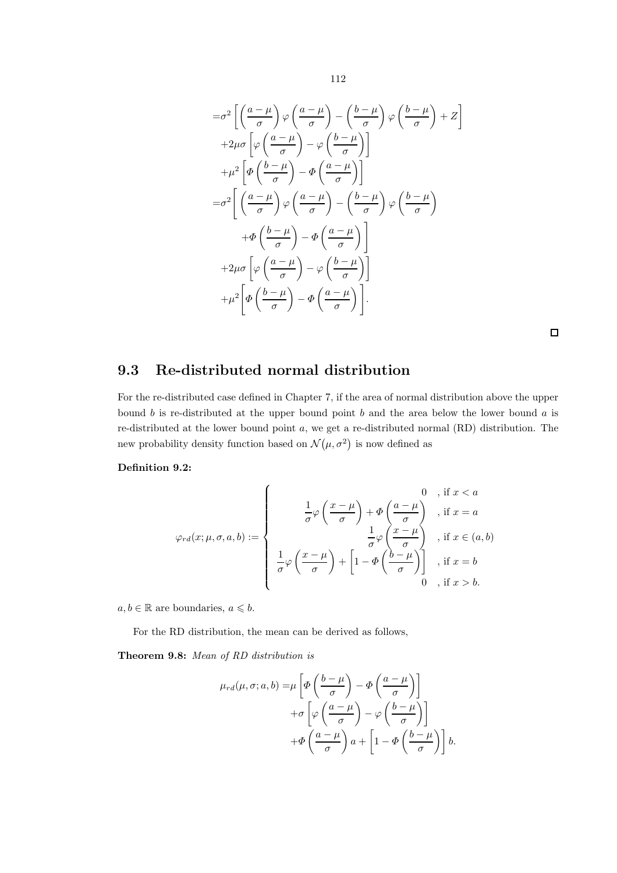$$
= \sigma^2 \left[ \left( \frac{a-\mu}{\sigma} \right) \varphi \left( \frac{a-\mu}{\sigma} \right) - \left( \frac{b-\mu}{\sigma} \right) \varphi \left( \frac{b-\mu}{\sigma} \right) + Z \right]
$$
  
+2\mu\sigma \left[ \varphi \left( \frac{a-\mu}{\sigma} \right) - \varphi \left( \frac{b-\mu}{\sigma} \right) \right]  
+ \mu^2 \left[ \Phi \left( \frac{b-\mu}{\sigma} \right) - \Phi \left( \frac{a-\mu}{\sigma} \right) \right]  
= \sigma^2 \left[ \left( \frac{a-\mu}{\sigma} \right) \varphi \left( \frac{a-\mu}{\sigma} \right) - \left( \frac{b-\mu}{\sigma} \right) \varphi \left( \frac{b-\mu}{\sigma} \right) \right]  
+ \Phi \left( \frac{b-\mu}{\sigma} \right) - \Phi \left( \frac{a-\mu}{\sigma} \right) \right]  
+2\mu\sigma \left[ \varphi \left( \frac{a-\mu}{\sigma} \right) - \varphi \left( \frac{b-\mu}{\sigma} \right) \right]  
+ \mu^2 \left[ \Phi \left( \frac{b-\mu}{\sigma} \right) - \Phi \left( \frac{a-\mu}{\sigma} \right) \right].

 $\Box$ 

### 9.3 Re-distributed normal distribution

For the re-distributed case defined in Chapter 7, if the area of normal distribution above the upper bound b is re-distributed at the upper bound point b and the area below the lower bound  $a$  is re-distributed at the lower bound point a, we get a re-distributed normal (RD) distribution. The new probability density function based on  $\mathcal{N}(\mu, \sigma^2)$  is now defined as

#### Definition 9.2:

$$
\varphi_{rd}(x;\mu,\sigma,a,b) := \left\{ \begin{array}{c} 0, \text{ if } x < a \\ \frac{1}{\sigma}\varphi\left(\frac{x-\mu}{\sigma}\right) + \Phi\left(\frac{a-\mu}{\sigma}\right), \text{ if } x = a \\ \frac{1}{\sigma}\varphi\left(\frac{x-\mu}{\sigma}\right) + \left[1 - \Phi\left(\frac{b-\mu}{\sigma}\right)\right], \text{ if } x \in (a,b) \\ 0, \text{ if } x > b. \end{array} \right.
$$

 $a, b \in \mathbb{R}$  are boundaries,  $a \leq b$ .

For the RD distribution, the mean can be derived as follows,

Theorem 9.8: Mean of RD distribution is

$$
\mu_{rd}(\mu, \sigma; a, b) = \mu \left[ \Phi \left( \frac{b - \mu}{\sigma} \right) - \Phi \left( \frac{a - \mu}{\sigma} \right) \right] \n+ \sigma \left[ \varphi \left( \frac{a - \mu}{\sigma} \right) - \varphi \left( \frac{b - \mu}{\sigma} \right) \right] \n+ \Phi \left( \frac{a - \mu}{\sigma} \right) a + \left[ 1 - \Phi \left( \frac{b - \mu}{\sigma} \right) \right] b.
$$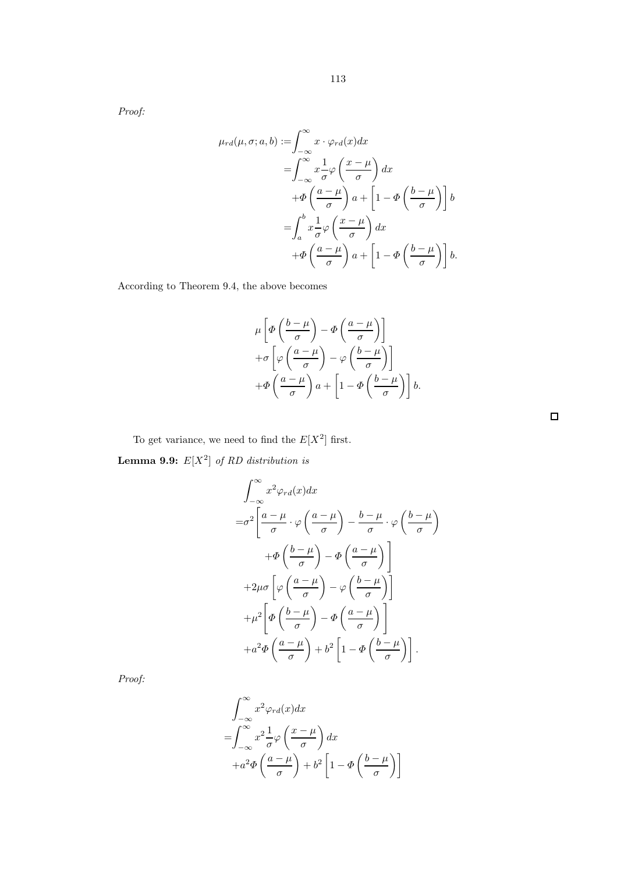Proof:

$$
\mu_{rd}(\mu, \sigma; a, b) := \int_{-\infty}^{\infty} x \cdot \varphi_{rd}(x) dx
$$
  
\n
$$
= \int_{-\infty}^{\infty} x \frac{1}{\sigma} \varphi \left( \frac{x - \mu}{\sigma} \right) dx
$$
  
\n
$$
+ \Phi \left( \frac{a - \mu}{\sigma} \right) a + \left[ 1 - \Phi \left( \frac{b - \mu}{\sigma} \right) \right] b
$$
  
\n
$$
= \int_{a}^{b} x \frac{1}{\sigma} \varphi \left( \frac{x - \mu}{\sigma} \right) dx
$$
  
\n
$$
+ \Phi \left( \frac{a - \mu}{\sigma} \right) a + \left[ 1 - \Phi \left( \frac{b - \mu}{\sigma} \right) \right] b.
$$

According to Theorem 9.4, the above becomes

$$
\mu \left[ \varPhi \left( \frac{b - \mu}{\sigma} \right) - \varPhi \left( \frac{a - \mu}{\sigma} \right) \right] \n+ \sigma \left[ \varphi \left( \frac{a - \mu}{\sigma} \right) - \varphi \left( \frac{b - \mu}{\sigma} \right) \right] \n+ \varPhi \left( \frac{a - \mu}{\sigma} \right) a + \left[ 1 - \varPhi \left( \frac{b - \mu}{\sigma} \right) \right] b.
$$

To get variance, we need to find the  $E[X^2]$  first. **Lemma 9.9:**  $E[X^2]$  of RD distribution is

$$
\int_{-\infty}^{\infty} x^2 \varphi_{rd}(x) dx
$$
  
= $\sigma^2 \left[ \frac{a - \mu}{\sigma} \cdot \varphi \left( \frac{a - \mu}{\sigma} \right) - \frac{b - \mu}{\sigma} \cdot \varphi \left( \frac{b - \mu}{\sigma} \right) \right]$   
+ $\Phi \left( \frac{b - \mu}{\sigma} \right) - \Phi \left( \frac{a - \mu}{\sigma} \right) \right]$   
+ $2\mu \sigma \left[ \varphi \left( \frac{a - \mu}{\sigma} \right) - \varphi \left( \frac{b - \mu}{\sigma} \right) \right]$   
+ $\mu^2 \left[ \Phi \left( \frac{b - \mu}{\sigma} \right) - \Phi \left( \frac{a - \mu}{\sigma} \right) \right]$   
+ $a^2 \Phi \left( \frac{a - \mu}{\sigma} \right) + b^2 \left[ 1 - \Phi \left( \frac{b - \mu}{\sigma} \right) \right].$ 

Proof:

$$
\int_{-\infty}^{\infty} x^2 \varphi_{rd}(x) dx
$$
  
= 
$$
\int_{-\infty}^{\infty} x^2 \frac{1}{\sigma} \varphi \left( \frac{x - \mu}{\sigma} \right) dx
$$
  
+ 
$$
a^2 \Phi \left( \frac{a - \mu}{\sigma} \right) + b^2 \left[ 1 - \Phi \left( \frac{b - \mu}{\sigma} \right) \right]
$$

 $\Box$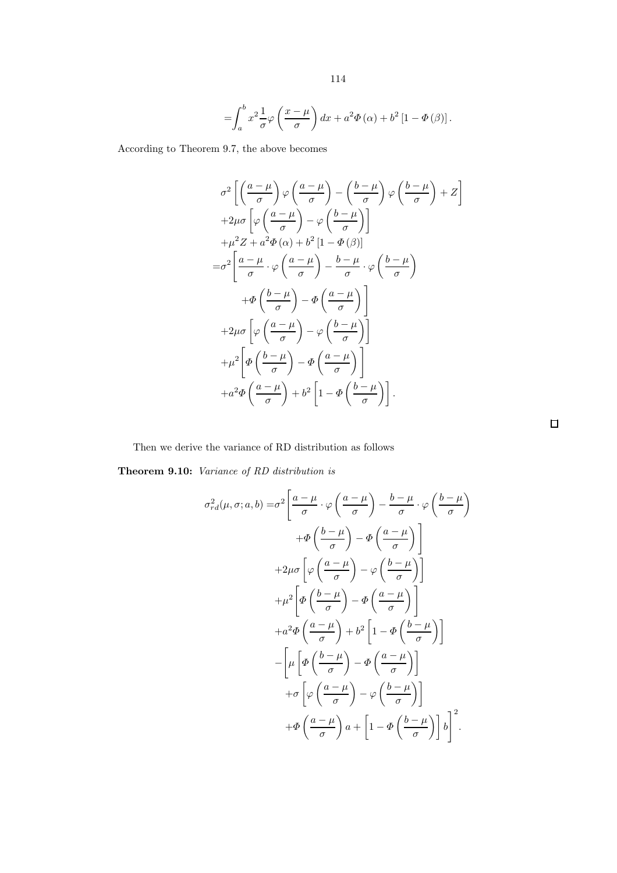$$
=\!\int_{a}^{b}x^{2}\frac{1}{\sigma}\varphi\left(\frac{x-\mu}{\sigma}\right)dx+a^{2}\varPhi\left(\alpha\right)+b^{2}\left[1-\varPhi\left(\beta\right)\right].
$$

According to Theorem 9.7, the above becomes

$$
\sigma^2 \left[ \left( \frac{a - \mu}{\sigma} \right) \varphi \left( \frac{a - \mu}{\sigma} \right) - \left( \frac{b - \mu}{\sigma} \right) \varphi \left( \frac{b - \mu}{\sigma} \right) + Z \right]
$$
  
+2\mu\sigma \left[ \varphi \left( \frac{a - \mu}{\sigma} \right) - \varphi \left( \frac{b - \mu}{\sigma} \right) \right]  
+ \mu^2 Z + a^2 \Phi (\alpha) + b^2 \left[ 1 - \Phi (\beta) \right]  
= \sigma^2 \left[ \frac{a - \mu}{\sigma} \cdot \varphi \left( \frac{a - \mu}{\sigma} \right) - \frac{b - \mu}{\sigma} \cdot \varphi \left( \frac{b - \mu}{\sigma} \right) \right]  
+ \Phi \left( \frac{b - \mu}{\sigma} \right) - \Phi \left( \frac{a - \mu}{\sigma} \right) \right]  
+ 2\mu\sigma \left[ \varphi \left( \frac{a - \mu}{\sigma} \right) - \varphi \left( \frac{b - \mu}{\sigma} \right) \right]  
+ \mu^2 \left[ \Phi \left( \frac{b - \mu}{\sigma} \right) - \Phi \left( \frac{a - \mu}{\sigma} \right) \right]  
+ a^2 \Phi \left( \frac{a - \mu}{\sigma} \right) + b^2 \left[ 1 - \Phi \left( \frac{b - \mu}{\sigma} \right) \right].

Then we derive the variance of RD distribution as follows

Theorem 9.10: Variance of RD distribution is

$$
\sigma_{rd}^{2}(\mu, \sigma; a, b) = \sigma^{2} \left[ \frac{a - \mu}{\sigma} \cdot \varphi \left( \frac{a - \mu}{\sigma} \right) - \frac{b - \mu}{\sigma} \cdot \varphi \left( \frac{b - \mu}{\sigma} \right) \right]
$$

$$
+ \Phi \left( \frac{b - \mu}{\sigma} \right) - \Phi \left( \frac{a - \mu}{\sigma} \right) \right]
$$

$$
+ 2\mu \sigma \left[ \varphi \left( \frac{a - \mu}{\sigma} \right) - \varphi \left( \frac{b - \mu}{\sigma} \right) \right]
$$

$$
+ \mu^{2} \left[ \Phi \left( \frac{b - \mu}{\sigma} \right) - \Phi \left( \frac{a - \mu}{\sigma} \right) \right]
$$

$$
+ a^{2} \Phi \left( \frac{a - \mu}{\sigma} \right) + b^{2} \left[ 1 - \Phi \left( \frac{b - \mu}{\sigma} \right) \right]
$$

$$
- \left[ \mu \left[ \Phi \left( \frac{b - \mu}{\sigma} \right) - \Phi \left( \frac{a - \mu}{\sigma} \right) \right] \right]
$$

$$
+ \sigma \left[ \varphi \left( \frac{a - \mu}{\sigma} \right) - \varphi \left( \frac{b - \mu}{\sigma} \right) \right]
$$

$$
+ \Phi \left( \frac{a - \mu}{\sigma} \right) a + \left[ 1 - \Phi \left( \frac{b - \mu}{\sigma} \right) \right] b \right]^{2}.
$$

 $\Box$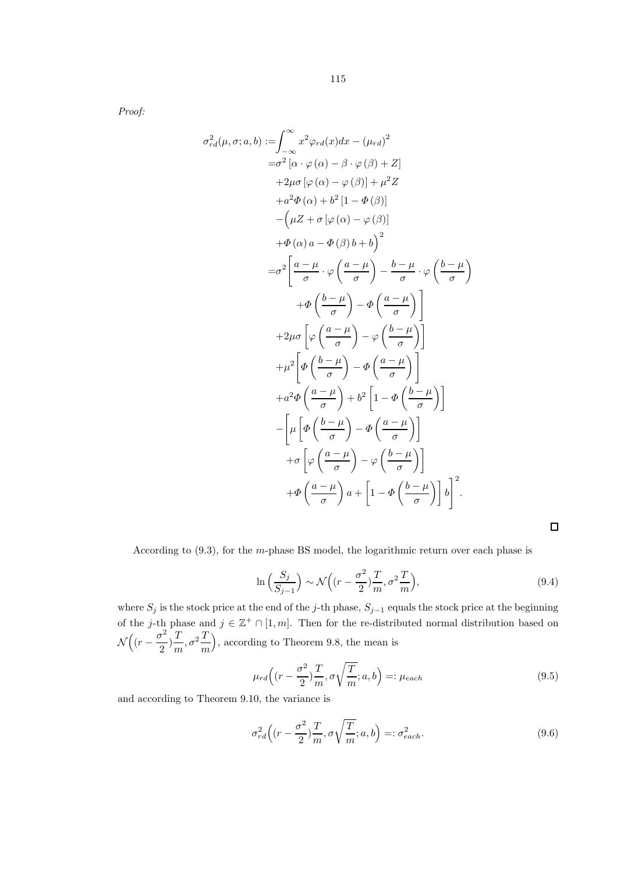Proof:

$$
\sigma_{rd}^{2}(\mu, \sigma; a, b) := \int_{-\infty}^{\infty} x^{2} \varphi_{rd}(x) dx - (\mu_{rd})^{2}
$$
  
\n
$$
= \sigma^{2} [\alpha \cdot \varphi(\alpha) - \beta \cdot \varphi(\beta) + Z]
$$
  
\n
$$
+ 2\mu \sigma [\varphi(\alpha) - \varphi(\beta)] + \mu^{2} Z
$$
  
\n
$$
+ a^{2} \Phi(\alpha) + b^{2} [1 - \Phi(\beta)]
$$
  
\n
$$
- (\mu Z + \sigma [\varphi(\alpha) - \varphi(\beta)]
$$
  
\n
$$
+ \Phi(\alpha) a - \Phi(\beta) b + b)^{2}
$$
  
\n
$$
= \sigma^{2} \left[ \frac{a - \mu}{\sigma} \cdot \varphi \left( \frac{a - \mu}{\sigma} \right) - \frac{b - \mu}{\sigma} \cdot \varphi \left( \frac{b - \mu}{\sigma} \right) \right]
$$
  
\n
$$
+ \Phi \left( \frac{b - \mu}{\sigma} \right) - \Phi \left( \frac{a - \mu}{\sigma} \right) \right]
$$
  
\n
$$
+ \mu^{2} \left[ \phi \left( \frac{a - \mu}{\sigma} \right) - \phi \left( \frac{b - \mu}{\sigma} \right) \right]
$$
  
\n
$$
+ a^{2} \Phi \left( \frac{a - \mu}{\sigma} \right) + b^{2} \left[ 1 - \Phi \left( \frac{b - \mu}{\sigma} \right) \right]
$$
  
\n
$$
- \left[ \mu \left[ \Phi \left( \frac{b - \mu}{\sigma} \right) - \Phi \left( \frac{a - \mu}{\sigma} \right) \right] \right]
$$
  
\n
$$
+ \sigma \left[ \varphi \left( \frac{a - \mu}{\sigma} \right) - \varphi \left( \frac{b - \mu}{\sigma} \right) \right]
$$
  
\n
$$
+ \Phi \left( \frac{a - \mu}{\sigma} \right) a + \left[ 1 - \Phi \left( \frac{b - \mu}{\sigma} \right) \right] b \right]^{2}.
$$

According to (9.3), for the m-phase BS model, the logarithmic return over each phase is

$$
\ln\left(\frac{S_j}{S_{j-1}}\right) \sim \mathcal{N}\left((r - \frac{\sigma^2}{2})\frac{T}{m}, \sigma^2 \frac{T}{m}\right),\tag{9.4}
$$

 $\Box$ 

where  $S_j$  is the stock price at the end of the j-th phase,  $S_{j-1}$  equals the stock price at the beginning of the j-th phase and  $j \in \mathbb{Z}^+ \cap [1, m]$ . Then for the re-distributed normal distribution based on  $\mathcal{N}\Big((r-\frac{\sigma^2}{2})\Big)$  $(\frac{\pi^2}{2})\frac{T}{m}$  $rac{T}{m}, \sigma^2 \frac{T}{m}$ m , according to Theorem 9.8, the mean is

$$
\mu_{rd}\left((r-\frac{\sigma^2}{2})\frac{T}{m}, \sigma\sqrt{\frac{T}{m}}; a, b\right) =: \mu_{each}
$$
\n(9.5)

and according to Theorem 9.10, the variance is

$$
\sigma_{rd}^2\left((r-\frac{\sigma^2}{2})\frac{T}{m}, \sigma\sqrt{\frac{T}{m}}; a, b\right) =: \sigma_{each}^2.
$$
\n(9.6)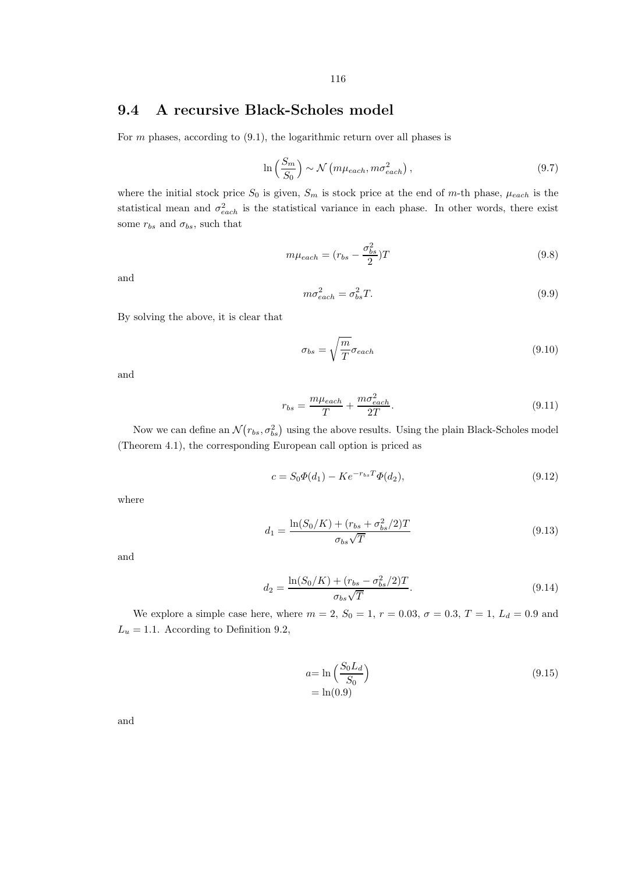### 9.4 A recursive Black-Scholes model

For  $m$  phases, according to  $(9.1)$ , the logarithmic return over all phases is

$$
\ln\left(\frac{S_m}{S_0}\right) \sim \mathcal{N}\left(m\mu_{each}, m\sigma_{each}^2\right),\tag{9.7}
$$

where the initial stock price  $S_0$  is given,  $S_m$  is stock price at the end of m-th phase,  $\mu_{each}$  is the statistical mean and  $\sigma_{each}^2$  is the statistical variance in each phase. In other words, there exist some  $r_{bs}$  and  $\sigma_{bs}$ , such that

$$
m\mu_{each} = (r_{bs} - \frac{\sigma_{bs}^2}{2})T
$$
\n(9.8)

and

$$
m\sigma_{each}^2 = \sigma_{bs}^2 T.
$$
\n(9.9)

By solving the above, it is clear that

$$
\sigma_{bs} = \sqrt{\frac{m}{T}} \sigma_{each} \tag{9.10}
$$

and

$$
r_{bs} = \frac{m\mu_{each}}{T} + \frac{m\sigma_{each}^2}{2T}.
$$
\n(9.11)

Now we can define an  $\mathcal{N}(r_{bs}, \sigma_{bs}^2)$  using the above results. Using the plain Black-Scholes model (Theorem 4.1), the corresponding European call option is priced as

$$
c = S_0 \Phi(d_1) - K e^{-r_{bs}T} \Phi(d_2), \tag{9.12}
$$

where

$$
d_1 = \frac{\ln(S_0/K) + (r_{bs} + \sigma_{bs}^2/2)T}{\sigma_{bs}\sqrt{T}}
$$
\n(9.13)

and

$$
d_2 = \frac{\ln(S_0/K) + (r_{bs} - \sigma_{bs}^2/2)T}{\sigma_{bs}\sqrt{T}}.
$$
\n(9.14)

We explore a simple case here, where  $m = 2$ ,  $S_0 = 1$ ,  $r = 0.03$ ,  $\sigma = 0.3$ ,  $T = 1$ ,  $L_d = 0.9$  and  $L_u = 1.1$ . According to Definition 9.2,

$$
a = \ln\left(\frac{S_0 L_d}{S_0}\right)
$$
  
= ln(0.9) (9.15)

and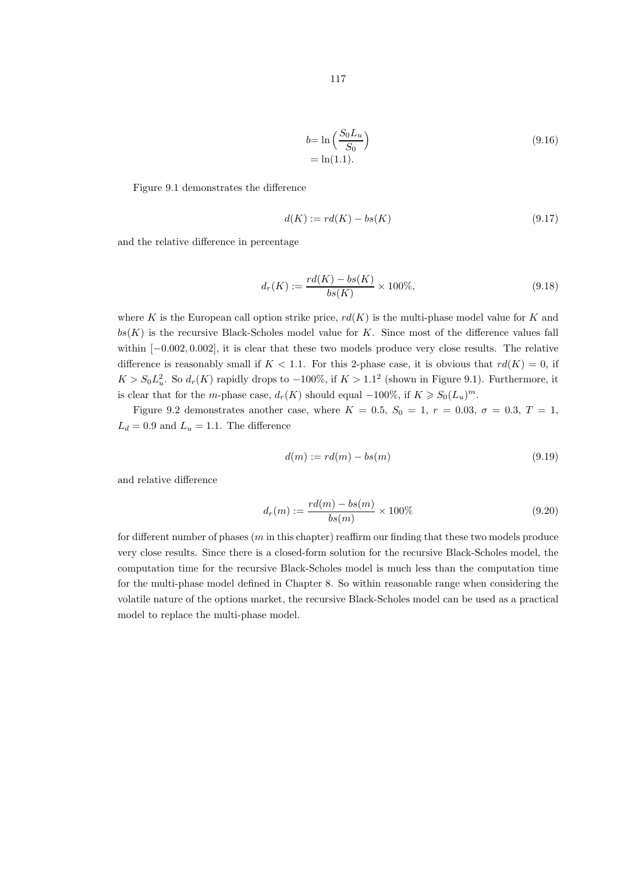$$
117\\
$$

$$
b = \ln\left(\frac{S_0 L_u}{S_0}\right)
$$
  
= ln(1.1). (9.16)

Figure 9.1 demonstrates the difference

$$
d(K) := rd(K) - bs(K)
$$
\n
$$
(9.17)
$$

and the relative difference in percentage

$$
d_r(K) := \frac{rd(K) - bs(K)}{bs(K)} \times 100\%,\tag{9.18}
$$

where K is the European call option strike price,  $rd(K)$  is the multi-phase model value for K and  $bs(K)$  is the recursive Black-Scholes model value for K. Since most of the difference values fall within [−0.002, 0.002], it is clear that these two models produce very close results. The relative difference is reasonably small if  $K < 1.1$ . For this 2-phase case, it is obvious that  $rd(K) = 0$ , if  $K > S_0 L_u^2$ . So  $d_r(K)$  rapidly drops to  $-100\%$ , if  $K > 1.1^2$  (shown in Figure 9.1). Furthermore, it is clear that for the m-phase case,  $d_r(K)$  should equal  $-100\%$ , if  $K \geqslant S_0(L_u)^m$ .

Figure 9.2 demonstrates another case, where  $K = 0.5$ ,  $S_0 = 1$ ,  $r = 0.03$ ,  $\sigma = 0.3$ ,  $T = 1$ ,  $L_d = 0.9$  and  $L_u = 1.1$ . The difference

$$
d(m) := rd(m) - bs(m) \tag{9.19}
$$

and relative difference

$$
d_r(m) := \frac{rd(m) - bs(m)}{bs(m)} \times 100\%
$$
\n(9.20)

for different number of phases  $(m \text{ in this chapter})$  reaffirm our finding that these two models produce very close results. Since there is a closed-form solution for the recursive Black-Scholes model, the computation time for the recursive Black-Scholes model is much less than the computation time for the multi-phase model defined in Chapter 8. So within reasonable range when considering the volatile nature of the options market, the recursive Black-Scholes model can be used as a practical model to replace the multi-phase model.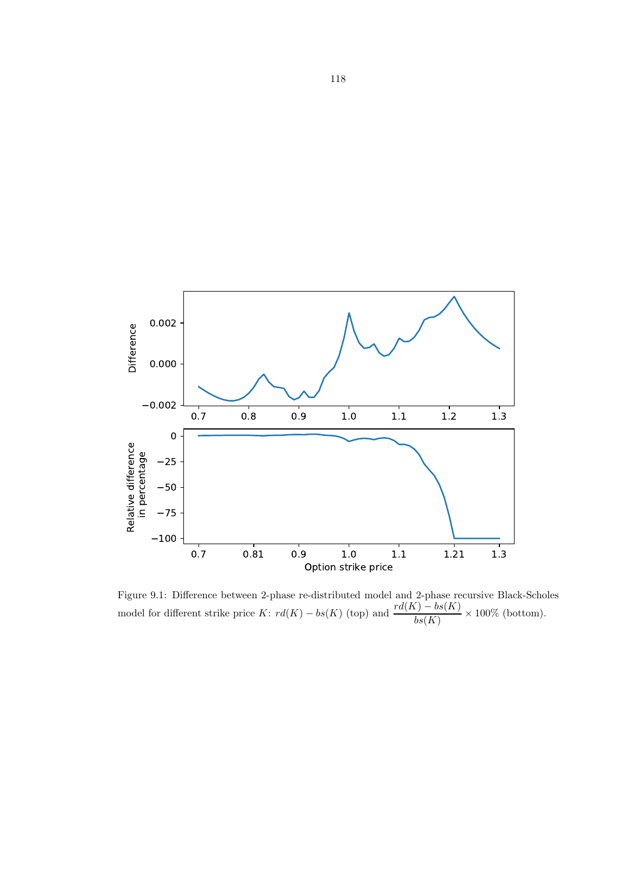

Figure 9.1: Difference between 2-phase re-distributed model and 2-phase recursive Black-Scholes model for different strike price K:  $rd(K) - bs(K)$  (top) and  $\frac{rd(K) - bs(K)}{bs(K)} \times 100\%$  (bottom).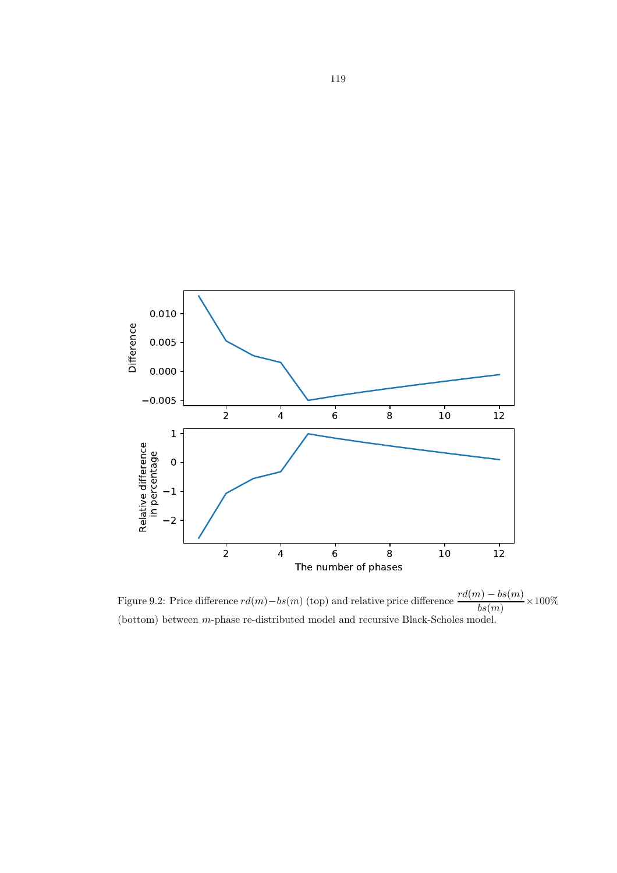

Figure 9.2: Price difference  $rd(m) - bs(m)$  (top) and relative price difference  $\frac{rd(m) - bs(m)}{bs(m)} \times 100\%$ (bottom) between m-phase re-distributed model and recursive Black-Scholes model.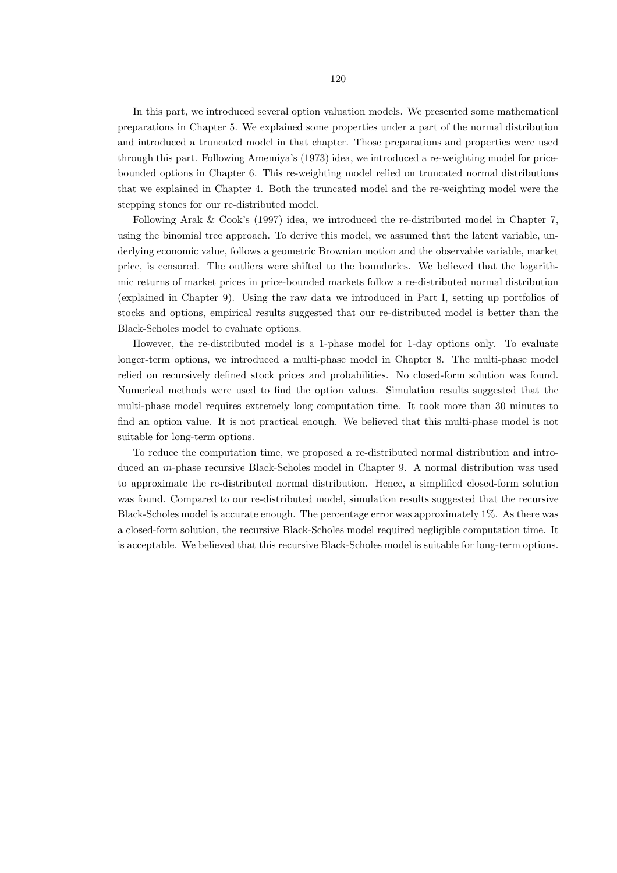In this part, we introduced several option valuation models. We presented some mathematical preparations in Chapter 5. We explained some properties under a part of the normal distribution and introduced a truncated model in that chapter. Those preparations and properties were used through this part. Following Amemiya's (1973) idea, we introduced a re-weighting model for pricebounded options in Chapter 6. This re-weighting model relied on truncated normal distributions that we explained in Chapter 4. Both the truncated model and the re-weighting model were the stepping stones for our re-distributed model.

Following Arak & Cook's (1997) idea, we introduced the re-distributed model in Chapter 7, using the binomial tree approach. To derive this model, we assumed that the latent variable, underlying economic value, follows a geometric Brownian motion and the observable variable, market price, is censored. The outliers were shifted to the boundaries. We believed that the logarithmic returns of market prices in price-bounded markets follow a re-distributed normal distribution (explained in Chapter 9). Using the raw data we introduced in Part I, setting up portfolios of stocks and options, empirical results suggested that our re-distributed model is better than the Black-Scholes model to evaluate options.

However, the re-distributed model is a 1-phase model for 1-day options only. To evaluate longer-term options, we introduced a multi-phase model in Chapter 8. The multi-phase model relied on recursively defined stock prices and probabilities. No closed-form solution was found. Numerical methods were used to find the option values. Simulation results suggested that the multi-phase model requires extremely long computation time. It took more than 30 minutes to find an option value. It is not practical enough. We believed that this multi-phase model is not suitable for long-term options.

To reduce the computation time, we proposed a re-distributed normal distribution and introduced an m-phase recursive Black-Scholes model in Chapter 9. A normal distribution was used to approximate the re-distributed normal distribution. Hence, a simplified closed-form solution was found. Compared to our re-distributed model, simulation results suggested that the recursive Black-Scholes model is accurate enough. The percentage error was approximately 1%. As there was a closed-form solution, the recursive Black-Scholes model required negligible computation time. It is acceptable. We believed that this recursive Black-Scholes model is suitable for long-term options.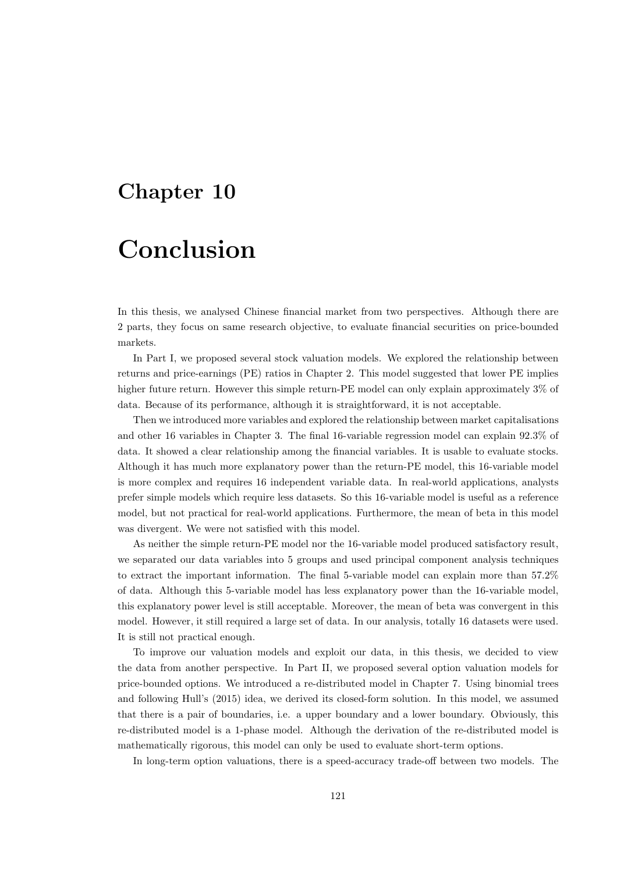### Chapter 10

### Conclusion

In this thesis, we analysed Chinese financial market from two perspectives. Although there are 2 parts, they focus on same research objective, to evaluate financial securities on price-bounded markets.

In Part I, we proposed several stock valuation models. We explored the relationship between returns and price-earnings (PE) ratios in Chapter 2. This model suggested that lower PE implies higher future return. However this simple return-PE model can only explain approximately 3% of data. Because of its performance, although it is straightforward, it is not acceptable.

Then we introduced more variables and explored the relationship between market capitalisations and other 16 variables in Chapter 3. The final 16-variable regression model can explain 92.3% of data. It showed a clear relationship among the financial variables. It is usable to evaluate stocks. Although it has much more explanatory power than the return-PE model, this 16-variable model is more complex and requires 16 independent variable data. In real-world applications, analysts prefer simple models which require less datasets. So this 16-variable model is useful as a reference model, but not practical for real-world applications. Furthermore, the mean of beta in this model was divergent. We were not satisfied with this model.

As neither the simple return-PE model nor the 16-variable model produced satisfactory result, we separated our data variables into 5 groups and used principal component analysis techniques to extract the important information. The final 5-variable model can explain more than 57.2% of data. Although this 5-variable model has less explanatory power than the 16-variable model, this explanatory power level is still acceptable. Moreover, the mean of beta was convergent in this model. However, it still required a large set of data. In our analysis, totally 16 datasets were used. It is still not practical enough.

To improve our valuation models and exploit our data, in this thesis, we decided to view the data from another perspective. In Part II, we proposed several option valuation models for price-bounded options. We introduced a re-distributed model in Chapter 7. Using binomial trees and following Hull's (2015) idea, we derived its closed-form solution. In this model, we assumed that there is a pair of boundaries, i.e. a upper boundary and a lower boundary. Obviously, this re-distributed model is a 1-phase model. Although the derivation of the re-distributed model is mathematically rigorous, this model can only be used to evaluate short-term options.

In long-term option valuations, there is a speed-accuracy trade-off between two models. The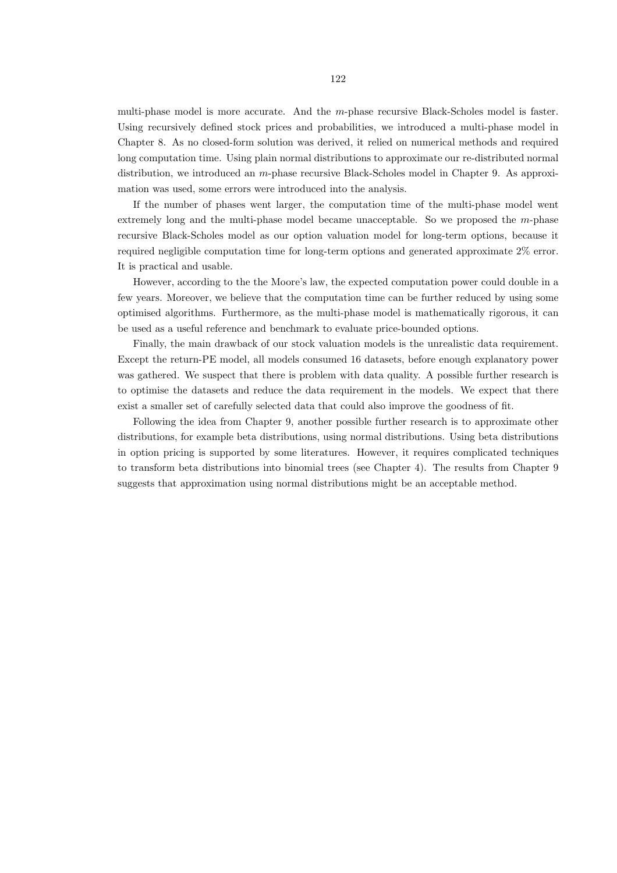multi-phase model is more accurate. And the m-phase recursive Black-Scholes model is faster. Using recursively defined stock prices and probabilities, we introduced a multi-phase model in Chapter 8. As no closed-form solution was derived, it relied on numerical methods and required long computation time. Using plain normal distributions to approximate our re-distributed normal distribution, we introduced an m-phase recursive Black-Scholes model in Chapter 9. As approximation was used, some errors were introduced into the analysis.

If the number of phases went larger, the computation time of the multi-phase model went extremely long and the multi-phase model became unacceptable. So we proposed the m-phase recursive Black-Scholes model as our option valuation model for long-term options, because it required negligible computation time for long-term options and generated approximate 2% error. It is practical and usable.

However, according to the the Moore's law, the expected computation power could double in a few years. Moreover, we believe that the computation time can be further reduced by using some optimised algorithms. Furthermore, as the multi-phase model is mathematically rigorous, it can be used as a useful reference and benchmark to evaluate price-bounded options.

Finally, the main drawback of our stock valuation models is the unrealistic data requirement. Except the return-PE model, all models consumed 16 datasets, before enough explanatory power was gathered. We suspect that there is problem with data quality. A possible further research is to optimise the datasets and reduce the data requirement in the models. We expect that there exist a smaller set of carefully selected data that could also improve the goodness of fit.

Following the idea from Chapter 9, another possible further research is to approximate other distributions, for example beta distributions, using normal distributions. Using beta distributions in option pricing is supported by some literatures. However, it requires complicated techniques to transform beta distributions into binomial trees (see Chapter 4). The results from Chapter 9 suggests that approximation using normal distributions might be an acceptable method.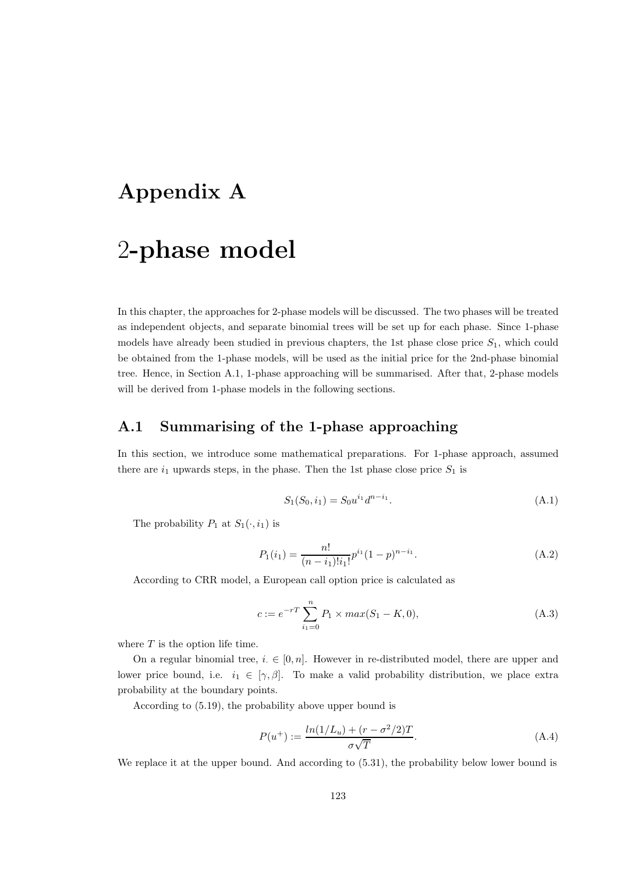### Appendix A

## 2-phase model

In this chapter, the approaches for 2-phase models will be discussed. The two phases will be treated as independent objects, and separate binomial trees will be set up for each phase. Since 1-phase models have already been studied in previous chapters, the 1st phase close price  $S_1$ , which could be obtained from the 1-phase models, will be used as the initial price for the 2nd-phase binomial tree. Hence, in Section A.1, 1-phase approaching will be summarised. After that, 2-phase models will be derived from 1-phase models in the following sections.

#### A.1 Summarising of the 1-phase approaching

In this section, we introduce some mathematical preparations. For 1-phase approach, assumed there are  $i_1$  upwards steps, in the phase. Then the 1st phase close price  $S_1$  is

$$
S_1(S_0, i_1) = S_0 u^{i_1} d^{n-i_1}.
$$
\n(A.1)

The probability  $P_1$  at  $S_1(\cdot, i_1)$  is

$$
P_1(i_1) = \frac{n!}{(n-i_1)!i_1!}p^{i_1}(1-p)^{n-i_1}.
$$
\n(A.2)

According to CRR model, a European call option price is calculated as

$$
c := e^{-rT} \sum_{i_1=0}^{n} P_1 \times max(S_1 - K, 0), \tag{A.3}
$$

where  $T$  is the option life time.

On a regular binomial tree,  $i \in [0, n]$ . However in re-distributed model, there are upper and lower price bound, i.e.  $i_1 \in [\gamma, \beta]$ . To make a valid probability distribution, we place extra probability at the boundary points.

According to (5.19), the probability above upper bound is

$$
P(u^{+}) := \frac{ln(1/L_{u}) + (r - \sigma^{2}/2)T}{\sigma\sqrt{T}}.
$$
\n(A.4)

We replace it at the upper bound. And according to  $(5.31)$ , the probability below lower bound is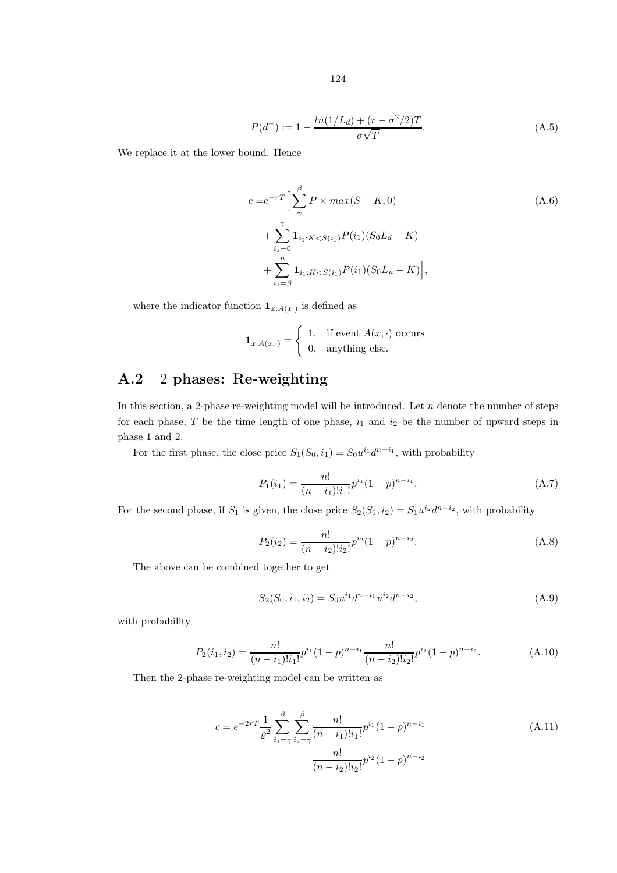$$
P(d^-) := 1 - \frac{\ln(1/L_d) + (r - \sigma^2/2)T}{\sigma\sqrt{T}}.
$$
\n(A.5)

We replace it at the lower bound. Hence

$$
c = e^{-rT} \Big[ \sum_{\gamma}^{\beta} P \times max(S - K, 0) \Big] + \sum_{i_1=0}^{\gamma} \mathbf{1}_{i_1:K < S(i_1)} P(i_1) (S_0 L_d - K) + \sum_{i_1=0}^{n} \mathbf{1}_{i_1:K < S(i_1)} P(i_1) (S_0 L_u - K) \Big],
$$
\n(A.6)

where the indicator function  $\mathbf{1}_{x:A(x)}$  is defined as

$$
\mathbf{1}_{x:A(x,\cdot)} = \begin{cases} 1, & \text{if event } A(x,\cdot) \text{ occurs} \\ 0, & \text{anything else.} \end{cases}
$$

### A.2 2 phases: Re-weighting

In this section, a 2-phase re-weighting model will be introduced. Let  $n$  denote the number of steps for each phase,  $T$  be the time length of one phase,  $i_1$  and  $i_2$  be the number of upward steps in phase 1 and 2.

For the first phase, the close price  $S_1(S_0, i_1) = S_0 u^{i_1} d^{n-i_1}$ , with probability

$$
P_1(i_1) = \frac{n!}{(n-i_1)!i_1!}p^{i_1}(1-p)^{n-i_1}.
$$
\n(A.7)

For the second phase, if  $S_1$  is given, the close price  $S_2(S_1, i_2) = S_1 u^{i_2} d^{n-i_2}$ , with probability

$$
P_2(i_2) = \frac{n!}{(n-i_2)!i_2!}p^{i_2}(1-p)^{n-i_2}.
$$
\n(A.8)

The above can be combined together to get

$$
S_2(S_0, i_1, i_2) = S_0 u^{i_1} d^{n-i_1} u^{i_2} d^{n-i_2}, \tag{A.9}
$$

with probability

$$
P_2(i_1, i_2) = \frac{n!}{(n-i_1)!i_1!} p^{i_1} (1-p)^{n-i_1} \frac{n!}{(n-i_2)!i_2!} p^{i_2} (1-p)^{n-i_2}.
$$
 (A.10)

Then the 2-phase re-weighting model can be written as

$$
c = e^{-2rT} \frac{1}{\varrho^2} \sum_{i_1 = \gamma}^{\beta} \sum_{i_2 = \gamma}^{\beta} \frac{n!}{(n - i_1)! i_1!} p^{i_1} (1 - p)^{n - i_1}
$$
\n
$$
\frac{n!}{(n - i_2)! i_2!} p^{i_2} (1 - p)^{n - i_2}
$$
\n(A.11)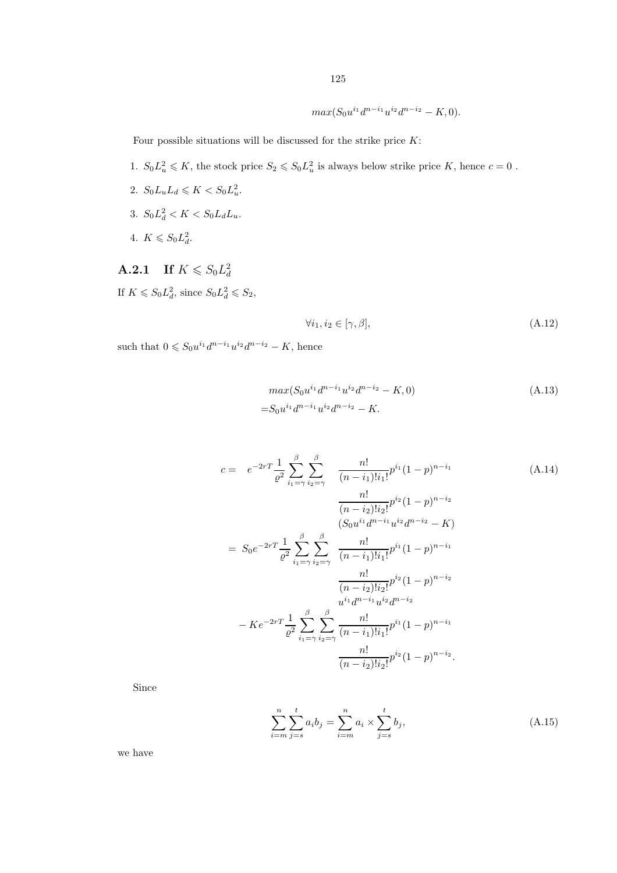$max(S_0u^{i_1}d^{n-i_1}u^{i_2}d^{n-i_2}-K,0).$ 

Four possible situations will be discussed for the strike price  $K$ :

- 1.  $S_0 L_u^2 \le K$ , the stock price  $S_2 \le S_0 L_u^2$  is always below strike price K, hence  $c = 0$ .
- 2.  $S_0 L_u L_d \leqslant K < S_0 L_u^2$ .
- 3.  $S_0 L_d^2 < K < S_0 L_d L_u$ .
- 4.  $K \le S_0 L_d^2$ .

**A.2.1** If  $K \le S_0 L_d^2$ If  $K \leq S_0 L_d^2$ , since  $S_0 L_d^2 \leq S_2$ ,

$$
\forall i_1, i_2 \in [\gamma, \beta], \tag{A.12}
$$

such that  $0 \leq S_0 u^{i_1} d^{n-i_1} u^{i_2} d^{n-i_2} - K$ , hence

$$
max(S_0u^{i_1}d^{n-i_1}u^{i_2}d^{n-i_2} - K, 0)
$$
\n
$$
=S_0u^{i_1}d^{n-i_1}u^{i_2}d^{n-i_2} - K.
$$
\n(A.13)

$$
c = e^{-2rT} \frac{1}{\varrho^2} \sum_{i_1 = \gamma}^{\beta} \sum_{i_2 = \gamma}^{\beta} \frac{n!}{(n - i_1)! i_1!} p^{i_1} (1 - p)^{n - i_1}
$$
\n(A.14)  
\n
$$
\frac{n!}{(n - i_2)! i_2!} p^{i_2} (1 - p)^{n - i_2}
$$
\n
$$
(S_0 u^{i_1} d^{n - i_1} u^{i_2} d^{n - i_2} - K)
$$
\n
$$
= S_0 e^{-2rT} \frac{1}{\varrho^2} \sum_{i_1 = \gamma}^{\beta} \sum_{i_2 = \gamma}^{\beta} \frac{n!}{(n - i_1)! i_1!} p^{i_1} (1 - p)^{n - i_1}
$$
\n
$$
\frac{n!}{(n - i_2)! i_2!} p^{i_2} (1 - p)^{n - i_2}
$$
\n
$$
- K e^{-2rT} \frac{1}{\varrho^2} \sum_{i_1 = \gamma}^{\beta} \sum_{i_2 = \gamma}^{\beta} \frac{n!}{(n - i_1)! i_1!} p^{i_1} (1 - p)^{n - i_1}
$$
\n
$$
\frac{n!}{(n - i_2)! i_2!} p^{i_2} (1 - p)^{n - i_2}
$$
\n
$$
\frac{n!}{(n - i_2)! i_2!} p^{i_2} (1 - p)^{n - i_2}.
$$
\n(A.14)

Since

$$
\sum_{i=m}^{n} \sum_{j=s}^{t} a_i b_j = \sum_{i=m}^{n} a_i \times \sum_{j=s}^{t} b_j,
$$
\n(A.15)

we have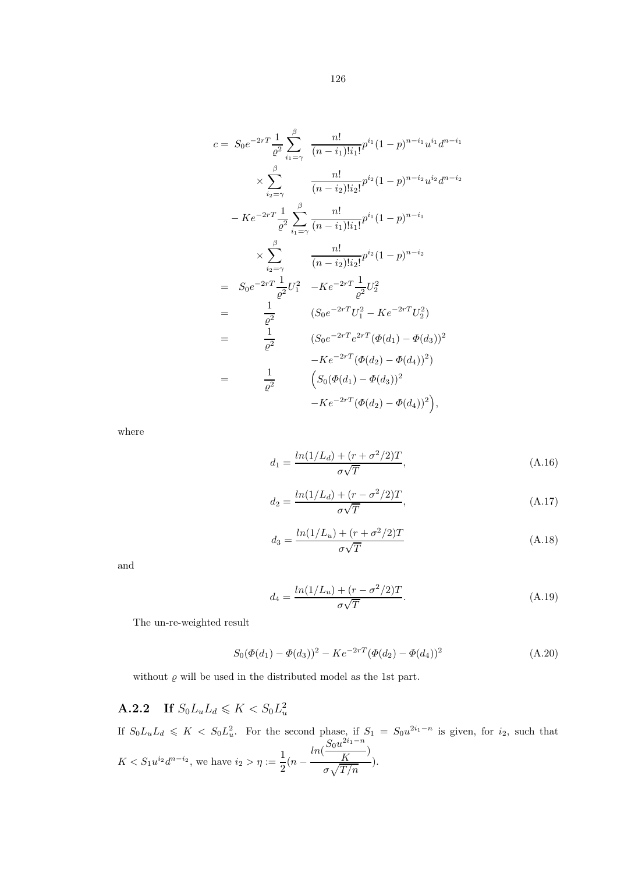$$
c = S_0 e^{-2rT} \frac{1}{\varrho^2} \sum_{i_1=\gamma}^{\beta} \frac{n!}{(n-i_1)!i_1!} p^{i_1} (1-p)^{n-i_1} u^{i_1} d^{n-i_1}
$$
  
\n
$$
\times \sum_{i_2=\gamma}^{\beta} \frac{n!}{(n-i_2)!i_2!} p^{i_2} (1-p)^{n-i_2} u^{i_2} d^{n-i_2}
$$
  
\n
$$
-Ke^{-2rT} \frac{1}{\varrho^2} \sum_{i_1=\gamma}^{\beta} \frac{n!}{(n-i_1)!i_1!} p^{i_1} (1-p)^{n-i_1}
$$
  
\n
$$
\times \sum_{i_2=\gamma}^{\beta} \frac{n!}{(n-i_2)!i_2!} p^{i_2} (1-p)^{n-i_2}
$$
  
\n
$$
= S_0 e^{-2rT} \frac{1}{\varrho^2} U_1^2 - Ke^{-2rT} \frac{1}{\varrho^2} U_2^2
$$
  
\n
$$
= \frac{1}{\varrho^2} \qquad (S_0 e^{-2rT} U_1^2 - Ke^{-2rT} U_2^2)
$$
  
\n
$$
= \frac{1}{\varrho^2} \qquad (S_0 e^{-2rT} e^{2rT} (\Phi(d_1) - \Phi(d_3))^2 - Ke^{-2rT} (\Phi(d_2) - \Phi(d_4))^2)
$$
  
\n
$$
= \frac{1}{\varrho^2} \qquad (S_0 (\Phi(d_1) - \Phi(d_3))^2 - Ke^{-2rT} (\Phi(d_2) - \Phi(d_4))^2),
$$

where

$$
d_1 = \frac{\ln(1/L_d) + (r + \sigma^2/2)T}{\sigma\sqrt{T}},
$$
\n(A.16)

$$
d_2 = \frac{\ln(1/L_d) + (r - \sigma^2/2)T}{\sigma\sqrt{T}},
$$
\n(A.17)

$$
d_3 = \frac{\ln(1/L_u) + (r + \sigma^2/2)T}{\sigma\sqrt{T}}
$$
 (A.18)

and

$$
d_4 = \frac{\ln(1/L_u) + (r - \sigma^2/2)T}{\sigma\sqrt{T}}.
$$
\n(A.19)

The un-re-weighted result

$$
S_0(\Phi(d_1) - \Phi(d_3))^2 - Ke^{-2rT}(\Phi(d_2) - \Phi(d_4))^2
$$
\n(A.20)

without  $\varrho$  will be used in the distributed model as the 1st part.

#### **A.2.2** If  $S_0L_uL_d \leqslant K < S_0L_u^2$

If  $S_0L_uL_d \leqslant K < S_0L_u^2$ . For the second phase, if  $S_1 = S_0u^{2i_1-n}$  is given, for  $i_2$ , such that  $K < S_1 u^{i_2} d^{n-i_2}$ , we have  $i_2 > \eta := \frac{1}{2}$  $rac{1}{2}(n - )$  $ln(\frac{S_0u^{2i_1-n}}{V})$  $\frac{K}{K}$  $\sigma\sqrt{T/n}$ ).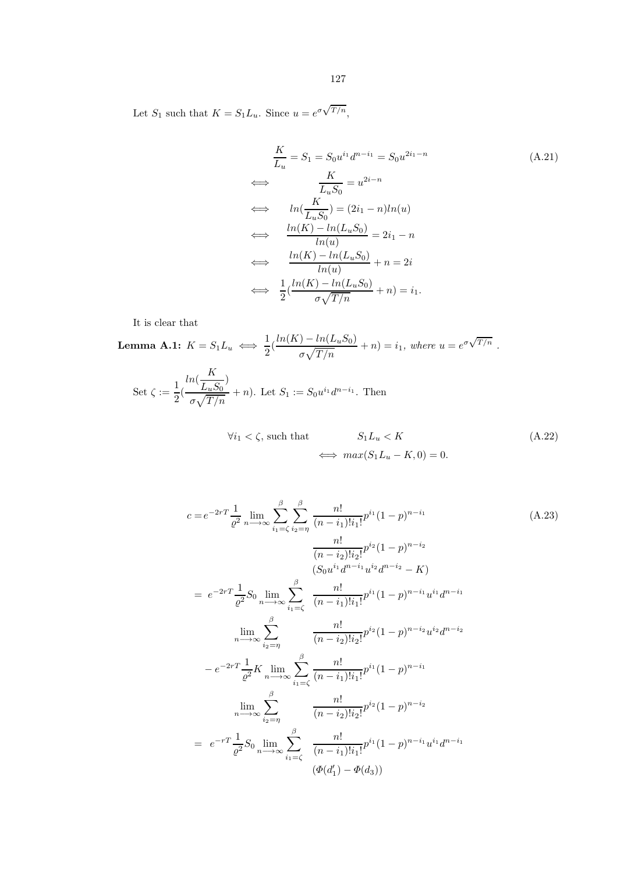Let  $S_1$  such that  $K = S_1 L_u$ . Since  $u = e^{\sigma \sqrt{T/n}}$ ,

$$
\frac{K}{L_u} = S_1 = S_0 u^{i_1} d^{n-i_1} = S_0 u^{2i_1 - n}
$$
\n
$$
\iff \frac{K}{L_u S_0} = u^{2i - n}
$$
\n
$$
\iff \ln(\frac{K}{L_u S_0}) = (2i_1 - n)ln(u)
$$
\n
$$
\iff \frac{ln(K) - ln(L_u S_0)}{ln(u)} = 2i_1 - n
$$
\n
$$
\iff \frac{ln(K) - ln(L_u S_0)}{ln(u)} + n = 2i
$$
\n
$$
\iff \frac{1}{2} (\frac{ln(K) - ln(L_u S_0)}{\sigma \sqrt{T/n}} + n) = i_1.
$$
\n(4.21)

It is clear that

**Lemma A.1:** 
$$
K = S_1 L_u \iff \frac{1}{2} (\frac{\ln(K) - \ln(L_u S_0)}{\sigma \sqrt{T/n}} + n) = i_1
$$
, where  $u = e^{\sigma \sqrt{T/n}}$ .

Set 
$$
\zeta := \frac{1}{2} \left( \frac{\ln(\frac{K}{L_u S_0})}{\sigma \sqrt{T/n}} + n \right)
$$
. Let  $S_1 := S_0 u^{i_1} d^{n-i_1}$ . Then

$$
\forall i_1 < \zeta \text{, such that} \qquad S_1 L_u < K \tag{A.22}
$$
\n
$$
\iff \max(S_1 L_u - K, 0) = 0.
$$

$$
c = e^{-2rT} \frac{1}{\varrho^2} \lim_{n \to \infty} \sum_{i_1 = \zeta}^{\beta} \sum_{i_2 = \eta}^{\beta} \frac{n!}{(n - i_1)! i_1!} p^{i_1} (1 - p)^{n - i_1}
$$
\n(A.23)  
\n
$$
\frac{n!}{(n - i_2)! i_2!} p^{i_2} (1 - p)^{n - i_2}
$$
\n
$$
(S_0 u^{i_1} d^{n - i_1} u^{i_2} d^{n - i_2} - K)
$$
\n
$$
= e^{-2rT} \frac{1}{\varrho^2} S_0 \lim_{n \to \infty} \sum_{i_1 = \zeta}^{\beta} \frac{n!}{(n - i_1)! i_1!} p^{i_1} (1 - p)^{n - i_1} u^{i_1} d^{n - i_1}
$$
\n
$$
\lim_{n \to \infty} \sum_{i_2 = \eta}^{\beta} \frac{n!}{(n - i_2)! i_2!} p^{i_2} (1 - p)^{n - i_2} u^{i_2} d^{n - i_2}
$$
\n
$$
- e^{-2rT} \frac{1}{\varrho^2} K \lim_{n \to \infty} \sum_{i_1 = \zeta}^{\beta} \frac{n!}{(n - i_1)! i_1!} p^{i_1} (1 - p)^{n - i_1}
$$
\n
$$
\lim_{n \to \infty} \sum_{i_2 = \eta}^{\beta} \frac{n!}{(n - i_2)! i_2!} p^{i_2} (1 - p)^{n - i_2}
$$
\n
$$
= e^{-rT} \frac{1}{\varrho^2} S_0 \lim_{n \to \infty} \sum_{i_1 = \zeta}^{\beta} \frac{n!}{(n - i_1)! i_1!} p^{i_1} (1 - p)^{n - i_1} u^{i_1} d^{n - i_1}
$$
\n
$$
(\varphi(d'_1) - \varphi(d_3))
$$
\n(A.23)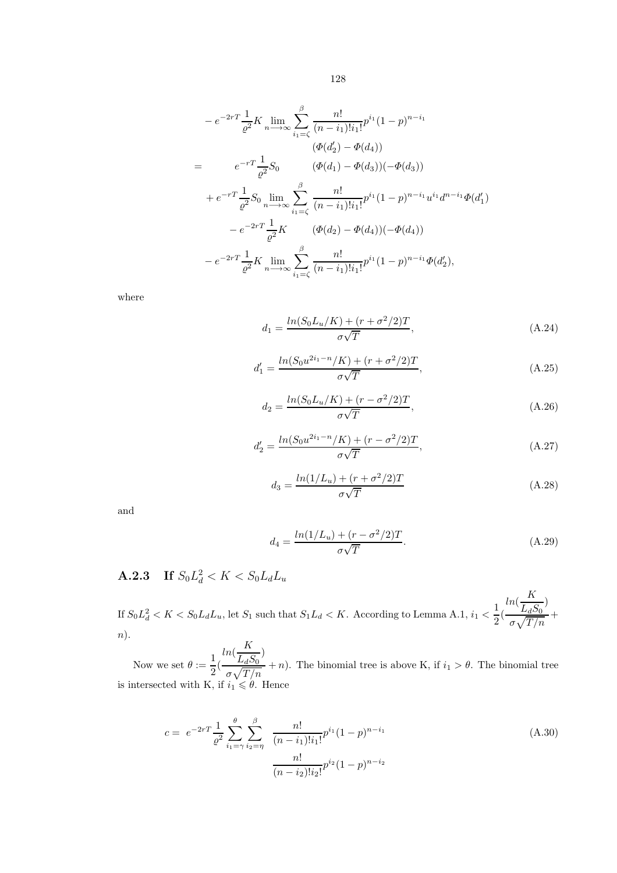$$
-e^{-2rT}\frac{1}{\varrho^{2}}K \lim_{n\to\infty} \sum_{i_{1}=\zeta}^{\beta} \frac{n!}{(n-i_{1})!i_{1}!}p^{i_{1}}(1-p)^{n-i_{1}}
$$
  
\n
$$
(\varPhi(d'_{2}) - \varPhi(d_{4}))
$$
  
\n
$$
= e^{-rT}\frac{1}{\varrho^{2}}S_{0} \qquad (\varPhi(d_{1}) - \varPhi(d_{3}))(-\varPhi(d_{3}))
$$
  
\n
$$
+e^{-rT}\frac{1}{\varrho^{2}}S_{0} \lim_{n\to\infty} \sum_{i_{1}=\zeta}^{\beta} \frac{n!}{(n-i_{1})!i_{1}!}p^{i_{1}}(1-p)^{n-i_{1}}u^{i_{1}}d^{n-i_{1}}\varPhi(d'_{1})
$$
  
\n
$$
-e^{-2rT}\frac{1}{\varrho^{2}}K \qquad (\varPhi(d_{2}) - \varPhi(d_{4}))(-\varPhi(d_{4}))
$$
  
\n
$$
-e^{-2rT}\frac{1}{\varrho^{2}}K \lim_{n\to\infty} \sum_{i_{1}=\zeta}^{\beta} \frac{n!}{(n-i_{1})!i_{1}!}p^{i_{1}}(1-p)^{n-i_{1}}\varPhi(d'_{2}),
$$

where

$$
d_1 = \frac{\ln(S_0 L_u/K) + (r + \sigma^2/2)T}{\sigma\sqrt{T}},
$$
\n(A.24)

$$
d_1' = \frac{\ln(S_0 u^{2i_1 - n}/K) + (r + \sigma^2/2)T}{\sigma\sqrt{T}},
$$
\n(A.25)

$$
d_2 = \frac{\ln(S_0 L_u/K) + (r - \sigma^2/2)T}{\sigma\sqrt{T}},
$$
\n(A.26)

$$
d_2' = \frac{ln(S_0 u^{2i_1 - n}/K) + (r - \sigma^2/2)T}{\sigma\sqrt{T}},
$$
\n(A.27)

$$
d_3 = \frac{ln(1/L_u) + (r + \sigma^2/2)T}{\sigma\sqrt{T}}\tag{A.28}
$$

and

$$
d_4 = \frac{\ln(1/L_u) + (r - \sigma^2/2)T}{\sigma\sqrt{T}}.
$$
\n(A.29)

### **A.2.3** If  $S_0 L_d^2 < K < S_0 L_d L_u$

If  $S_0L_d^2 < K < S_0L_dL_u$ , let  $S_1$  such that  $S_1L_d < K$ . According to Lemma A.1,  $i_1 < \frac{1}{2}$  $\frac{1}{2}$ <sup>(</sup>  $ln(\frac{K}{I})$  $\frac{1}{L_dS_0}$  $\sigma\sqrt{T/n}$ + n).

Now we set  $\theta := \frac{1}{2}$  $\frac{1}{2}$ <sup>(</sup>  $ln(\frac{K}{I})$  $\frac{1}{L_dS_0}$  $\frac{L_d \omega_0}{\sigma \sqrt{T/n}} + n$ ). The binomial tree is above K, if  $i_1 > \theta$ . The binomial tree is intersected with K, if  $i_1 \leq \theta$ . Hence

$$
c = e^{-2rT} \frac{1}{\varrho^2} \sum_{i_1 = \gamma}^{\theta} \sum_{i_2 = \eta}^{\beta} \frac{n!}{(n - i_1)! i_1!} p^{i_1} (1 - p)^{n - i_1}
$$
\n
$$
\frac{n!}{(n - i_2)! i_2!} p^{i_2} (1 - p)^{n - i_2}
$$
\n(A.30)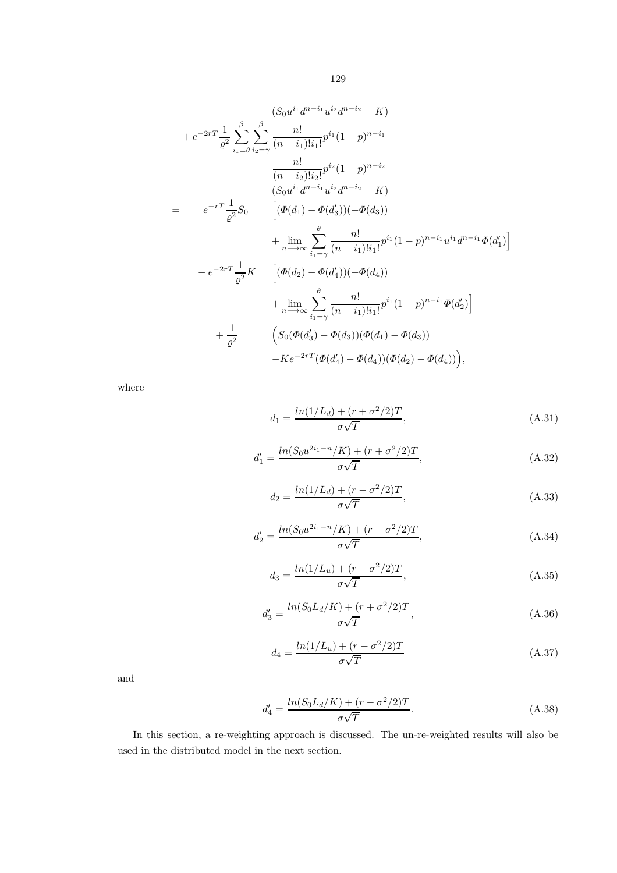$$
(S_0u^{i_1}d^{n-i_1}u^{i_2}d^{n-i_2} - K)
$$
  
+  $e^{-2rT} \frac{1}{\varrho^2} \sum_{i_1=0}^{\beta} \sum_{i_2=\gamma}^{\beta} \frac{n!}{(n-i_1)!i_1!} p^{i_1} (1-p)^{n-i_1}$   

$$
\frac{n!}{(n-i_2)!i_2!} p^{i_2} (1-p)^{n-i_2}
$$
  

$$
(S_0u^{i_1}d^{n-i_1}u^{i_2}d^{n-i_2} - K)
$$
  
=  $e^{-rT} \frac{1}{\varrho^2} S_0 \qquad [(\Phi(d_1) - \Phi(d'_3))(-\Phi(d_3))$   
+  $\lim_{n \to \infty} \sum_{i_1=\gamma}^{\theta} \frac{n!}{(n-i_1)!i_1!} p^{i_1} (1-p)^{n-i_1}u^{i_1}d^{n-i_1}\Phi(d'_1)]$   
-  $e^{-2rT} \frac{1}{\varrho^2} K \qquad [(\Phi(d_2) - \Phi(d'_4))(-\Phi(d_4))$   
+  $\lim_{n \to \infty} \sum_{i_1=\gamma}^{\theta} \frac{n!}{(n-i_1)!i_1!} p^{i_1} (1-p)^{n-i_1}\Phi(d'_2)]$   
+  $\frac{1}{\varrho^2} \qquad (S_0(\Phi(d'_3) - \Phi(d_3))(\Phi(d_1) - \Phi(d_3))$   
-  $Ke^{-2rT}(\Phi(d'_4) - \Phi(d_4))(\Phi(d_2) - \Phi(d_4))),$ 

where

$$
d_1 = \frac{ln(1/L_d) + (r + \sigma^2/2)T}{\sigma\sqrt{T}},
$$
\n(A.31)

$$
d_1' = \frac{ln(S_0 u^{2i_1 - n}/K) + (r + \sigma^2/2)T}{\sigma\sqrt{T}},
$$
\n(A.32)

$$
d_2 = \frac{\ln(1/L_d) + (r - \sigma^2/2)T}{\sigma\sqrt{T}},
$$
\n(A.33)

$$
d_2' = \frac{ln(S_0 u^{2i_1 - n}/K) + (r - \sigma^2/2)T}{\sigma\sqrt{T}},
$$
\n(A.34)

$$
d_3 = \frac{\ln(1/L_u) + (r + \sigma^2/2)T}{\sigma\sqrt{T}},
$$
\n(A.35)

$$
d_3' = \frac{\ln(S_0 L_d/K) + (r + \sigma^2/2)T}{\sigma\sqrt{T}},
$$
\n(A.36)

$$
d_4 = \frac{\ln(1/L_u) + (r - \sigma^2/2)T}{\sigma\sqrt{T}}
$$
\n(A.37)

and

$$
d_4' = \frac{\ln(S_0 L_d/K) + (r - \sigma^2/2)T}{\sigma\sqrt{T}}.
$$
\n(A.38)

In this section, a re-weighting approach is discussed. The un-re-weighted results will also be used in the distributed model in the next section.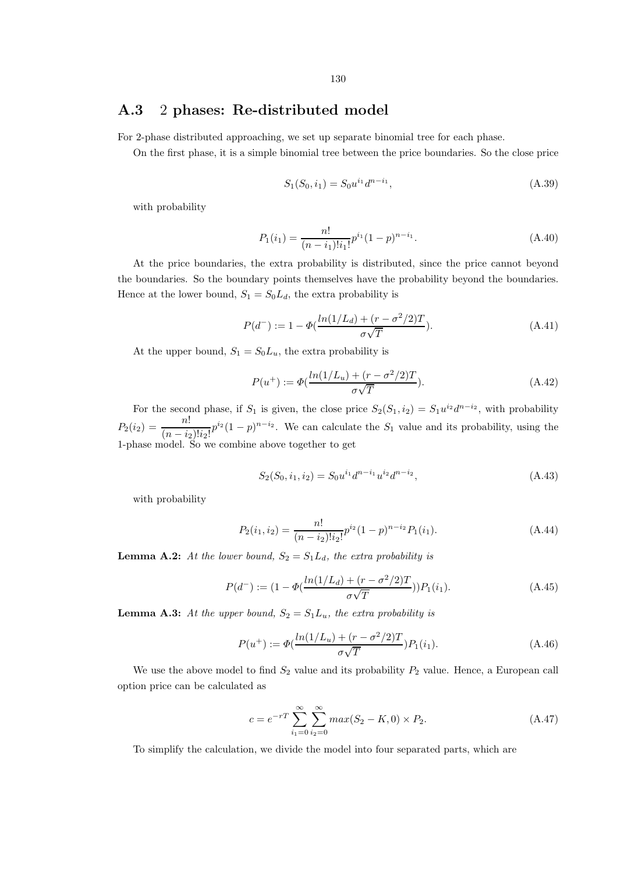### A.3 2 phases: Re-distributed model

For 2-phase distributed approaching, we set up separate binomial tree for each phase.

On the first phase, it is a simple binomial tree between the price boundaries. So the close price

$$
S_1(S_0, i_1) = S_0 u^{i_1} d^{n-i_1}, \tag{A.39}
$$

with probability

$$
P_1(i_1) = \frac{n!}{(n-i_1)!i_1!}p^{i_1}(1-p)^{n-i_1}.
$$
\n(A.40)

At the price boundaries, the extra probability is distributed, since the price cannot beyond the boundaries. So the boundary points themselves have the probability beyond the boundaries. Hence at the lower bound,  $S_1 = S_0 L_d$ , the extra probability is

$$
P(d^-) := 1 - \Phi\left(\frac{\ln(1/L_d) + (r - \sigma^2/2)T}{\sigma\sqrt{T}}\right).
$$
 (A.41)

At the upper bound,  $S_1 = S_0L_u$ , the extra probability is

$$
P(u^{+}) := \Phi\left(\frac{\ln(1/L_{u}) + (r - \sigma^{2}/2)T}{\sigma\sqrt{T}}\right).
$$
 (A.42)

For the second phase, if  $S_1$  is given, the close price  $S_2(S_1, i_2) = S_1 u^{i_2} d^{n-i_2}$ , with probability  $P_2(i_2) = \frac{n!}{(n-i)}$  $\frac{n!}{(n-i_2)!i_2!}p^{i_2}(1-p)^{n-i_2}$ . We can calculate the  $S_1$  value and its probability, using the 1-phase model. So we combine above together to get

$$
S_2(S_0, i_1, i_2) = S_0 u^{i_1} d^{n-i_1} u^{i_2} d^{n-i_2}, \tag{A.43}
$$

with probability

$$
P_2(i_1, i_2) = \frac{n!}{(n - i_2)! i_2!} p^{i_2} (1 - p)^{n - i_2} P_1(i_1).
$$
 (A.44)

**Lemma A.2:** At the lower bound,  $S_2 = S_1 L_d$ , the extra probability is

$$
P(d^-) := (1 - \Phi(\frac{\ln(1/L_d) + (r - \sigma^2/2)T}{\sigma\sqrt{T}}))P_1(i_1).
$$
 (A.45)

**Lemma A.3:** At the upper bound,  $S_2 = S_1 L_u$ , the extra probability is

$$
P(u^{+}) := \Phi\left(\frac{\ln(1/L_{u}) + (r - \sigma^{2}/2)T}{\sigma\sqrt{T}}\right)P_{1}(i_{1}).
$$
\n(A.46)

We use the above model to find  $S_2$  value and its probability  $P_2$  value. Hence, a European call option price can be calculated as

$$
c = e^{-rT} \sum_{i_1=0}^{\infty} \sum_{i_2=0}^{\infty} max(S_2 - K, 0) \times P_2.
$$
 (A.47)

To simplify the calculation, we divide the model into four separated parts, which are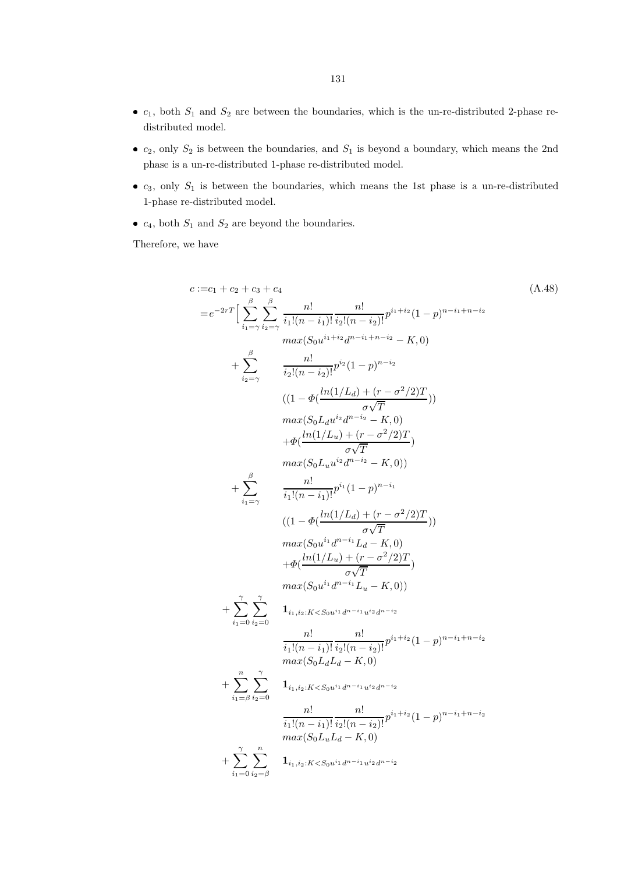- $c_1$ , both  $S_1$  and  $S_2$  are between the boundaries, which is the un-re-distributed 2-phase redistributed model.
- $c_2$ , only  $S_2$  is between the boundaries, and  $S_1$  is beyond a boundary, which means the 2nd phase is a un-re-distributed 1-phase re-distributed model.
- $\bullet$   $c_3$ , only  $S_1$  is between the boundaries, which means the 1st phase is a un-re-distributed 1-phase re-distributed model.
- $c_4$ , both  $S_1$  and  $S_2$  are beyond the boundaries.

Therefore, we have

$$
c := c_1 + c_2 + c_3 + c_4
$$
\n
$$
= e^{-2rT} \Big[ \sum_{i_1 = \gamma}^{\beta} \sum_{i_2 = \gamma}^{\beta} \frac{n!}{i_1!(n-i_1)!} \frac{n!}{i_2!(n-i_2)!} p^{i_1+i_2} (1-p)^{n-i_1+n-i_2}
$$
\n
$$
max(S_0u^{i_1+i_2}d^{n-i_1+n-i_2} - K, 0)
$$
\n
$$
+ \sum_{i_2 = \gamma}^{\beta} \frac{n!}{i_2!(n-i_2)!} p^{i_2} (1-p)^{n-i_2}
$$
\n
$$
((1 - \Phi(\frac{\ln(1/L_d) + (r - \sigma^2/2)T}{\sigma\sqrt{T}}))
$$
\n
$$
max(S_0 L_d u^{i_2} d^{n-i_2} - K, 0)
$$
\n
$$
+ \Phi(\frac{\ln(1/L_u) + (r - \sigma^2/2)T}{\sigma\sqrt{T}})
$$
\n
$$
max(S_0 L_u u^{i_2} d^{n-i_2} - K, 0)
$$
\n
$$
+ \sum_{i_1 = \gamma}^{\beta} \frac{n!}{i_1!(n-i_1)!} p^{i_1} (1-p)^{n-i_1}
$$
\n
$$
((1 - \Phi(\frac{\ln(1/L_d) + (r - \sigma^2/2)T}{\sigma\sqrt{T}}))
$$
\n
$$
max(S_0 u^{i_1} d^{n-i_1} L_d - K, 0)
$$
\n
$$
+ \Phi(\frac{\ln(1/L_u) + (r - \sigma^2/2)T}{\sigma\sqrt{T}})
$$
\n
$$
max(S_0 u^{i_1} d^{n-i_1} L_u - K, 0)
$$
\n
$$
+ \sum_{i_1 = 0}^{\gamma} \sum_{i_2 = 0}^{\gamma} \frac{1_{i_1, i_2 : K < S_0 u^{i_1} d^{n-i_1} u^{i_2} d^{n-i_2}}{i_1!(n-i_1)!} \frac{n!}{i_2!(n-i_2)!} p^{i_1+i_2} (1-p)^{n-i_1+n-i_2}
$$
\n
$$
max(S_0 L_d L_d - K, 0)
$$
\n
$$
+ \sum_{i_1 = \beta}^{\gamma} \sum_{i_2 =
$$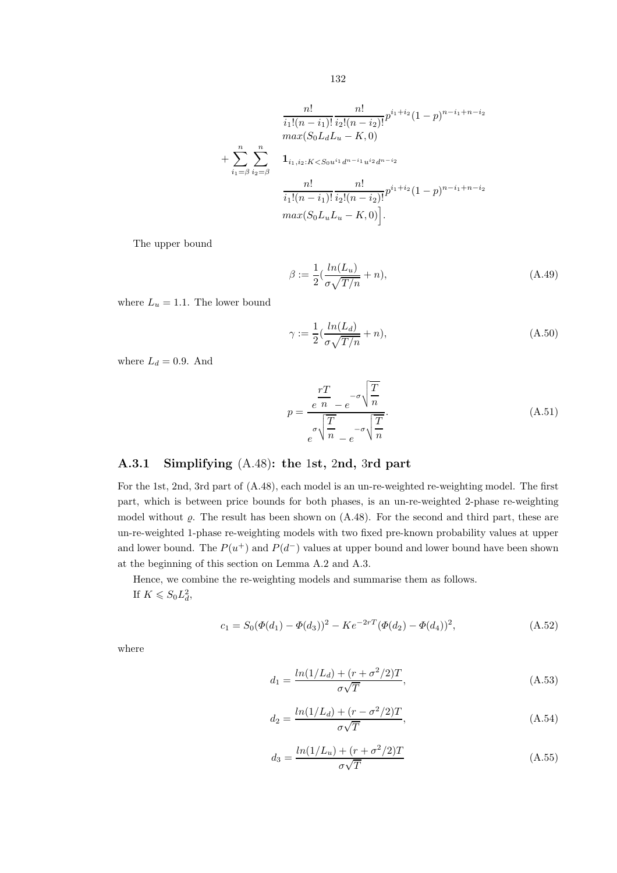$$
\frac{n!}{i_1!(n-i_1)!} \frac{n!}{i_2!(n-i_2)!} p^{i_1+i_2} (1-p)^{n-i_1+n-i_2}
$$
  
\n
$$
max(S_0L_dL_u - K, 0)
$$
  
\n+ 
$$
\sum_{i_1=\beta}^n \sum_{i_2=\beta}^n \mathbf{1}_{i_1,i_2:K  
\n
$$
\frac{n!}{i_1!(n-i_1)!} \frac{n!}{i_2!(n-i_2)!} p^{i_1+i_2} (1-p)^{n-i_1+n-i_2}
$$
  
\n
$$
max(S_0L_uL_u - K, 0).
$$
$$

The upper bound

$$
\beta := \frac{1}{2} \left( \frac{\ln(L_u)}{\sigma \sqrt{T/n}} + n \right),\tag{A.49}
$$

where  $L_u = 1.1$ . The lower bound

$$
\gamma := \frac{1}{2}(\frac{\ln(L_d)}{\sigma\sqrt{T/n}} + n),\tag{A.50}
$$

where  $L_d = 0.9$ . And

$$
p = \frac{rT}{e^{\sigma} \sqrt{\frac{T}{n}}} - \sigma \sqrt{\frac{T}{n}}.
$$
\n(A.51)

#### A.3.1 Simplifying (A.48): the 1st, 2nd, 3rd part

For the 1st, 2nd, 3rd part of (A.48), each model is an un-re-weighted re-weighting model. The first part, which is between price bounds for both phases, is an un-re-weighted 2-phase re-weighting model without  $\rho$ . The result has been shown on  $(A.48)$ . For the second and third part, these are un-re-weighted 1-phase re-weighting models with two fixed pre-known probability values at upper and lower bound. The  $P(u^+)$  and  $P(d^-)$  values at upper bound and lower bound have been shown at the beginning of this section on Lemma A.2 and A.3.

Hence, we combine the re-weighting models and summarise them as follows. If  $K \leqslant S_0 L_d^2$ ,

$$
c_1 = S_0(\Phi(d_1) - \Phi(d_3))^2 - Ke^{-2rT}(\Phi(d_2) - \Phi(d_4))^2,
$$
\n(A.52)

where

$$
d_1 = \frac{\ln(1/L_d) + (r + \sigma^2/2)T}{\sigma\sqrt{T}},
$$
\n(A.53)

$$
d_2 = \frac{\ln(1/L_d) + (r - \sigma^2/2)T}{\sigma\sqrt{T}},
$$
\n(A.54)

$$
d_3 = \frac{\ln(1/L_u) + (r + \sigma^2/2)T}{\sigma\sqrt{T}}
$$
(A.55)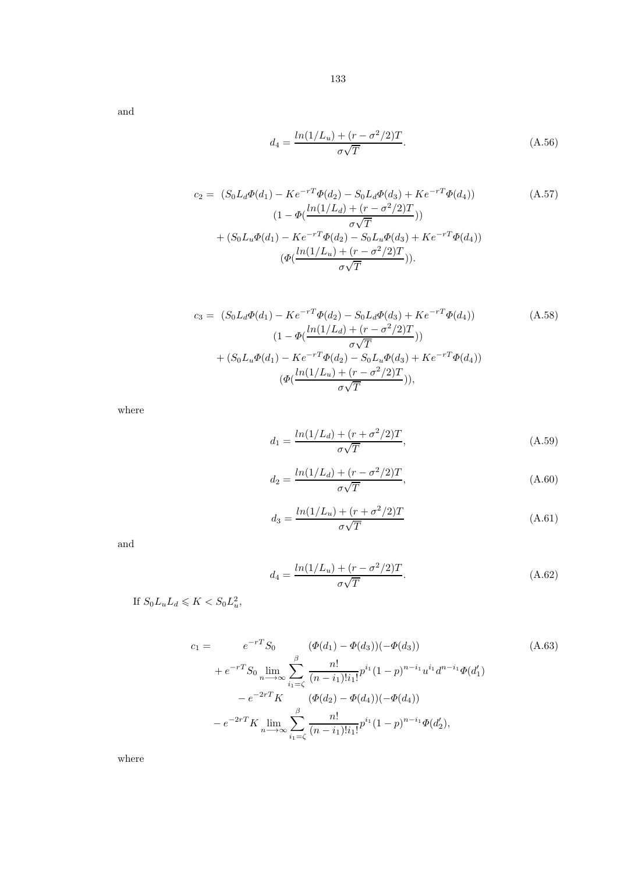and

$$
d_4 = \frac{\ln(1/L_u) + (r - \sigma^2/2)T}{\sigma\sqrt{T}}.
$$
\n(A.56)

$$
c_2 = (S_0 L_d \Phi(d_1) - Ke^{-rT} \Phi(d_2) - S_0 L_d \Phi(d_3) + Ke^{-rT} \Phi(d_4))
$$
\n
$$
(1 - \Phi(\frac{\ln(1/L_d) + (r - \sigma^2/2)T}{\sigma \sqrt{T}}))
$$
\n
$$
+ (S_0 L_u \Phi(d_1) - Ke^{-rT} \Phi(d_2) - S_0 L_u \Phi(d_3) + Ke^{-rT} \Phi(d_4))
$$
\n
$$
(\Phi(\frac{\ln(1/L_u) + (r - \sigma^2/2)T}{\sigma \sqrt{T}})).
$$
\n(A.57)

$$
c_3 = (S_0 L_d \Phi(d_1) - Ke^{-rT} \Phi(d_2) - S_0 L_d \Phi(d_3) + Ke^{-rT} \Phi(d_4))
$$
\n
$$
(1 - \Phi(\frac{\ln(1/L_d) + (r - \sigma^2/2)T}{\sigma\sqrt{T}}))
$$
\n
$$
+ (S_0 L_u \Phi(d_1) - Ke^{-rT} \Phi(d_2) - S_0 L_u \Phi(d_3) + Ke^{-rT} \Phi(d_4))
$$
\n
$$
(\Phi(\frac{\ln(1/L_u) + (r - \sigma^2/2)T}{\sigma\sqrt{T}})),
$$
\n
$$
(\Phi(\frac{\ln(1/L_u) + (r - \sigma^2/2)T}{\sigma\sqrt{T}})),
$$
\n(4.58)

where

$$
d_1 = \frac{\ln(1/L_d) + (r + \sigma^2/2)T}{\sigma\sqrt{T}},
$$
\n(A.59)

$$
d_2 = \frac{\ln(1/L_d) + (r - \sigma^2/2)T}{\sigma\sqrt{T}},
$$
\n(A.60)

$$
d_3 = \frac{\ln(1/L_u) + (r + \sigma^2/2)T}{\sigma\sqrt{T}}
$$
(A.61)

and

$$
d_4 = \frac{\ln(1/L_u) + (r - \sigma^2/2)T}{\sigma\sqrt{T}}.
$$
\n(A.62)

If  $S_0L_uL_d \leqslant K < S_0L_u^2$ ,

$$
c_1 = e^{-rT} S_0 \qquad (\Phi(d_1) - \Phi(d_3))(-\Phi(d_3))
$$
\n
$$
+ e^{-rT} S_0 \lim_{n \to \infty} \sum_{i_1 = \zeta}^{\beta} \frac{n!}{(n - i_1)! i_1!} p^{i_1} (1 - p)^{n - i_1} u^{i_1} d^{n - i_1} \Phi(d'_1)
$$
\n
$$
- e^{-2rT} K \qquad (\Phi(d_2) - \Phi(d_4))(-\Phi(d_4))
$$
\n
$$
- e^{-2rT} K \lim_{n \to \infty} \sum_{i_1 = \zeta}^{\beta} \frac{n!}{(n - i_1)! i_1!} p^{i_1} (1 - p)^{n - i_1} \Phi(d'_2),
$$
\n(A.63)

where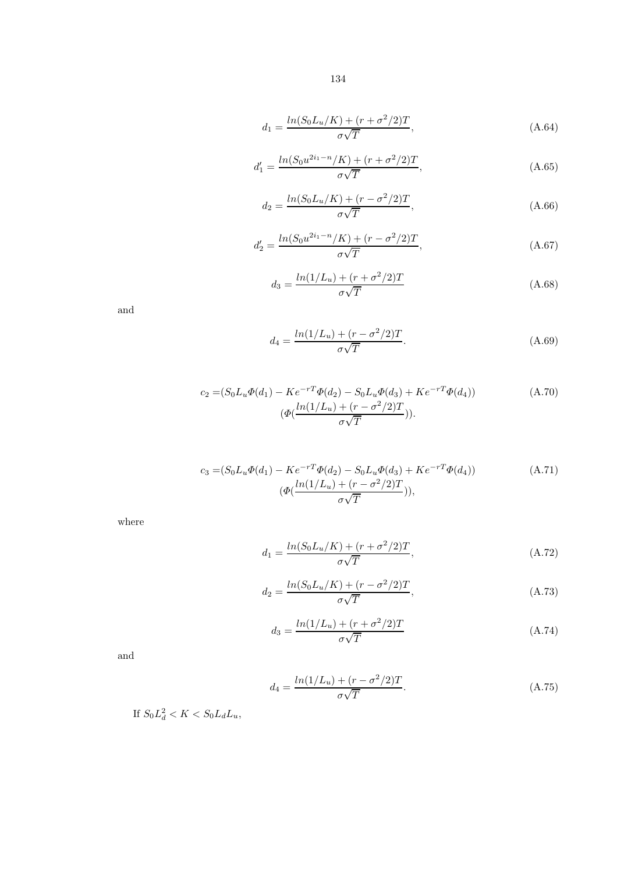$$
d_1 = \frac{\ln(S_0 L_u/K) + (r + \sigma^2/2)T}{\sigma\sqrt{T}},
$$
\n(A.64)

$$
d_1' = \frac{\ln(S_0 u^{2i_1 - n}/K) + (r + \sigma^2/2)T}{\sigma \sqrt{T}},
$$
\n(A.65)

$$
d_2 = \frac{ln(S_0 L_u/K) + (r - \sigma^2/2)T}{\sigma\sqrt{T}},
$$
\n(A.66)

$$
d_2' = \frac{ln(S_0 u^{2i_1 - n}/K) + (r - \sigma^2/2)T}{\sigma\sqrt{T}},
$$
\n(A.67)

$$
d_3 = \frac{\ln(1/L_u) + (r + \sigma^2/2)T}{\sigma\sqrt{T}}
$$
(A.68)

and

$$
d_4 = \frac{\ln(1/L_u) + (r - \sigma^2/2)T}{\sigma\sqrt{T}}.
$$
\n(A.69)

$$
c_2 = (S_0 L_u \Phi(d_1) - Ke^{-rT} \Phi(d_2) - S_0 L_u \Phi(d_3) + Ke^{-rT} \Phi(d_4))
$$
\n
$$
(\Phi(\frac{\ln(1/L_u) + (r - \sigma^2/2)T}{\sigma \sqrt{T}})).
$$
\n(A.70)

$$
c_3 = (S_0 L_u \Phi(d_1) - Ke^{-rT} \Phi(d_2) - S_0 L_u \Phi(d_3) + Ke^{-rT} \Phi(d_4))
$$
\n
$$
(\Phi(\frac{\ln(1/L_u) + (r - \sigma^2/2)T}{\sigma \sqrt{T}})),
$$
\n(A.71)

where

$$
d_1 = \frac{ln(S_0 L_u/K) + (r + \sigma^2/2)T}{\sigma\sqrt{T}},
$$
\n(A.72)

$$
d_2 = \frac{\ln(S_0 L_u/K) + (r - \sigma^2/2)T}{\sigma\sqrt{T}},
$$
\n(A.73)

$$
d_3 = \frac{\ln(1/L_u) + (r + \sigma^2/2)T}{\sigma\sqrt{T}}
$$
 (A.74)

and

$$
d_4 = \frac{\ln(1/L_u) + (r - \sigma^2/2)T}{\sigma\sqrt{T}}.
$$
\n(A.75)

If  $S_0 L_d^2 < K < S_0 L_d L_u$ ,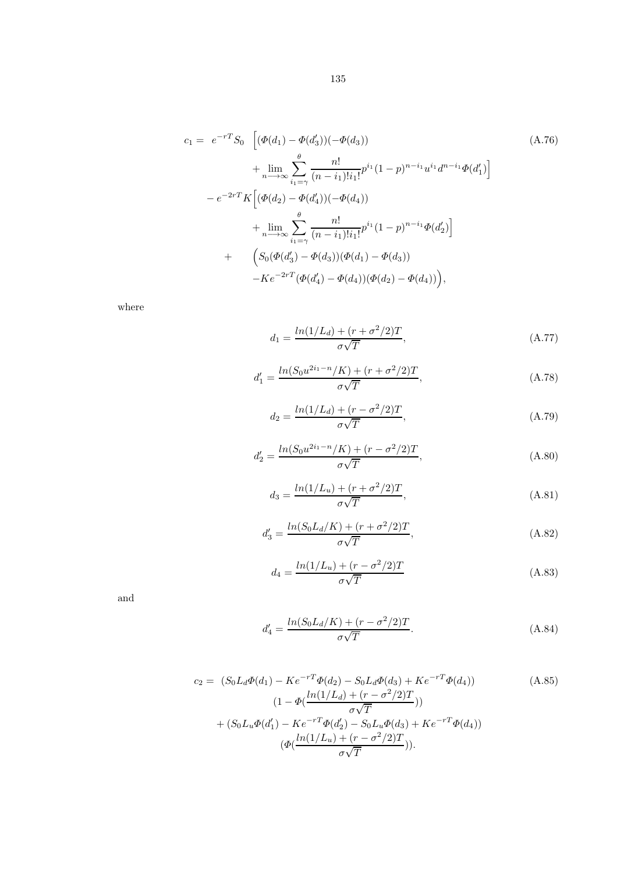$$
c_{1} = e^{-rT}S_{0} \left[ (\Phi(d_{1}) - \Phi(d_{3})) (-\Phi(d_{3})) \right]
$$
\n
$$
+ \lim_{n \to \infty} \sum_{i_{1} = \gamma}^{\theta} \frac{n!}{(n - i_{1})!i_{1}!} p^{i_{1}} (1 - p)^{n - i_{1}} u^{i_{1}} d^{n - i_{1}} \Phi(d_{1}') \right]
$$
\n
$$
- e^{-2rT} K \left[ (\Phi(d_{2}) - \Phi(d_{4})) (-\Phi(d_{4})) \right]
$$
\n
$$
+ \lim_{n \to \infty} \sum_{i_{1} = \gamma}^{\theta} \frac{n!}{(n - i_{1})!i_{1}!} p^{i_{1}} (1 - p)^{n - i_{1}} \Phi(d_{2}') \right]
$$
\n
$$
+ \left( S_{0} (\Phi(d_{3}') - \Phi(d_{3})) (\Phi(d_{1}) - \Phi(d_{3})) \right)
$$
\n
$$
- K e^{-2rT} (\Phi(d_{4}') - \Phi(d_{4})) (\Phi(d_{2}) - \Phi(d_{4})) \Big),
$$
\n(M. 76)

where

$$
d_1 = \frac{\ln(1/L_d) + (r + \sigma^2/2)T}{\sigma\sqrt{T}},
$$
\n(A.77)

$$
d_1' = \frac{\ln(S_0 u^{2i_1 - n}/K) + (r + \sigma^2/2)T}{\sigma\sqrt{T}},
$$
\n(A.78)

$$
d_2 = \frac{\ln(1/L_d) + (r - \sigma^2/2)T}{\sigma\sqrt{T}},
$$
\n(A.79)

$$
d_2' = \frac{\ln(S_0 u^{2i_1 - n}/K) + (r - \sigma^2/2)T}{\sigma \sqrt{T}},
$$
\n(A.80)

$$
d_3 = \frac{\ln(1/L_u) + (r + \sigma^2/2)T}{\sigma\sqrt{T}},
$$
\n(A.81)

$$
d_3' = \frac{\ln(S_0 L_d/K) + (r + \sigma^2/2)T}{\sigma\sqrt{T}},
$$
\n(A.82)

$$
d_4 = \frac{\ln(1/L_u) + (r - \sigma^2/2)T}{\sigma\sqrt{T}}
$$
 (A.83)

and

$$
d_4' = \frac{\ln(S_0 L_d/K) + (r - \sigma^2/2)T}{\sigma\sqrt{T}}.
$$
\n(A.84)

$$
c_2 = (S_0 L_d \Phi(d_1) - Ke^{-rT} \Phi(d_2) - S_0 L_d \Phi(d_3) + Ke^{-rT} \Phi(d_4))
$$
\n
$$
(1 - \Phi(\frac{\ln(1/L_d) + (r - \sigma^2/2)T}{\sigma \sqrt{T}}))
$$
\n
$$
+ (S_0 L_u \Phi(d'_1) - Ke^{-rT} \Phi(d'_2) - S_0 L_u \Phi(d_3) + Ke^{-rT} \Phi(d_4))
$$
\n
$$
(\Phi(\frac{\ln(1/L_u) + (r - \sigma^2/2)T}{\sigma \sqrt{T}})).
$$
\n(A.85)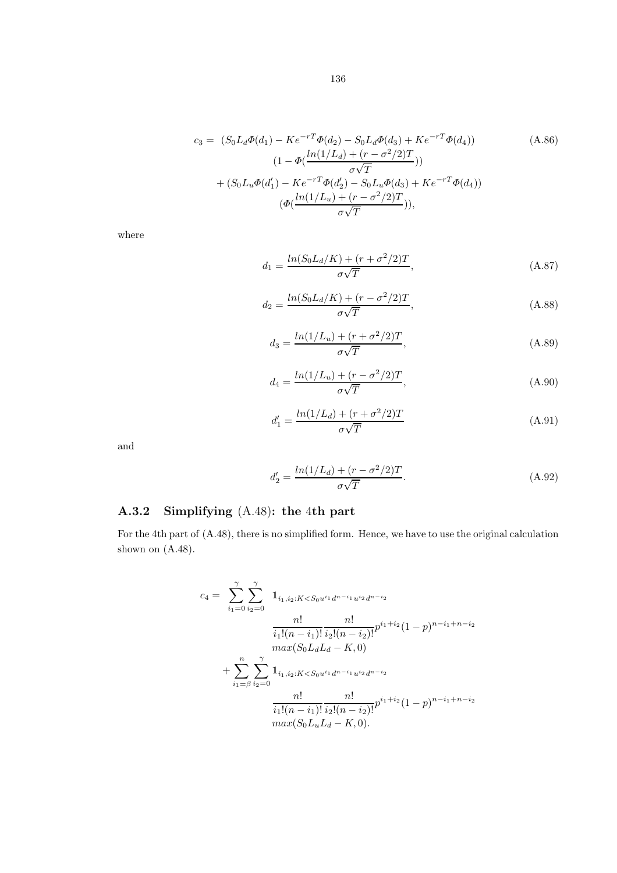$$
c_3 = (S_0 L_d \Phi(d_1) - Ke^{-rT} \Phi(d_2) - S_0 L_d \Phi(d_3) + Ke^{-rT} \Phi(d_4))
$$
\n
$$
(1 - \Phi(\frac{\ln(1/L_d) + (r - \sigma^2/2)T}{\sigma \sqrt{T}}))
$$
\n
$$
+ (S_0 L_u \Phi(d'_1) - Ke^{-rT} \Phi(d'_2) - S_0 L_u \Phi(d_3) + Ke^{-rT} \Phi(d_4))
$$
\n
$$
(\Phi(\frac{\ln(1/L_u) + (r - \sigma^2/2)T}{\sigma \sqrt{T}})),
$$
\n(A.86)

where

$$
d_1 = \frac{\ln(S_0 L_d/K) + (r + \sigma^2/2)T}{\sigma\sqrt{T}},
$$
\n(A.87)

$$
d_2 = \frac{\ln(S_0 L_d/K) + (r - \sigma^2/2)T}{\sigma\sqrt{T}},
$$
\n(A.88)

$$
d_3 = \frac{\ln(1/L_u) + (r + \sigma^2/2)T}{\sigma\sqrt{T}},
$$
\n(A.89)

$$
d_4 = \frac{\ln(1/L_u) + (r - \sigma^2/2)T}{\sigma\sqrt{T}},
$$
\n(A.90)

$$
d_1' = \frac{\ln(1/L_d) + (r + \sigma^2/2)T}{\sigma\sqrt{T}}
$$
(A.91)

and

$$
d_2' = \frac{\ln(1/L_d) + (r - \sigma^2/2)T}{\sigma\sqrt{T}}.
$$
\n(A.92)

## A.3.2 Simplifying (A.48): the 4th part

For the 4th part of (A.48), there is no simplified form. Hence, we have to use the original calculation shown on  $(A.48)$ .

$$
c_4 = \sum_{i_1=0}^{\gamma} \sum_{i_2=0}^{\gamma} \mathbf{1}_{i_1, i_2: K < S_0 u^{i_1} d^{n-i_1} u^{i_2} d^{n-i_2}}
$$
\n
$$
\frac{n!}{i_1!(n-i_1)!} \frac{n!}{i_2!(n-i_2)!} p^{i_1+i_2} (1-p)^{n-i_1+n-i_2}
$$
\n
$$
max(S_0 L_d L_d - K, 0)
$$
\n
$$
+ \sum_{i_1=\beta}^n \sum_{i_2=0}^{\gamma} \mathbf{1}_{i_1, i_2: K < S_0 u^{i_1} d^{n-i_1} u^{i_2} d^{n-i_2}}
$$
\n
$$
\frac{n!}{i_1!(n-i_1)!} \frac{n!}{i_2!(n-i_2)!} p^{i_1+i_2} (1-p)^{n-i_1+n-i_2}
$$
\n
$$
max(S_0 L_u L_d - K, 0).
$$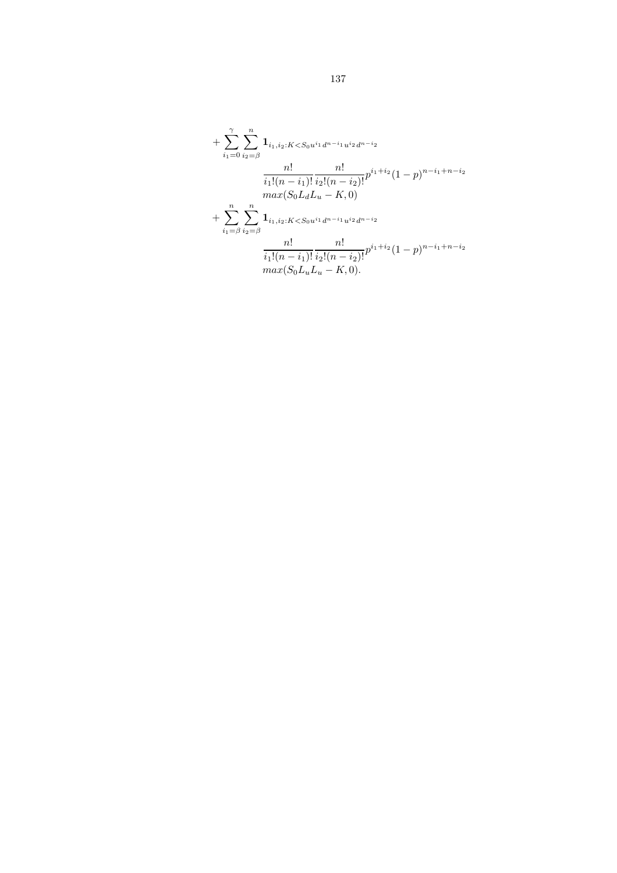+ 
$$
\sum_{i_1=0}^{\gamma} \sum_{i_2=\beta}^n \mathbf{1}_{i_1, i_2: K < S_0 u^{i_1} d^{n-i_1} u^{i_2} d^{n-i_2}}
$$
\n
$$
\frac{n!}{i_1!(n-i_1)!} \frac{n!}{i_2!(n-i_2)!} p^{i_1+i_2} (1-p)^{n-i_1+n-i_2}
$$
\n
$$
max(S_0 L_d L_u - K, 0)
$$
\n+ 
$$
\sum_{i_1=\beta}^n \sum_{i_2=\beta}^n \mathbf{1}_{i_1, i_2: K < S_0 u^{i_1} d^{n-i_1} u^{i_2} d^{n-i_2}}
$$
\n
$$
\frac{n!}{i_1!(n-i_1)!} \frac{n!}{i_2!(n-i_2)!} p^{i_1+i_2} (1-p)^{n-i_1+n-i_2}
$$
\n
$$
max(S_0 L_u L_u - K, 0).
$$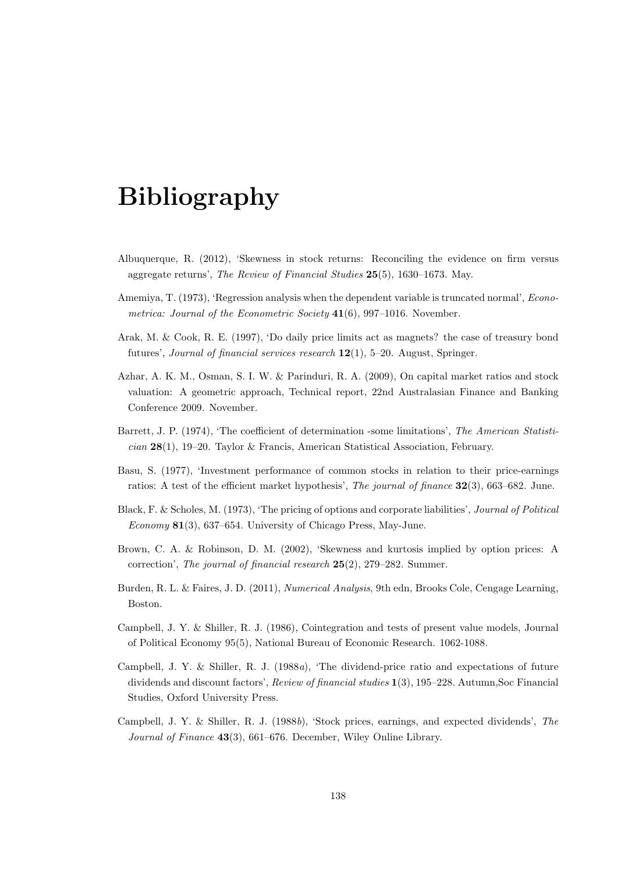## Bibliography

- Albuquerque, R. (2012), 'Skewness in stock returns: Reconciling the evidence on firm versus aggregate returns', The Review of Financial Studies 25(5), 1630–1673. May.
- Amemiya, T. (1973), 'Regression analysis when the dependent variable is truncated normal', *Econo*metrica: Journal of the Econometric Society  $41(6)$ , 997–1016. November.
- Arak, M. & Cook, R. E. (1997), 'Do daily price limits act as magnets? the case of treasury bond futures', Journal of financial services research 12(1), 5–20. August, Springer.
- Azhar, A. K. M., Osman, S. I. W. & Parinduri, R. A. (2009), On capital market ratios and stock valuation: A geometric approach, Technical report, 22nd Australasian Finance and Banking Conference 2009. November.
- Barrett, J. P. (1974), 'The coefficient of determination -some limitations', The American Statisti $cian$  28(1), 19–20. Taylor & Francis, American Statistical Association, February.
- Basu, S. (1977), 'Investment performance of common stocks in relation to their price-earnings ratios: A test of the efficient market hypothesis', The journal of finance 32(3), 663–682. June.
- Black, F. & Scholes, M. (1973), 'The pricing of options and corporate liabilities', Journal of Political Economy 81(3), 637–654. University of Chicago Press, May-June.
- Brown, C. A. & Robinson, D. M. (2002), 'Skewness and kurtosis implied by option prices: A correction', The journal of financial research 25(2), 279–282. Summer.
- Burden, R. L. & Faires, J. D. (2011), Numerical Analysis, 9th edn, Brooks Cole, Cengage Learning, Boston.
- Campbell, J. Y. & Shiller, R. J. (1986), Cointegration and tests of present value models, Journal of Political Economy 95(5), National Bureau of Economic Research. 1062-1088.
- Campbell, J. Y. & Shiller, R. J. (1988a), 'The dividend-price ratio and expectations of future dividends and discount factors', Review of financial studies 1(3), 195–228. Autumn,Soc Financial Studies, Oxford University Press.
- Campbell, J. Y. & Shiller, R. J. (1988b), 'Stock prices, earnings, and expected dividends', The Journal of Finance 43(3), 661–676. December, Wiley Online Library.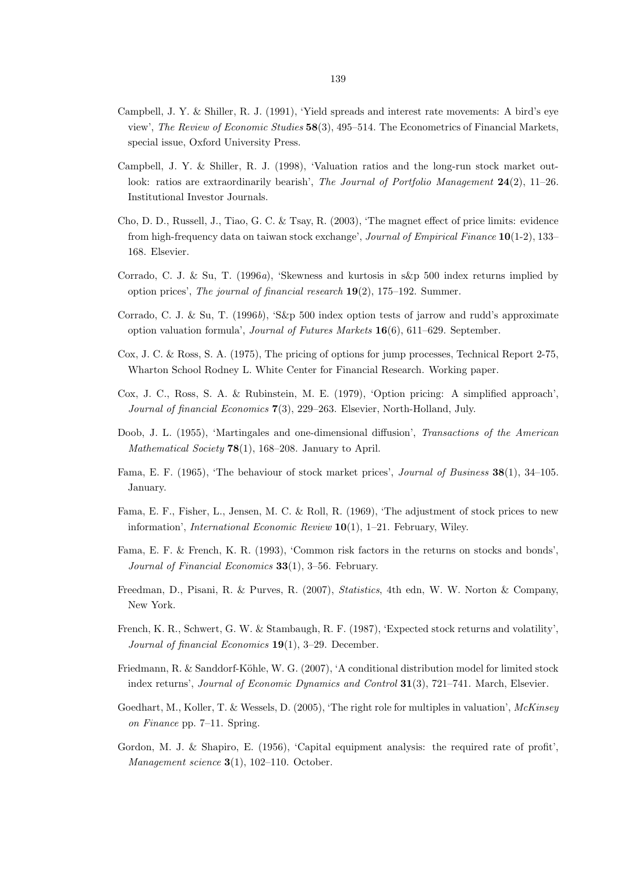- Campbell, J. Y. & Shiller, R. J. (1991), 'Yield spreads and interest rate movements: A bird's eye view', The Review of Economic Studies 58(3), 495–514. The Econometrics of Financial Markets, special issue, Oxford University Press.
- Campbell, J. Y. & Shiller, R. J. (1998), 'Valuation ratios and the long-run stock market outlook: ratios are extraordinarily bearish', The Journal of Portfolio Management  $24(2)$ , 11–26. Institutional Investor Journals.
- Cho, D. D., Russell, J., Tiao, G. C. & Tsay, R. (2003), 'The magnet effect of price limits: evidence from high-frequency data on taiwan stock exchange', Journal of Empirical Finance 10(1-2), 133– 168. Elsevier.
- Corrado, C. J. & Su, T. (1996a), 'Skewness and kurtosis in s&p 500 index returns implied by option prices', The journal of financial research 19(2), 175–192. Summer.
- Corrado, C. J. & Su, T. (1996b), 'S&p 500 index option tests of jarrow and rudd's approximate option valuation formula', Journal of Futures Markets 16(6), 611–629. September.
- Cox, J. C. & Ross, S. A. (1975), The pricing of options for jump processes, Technical Report 2-75, Wharton School Rodney L. White Center for Financial Research. Working paper.
- Cox, J. C., Ross, S. A. & Rubinstein, M. E. (1979), 'Option pricing: A simplified approach', Journal of financial Economics 7(3), 229–263. Elsevier, North-Holland, July.
- Doob, J. L. (1955), 'Martingales and one-dimensional diffusion', Transactions of the American Mathematical Society  $78(1)$ , 168-208. January to April.
- Fama, E. F. (1965), 'The behaviour of stock market prices', *Journal of Business* 38(1), 34–105. January.
- Fama, E. F., Fisher, L., Jensen, M. C. & Roll, R. (1969), 'The adjustment of stock prices to new information', *International Economic Review* 10(1), 1-21. February, Wiley.
- Fama, E. F. & French, K. R. (1993), 'Common risk factors in the returns on stocks and bonds', Journal of Financial Economics 33(1), 3–56. February.
- Freedman, D., Pisani, R. & Purves, R. (2007), Statistics, 4th edn, W. W. Norton & Company, New York.
- French, K. R., Schwert, G. W. & Stambaugh, R. F. (1987), 'Expected stock returns and volatility', Journal of financial Economics 19(1), 3–29. December.
- Friedmann, R. & Sanddorf-Köhle, W. G. (2007), 'A conditional distribution model for limited stock index returns', Journal of Economic Dynamics and Control 31(3), 721–741. March, Elsevier.
- Goedhart, M., Koller, T. & Wessels, D. (2005), 'The right role for multiples in valuation', McKinsey on Finance pp. 7–11. Spring.
- Gordon, M. J. & Shapiro, E. (1956), 'Capital equipment analysis: the required rate of profit', Management science  $3(1)$ , 102-110. October.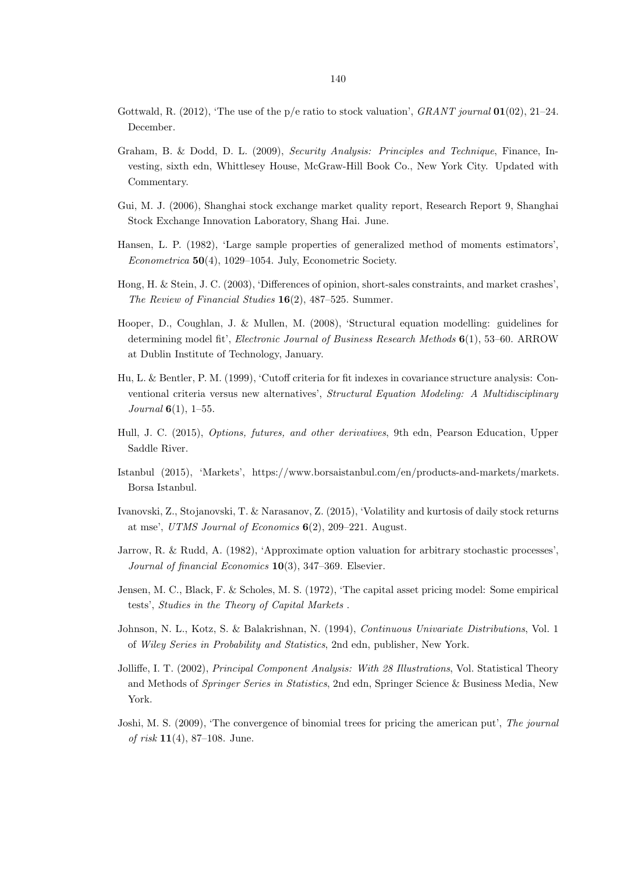- Gottwald, R. (2012), 'The use of the p/e ratio to stock valuation',  $GRANT$  journal  $01(02)$ , 21–24. December.
- Graham, B. & Dodd, D. L. (2009), Security Analysis: Principles and Technique, Finance, Investing, sixth edn, Whittlesey House, McGraw-Hill Book Co., New York City. Updated with Commentary.
- Gui, M. J. (2006), Shanghai stock exchange market quality report, Research Report 9, Shanghai Stock Exchange Innovation Laboratory, Shang Hai. June.
- Hansen, L. P. (1982), 'Large sample properties of generalized method of moments estimators', Econometrica 50(4), 1029–1054. July, Econometric Society.
- Hong, H. & Stein, J. C. (2003), 'Differences of opinion, short-sales constraints, and market crashes', The Review of Financial Studies 16(2), 487–525. Summer.
- Hooper, D., Coughlan, J. & Mullen, M. (2008), 'Structural equation modelling: guidelines for determining model fit', Electronic Journal of Business Research Methods 6(1), 53–60. ARROW at Dublin Institute of Technology, January.
- Hu, L. & Bentler, P. M. (1999), 'Cutoff criteria for fit indexes in covariance structure analysis: Conventional criteria versus new alternatives', Structural Equation Modeling: A Multidisciplinary *Journal*  $6(1)$ , 1–55.
- Hull, J. C. (2015), Options, futures, and other derivatives, 9th edn, Pearson Education, Upper Saddle River.
- Istanbul (2015), 'Markets', https://www.borsaistanbul.com/en/products-and-markets/markets. Borsa Istanbul.
- Ivanovski, Z., Stojanovski, T. & Narasanov, Z. (2015), 'Volatility and kurtosis of daily stock returns at mse', UTMS Journal of Economics 6(2), 209–221. August.
- Jarrow, R. & Rudd, A. (1982), 'Approximate option valuation for arbitrary stochastic processes', Journal of financial Economics 10(3), 347–369. Elsevier.
- Jensen, M. C., Black, F. & Scholes, M. S. (1972), 'The capital asset pricing model: Some empirical tests', Studies in the Theory of Capital Markets .
- Johnson, N. L., Kotz, S. & Balakrishnan, N. (1994), Continuous Univariate Distributions, Vol. 1 of Wiley Series in Probability and Statistics, 2nd edn, publisher, New York.
- Jolliffe, I. T. (2002), *Principal Component Analysis: With 28 Illustrations*, Vol. Statistical Theory and Methods of Springer Series in Statistics, 2nd edn, Springer Science & Business Media, New York.
- Joshi, M. S. (2009), 'The convergence of binomial trees for pricing the american put', The journal of risk  $11(4)$ , 87–108. June.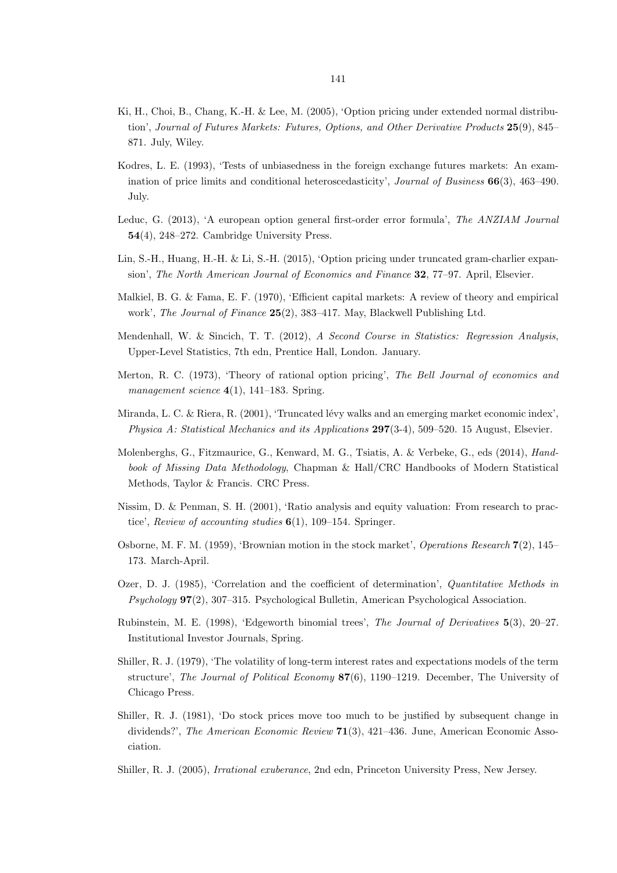- Ki, H., Choi, B., Chang, K.-H. & Lee, M. (2005), 'Option pricing under extended normal distribution', Journal of Futures Markets: Futures, Options, and Other Derivative Products 25(9), 845– 871. July, Wiley.
- Kodres, L. E. (1993), 'Tests of unbiasedness in the foreign exchange futures markets: An examination of price limits and conditional heteroscedasticity', Journal of Business 66(3), 463–490. July.
- Leduc, G. (2013), 'A european option general first-order error formula', The ANZIAM Journal 54(4), 248–272. Cambridge University Press.
- Lin, S.-H., Huang, H.-H. & Li, S.-H. (2015), 'Option pricing under truncated gram-charlier expansion', The North American Journal of Economics and Finance 32, 77–97. April, Elsevier.
- Malkiel, B. G. & Fama, E. F. (1970), 'Efficient capital markets: A review of theory and empirical work', The Journal of Finance 25(2), 383–417. May, Blackwell Publishing Ltd.
- Mendenhall, W. & Sincich, T. T. (2012), A Second Course in Statistics: Regression Analysis, Upper-Level Statistics, 7th edn, Prentice Hall, London. January.
- Merton, R. C. (1973), 'Theory of rational option pricing', The Bell Journal of economics and management science  $4(1)$ , 141–183. Spring.
- Miranda, L. C. & Riera, R. (2001), 'Truncated lévy walks and an emerging market economic index', Physica A: Statistical Mechanics and its Applications 297(3-4), 509–520. 15 August, Elsevier.
- Molenberghs, G., Fitzmaurice, G., Kenward, M. G., Tsiatis, A. & Verbeke, G., eds (2014), Handbook of Missing Data Methodology, Chapman & Hall/CRC Handbooks of Modern Statistical Methods, Taylor & Francis. CRC Press.
- Nissim, D. & Penman, S. H. (2001), 'Ratio analysis and equity valuation: From research to practice', Review of accounting studies 6(1), 109–154. Springer.
- Osborne, M. F. M. (1959), 'Brownian motion in the stock market', Operations Research 7(2), 145– 173. March-April.
- Ozer, D. J. (1985), 'Correlation and the coefficient of determination', Quantitative Methods in Psychology 97(2), 307–315. Psychological Bulletin, American Psychological Association.
- Rubinstein, M. E. (1998), 'Edgeworth binomial trees', The Journal of Derivatives 5(3), 20–27. Institutional Investor Journals, Spring.
- Shiller, R. J. (1979), 'The volatility of long-term interest rates and expectations models of the term structure', The Journal of Political Economy 87(6), 1190–1219. December, The University of Chicago Press.
- Shiller, R. J. (1981), 'Do stock prices move too much to be justified by subsequent change in dividends?', The American Economic Review 71(3), 421-436. June, American Economic Association.
- Shiller, R. J. (2005), Irrational exuberance, 2nd edn, Princeton University Press, New Jersey.